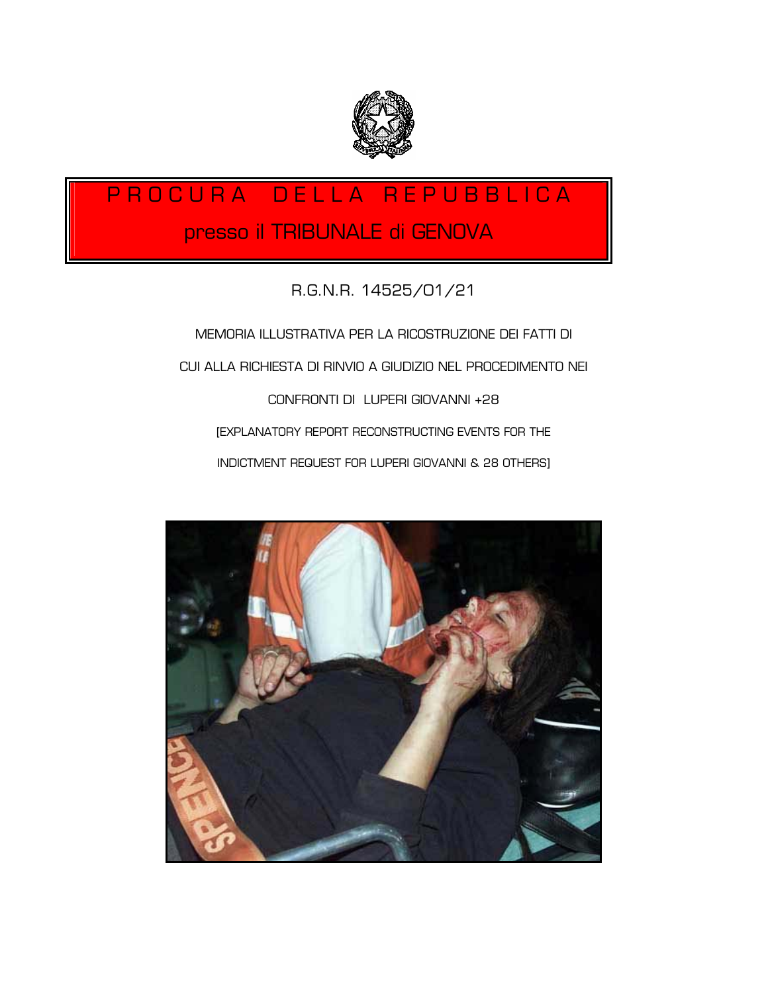

# P R O C U R A D E L L A R E P U B B L I C A presso il TRIBUNALE di GENOVA

# R.G.N.R. 14525/01/21

MEMORIA ILLUSTRATIVA PER LA RICOSTRUZIONE DEI FATTI DI CUI ALLA RICHIESTA DI RINVIO A GIUDIZIO NEL PROCEDIMENTO NEI CONFRONTI DI LUPERI GIOVANNI +28 [EXPLANATORY REPORT RECONSTRUCTING EVENTS FOR THE INDICTMENT REQUEST FOR LUPERI GIOVANNI & 28 OTHERS]

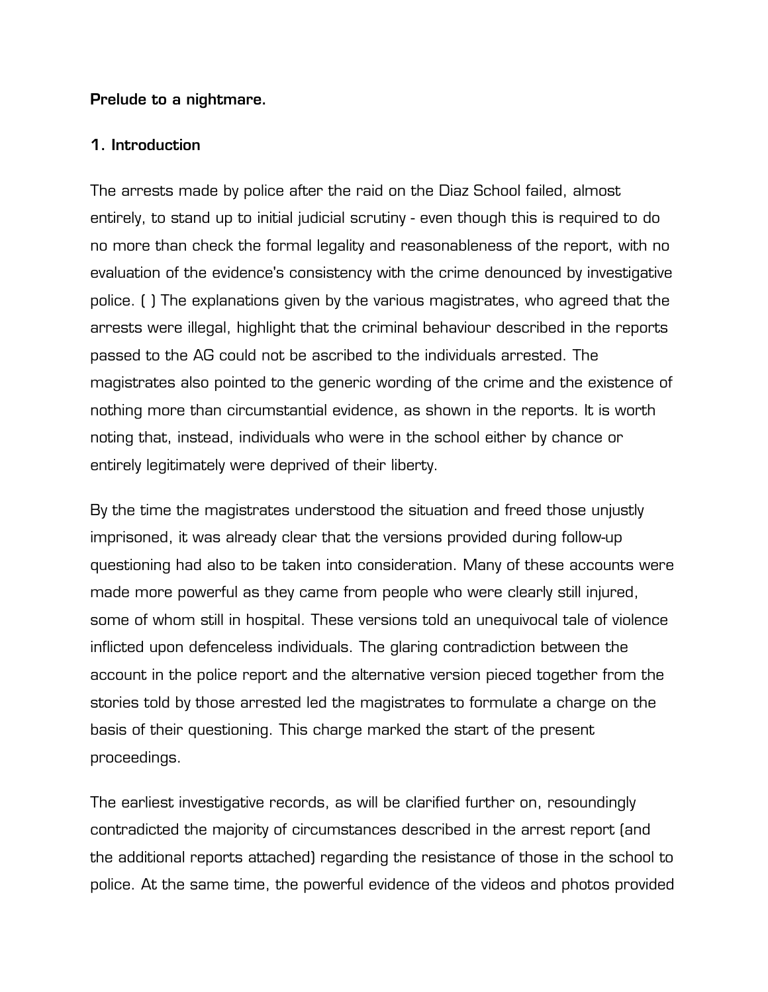#### **Prelude to a nightmare.**

## **1. Introduction**

The arrests made by police after the raid on the Diaz School failed, almost entirely, to stand up to initial judicial scrutiny - even though this is required to do no more than check the formal legality and reasonableness of the report, with no evaluation of the evidence's consistency with the crime denounced by investigative police. ( ) The explanations given by the various magistrates, who agreed that the arrests were illegal, highlight that the criminal behaviour described in the reports passed to the AG could not be ascribed to the individuals arrested. The magistrates also pointed to the generic wording of the crime and the existence of nothing more than circumstantial evidence, as shown in the reports. It is worth noting that, instead, individuals who were in the school either by chance or entirely legitimately were deprived of their liberty.

By the time the magistrates understood the situation and freed those unjustly imprisoned, it was already clear that the versions provided during follow-up questioning had also to be taken into consideration. Many of these accounts were made more powerful as they came from people who were clearly still injured, some of whom still in hospital. These versions told an unequivocal tale of violence inflicted upon defenceless individuals. The glaring contradiction between the account in the police report and the alternative version pieced together from the stories told by those arrested led the magistrates to formulate a charge on the basis of their questioning. This charge marked the start of the present proceedings.

The earliest investigative records, as will be clarified further on, resoundingly contradicted the majority of circumstances described in the arrest report (and the additional reports attached) regarding the resistance of those in the school to police. At the same time, the powerful evidence of the videos and photos provided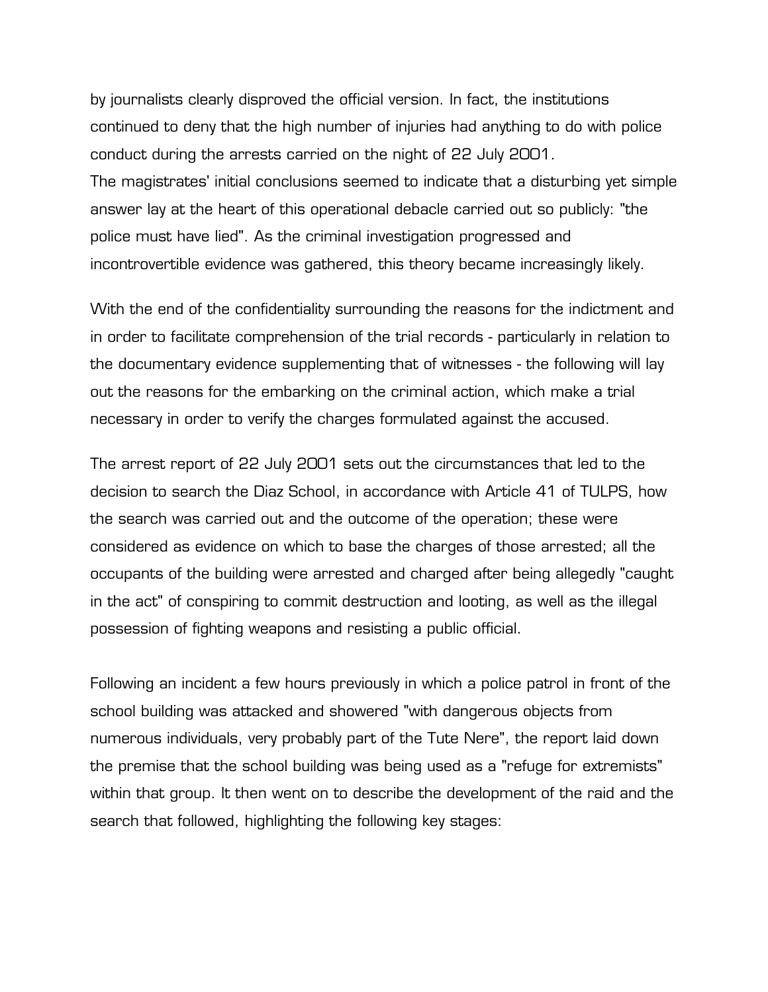by journalists clearly disproved the official version. In fact, the institutions continued to deny that the high number of injuries had anything to do with police conduct during the arrests carried on the night of 22 July 2001. The magistrates' initial conclusions seemed to indicate that a disturbing yet simple answer lay at the heart of this operational debacle carried out so publicly: "the police must have lied". As the criminal investigation progressed and incontrovertible evidence was gathered, this theory became increasingly likely.

With the end of the confidentiality surrounding the reasons for the indictment and in order to facilitate comprehension of the trial records - particularly in relation to the documentary evidence supplementing that of witnesses - the following will lay out the reasons for the embarking on the criminal action, which make a trial necessary in order to verify the charges formulated against the accused.

The arrest report of 22 July 2001 sets out the circumstances that led to the decision to search the Diaz School, in accordance with Article 41 of TULPS, how the search was carried out and the outcome of the operation; these were considered as evidence on which to base the charges of those arrested; all the occupants of the building were arrested and charged after being allegedly "caught in the act" of conspiring to commit destruction and looting, as well as the illegal possession of fighting weapons and resisting a public official.

Following an incident a few hours previously in which a police patrol in front of the school building was attacked and showered "with dangerous objects from numerous individuals, very probably part of the Tute Nere", the report laid down the premise that the school building was being used as a "refuge for extremists" within that group. It then went on to describe the development of the raid and the search that followed, highlighting the following key stages: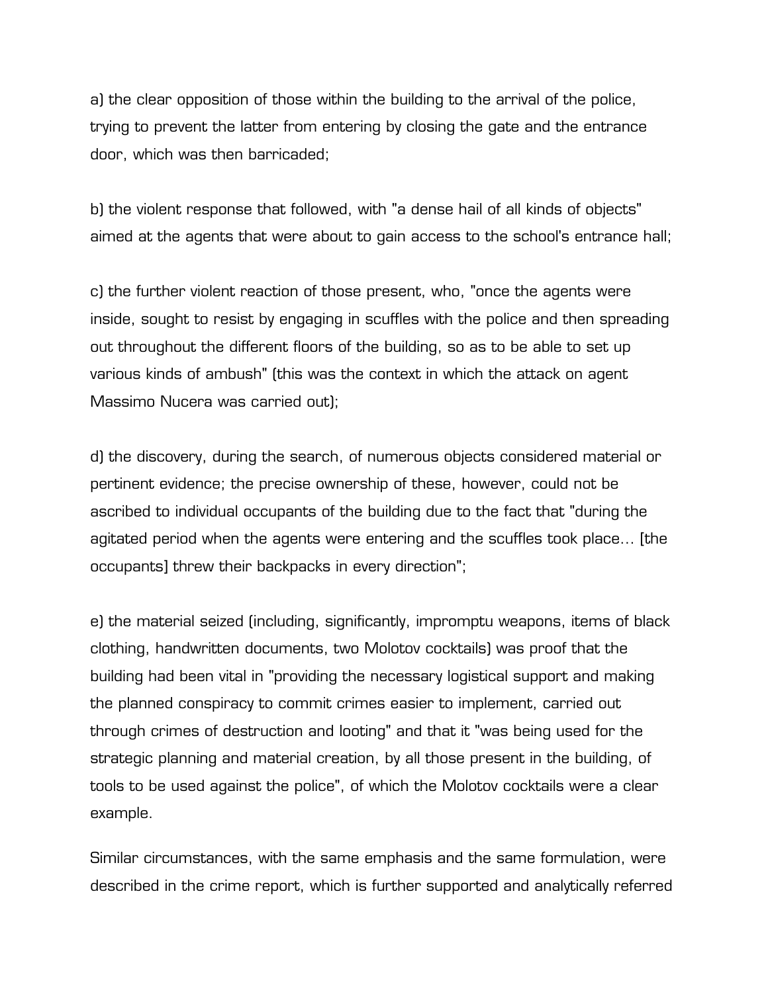a) the clear opposition of those within the building to the arrival of the police, trying to prevent the latter from entering by closing the gate and the entrance door, which was then barricaded;

b) the violent response that followed, with "a dense hail of all kinds of objects" aimed at the agents that were about to gain access to the school's entrance hall;

c) the further violent reaction of those present, who, "once the agents were inside, sought to resist by engaging in scuffles with the police and then spreading out throughout the different floors of the building, so as to be able to set up various kinds of ambush" (this was the context in which the attack on agent Massimo Nucera was carried out);

d) the discovery, during the search, of numerous objects considered material or pertinent evidence; the precise ownership of these, however, could not be ascribed to individual occupants of the building due to the fact that "during the agitated period when the agents were entering and the scuffles took place… [the occupants] threw their backpacks in every direction";

e) the material seized (including, significantly, impromptu weapons, items of black clothing, handwritten documents, two Molotov cocktails) was proof that the building had been vital in "providing the necessary logistical support and making the planned conspiracy to commit crimes easier to implement, carried out through crimes of destruction and looting" and that it "was being used for the strategic planning and material creation, by all those present in the building, of tools to be used against the police", of which the Molotov cocktails were a clear example.

Similar circumstances, with the same emphasis and the same formulation, were described in the crime report, which is further supported and analytically referred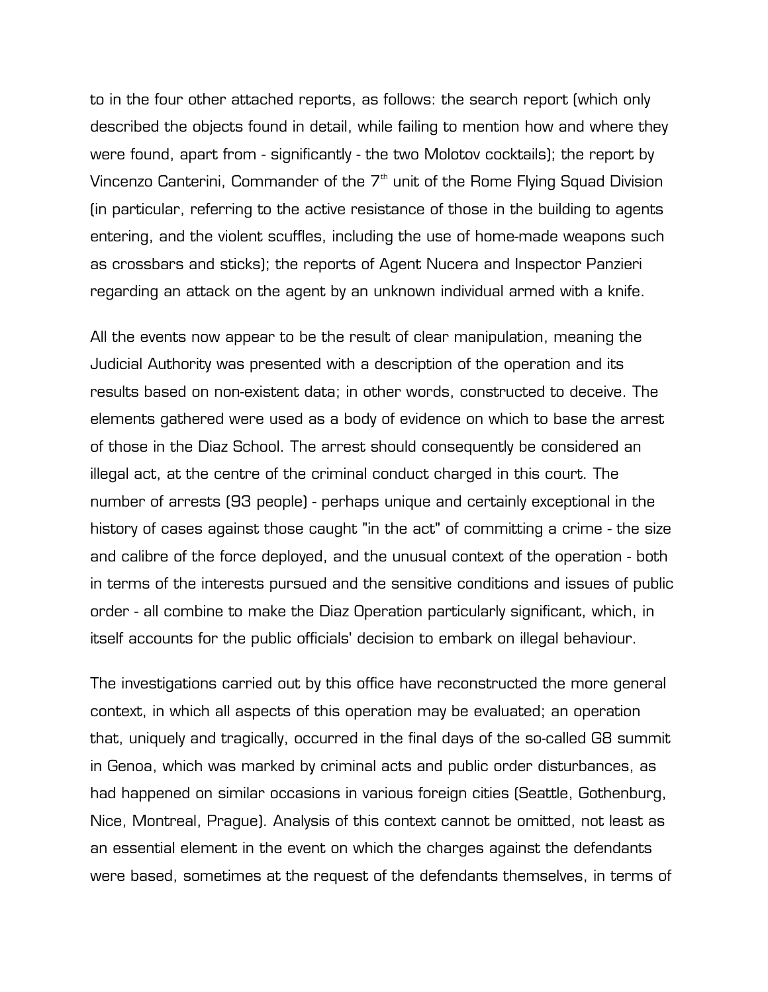to in the four other attached reports, as follows: the search report (which only described the objects found in detail, while failing to mention how and where they were found, apart from - significantly - the two Molotov cocktails); the report by Vincenzo Canterini, Commander of the  $7<sup>th</sup>$  unit of the Rome Flying Squad Division (in particular, referring to the active resistance of those in the building to agents entering, and the violent scuffles, including the use of home-made weapons such as crossbars and sticks); the reports of Agent Nucera and Inspector Panzieri regarding an attack on the agent by an unknown individual armed with a knife.

All the events now appear to be the result of clear manipulation, meaning the Judicial Authority was presented with a description of the operation and its results based on non-existent data; in other words, constructed to deceive. The elements gathered were used as a body of evidence on which to base the arrest of those in the Diaz School. The arrest should consequently be considered an illegal act, at the centre of the criminal conduct charged in this court. The number of arrests (93 people) - perhaps unique and certainly exceptional in the history of cases against those caught "in the act" of committing a crime - the size and calibre of the force deployed, and the unusual context of the operation - both in terms of the interests pursued and the sensitive conditions and issues of public order - all combine to make the Diaz Operation particularly significant, which, in itself accounts for the public officials' decision to embark on illegal behaviour.

The investigations carried out by this office have reconstructed the more general context, in which all aspects of this operation may be evaluated; an operation that, uniquely and tragically, occurred in the final days of the so-called G8 summit in Genoa, which was marked by criminal acts and public order disturbances, as had happened on similar occasions in various foreign cities (Seattle, Gothenburg, Nice, Montreal, Prague). Analysis of this context cannot be omitted, not least as an essential element in the event on which the charges against the defendants were based, sometimes at the request of the defendants themselves, in terms of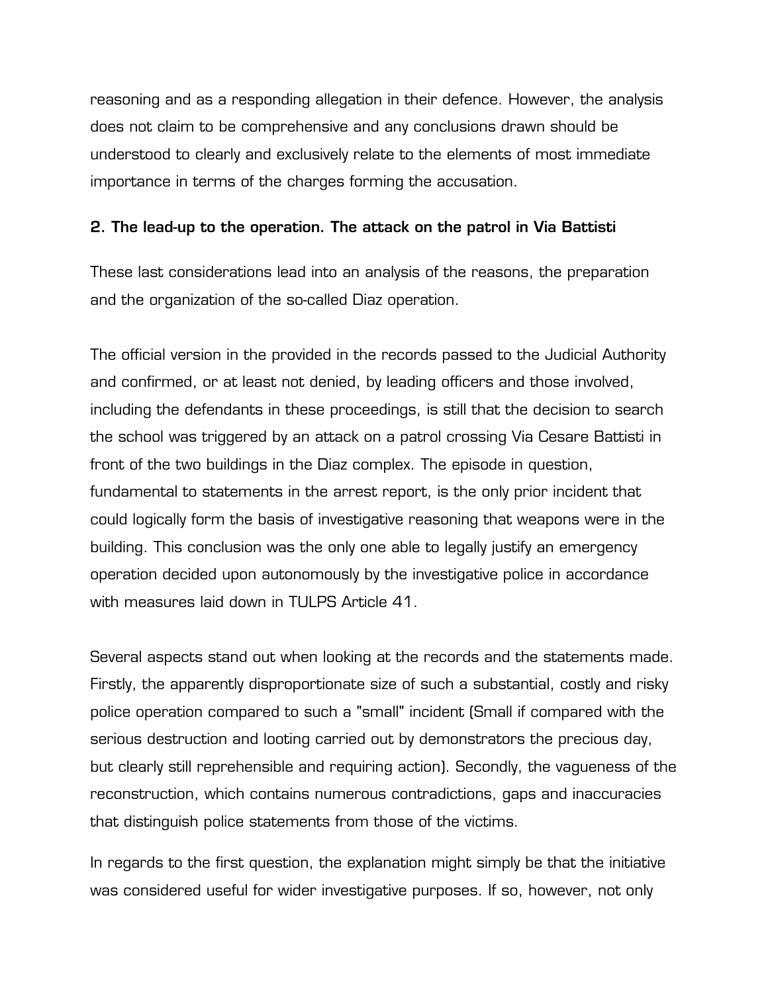reasoning and as a responding allegation in their defence. However, the analysis does not claim to be comprehensive and any conclusions drawn should be understood to clearly and exclusively relate to the elements of most immediate importance in terms of the charges forming the accusation.

# **2. The lead-up to the operation. The attack on the patrol in Via Battisti**

These last considerations lead into an analysis of the reasons, the preparation and the organization of the so-called Diaz operation.

The official version in the provided in the records passed to the Judicial Authority and confirmed, or at least not denied, by leading officers and those involved, including the defendants in these proceedings, is still that the decision to search the school was triggered by an attack on a patrol crossing Via Cesare Battisti in front of the two buildings in the Diaz complex. The episode in question, fundamental to statements in the arrest report, is the only prior incident that could logically form the basis of investigative reasoning that weapons were in the building. This conclusion was the only one able to legally justify an emergency operation decided upon autonomously by the investigative police in accordance with measures laid down in TULPS Article 41.

Several aspects stand out when looking at the records and the statements made. Firstly, the apparently disproportionate size of such a substantial, costly and risky police operation compared to such a "small" incident (Small if compared with the serious destruction and looting carried out by demonstrators the precious day, but clearly still reprehensible and requiring action). Secondly, the vagueness of the reconstruction, which contains numerous contradictions, gaps and inaccuracies that distinguish police statements from those of the victims.

In regards to the first question, the explanation might simply be that the initiative was considered useful for wider investigative purposes. If so, however, not only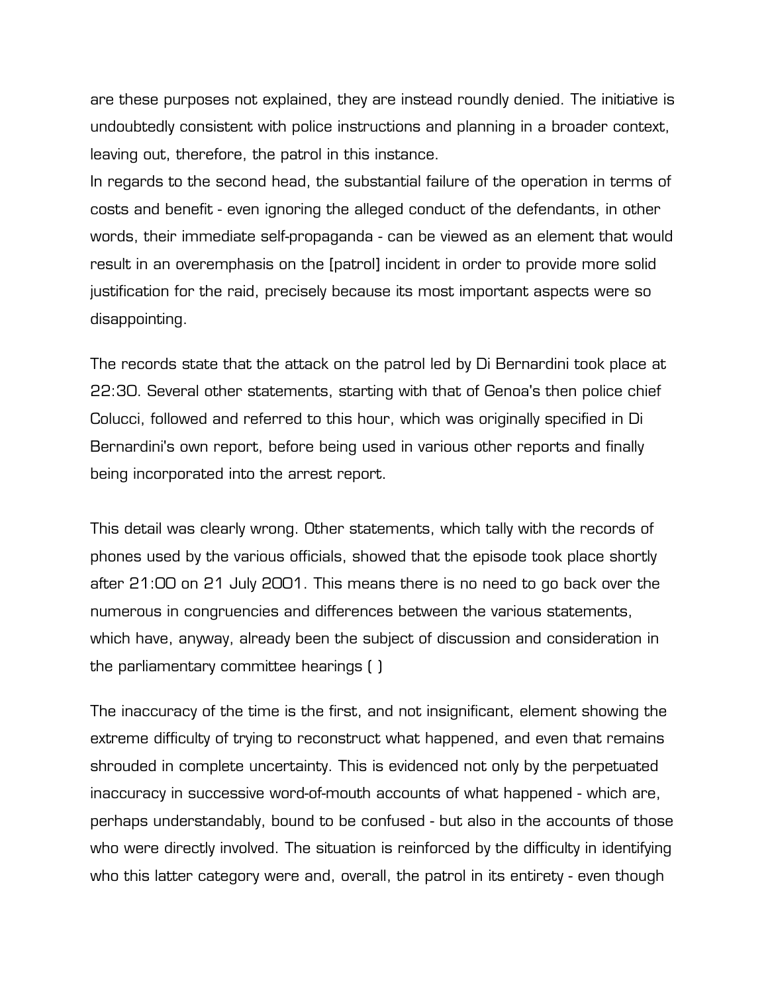are these purposes not explained, they are instead roundly denied. The initiative is undoubtedly consistent with police instructions and planning in a broader context, leaving out, therefore, the patrol in this instance.

In regards to the second head, the substantial failure of the operation in terms of costs and benefit - even ignoring the alleged conduct of the defendants, in other words, their immediate self-propaganda - can be viewed as an element that would result in an overemphasis on the [patrol] incident in order to provide more solid justification for the raid, precisely because its most important aspects were so disappointing.

The records state that the attack on the patrol led by Di Bernardini took place at 22:30. Several other statements, starting with that of Genoa's then police chief Colucci, followed and referred to this hour, which was originally specified in Di Bernardini's own report, before being used in various other reports and finally being incorporated into the arrest report.

This detail was clearly wrong. Other statements, which tally with the records of phones used by the various officials, showed that the episode took place shortly after 21:00 on 21 July 2001. This means there is no need to go back over the numerous in congruencies and differences between the various statements, which have, anyway, already been the subject of discussion and consideration in the parliamentary committee hearings ( )

The inaccuracy of the time is the first, and not insignificant, element showing the extreme difficulty of trying to reconstruct what happened, and even that remains shrouded in complete uncertainty. This is evidenced not only by the perpetuated inaccuracy in successive word-of-mouth accounts of what happened - which are, perhaps understandably, bound to be confused - but also in the accounts of those who were directly involved. The situation is reinforced by the difficulty in identifying who this latter category were and, overall, the patrol in its entirety - even though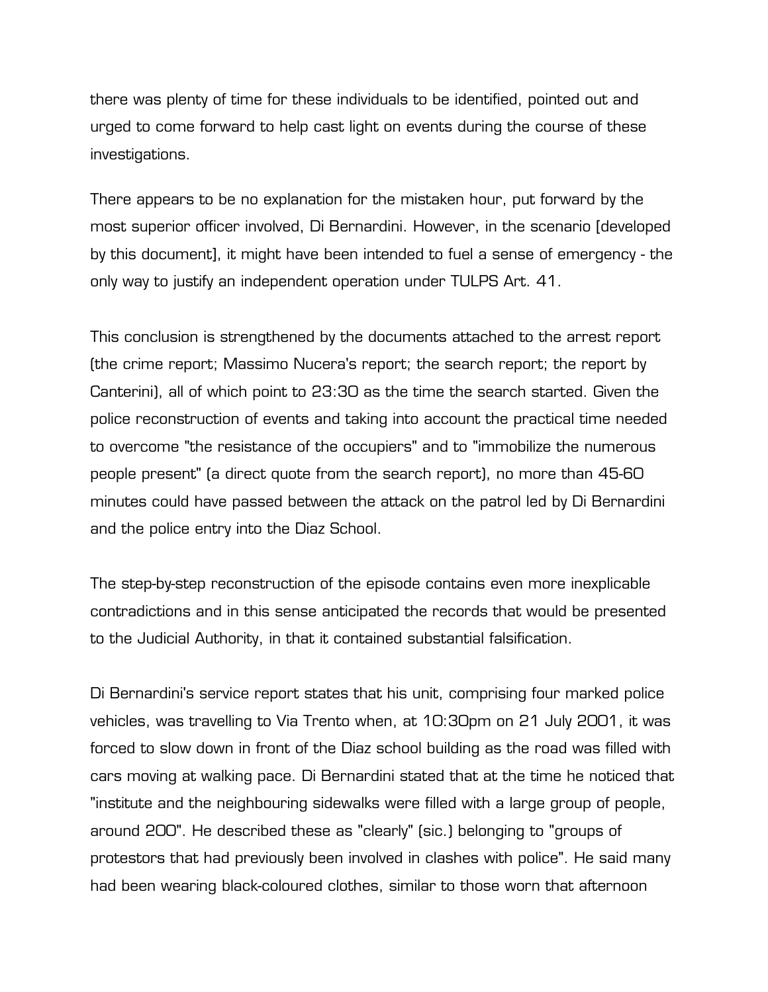there was plenty of time for these individuals to be identified, pointed out and urged to come forward to help cast light on events during the course of these investigations.

There appears to be no explanation for the mistaken hour, put forward by the most superior officer involved, Di Bernardini. However, in the scenario [developed by this document], it might have been intended to fuel a sense of emergency - the only way to justify an independent operation under TULPS Art. 41.

This conclusion is strengthened by the documents attached to the arrest report (the crime report; Massimo Nucera's report; the search report; the report by Canterini), all of which point to 23:30 as the time the search started. Given the police reconstruction of events and taking into account the practical time needed to overcome "the resistance of the occupiers" and to "immobilize the numerous people present" (a direct quote from the search report), no more than 45-60 minutes could have passed between the attack on the patrol led by Di Bernardini and the police entry into the Diaz School.

The step-by-step reconstruction of the episode contains even more inexplicable contradictions and in this sense anticipated the records that would be presented to the Judicial Authority, in that it contained substantial falsification.

Di Bernardini's service report states that his unit, comprising four marked police vehicles, was travelling to Via Trento when, at 10:30pm on 21 July 2001, it was forced to slow down in front of the Diaz school building as the road was filled with cars moving at walking pace. Di Bernardini stated that at the time he noticed that "institute and the neighbouring sidewalks were filled with a large group of people, around 200". He described these as "clearly" (sic.) belonging to "groups of protestors that had previously been involved in clashes with police". He said many had been wearing black-coloured clothes, similar to those worn that afternoon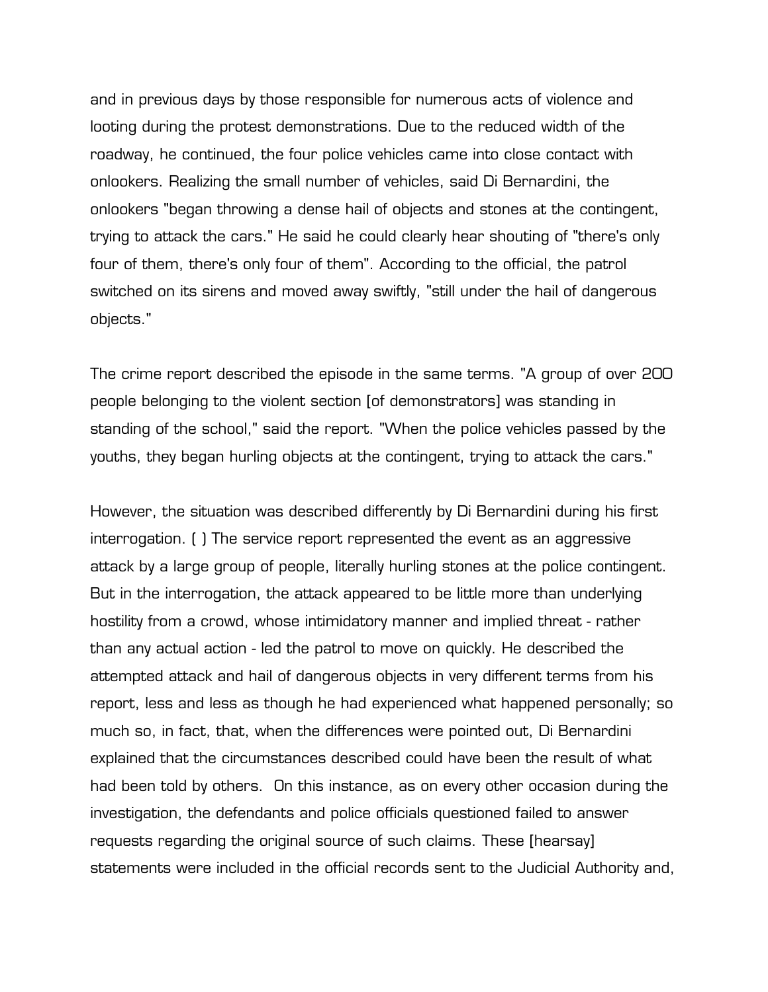and in previous days by those responsible for numerous acts of violence and looting during the protest demonstrations. Due to the reduced width of the roadway, he continued, the four police vehicles came into close contact with onlookers. Realizing the small number of vehicles, said Di Bernardini, the onlookers "began throwing a dense hail of objects and stones at the contingent, trying to attack the cars." He said he could clearly hear shouting of "there's only four of them, there's only four of them". According to the official, the patrol switched on its sirens and moved away swiftly, "still under the hail of dangerous objects."

The crime report described the episode in the same terms. "A group of over 200 people belonging to the violent section [of demonstrators] was standing in standing of the school," said the report. "When the police vehicles passed by the youths, they began hurling objects at the contingent, trying to attack the cars."

However, the situation was described differently by Di Bernardini during his first interrogation. ( ) The service report represented the event as an aggressive attack by a large group of people, literally hurling stones at the police contingent. But in the interrogation, the attack appeared to be little more than underlying hostility from a crowd, whose intimidatory manner and implied threat - rather than any actual action - led the patrol to move on quickly. He described the attempted attack and hail of dangerous objects in very different terms from his report, less and less as though he had experienced what happened personally; so much so, in fact, that, when the differences were pointed out, Di Bernardini explained that the circumstances described could have been the result of what had been told by others. On this instance, as on every other occasion during the investigation, the defendants and police officials questioned failed to answer requests regarding the original source of such claims. These [hearsay] statements were included in the official records sent to the Judicial Authority and,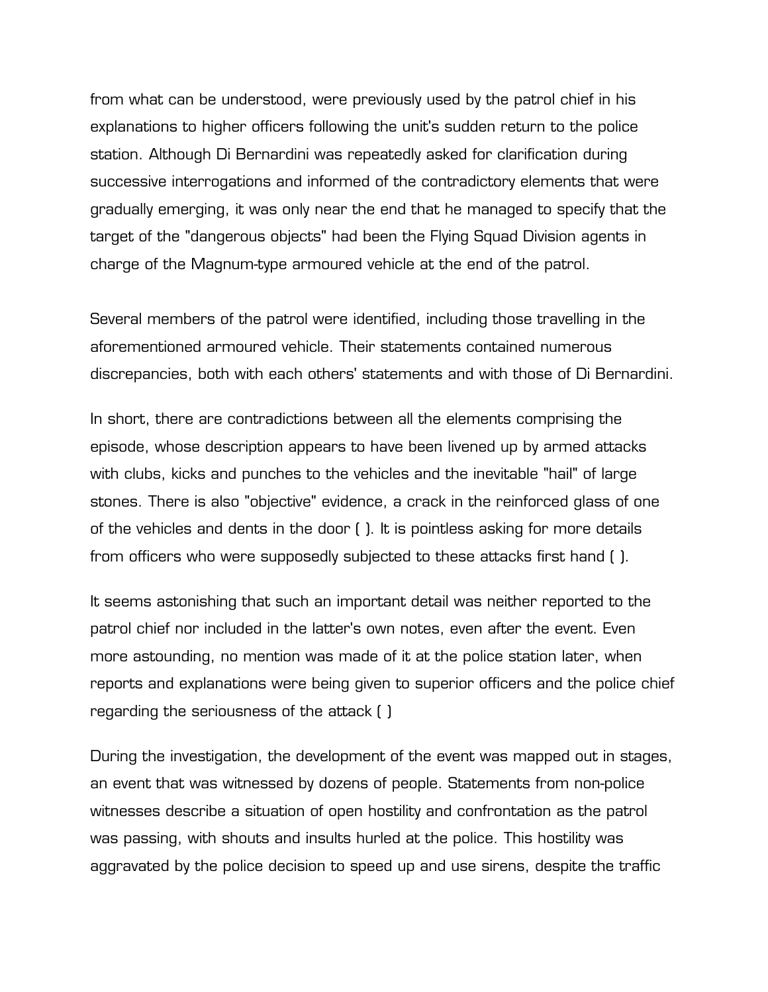from what can be understood, were previously used by the patrol chief in his explanations to higher officers following the unit's sudden return to the police station. Although Di Bernardini was repeatedly asked for clarification during successive interrogations and informed of the contradictory elements that were gradually emerging, it was only near the end that he managed to specify that the target of the "dangerous objects" had been the Flying Squad Division agents in charge of the Magnum-type armoured vehicle at the end of the patrol.

Several members of the patrol were identified, including those travelling in the aforementioned armoured vehicle. Their statements contained numerous discrepancies, both with each others' statements and with those of Di Bernardini.

In short, there are contradictions between all the elements comprising the episode, whose description appears to have been livened up by armed attacks with clubs, kicks and punches to the vehicles and the inevitable "hail" of large stones. There is also "objective" evidence, a crack in the reinforced glass of one of the vehicles and dents in the door ( ). It is pointless asking for more details from officers who were supposedly subjected to these attacks first hand ( ).

It seems astonishing that such an important detail was neither reported to the patrol chief nor included in the latter's own notes, even after the event. Even more astounding, no mention was made of it at the police station later, when reports and explanations were being given to superior officers and the police chief regarding the seriousness of the attack ( )

During the investigation, the development of the event was mapped out in stages, an event that was witnessed by dozens of people. Statements from non-police witnesses describe a situation of open hostility and confrontation as the patrol was passing, with shouts and insults hurled at the police. This hostility was aggravated by the police decision to speed up and use sirens, despite the traffic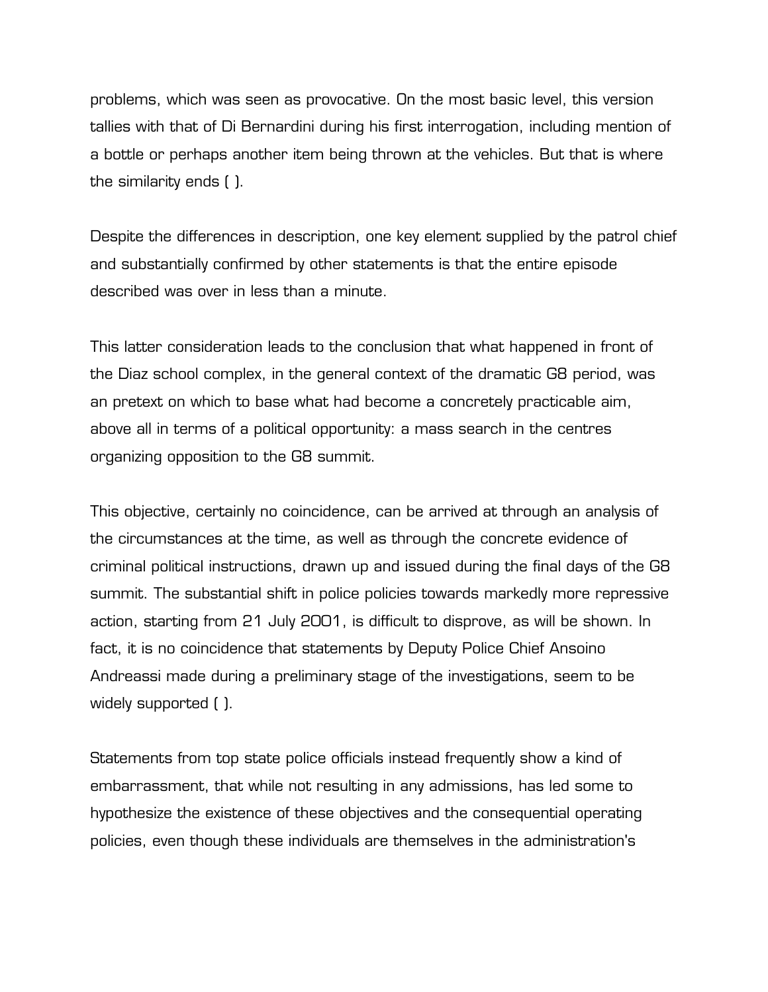problems, which was seen as provocative. On the most basic level, this version tallies with that of Di Bernardini during his first interrogation, including mention of a bottle or perhaps another item being thrown at the vehicles. But that is where the similarity ends ( ).

Despite the differences in description, one key element supplied by the patrol chief and substantially confirmed by other statements is that the entire episode described was over in less than a minute.

This latter consideration leads to the conclusion that what happened in front of the Diaz school complex, in the general context of the dramatic G8 period, was an pretext on which to base what had become a concretely practicable aim, above all in terms of a political opportunity: a mass search in the centres organizing opposition to the G8 summit.

This objective, certainly no coincidence, can be arrived at through an analysis of the circumstances at the time, as well as through the concrete evidence of criminal political instructions, drawn up and issued during the final days of the G8 summit. The substantial shift in police policies towards markedly more repressive action, starting from 21 July 2001, is difficult to disprove, as will be shown. In fact, it is no coincidence that statements by Deputy Police Chief Ansoino Andreassi made during a preliminary stage of the investigations, seem to be widely supported ( ).

Statements from top state police officials instead frequently show a kind of embarrassment, that while not resulting in any admissions, has led some to hypothesize the existence of these objectives and the consequential operating policies, even though these individuals are themselves in the administration's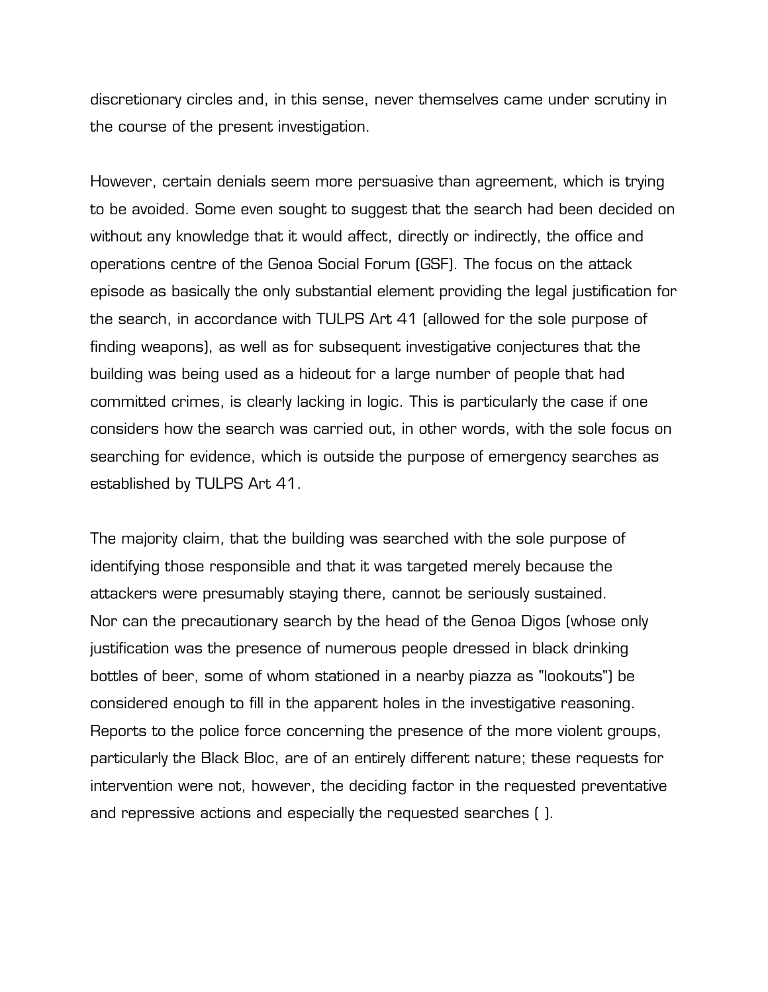discretionary circles and, in this sense, never themselves came under scrutiny in the course of the present investigation.

However, certain denials seem more persuasive than agreement, which is trying to be avoided. Some even sought to suggest that the search had been decided on without any knowledge that it would affect, directly or indirectly, the office and operations centre of the Genoa Social Forum (GSF). The focus on the attack episode as basically the only substantial element providing the legal justification for the search, in accordance with TULPS Art 41 (allowed for the sole purpose of finding weapons), as well as for subsequent investigative conjectures that the building was being used as a hideout for a large number of people that had committed crimes, is clearly lacking in logic. This is particularly the case if one considers how the search was carried out, in other words, with the sole focus on searching for evidence, which is outside the purpose of emergency searches as established by TULPS Art 41.

The majority claim, that the building was searched with the sole purpose of identifying those responsible and that it was targeted merely because the attackers were presumably staying there, cannot be seriously sustained. Nor can the precautionary search by the head of the Genoa Digos (whose only justification was the presence of numerous people dressed in black drinking bottles of beer, some of whom stationed in a nearby piazza as "lookouts") be considered enough to fill in the apparent holes in the investigative reasoning. Reports to the police force concerning the presence of the more violent groups, particularly the Black Bloc, are of an entirely different nature; these requests for intervention were not, however, the deciding factor in the requested preventative and repressive actions and especially the requested searches ( ).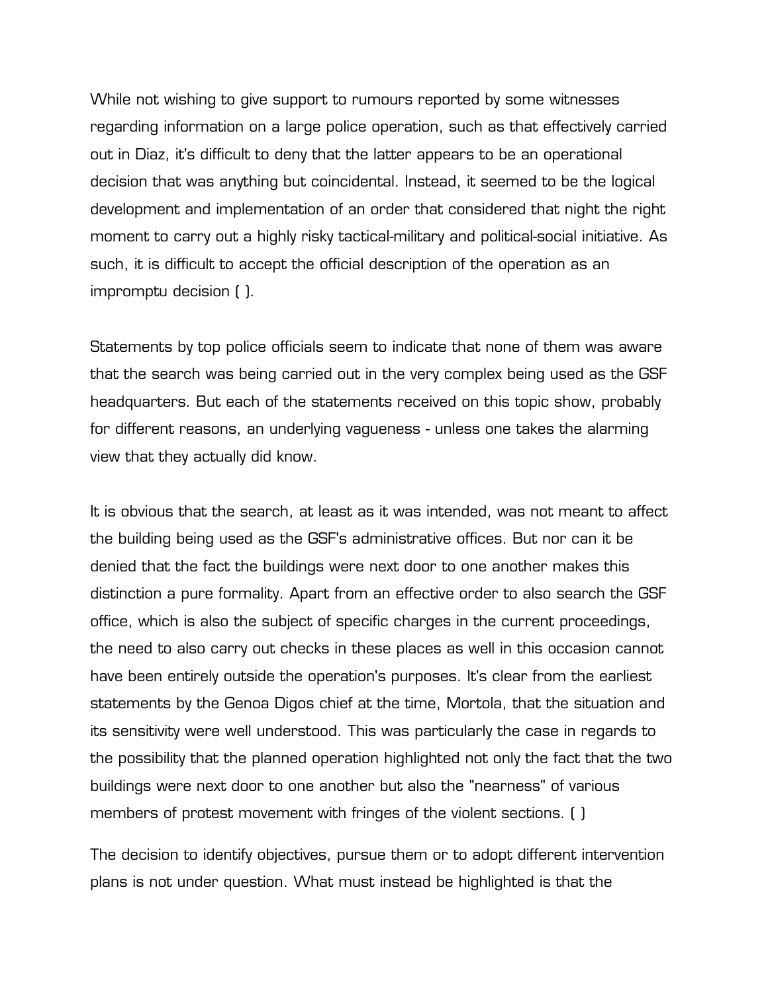While not wishing to give support to rumours reported by some witnesses regarding information on a large police operation, such as that effectively carried out in Diaz, it's difficult to deny that the latter appears to be an operational decision that was anything but coincidental. Instead, it seemed to be the logical development and implementation of an order that considered that night the right moment to carry out a highly risky tactical-military and political-social initiative. As such, it is difficult to accept the official description of the operation as an impromptu decision ( ).

Statements by top police officials seem to indicate that none of them was aware that the search was being carried out in the very complex being used as the GSF headquarters. But each of the statements received on this topic show, probably for different reasons, an underlying vagueness - unless one takes the alarming view that they actually did know.

It is obvious that the search, at least as it was intended, was not meant to affect the building being used as the GSF's administrative offices. But nor can it be denied that the fact the buildings were next door to one another makes this distinction a pure formality. Apart from an effective order to also search the GSF office, which is also the subject of specific charges in the current proceedings, the need to also carry out checks in these places as well in this occasion cannot have been entirely outside the operation's purposes. It's clear from the earliest statements by the Genoa Digos chief at the time, Mortola, that the situation and its sensitivity were well understood. This was particularly the case in regards to the possibility that the planned operation highlighted not only the fact that the two buildings were next door to one another but also the "nearness" of various members of protest movement with fringes of the violent sections. ( )

The decision to identify objectives, pursue them or to adopt different intervention plans is not under question. What must instead be highlighted is that the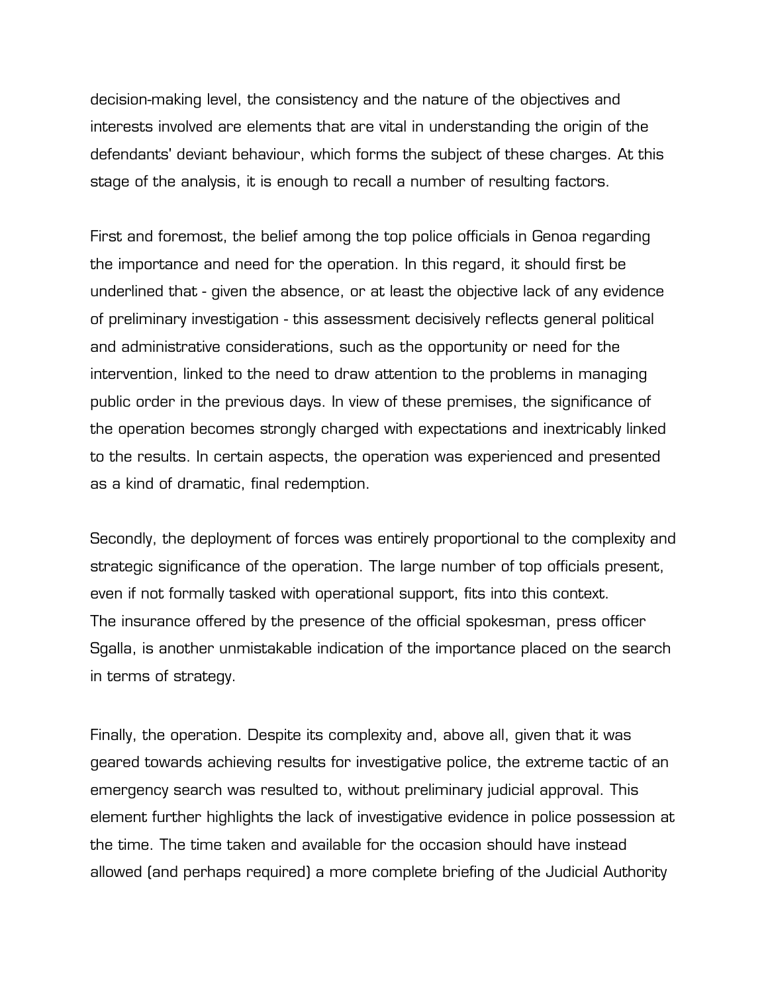decision-making level, the consistency and the nature of the objectives and interests involved are elements that are vital in understanding the origin of the defendants' deviant behaviour, which forms the subject of these charges. At this stage of the analysis, it is enough to recall a number of resulting factors.

First and foremost, the belief among the top police officials in Genoa regarding the importance and need for the operation. In this regard, it should first be underlined that - given the absence, or at least the objective lack of any evidence of preliminary investigation - this assessment decisively reflects general political and administrative considerations, such as the opportunity or need for the intervention, linked to the need to draw attention to the problems in managing public order in the previous days. In view of these premises, the significance of the operation becomes strongly charged with expectations and inextricably linked to the results. In certain aspects, the operation was experienced and presented as a kind of dramatic, final redemption.

Secondly, the deployment of forces was entirely proportional to the complexity and strategic significance of the operation. The large number of top officials present, even if not formally tasked with operational support, fits into this context. The insurance offered by the presence of the official spokesman, press officer Sgalla, is another unmistakable indication of the importance placed on the search in terms of strategy.

Finally, the operation. Despite its complexity and, above all, given that it was geared towards achieving results for investigative police, the extreme tactic of an emergency search was resulted to, without preliminary judicial approval. This element further highlights the lack of investigative evidence in police possession at the time. The time taken and available for the occasion should have instead allowed (and perhaps required) a more complete briefing of the Judicial Authority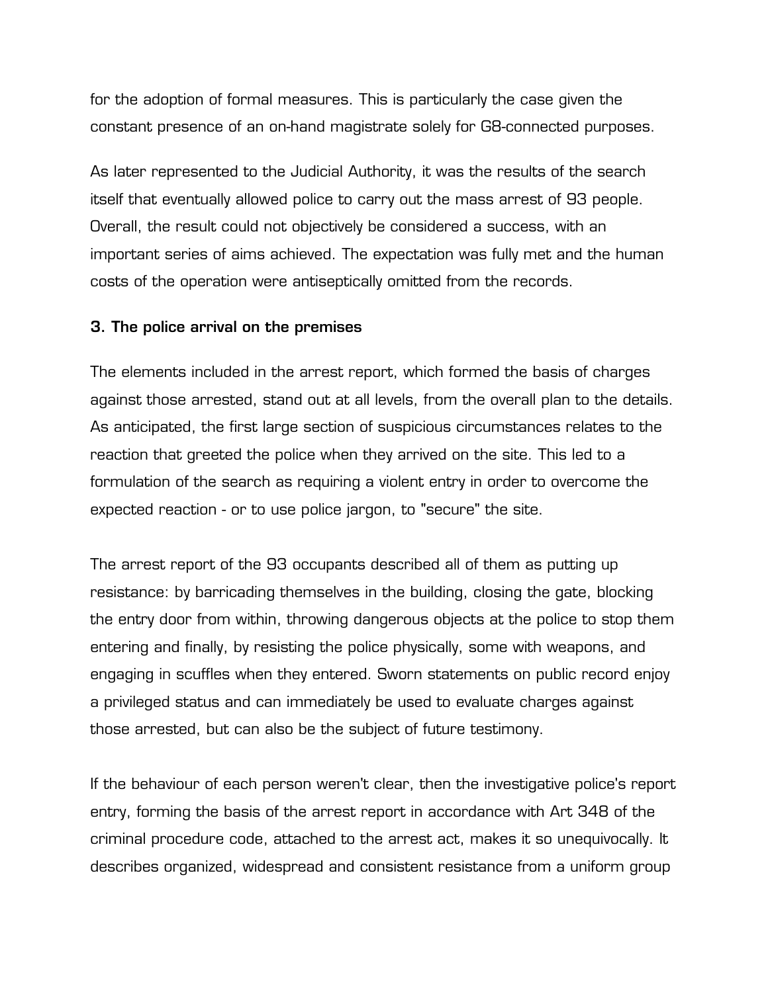for the adoption of formal measures. This is particularly the case given the constant presence of an on-hand magistrate solely for G8-connected purposes.

As later represented to the Judicial Authority, it was the results of the search itself that eventually allowed police to carry out the mass arrest of 93 people. Overall, the result could not objectively be considered a success, with an important series of aims achieved. The expectation was fully met and the human costs of the operation were antiseptically omitted from the records.

# **3. The police arrival on the premises**

The elements included in the arrest report, which formed the basis of charges against those arrested, stand out at all levels, from the overall plan to the details. As anticipated, the first large section of suspicious circumstances relates to the reaction that greeted the police when they arrived on the site. This led to a formulation of the search as requiring a violent entry in order to overcome the expected reaction - or to use police jargon, to "secure" the site.

The arrest report of the 93 occupants described all of them as putting up resistance: by barricading themselves in the building, closing the gate, blocking the entry door from within, throwing dangerous objects at the police to stop them entering and finally, by resisting the police physically, some with weapons, and engaging in scuffles when they entered. Sworn statements on public record enjoy a privileged status and can immediately be used to evaluate charges against those arrested, but can also be the subject of future testimony.

If the behaviour of each person weren't clear, then the investigative police's report entry, forming the basis of the arrest report in accordance with Art 348 of the criminal procedure code, attached to the arrest act, makes it so unequivocally. It describes organized, widespread and consistent resistance from a uniform group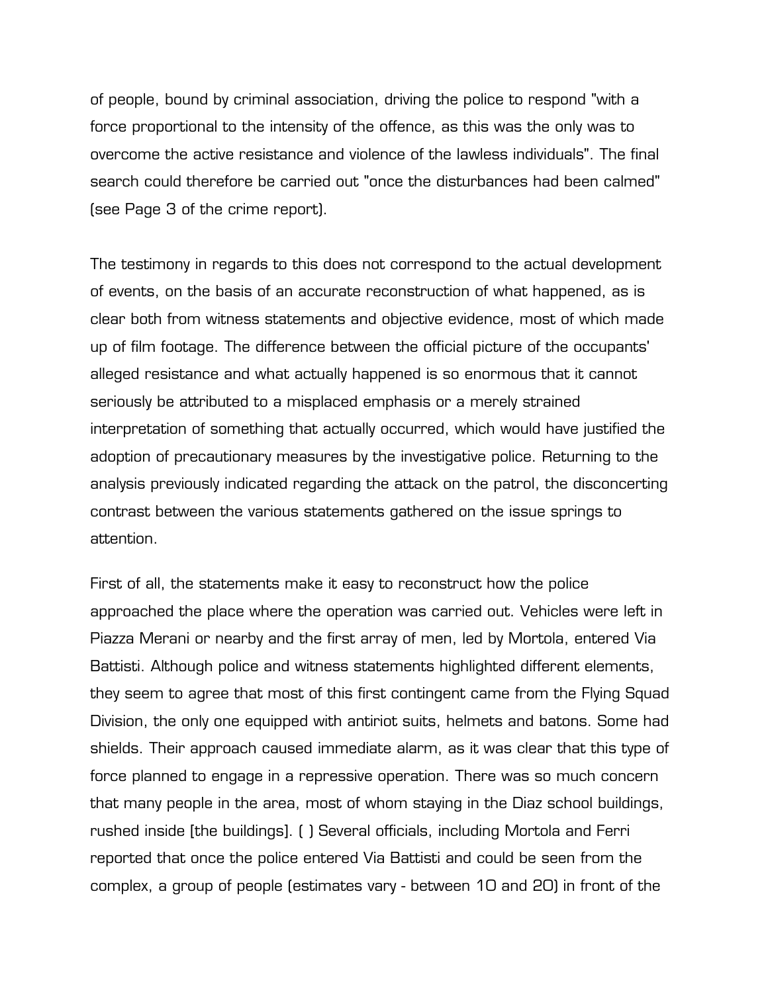of people, bound by criminal association, driving the police to respond "with a force proportional to the intensity of the offence, as this was the only was to overcome the active resistance and violence of the lawless individuals". The final search could therefore be carried out "once the disturbances had been calmed" (see Page 3 of the crime report).

The testimony in regards to this does not correspond to the actual development of events, on the basis of an accurate reconstruction of what happened, as is clear both from witness statements and objective evidence, most of which made up of film footage. The difference between the official picture of the occupants' alleged resistance and what actually happened is so enormous that it cannot seriously be attributed to a misplaced emphasis or a merely strained interpretation of something that actually occurred, which would have justified the adoption of precautionary measures by the investigative police. Returning to the analysis previously indicated regarding the attack on the patrol, the disconcerting contrast between the various statements gathered on the issue springs to attention.

First of all, the statements make it easy to reconstruct how the police approached the place where the operation was carried out. Vehicles were left in Piazza Merani or nearby and the first array of men, led by Mortola, entered Via Battisti. Although police and witness statements highlighted different elements, they seem to agree that most of this first contingent came from the Flying Squad Division, the only one equipped with antiriot suits, helmets and batons. Some had shields. Their approach caused immediate alarm, as it was clear that this type of force planned to engage in a repressive operation. There was so much concern that many people in the area, most of whom staying in the Diaz school buildings, rushed inside [the buildings]. ( ) Several officials, including Mortola and Ferri reported that once the police entered Via Battisti and could be seen from the complex, a group of people (estimates vary - between 10 and 20) in front of the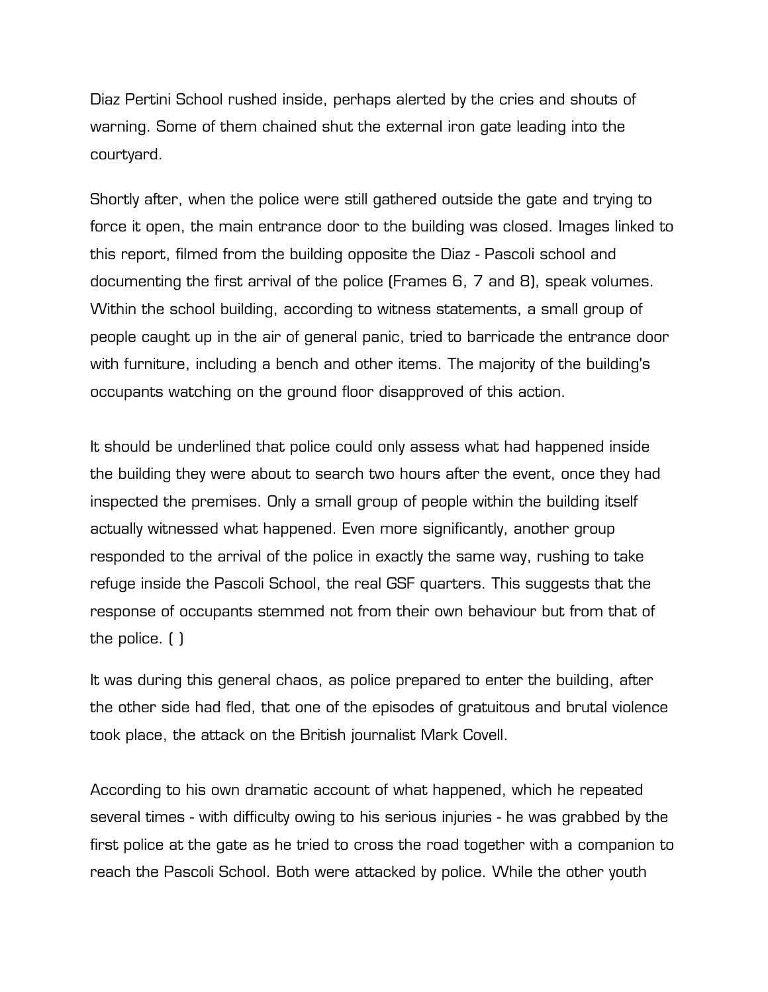Diaz Pertini School rushed inside, perhaps alerted by the cries and shouts of warning. Some of them chained shut the external iron gate leading into the courtyard.

Shortly after, when the police were still gathered outside the gate and trying to force it open, the main entrance door to the building was closed. Images linked to this report, filmed from the building opposite the Diaz - Pascoli school and documenting the first arrival of the police (Frames 6, 7 and 8), speak volumes. Within the school building, according to witness statements, a small group of people caught up in the air of general panic, tried to barricade the entrance door with furniture, including a bench and other items. The majority of the building's occupants watching on the ground floor disapproved of this action.

It should be underlined that police could only assess what had happened inside the building they were about to search two hours after the event, once they had inspected the premises. Only a small group of people within the building itself actually witnessed what happened. Even more significantly, another group responded to the arrival of the police in exactly the same way, rushing to take refuge inside the Pascoli School, the real GSF quarters. This suggests that the response of occupants stemmed not from their own behaviour but from that of the police. ( )

It was during this general chaos, as police prepared to enter the building, after the other side had fled, that one of the episodes of gratuitous and brutal violence took place, the attack on the British journalist Mark Covell.

According to his own dramatic account of what happened, which he repeated several times - with difficulty owing to his serious injuries - he was grabbed by the first police at the gate as he tried to cross the road together with a companion to reach the Pascoli School. Both were attacked by police. While the other youth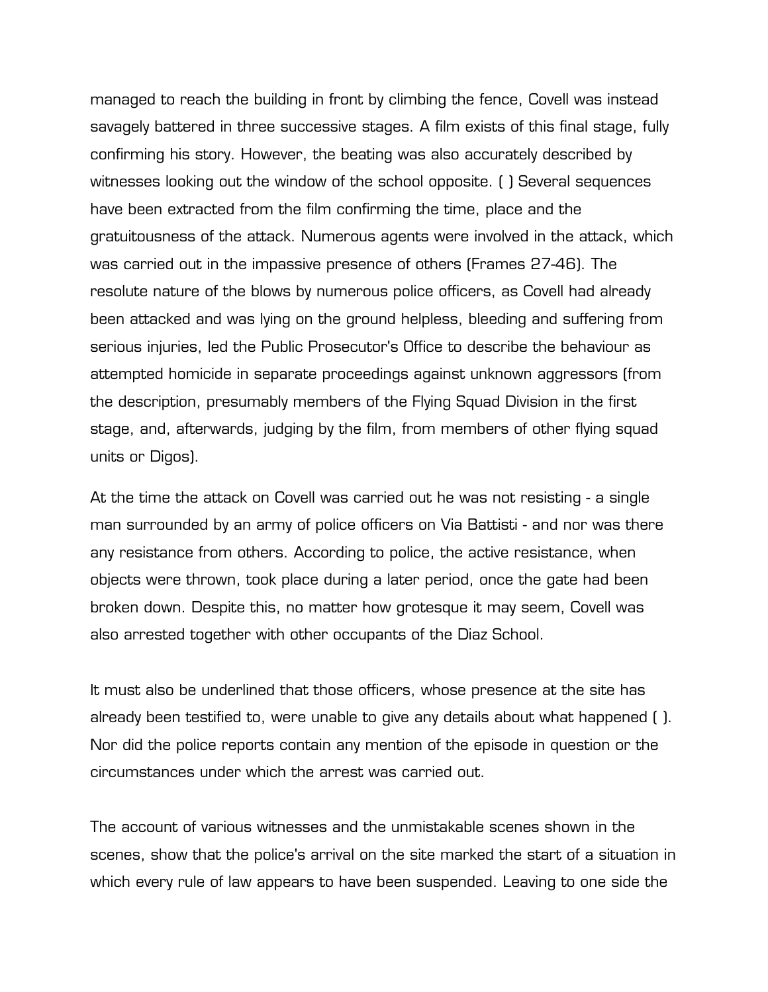managed to reach the building in front by climbing the fence, Covell was instead savagely battered in three successive stages. A film exists of this final stage, fully confirming his story. However, the beating was also accurately described by witnesses looking out the window of the school opposite. ( ) Several sequences have been extracted from the film confirming the time, place and the gratuitousness of the attack. Numerous agents were involved in the attack, which was carried out in the impassive presence of others (Frames 27-46). The resolute nature of the blows by numerous police officers, as Covell had already been attacked and was lying on the ground helpless, bleeding and suffering from serious injuries, led the Public Prosecutor's Office to describe the behaviour as attempted homicide in separate proceedings against unknown aggressors (from the description, presumably members of the Flying Squad Division in the first stage, and, afterwards, judging by the film, from members of other flying squad units or Digos).

At the time the attack on Covell was carried out he was not resisting - a single man surrounded by an army of police officers on Via Battisti - and nor was there any resistance from others. According to police, the active resistance, when objects were thrown, took place during a later period, once the gate had been broken down. Despite this, no matter how grotesque it may seem, Covell was also arrested together with other occupants of the Diaz School.

It must also be underlined that those officers, whose presence at the site has already been testified to, were unable to give any details about what happened ( ). Nor did the police reports contain any mention of the episode in question or the circumstances under which the arrest was carried out.

The account of various witnesses and the unmistakable scenes shown in the scenes, show that the police's arrival on the site marked the start of a situation in which every rule of law appears to have been suspended. Leaving to one side the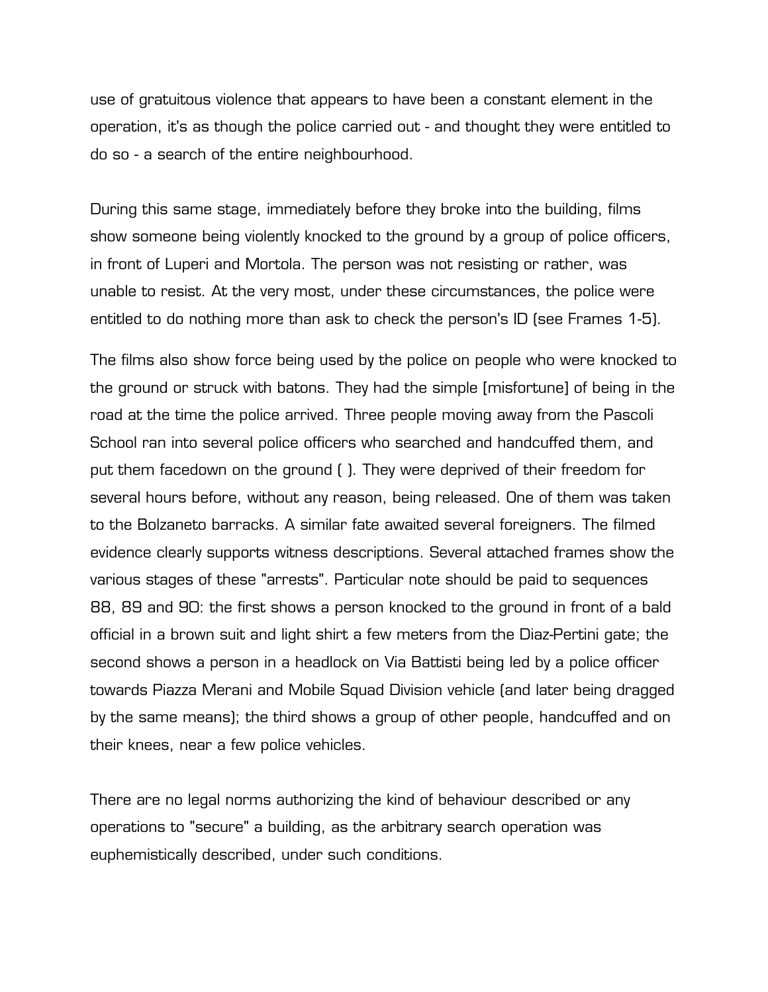use of gratuitous violence that appears to have been a constant element in the operation, it's as though the police carried out - and thought they were entitled to do so - a search of the entire neighbourhood.

During this same stage, immediately before they broke into the building, films show someone being violently knocked to the ground by a group of police officers, in front of Luperi and Mortola. The person was not resisting or rather, was unable to resist. At the very most, under these circumstances, the police were entitled to do nothing more than ask to check the person's ID (see Frames 1-5).

The films also show force being used by the police on people who were knocked to the ground or struck with batons. They had the simple [misfortune] of being in the road at the time the police arrived. Three people moving away from the Pascoli School ran into several police officers who searched and handcuffed them, and put them facedown on the ground ( ). They were deprived of their freedom for several hours before, without any reason, being released. One of them was taken to the Bolzaneto barracks. A similar fate awaited several foreigners. The filmed evidence clearly supports witness descriptions. Several attached frames show the various stages of these "arrests". Particular note should be paid to sequences 88, 89 and 90: the first shows a person knocked to the ground in front of a bald official in a brown suit and light shirt a few meters from the Diaz-Pertini gate; the second shows a person in a headlock on Via Battisti being led by a police officer towards Piazza Merani and Mobile Squad Division vehicle (and later being dragged by the same means); the third shows a group of other people, handcuffed and on their knees, near a few police vehicles.

There are no legal norms authorizing the kind of behaviour described or any operations to "secure" a building, as the arbitrary search operation was euphemistically described, under such conditions.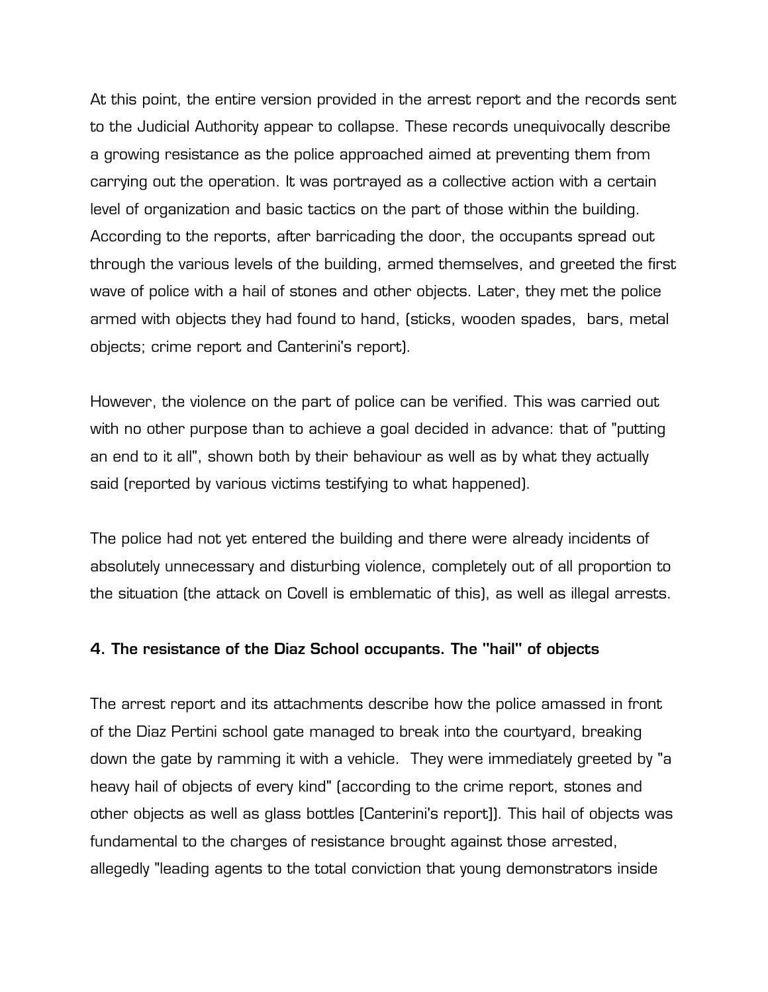At this point, the entire version provided in the arrest report and the records sent to the Judicial Authority appear to collapse. These records unequivocally describe a growing resistance as the police approached aimed at preventing them from carrying out the operation. It was portrayed as a collective action with a certain level of organization and basic tactics on the part of those within the building. According to the reports, after barricading the door, the occupants spread out through the various levels of the building, armed themselves, and greeted the first wave of police with a hail of stones and other objects. Later, they met the police armed with objects they had found to hand, (sticks, wooden spades, bars, metal objects; crime report and Canterini's report).

However, the violence on the part of police can be verified. This was carried out with no other purpose than to achieve a goal decided in advance: that of "putting an end to it all", shown both by their behaviour as well as by what they actually said (reported by various victims testifying to what happened).

The police had not yet entered the building and there were already incidents of absolutely unnecessary and disturbing violence, completely out of all proportion to the situation (the attack on Covell is emblematic of this), as well as illegal arrests.

# **4. The resistance of the Diaz School occupants. The "hail" of objects**

The arrest report and its attachments describe how the police amassed in front of the Diaz Pertini school gate managed to break into the courtyard, breaking down the gate by ramming it with a vehicle. They were immediately greeted by "a heavy hail of objects of every kind" (according to the crime report, stones and other objects as well as glass bottles [Canterini's report]). This hail of objects was fundamental to the charges of resistance brought against those arrested, allegedly "leading agents to the total conviction that young demonstrators inside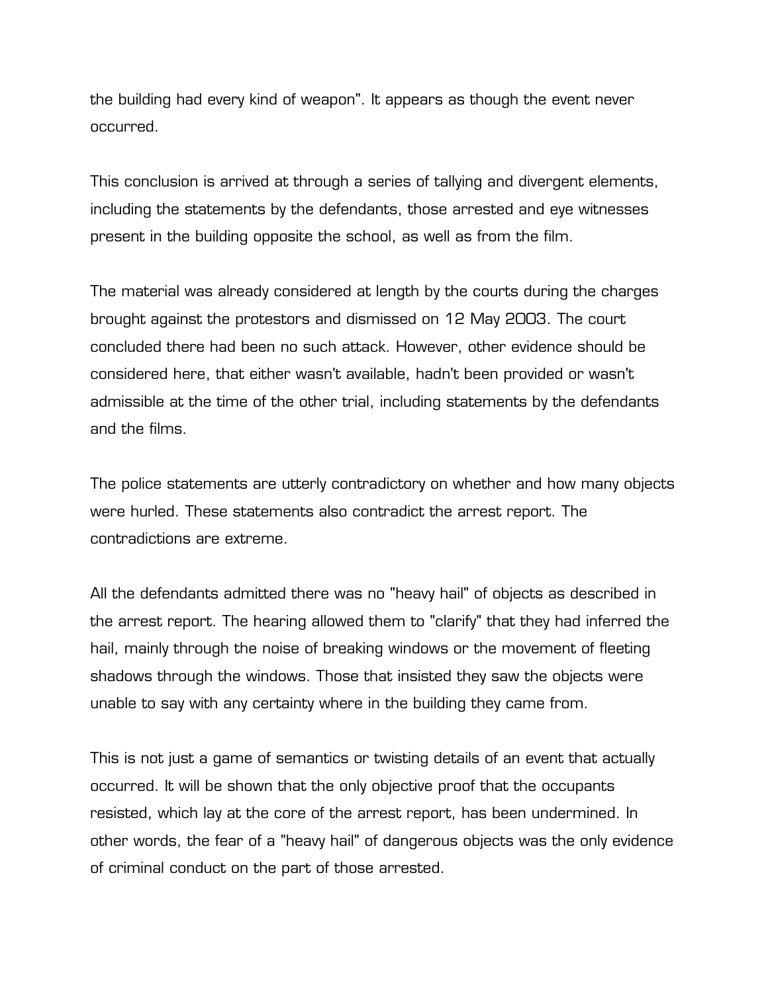the building had every kind of weapon". It appears as though the event never occurred.

This conclusion is arrived at through a series of tallying and divergent elements, including the statements by the defendants, those arrested and eye witnesses present in the building opposite the school, as well as from the film.

The material was already considered at length by the courts during the charges brought against the protestors and dismissed on 12 May 2003. The court concluded there had been no such attack. However, other evidence should be considered here, that either wasn't available, hadn't been provided or wasn't admissible at the time of the other trial, including statements by the defendants and the films.

The police statements are utterly contradictory on whether and how many objects were hurled. These statements also contradict the arrest report. The contradictions are extreme.

All the defendants admitted there was no "heavy hail" of objects as described in the arrest report. The hearing allowed them to "clarify" that they had inferred the hail, mainly through the noise of breaking windows or the movement of fleeting shadows through the windows. Those that insisted they saw the objects were unable to say with any certainty where in the building they came from.

This is not just a game of semantics or twisting details of an event that actually occurred. It will be shown that the only objective proof that the occupants resisted, which lay at the core of the arrest report, has been undermined. In other words, the fear of a "heavy hail" of dangerous objects was the only evidence of criminal conduct on the part of those arrested.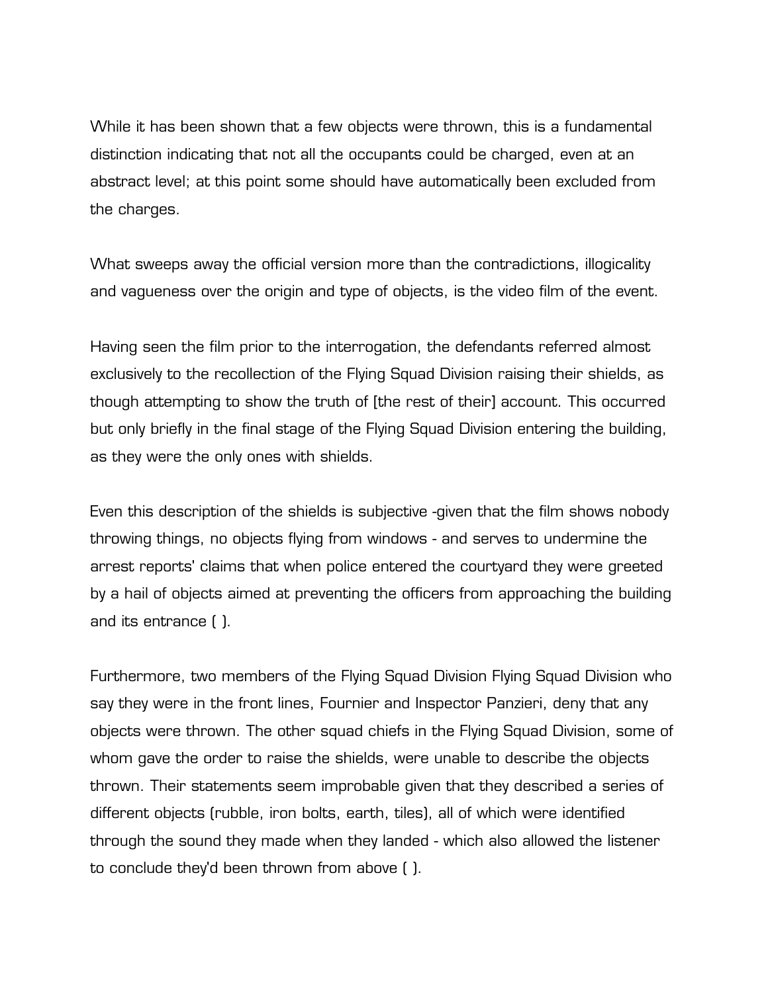While it has been shown that a few objects were thrown, this is a fundamental distinction indicating that not all the occupants could be charged, even at an abstract level; at this point some should have automatically been excluded from the charges.

What sweeps away the official version more than the contradictions, illogicality and vagueness over the origin and type of objects, is the video film of the event.

Having seen the film prior to the interrogation, the defendants referred almost exclusively to the recollection of the Flying Squad Division raising their shields, as though attempting to show the truth of [the rest of their] account. This occurred but only briefly in the final stage of the Flying Squad Division entering the building, as they were the only ones with shields.

Even this description of the shields is subjective -given that the film shows nobody throwing things, no objects flying from windows - and serves to undermine the arrest reports' claims that when police entered the courtyard they were greeted by a hail of objects aimed at preventing the officers from approaching the building and its entrance ( ).

Furthermore, two members of the Flying Squad Division Flying Squad Division who say they were in the front lines, Fournier and Inspector Panzieri, deny that any objects were thrown. The other squad chiefs in the Flying Squad Division, some of whom gave the order to raise the shields, were unable to describe the objects thrown. Their statements seem improbable given that they described a series of different objects (rubble, iron bolts, earth, tiles), all of which were identified through the sound they made when they landed - which also allowed the listener to conclude they'd been thrown from above ( ).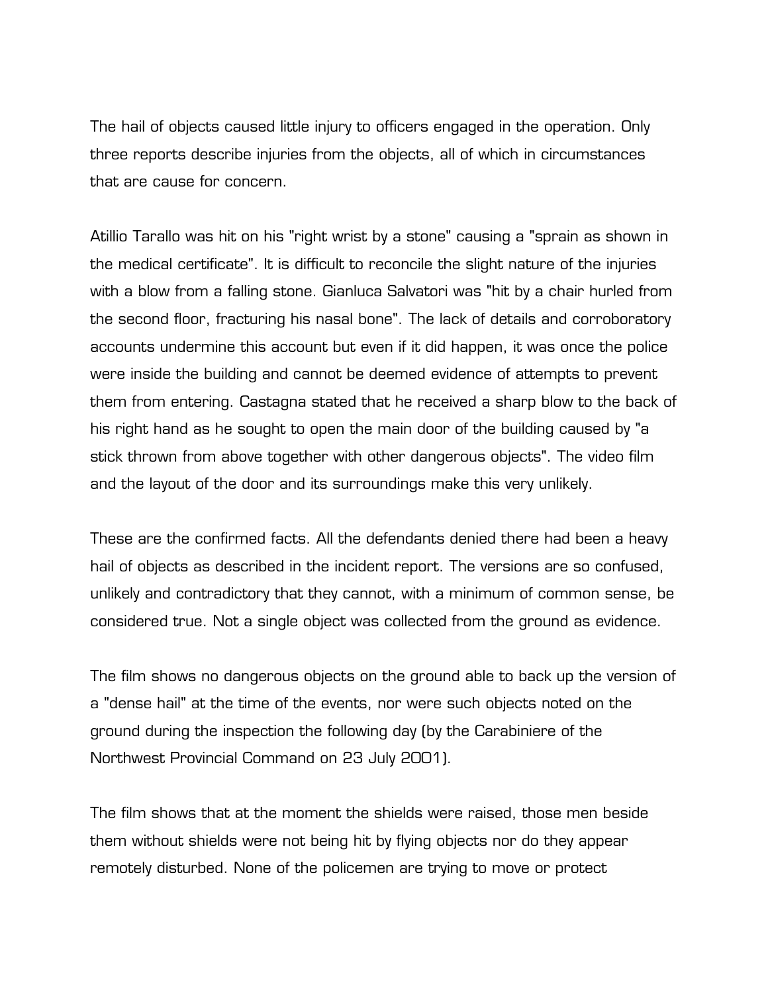The hail of objects caused little injury to officers engaged in the operation. Only three reports describe injuries from the objects, all of which in circumstances that are cause for concern.

Atillio Tarallo was hit on his "right wrist by a stone" causing a "sprain as shown in the medical certificate". It is difficult to reconcile the slight nature of the injuries with a blow from a falling stone. Gianluca Salvatori was "hit by a chair hurled from the second floor, fracturing his nasal bone". The lack of details and corroboratory accounts undermine this account but even if it did happen, it was once the police were inside the building and cannot be deemed evidence of attempts to prevent them from entering. Castagna stated that he received a sharp blow to the back of his right hand as he sought to open the main door of the building caused by "a stick thrown from above together with other dangerous objects". The video film and the layout of the door and its surroundings make this very unlikely.

These are the confirmed facts. All the defendants denied there had been a heavy hail of objects as described in the incident report. The versions are so confused, unlikely and contradictory that they cannot, with a minimum of common sense, be considered true. Not a single object was collected from the ground as evidence.

The film shows no dangerous objects on the ground able to back up the version of a "dense hail" at the time of the events, nor were such objects noted on the ground during the inspection the following day (by the Carabiniere of the Northwest Provincial Command on 23 July 2001).

The film shows that at the moment the shields were raised, those men beside them without shields were not being hit by flying objects nor do they appear remotely disturbed. None of the policemen are trying to move or protect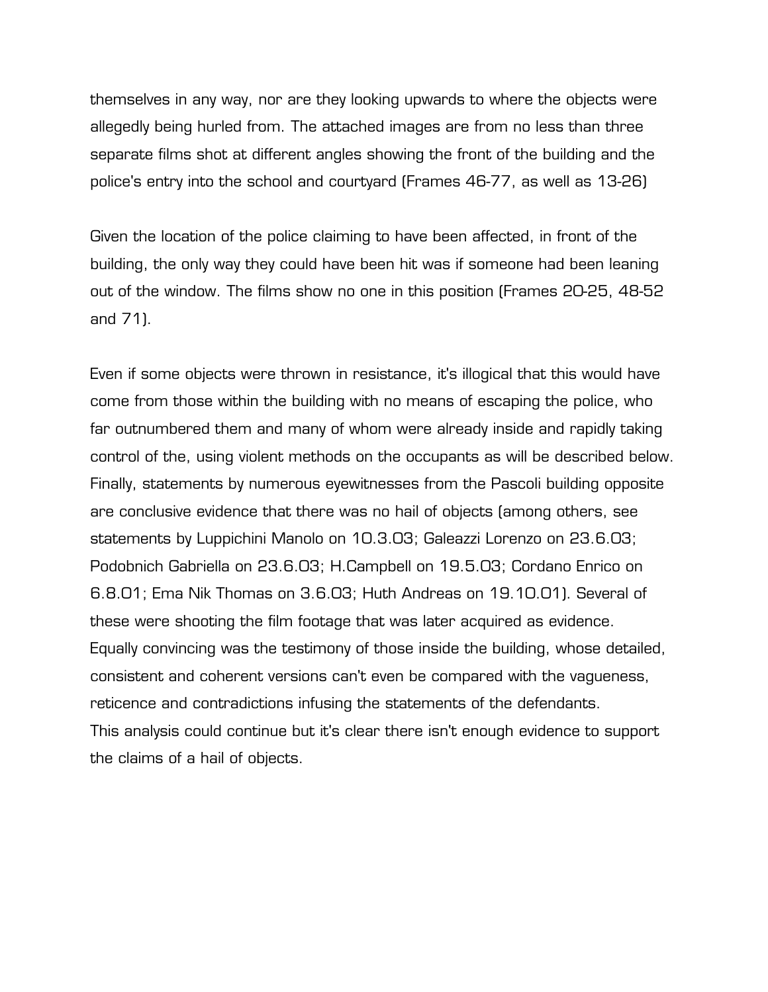themselves in any way, nor are they looking upwards to where the objects were allegedly being hurled from. The attached images are from no less than three separate films shot at different angles showing the front of the building and the police's entry into the school and courtyard (Frames 46-77, as well as 13-26)

Given the location of the police claiming to have been affected, in front of the building, the only way they could have been hit was if someone had been leaning out of the window. The films show no one in this position (Frames 20-25, 48-52 and 71).

Even if some objects were thrown in resistance, it's illogical that this would have come from those within the building with no means of escaping the police, who far outnumbered them and many of whom were already inside and rapidly taking control of the, using violent methods on the occupants as will be described below. Finally, statements by numerous eyewitnesses from the Pascoli building opposite are conclusive evidence that there was no hail of objects (among others, see statements by Luppichini Manolo on 10.3.03; Galeazzi Lorenzo on 23.6.03; Podobnich Gabriella on 23.6.03; H.Campbell on 19.5.03; Cordano Enrico on 6.8.01; Ema Nik Thomas on 3.6.03; Huth Andreas on 19.10.01). Several of these were shooting the film footage that was later acquired as evidence. Equally convincing was the testimony of those inside the building, whose detailed, consistent and coherent versions can't even be compared with the vagueness, reticence and contradictions infusing the statements of the defendants. This analysis could continue but it's clear there isn't enough evidence to support the claims of a hail of objects.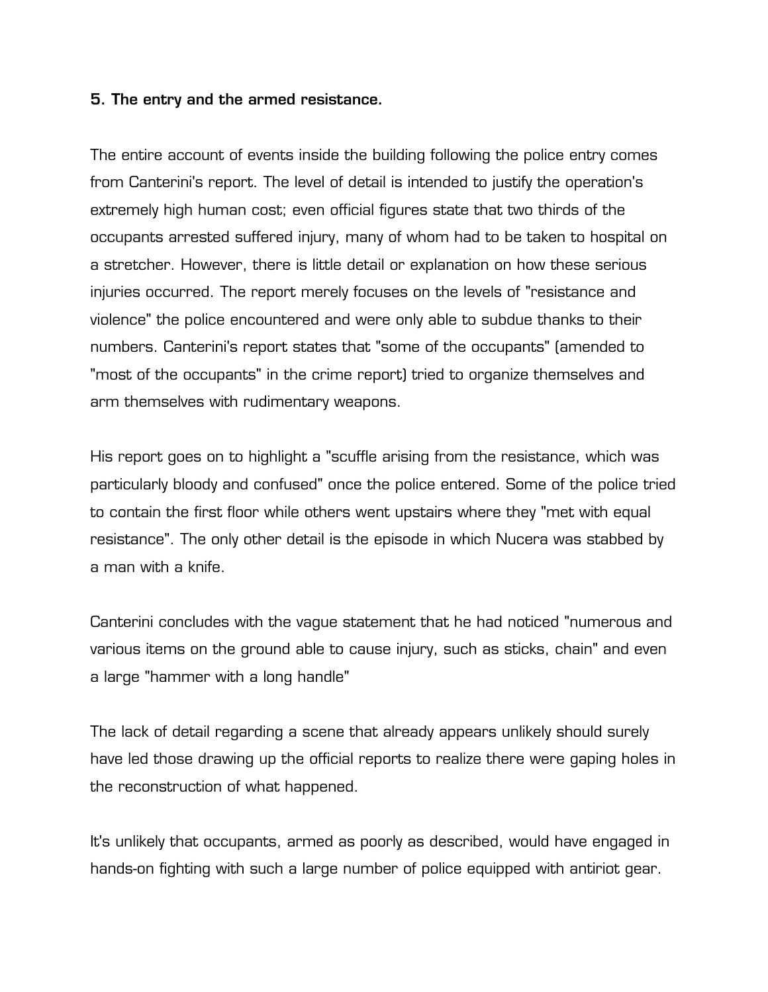# **5. The entry and the armed resistance.**

The entire account of events inside the building following the police entry comes from Canterini's report. The level of detail is intended to justify the operation's extremely high human cost; even official figures state that two thirds of the occupants arrested suffered injury, many of whom had to be taken to hospital on a stretcher. However, there is little detail or explanation on how these serious injuries occurred. The report merely focuses on the levels of "resistance and violence" the police encountered and were only able to subdue thanks to their numbers. Canterini's report states that "some of the occupants" (amended to "most of the occupants" in the crime report) tried to organize themselves and arm themselves with rudimentary weapons.

His report goes on to highlight a "scuffle arising from the resistance, which was particularly bloody and confused" once the police entered. Some of the police tried to contain the first floor while others went upstairs where they "met with equal resistance". The only other detail is the episode in which Nucera was stabbed by a man with a knife.

Canterini concludes with the vague statement that he had noticed "numerous and various items on the ground able to cause injury, such as sticks, chain" and even a large "hammer with a long handle"

The lack of detail regarding a scene that already appears unlikely should surely have led those drawing up the official reports to realize there were gaping holes in the reconstruction of what happened.

It's unlikely that occupants, armed as poorly as described, would have engaged in hands-on fighting with such a large number of police equipped with antiriot gear.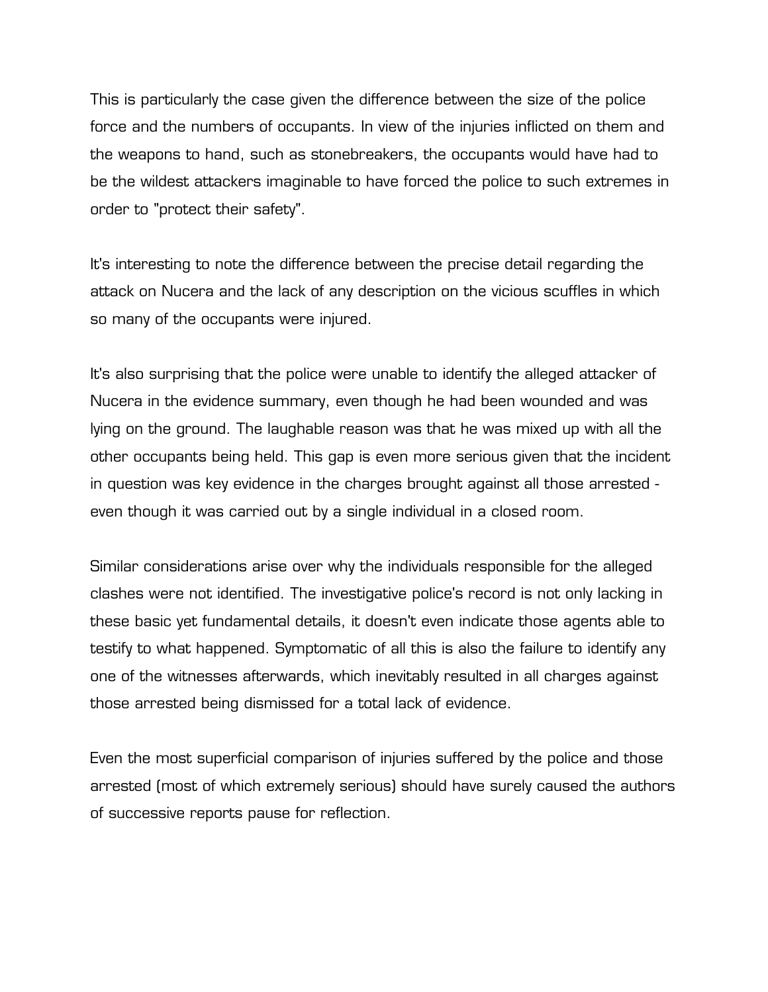This is particularly the case given the difference between the size of the police force and the numbers of occupants. In view of the injuries inflicted on them and the weapons to hand, such as stonebreakers, the occupants would have had to be the wildest attackers imaginable to have forced the police to such extremes in order to "protect their safety".

It's interesting to note the difference between the precise detail regarding the attack on Nucera and the lack of any description on the vicious scuffles in which so many of the occupants were injured.

It's also surprising that the police were unable to identify the alleged attacker of Nucera in the evidence summary, even though he had been wounded and was lying on the ground. The laughable reason was that he was mixed up with all the other occupants being held. This gap is even more serious given that the incident in question was key evidence in the charges brought against all those arrested even though it was carried out by a single individual in a closed room.

Similar considerations arise over why the individuals responsible for the alleged clashes were not identified. The investigative police's record is not only lacking in these basic yet fundamental details, it doesn't even indicate those agents able to testify to what happened. Symptomatic of all this is also the failure to identify any one of the witnesses afterwards, which inevitably resulted in all charges against those arrested being dismissed for a total lack of evidence.

Even the most superficial comparison of injuries suffered by the police and those arrested (most of which extremely serious) should have surely caused the authors of successive reports pause for reflection.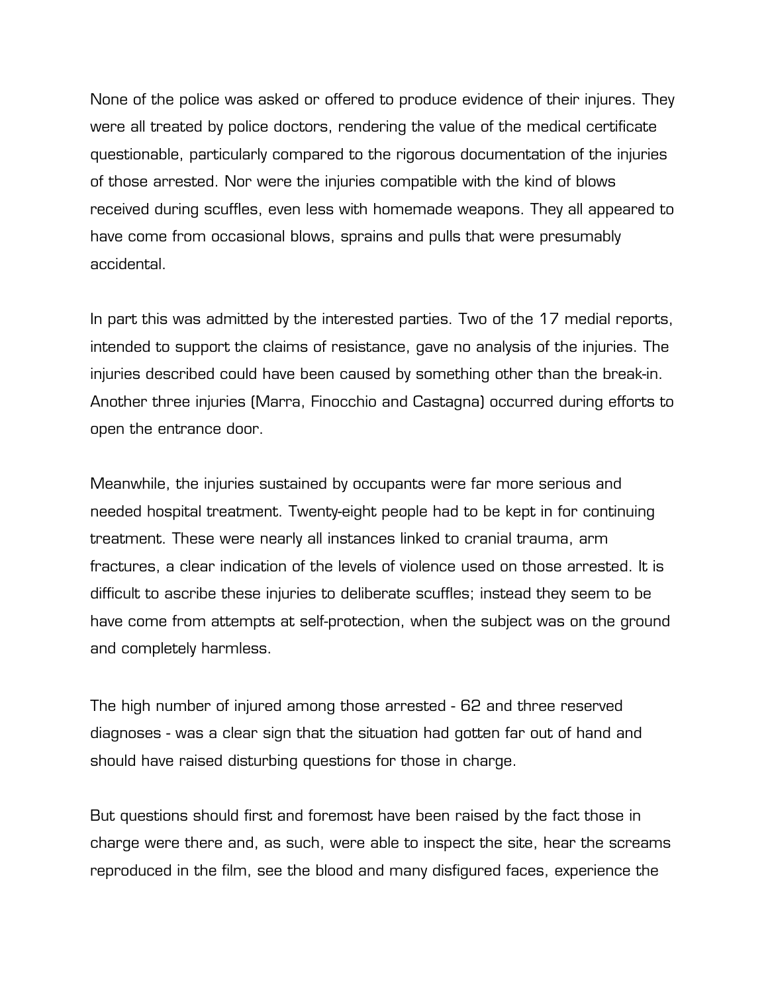None of the police was asked or offered to produce evidence of their injures. They were all treated by police doctors, rendering the value of the medical certificate questionable, particularly compared to the rigorous documentation of the injuries of those arrested. Nor were the injuries compatible with the kind of blows received during scuffles, even less with homemade weapons. They all appeared to have come from occasional blows, sprains and pulls that were presumably accidental.

In part this was admitted by the interested parties. Two of the 17 medial reports, intended to support the claims of resistance, gave no analysis of the injuries. The injuries described could have been caused by something other than the break-in. Another three injuries (Marra, Finocchio and Castagna) occurred during efforts to open the entrance door.

Meanwhile, the injuries sustained by occupants were far more serious and needed hospital treatment. Twenty-eight people had to be kept in for continuing treatment. These were nearly all instances linked to cranial trauma, arm fractures, a clear indication of the levels of violence used on those arrested. It is difficult to ascribe these injuries to deliberate scuffles; instead they seem to be have come from attempts at self-protection, when the subject was on the ground and completely harmless.

The high number of injured among those arrested - 62 and three reserved diagnoses - was a clear sign that the situation had gotten far out of hand and should have raised disturbing questions for those in charge.

But questions should first and foremost have been raised by the fact those in charge were there and, as such, were able to inspect the site, hear the screams reproduced in the film, see the blood and many disfigured faces, experience the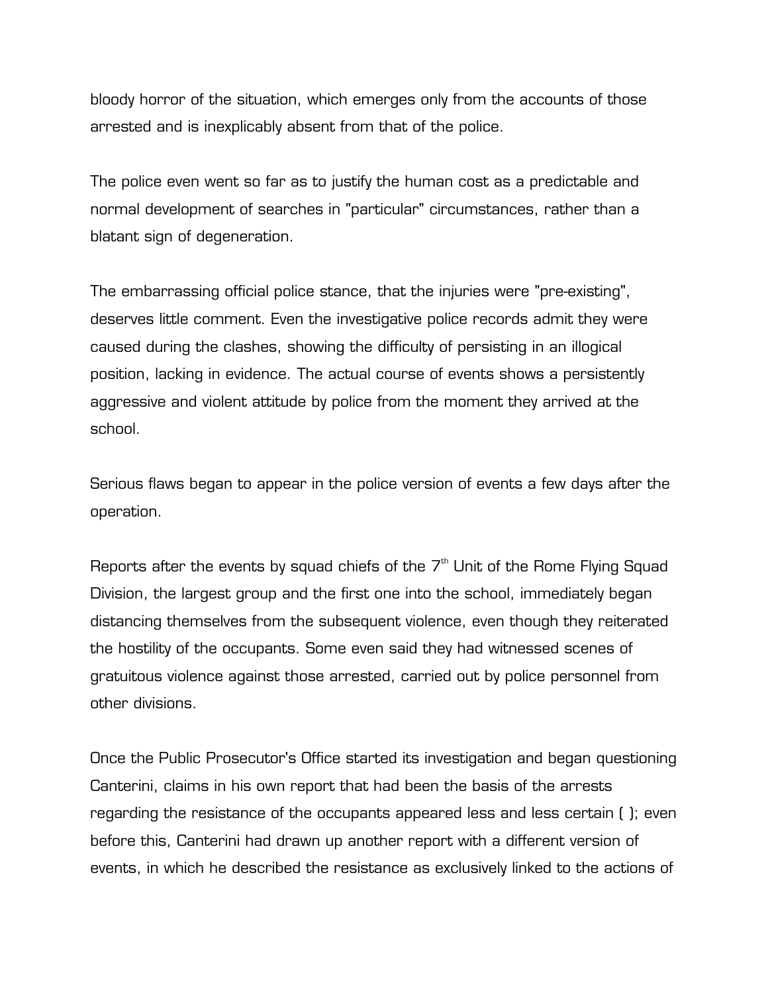bloody horror of the situation, which emerges only from the accounts of those arrested and is inexplicably absent from that of the police.

The police even went so far as to justify the human cost as a predictable and normal development of searches in "particular" circumstances, rather than a blatant sign of degeneration.

The embarrassing official police stance, that the injuries were "pre-existing", deserves little comment. Even the investigative police records admit they were caused during the clashes, showing the difficulty of persisting in an illogical position, lacking in evidence. The actual course of events shows a persistently aggressive and violent attitude by police from the moment they arrived at the school.

Serious flaws began to appear in the police version of events a few days after the operation.

Reports after the events by squad chiefs of the  $7<sup>th</sup>$  Unit of the Rome Flying Squad Division, the largest group and the first one into the school, immediately began distancing themselves from the subsequent violence, even though they reiterated the hostility of the occupants. Some even said they had witnessed scenes of gratuitous violence against those arrested, carried out by police personnel from other divisions.

Once the Public Prosecutor's Office started its investigation and began questioning Canterini, claims in his own report that had been the basis of the arrests regarding the resistance of the occupants appeared less and less certain ( ); even before this, Canterini had drawn up another report with a different version of events, in which he described the resistance as exclusively linked to the actions of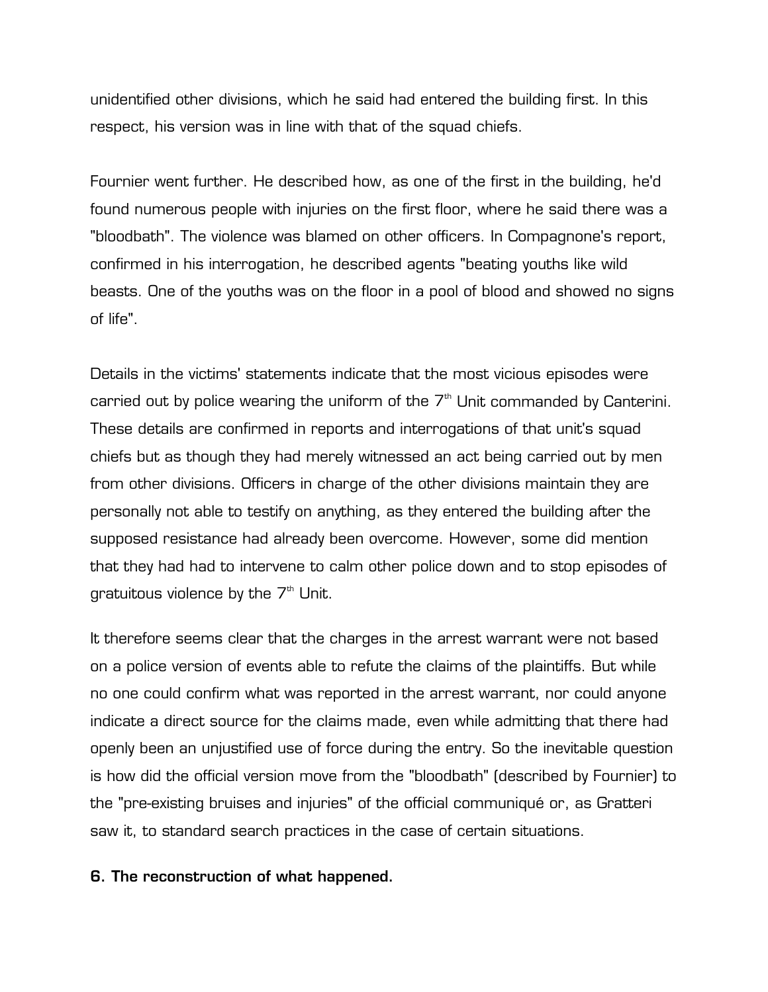unidentified other divisions, which he said had entered the building first. In this respect, his version was in line with that of the squad chiefs.

Fournier went further. He described how, as one of the first in the building, he'd found numerous people with injuries on the first floor, where he said there was a "bloodbath". The violence was blamed on other officers. In Compagnone's report, confirmed in his interrogation, he described agents "beating youths like wild beasts. One of the youths was on the floor in a pool of blood and showed no signs of life".

Details in the victims' statements indicate that the most vicious episodes were carried out by police wearing the uniform of the  $7<sup>th</sup>$  Unit commanded by Canterini. These details are confirmed in reports and interrogations of that unit's squad chiefs but as though they had merely witnessed an act being carried out by men from other divisions. Officers in charge of the other divisions maintain they are personally not able to testify on anything, as they entered the building after the supposed resistance had already been overcome. However, some did mention that they had had to intervene to calm other police down and to stop episodes of gratuitous violence by the  $7<sup>th</sup>$  Unit.

It therefore seems clear that the charges in the arrest warrant were not based on a police version of events able to refute the claims of the plaintiffs. But while no one could confirm what was reported in the arrest warrant, nor could anyone indicate a direct source for the claims made, even while admitting that there had openly been an unjustified use of force during the entry. So the inevitable question is how did the official version move from the "bloodbath" (described by Fournier) to the "pre-existing bruises and injuries" of the official communiqué or, as Gratteri saw it, to standard search practices in the case of certain situations.

## **6. The reconstruction of what happened.**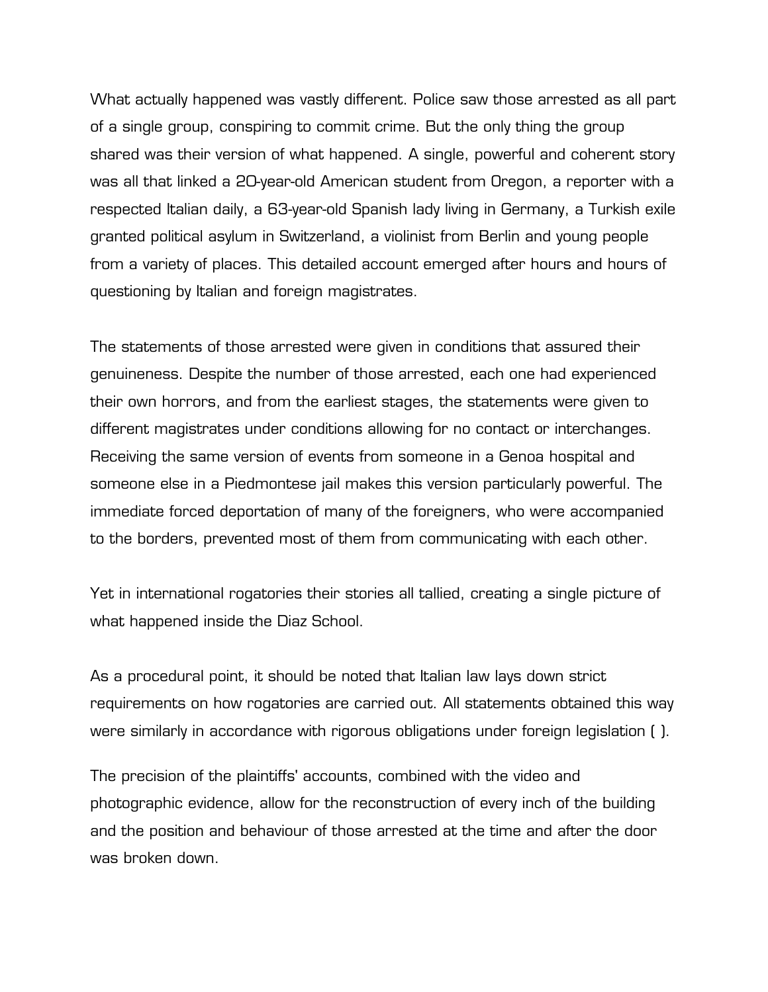What actually happened was vastly different. Police saw those arrested as all part of a single group, conspiring to commit crime. But the only thing the group shared was their version of what happened. A single, powerful and coherent story was all that linked a 20-year-old American student from Oregon, a reporter with a respected Italian daily, a 63-year-old Spanish lady living in Germany, a Turkish exile granted political asylum in Switzerland, a violinist from Berlin and young people from a variety of places. This detailed account emerged after hours and hours of questioning by Italian and foreign magistrates.

The statements of those arrested were given in conditions that assured their genuineness. Despite the number of those arrested, each one had experienced their own horrors, and from the earliest stages, the statements were given to different magistrates under conditions allowing for no contact or interchanges. Receiving the same version of events from someone in a Genoa hospital and someone else in a Piedmontese jail makes this version particularly powerful. The immediate forced deportation of many of the foreigners, who were accompanied to the borders, prevented most of them from communicating with each other.

Yet in international rogatories their stories all tallied, creating a single picture of what happened inside the Diaz School.

As a procedural point, it should be noted that Italian law lays down strict requirements on how rogatories are carried out. All statements obtained this way were similarly in accordance with rigorous obligations under foreign legislation ( ).

The precision of the plaintiffs' accounts, combined with the video and photographic evidence, allow for the reconstruction of every inch of the building and the position and behaviour of those arrested at the time and after the door was broken down.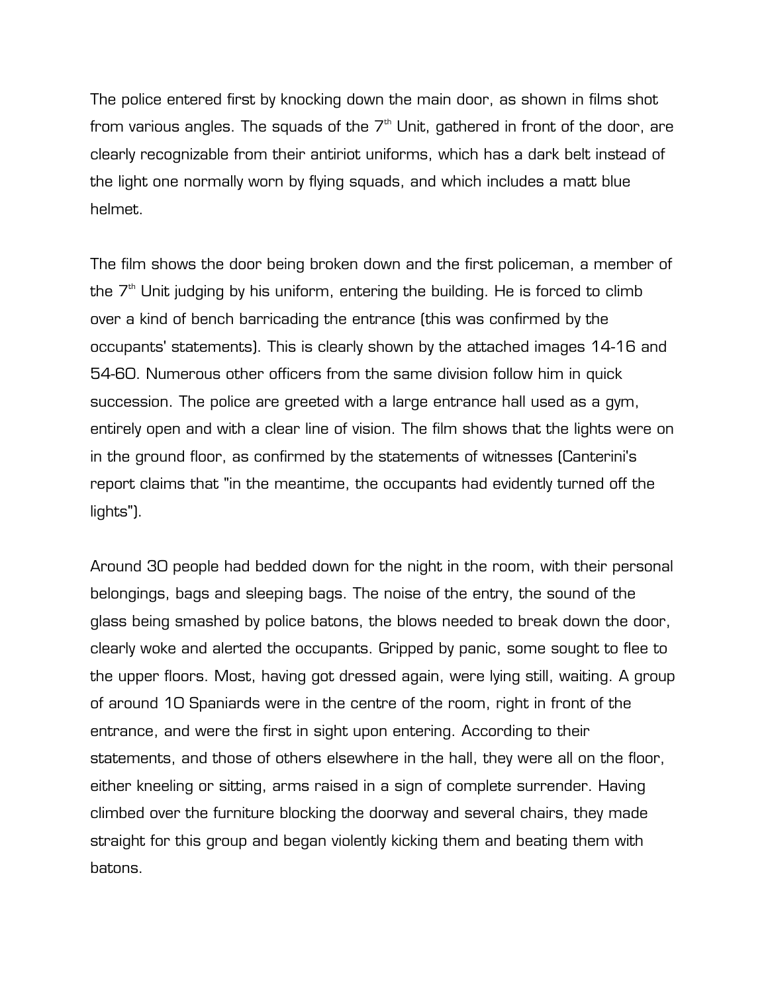The police entered first by knocking down the main door, as shown in films shot from various angles. The squads of the  $7<sup>th</sup>$  Unit, gathered in front of the door, are clearly recognizable from their antiriot uniforms, which has a dark belt instead of the light one normally worn by flying squads, and which includes a matt blue helmet.

The film shows the door being broken down and the first policeman, a member of the  $7<sup>th</sup>$  Unit judging by his uniform, entering the building. He is forced to climb over a kind of bench barricading the entrance (this was confirmed by the occupants' statements). This is clearly shown by the attached images 14-16 and 54-60. Numerous other officers from the same division follow him in quick succession. The police are greeted with a large entrance hall used as a gym, entirely open and with a clear line of vision. The film shows that the lights were on in the ground floor, as confirmed by the statements of witnesses (Canterini's report claims that "in the meantime, the occupants had evidently turned off the lights").

Around 30 people had bedded down for the night in the room, with their personal belongings, bags and sleeping bags. The noise of the entry, the sound of the glass being smashed by police batons, the blows needed to break down the door, clearly woke and alerted the occupants. Gripped by panic, some sought to flee to the upper floors. Most, having got dressed again, were lying still, waiting. A group of around 10 Spaniards were in the centre of the room, right in front of the entrance, and were the first in sight upon entering. According to their statements, and those of others elsewhere in the hall, they were all on the floor, either kneeling or sitting, arms raised in a sign of complete surrender. Having climbed over the furniture blocking the doorway and several chairs, they made straight for this group and began violently kicking them and beating them with batons.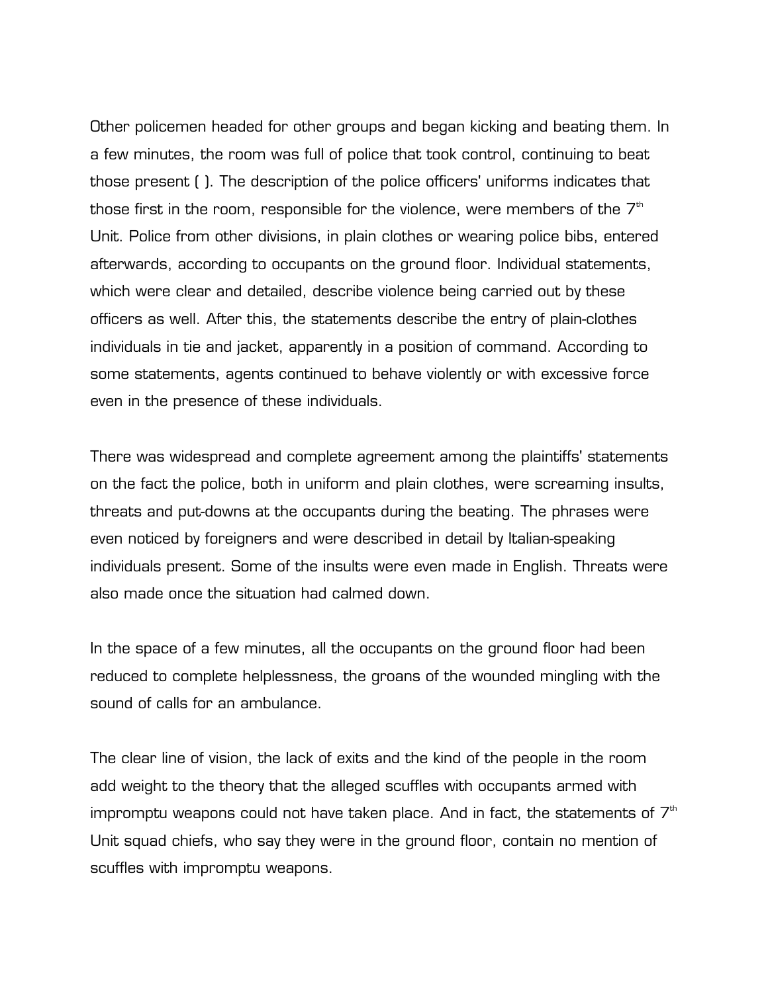Other policemen headed for other groups and began kicking and beating them. In a few minutes, the room was full of police that took control, continuing to beat those present ( ). The description of the police officers' uniforms indicates that those first in the room, responsible for the violence, were members of the  $7<sup>th</sup>$ Unit. Police from other divisions, in plain clothes or wearing police bibs, entered afterwards, according to occupants on the ground floor. Individual statements, which were clear and detailed, describe violence being carried out by these officers as well. After this, the statements describe the entry of plain-clothes individuals in tie and jacket, apparently in a position of command. According to some statements, agents continued to behave violently or with excessive force even in the presence of these individuals.

There was widespread and complete agreement among the plaintiffs' statements on the fact the police, both in uniform and plain clothes, were screaming insults, threats and put-downs at the occupants during the beating. The phrases were even noticed by foreigners and were described in detail by Italian-speaking individuals present. Some of the insults were even made in English. Threats were also made once the situation had calmed down.

In the space of a few minutes, all the occupants on the ground floor had been reduced to complete helplessness, the groans of the wounded mingling with the sound of calls for an ambulance.

The clear line of vision, the lack of exits and the kind of the people in the room add weight to the theory that the alleged scuffles with occupants armed with impromptu weapons could not have taken place. And in fact, the statements of  $7<sup>th</sup>$ Unit squad chiefs, who say they were in the ground floor, contain no mention of scuffles with impromptu weapons.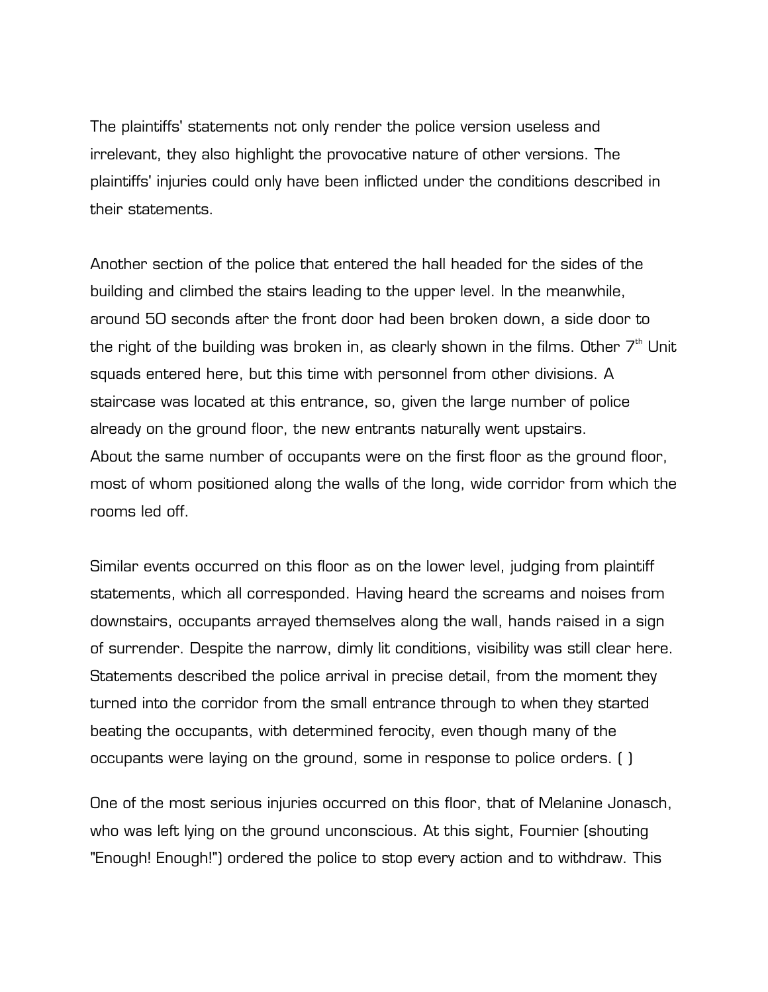The plaintiffs' statements not only render the police version useless and irrelevant, they also highlight the provocative nature of other versions. The plaintiffs' injuries could only have been inflicted under the conditions described in their statements.

Another section of the police that entered the hall headed for the sides of the building and climbed the stairs leading to the upper level. In the meanwhile, around 50 seconds after the front door had been broken down, a side door to the right of the building was broken in, as clearly shown in the films. Other  $7<sup>th</sup>$  Unit squads entered here, but this time with personnel from other divisions. A staircase was located at this entrance, so, given the large number of police already on the ground floor, the new entrants naturally went upstairs. About the same number of occupants were on the first floor as the ground floor, most of whom positioned along the walls of the long, wide corridor from which the rooms led off.

Similar events occurred on this floor as on the lower level, judging from plaintiff statements, which all corresponded. Having heard the screams and noises from downstairs, occupants arrayed themselves along the wall, hands raised in a sign of surrender. Despite the narrow, dimly lit conditions, visibility was still clear here. Statements described the police arrival in precise detail, from the moment they turned into the corridor from the small entrance through to when they started beating the occupants, with determined ferocity, even though many of the occupants were laying on the ground, some in response to police orders. ( )

One of the most serious injuries occurred on this floor, that of Melanine Jonasch, who was left lying on the ground unconscious. At this sight, Fournier (shouting "Enough! Enough!") ordered the police to stop every action and to withdraw. This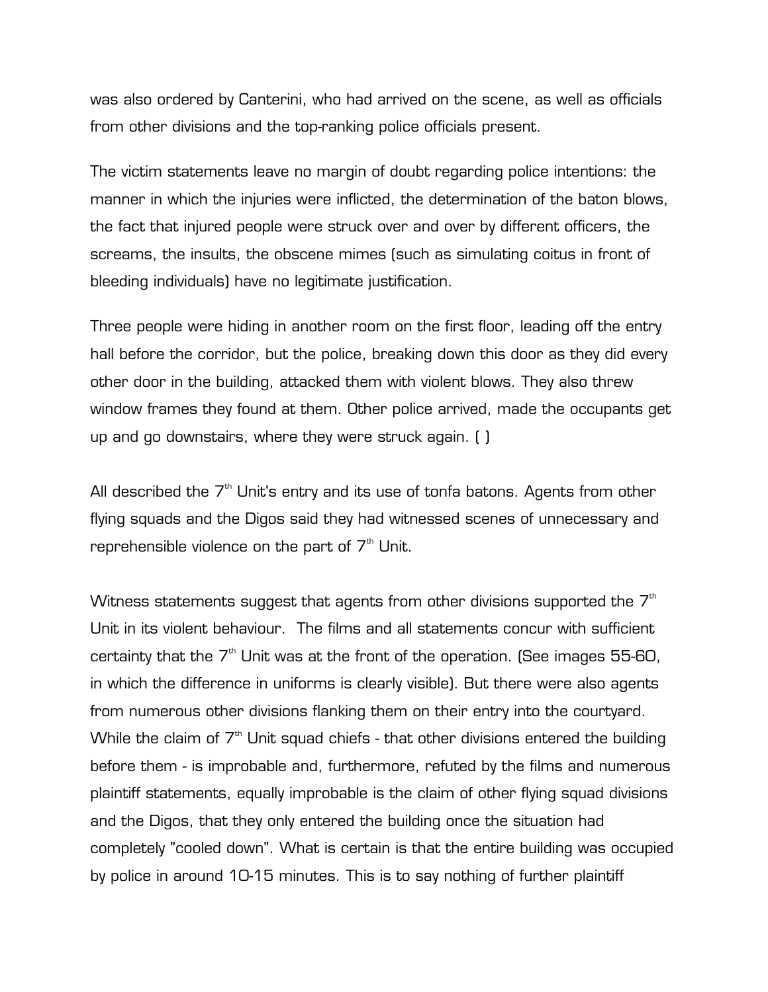was also ordered by Canterini, who had arrived on the scene, as well as officials from other divisions and the top-ranking police officials present.

The victim statements leave no margin of doubt regarding police intentions: the manner in which the injuries were inflicted, the determination of the baton blows, the fact that injured people were struck over and over by different officers, the screams, the insults, the obscene mimes (such as simulating coitus in front of bleeding individuals) have no legitimate justification.

Three people were hiding in another room on the first floor, leading off the entry hall before the corridor, but the police, breaking down this door as they did every other door in the building, attacked them with violent blows. They also threw window frames they found at them. Other police arrived, made the occupants get up and go downstairs, where they were struck again. ( )

All described the  $7<sup>th</sup>$  Unit's entry and its use of tonfa batons. Agents from other flying squads and the Digos said they had witnessed scenes of unnecessary and reprehensible violence on the part of  $7<sup>th</sup>$  Unit.

Witness statements suggest that agents from other divisions supported the  $7<sup>th</sup>$ Unit in its violent behaviour. The films and all statements concur with sufficient certainty that the  $7<sup>th</sup>$  Unit was at the front of the operation. (See images 55-60, in which the difference in uniforms is clearly visible). But there were also agents from numerous other divisions flanking them on their entry into the courtyard. While the claim of  $7<sup>th</sup>$  Unit squad chiefs - that other divisions entered the building before them - is improbable and, furthermore, refuted by the films and numerous plaintiff statements, equally improbable is the claim of other flying squad divisions and the Digos, that they only entered the building once the situation had completely "cooled down". What is certain is that the entire building was occupied by police in around 10-15 minutes. This is to say nothing of further plaintiff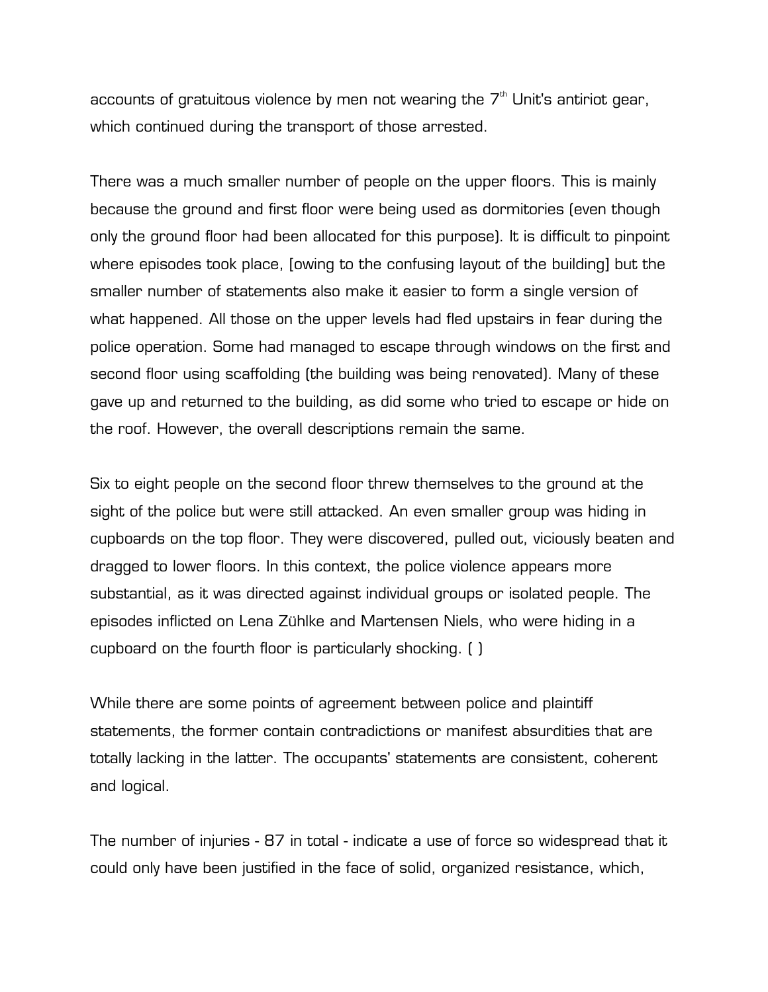accounts of gratuitous violence by men not wearing the  $7<sup>th</sup>$  Unit's antiriot gear, which continued during the transport of those arrested.

There was a much smaller number of people on the upper floors. This is mainly because the ground and first floor were being used as dormitories (even though only the ground floor had been allocated for this purpose). It is difficult to pinpoint where episodes took place, [owing to the confusing layout of the building] but the smaller number of statements also make it easier to form a single version of what happened. All those on the upper levels had fled upstairs in fear during the police operation. Some had managed to escape through windows on the first and second floor using scaffolding (the building was being renovated). Many of these gave up and returned to the building, as did some who tried to escape or hide on the roof. However, the overall descriptions remain the same.

Six to eight people on the second floor threw themselves to the ground at the sight of the police but were still attacked. An even smaller group was hiding in cupboards on the top floor. They were discovered, pulled out, viciously beaten and dragged to lower floors. In this context, the police violence appears more substantial, as it was directed against individual groups or isolated people. The episodes inflicted on Lena Zühlke and Martensen Niels, who were hiding in a cupboard on the fourth floor is particularly shocking. ( )

While there are some points of agreement between police and plaintiff statements, the former contain contradictions or manifest absurdities that are totally lacking in the latter. The occupants' statements are consistent, coherent and logical.

The number of injuries - 87 in total - indicate a use of force so widespread that it could only have been justified in the face of solid, organized resistance, which,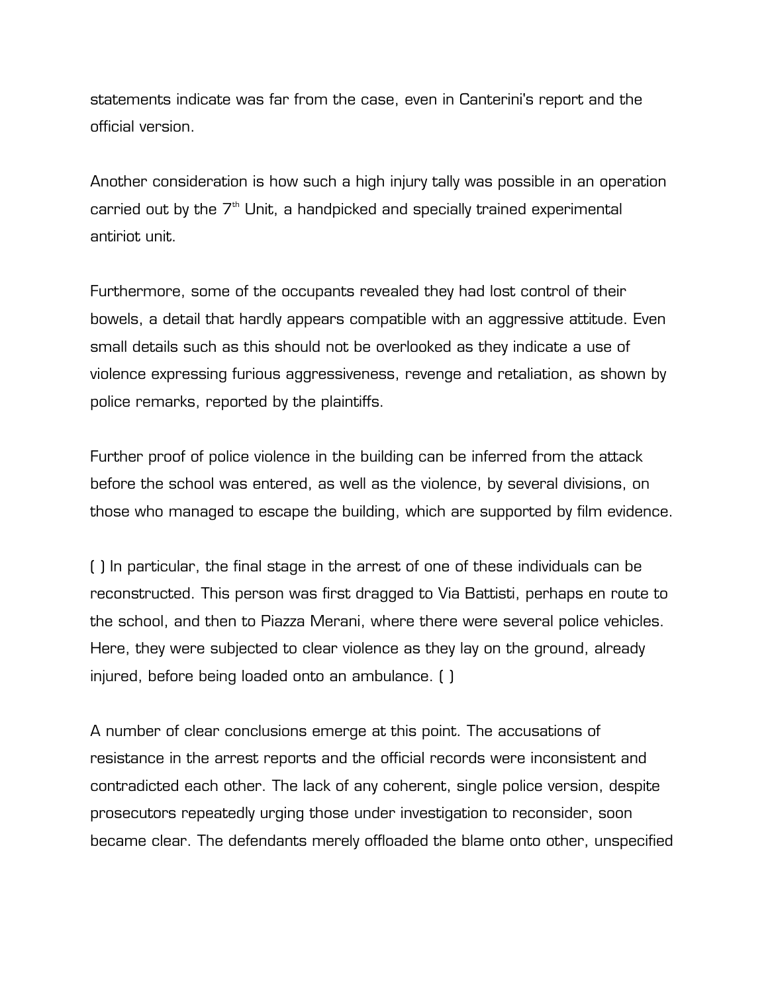statements indicate was far from the case, even in Canterini's report and the official version.

Another consideration is how such a high injury tally was possible in an operation carried out by the  $7<sup>th</sup>$  Unit, a handpicked and specially trained experimental antiriot unit.

Furthermore, some of the occupants revealed they had lost control of their bowels, a detail that hardly appears compatible with an aggressive attitude. Even small details such as this should not be overlooked as they indicate a use of violence expressing furious aggressiveness, revenge and retaliation, as shown by police remarks, reported by the plaintiffs.

Further proof of police violence in the building can be inferred from the attack before the school was entered, as well as the violence, by several divisions, on those who managed to escape the building, which are supported by film evidence.

( ) In particular, the final stage in the arrest of one of these individuals can be reconstructed. This person was first dragged to Via Battisti, perhaps en route to the school, and then to Piazza Merani, where there were several police vehicles. Here, they were subjected to clear violence as they lay on the ground, already injured, before being loaded onto an ambulance. ( )

A number of clear conclusions emerge at this point. The accusations of resistance in the arrest reports and the official records were inconsistent and contradicted each other. The lack of any coherent, single police version, despite prosecutors repeatedly urging those under investigation to reconsider, soon became clear. The defendants merely offloaded the blame onto other, unspecified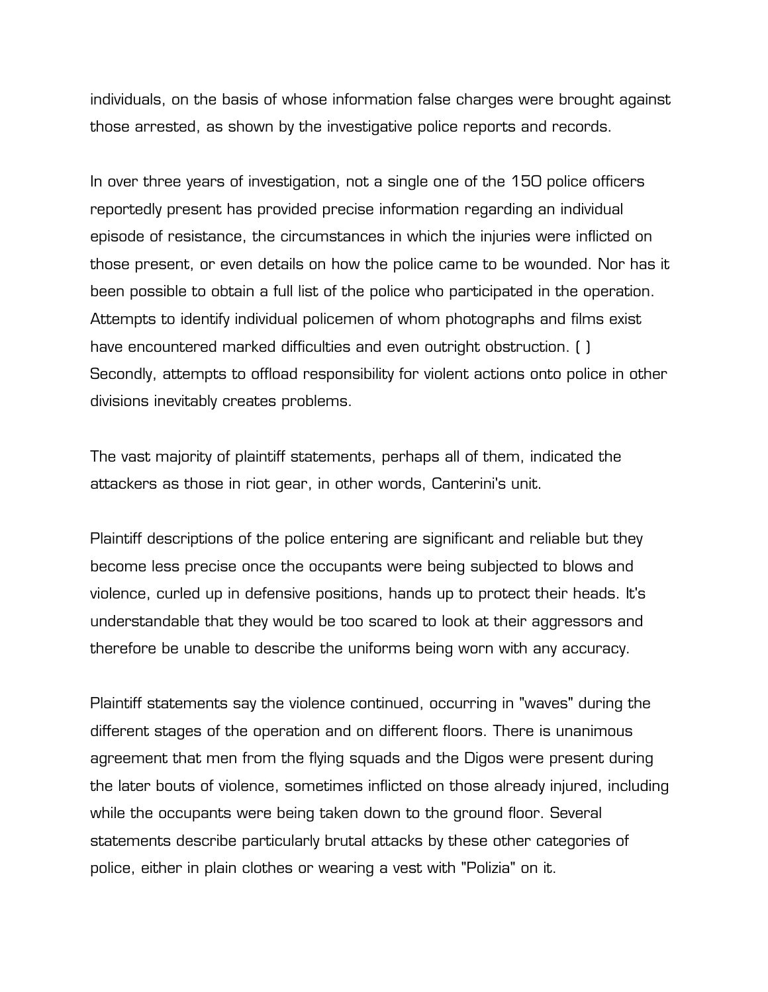individuals, on the basis of whose information false charges were brought against those arrested, as shown by the investigative police reports and records.

In over three years of investigation, not a single one of the 150 police officers reportedly present has provided precise information regarding an individual episode of resistance, the circumstances in which the injuries were inflicted on those present, or even details on how the police came to be wounded. Nor has it been possible to obtain a full list of the police who participated in the operation. Attempts to identify individual policemen of whom photographs and films exist have encountered marked difficulties and even outright obstruction. ( ) Secondly, attempts to offload responsibility for violent actions onto police in other divisions inevitably creates problems.

The vast majority of plaintiff statements, perhaps all of them, indicated the attackers as those in riot gear, in other words, Canterini's unit.

Plaintiff descriptions of the police entering are significant and reliable but they become less precise once the occupants were being subjected to blows and violence, curled up in defensive positions, hands up to protect their heads. It's understandable that they would be too scared to look at their aggressors and therefore be unable to describe the uniforms being worn with any accuracy.

Plaintiff statements say the violence continued, occurring in "waves" during the different stages of the operation and on different floors. There is unanimous agreement that men from the flying squads and the Digos were present during the later bouts of violence, sometimes inflicted on those already injured, including while the occupants were being taken down to the ground floor. Several statements describe particularly brutal attacks by these other categories of police, either in plain clothes or wearing a vest with "Polizia" on it.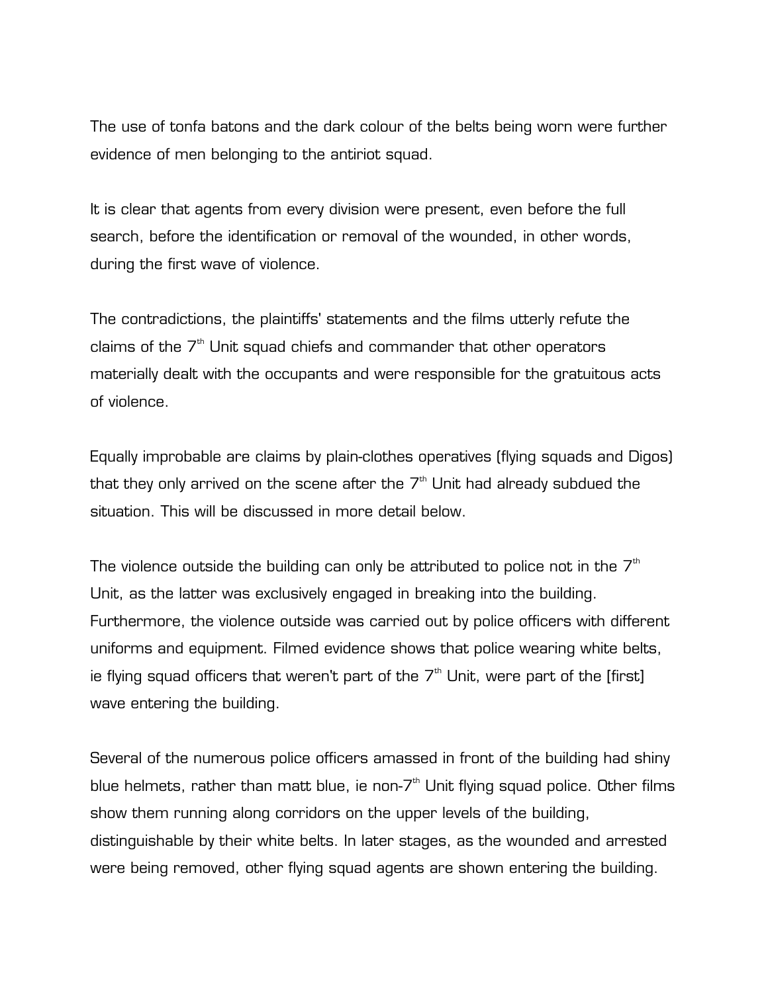The use of tonfa batons and the dark colour of the belts being worn were further evidence of men belonging to the antiriot squad.

It is clear that agents from every division were present, even before the full search, before the identification or removal of the wounded, in other words, during the first wave of violence.

The contradictions, the plaintiffs' statements and the films utterly refute the claims of the  $7<sup>th</sup>$  Unit squad chiefs and commander that other operators materially dealt with the occupants and were responsible for the gratuitous acts of violence.

Equally improbable are claims by plain-clothes operatives (flying squads and Digos) that they only arrived on the scene after the  $7<sup>th</sup>$  Unit had already subdued the situation. This will be discussed in more detail below.

The violence outside the building can only be attributed to police not in the  $7<sup>th</sup>$ Unit, as the latter was exclusively engaged in breaking into the building. Furthermore, the violence outside was carried out by police officers with different uniforms and equipment. Filmed evidence shows that police wearing white belts, ie flying squad officers that weren't part of the  $7<sup>th</sup>$  Unit, were part of the [first] wave entering the building.

Several of the numerous police officers amassed in front of the building had shiny blue helmets, rather than matt blue, ie non- $7<sup>th</sup>$  Unit flying squad police. Other films show them running along corridors on the upper levels of the building, distinguishable by their white belts. In later stages, as the wounded and arrested were being removed, other flying squad agents are shown entering the building.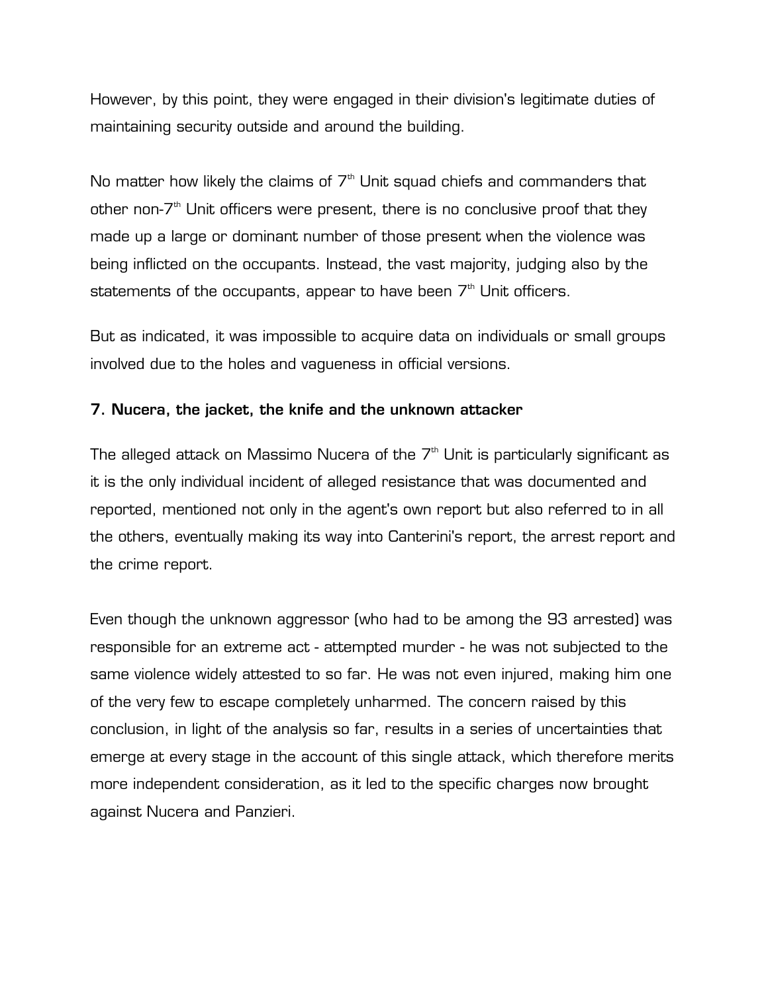However, by this point, they were engaged in their division's legitimate duties of maintaining security outside and around the building.

No matter how likely the claims of  $7<sup>th</sup>$  Unit squad chiefs and commanders that other non- $7<sup>th</sup>$  Unit officers were present, there is no conclusive proof that they made up a large or dominant number of those present when the violence was being inflicted on the occupants. Instead, the vast majority, judging also by the statements of the occupants, appear to have been  $7<sup>th</sup>$  Unit officers.

But as indicated, it was impossible to acquire data on individuals or small groups involved due to the holes and vagueness in official versions.

# **7. Nucera, the jacket, the knife and the unknown attacker**

The alleged attack on Massimo Nucera of the  $7<sup>th</sup>$  Unit is particularly significant as it is the only individual incident of alleged resistance that was documented and reported, mentioned not only in the agent's own report but also referred to in all the others, eventually making its way into Canterini's report, the arrest report and the crime report.

Even though the unknown aggressor (who had to be among the 93 arrested) was responsible for an extreme act - attempted murder - he was not subjected to the same violence widely attested to so far. He was not even injured, making him one of the very few to escape completely unharmed. The concern raised by this conclusion, in light of the analysis so far, results in a series of uncertainties that emerge at every stage in the account of this single attack, which therefore merits more independent consideration, as it led to the specific charges now brought against Nucera and Panzieri.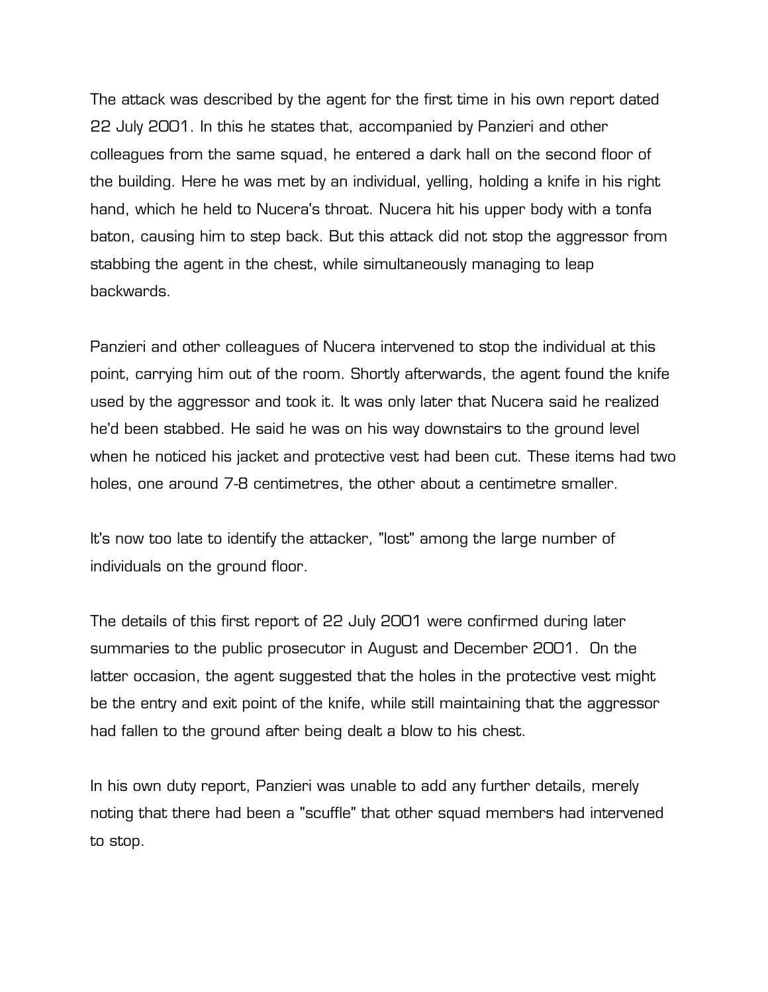The attack was described by the agent for the first time in his own report dated 22 July 2001. In this he states that, accompanied by Panzieri and other colleagues from the same squad, he entered a dark hall on the second floor of the building. Here he was met by an individual, yelling, holding a knife in his right hand, which he held to Nucera's throat. Nucera hit his upper body with a tonfa baton, causing him to step back. But this attack did not stop the aggressor from stabbing the agent in the chest, while simultaneously managing to leap backwards.

Panzieri and other colleagues of Nucera intervened to stop the individual at this point, carrying him out of the room. Shortly afterwards, the agent found the knife used by the aggressor and took it. It was only later that Nucera said he realized he'd been stabbed. He said he was on his way downstairs to the ground level when he noticed his jacket and protective vest had been cut. These items had two holes, one around 7-8 centimetres, the other about a centimetre smaller.

It's now too late to identify the attacker, "lost" among the large number of individuals on the ground floor.

The details of this first report of 22 July 2001 were confirmed during later summaries to the public prosecutor in August and December 2001. On the latter occasion, the agent suggested that the holes in the protective vest might be the entry and exit point of the knife, while still maintaining that the aggressor had fallen to the ground after being dealt a blow to his chest.

In his own duty report, Panzieri was unable to add any further details, merely noting that there had been a "scuffle" that other squad members had intervened to stop.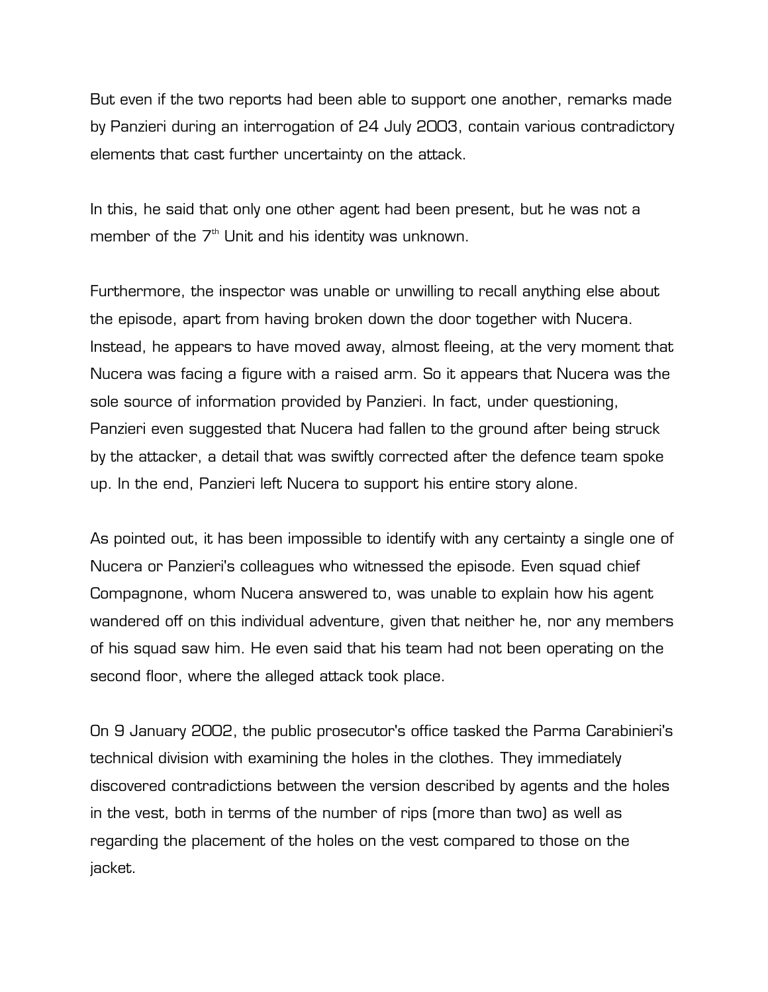But even if the two reports had been able to support one another, remarks made by Panzieri during an interrogation of 24 July 2003, contain various contradictory elements that cast further uncertainty on the attack.

In this, he said that only one other agent had been present, but he was not a member of the  $7<sup>th</sup>$  Unit and his identity was unknown.

Furthermore, the inspector was unable or unwilling to recall anything else about the episode, apart from having broken down the door together with Nucera. Instead, he appears to have moved away, almost fleeing, at the very moment that Nucera was facing a figure with a raised arm. So it appears that Nucera was the sole source of information provided by Panzieri. In fact, under questioning, Panzieri even suggested that Nucera had fallen to the ground after being struck by the attacker, a detail that was swiftly corrected after the defence team spoke up. In the end, Panzieri left Nucera to support his entire story alone.

As pointed out, it has been impossible to identify with any certainty a single one of Nucera or Panzieri's colleagues who witnessed the episode. Even squad chief Compagnone, whom Nucera answered to, was unable to explain how his agent wandered off on this individual adventure, given that neither he, nor any members of his squad saw him. He even said that his team had not been operating on the second floor, where the alleged attack took place.

On 9 January 2002, the public prosecutor's office tasked the Parma Carabinieri's technical division with examining the holes in the clothes. They immediately discovered contradictions between the version described by agents and the holes in the vest, both in terms of the number of rips (more than two) as well as regarding the placement of the holes on the vest compared to those on the jacket.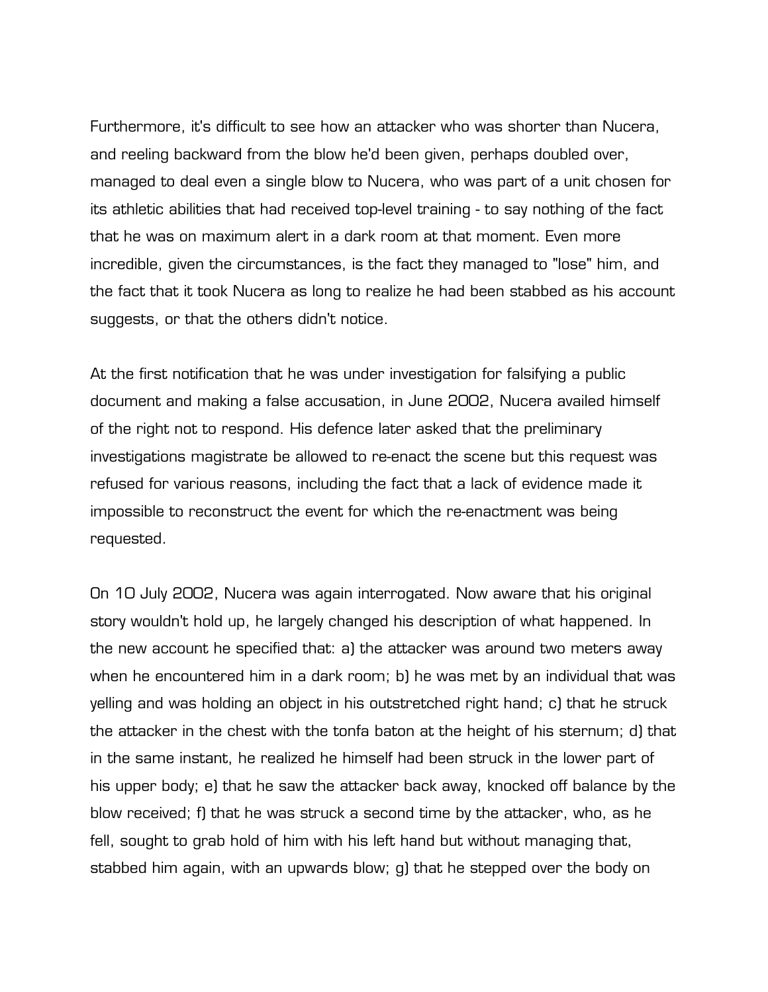Furthermore, it's difficult to see how an attacker who was shorter than Nucera, and reeling backward from the blow he'd been given, perhaps doubled over, managed to deal even a single blow to Nucera, who was part of a unit chosen for its athletic abilities that had received top-level training - to say nothing of the fact that he was on maximum alert in a dark room at that moment. Even more incredible, given the circumstances, is the fact they managed to "lose" him, and the fact that it took Nucera as long to realize he had been stabbed as his account suggests, or that the others didn't notice.

At the first notification that he was under investigation for falsifying a public document and making a false accusation, in June 2002, Nucera availed himself of the right not to respond. His defence later asked that the preliminary investigations magistrate be allowed to re-enact the scene but this request was refused for various reasons, including the fact that a lack of evidence made it impossible to reconstruct the event for which the re-enactment was being requested.

On 10 July 2002, Nucera was again interrogated. Now aware that his original story wouldn't hold up, he largely changed his description of what happened. In the new account he specified that: a) the attacker was around two meters away when he encountered him in a dark room; b) he was met by an individual that was yelling and was holding an object in his outstretched right hand; c) that he struck the attacker in the chest with the tonfa baton at the height of his sternum; d) that in the same instant, he realized he himself had been struck in the lower part of his upper body; e) that he saw the attacker back away, knocked off balance by the blow received; f) that he was struck a second time by the attacker, who, as he fell, sought to grab hold of him with his left hand but without managing that, stabbed him again, with an upwards blow; g) that he stepped over the body on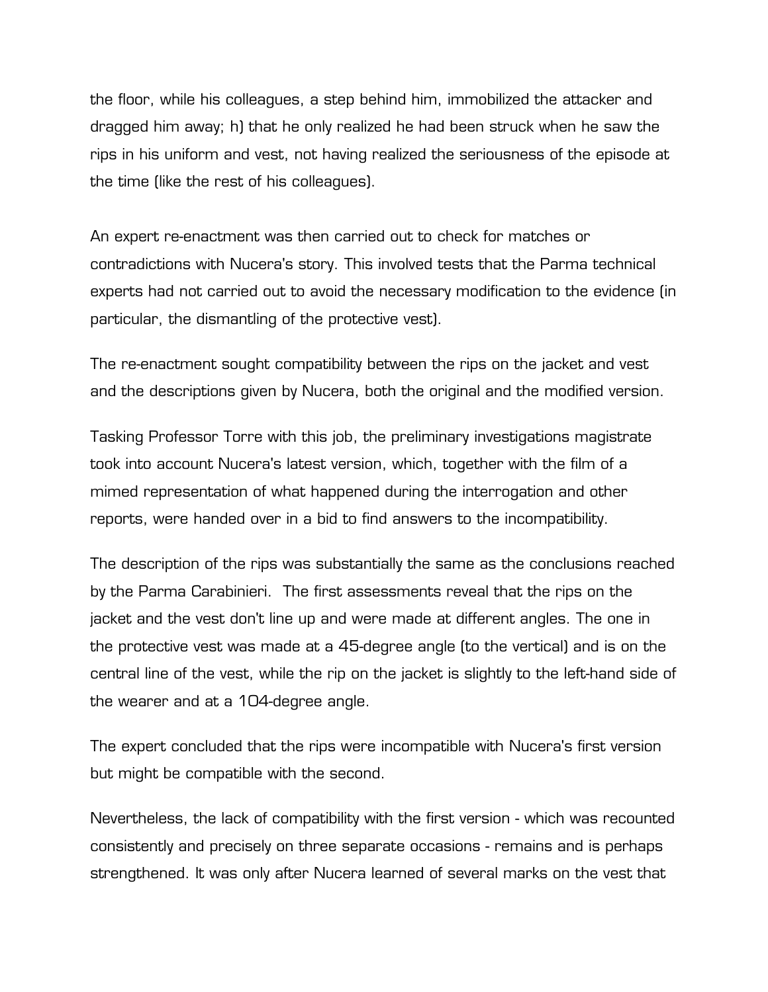the floor, while his colleagues, a step behind him, immobilized the attacker and dragged him away; h) that he only realized he had been struck when he saw the rips in his uniform and vest, not having realized the seriousness of the episode at the time (like the rest of his colleagues).

An expert re-enactment was then carried out to check for matches or contradictions with Nucera's story. This involved tests that the Parma technical experts had not carried out to avoid the necessary modification to the evidence (in particular, the dismantling of the protective vest).

The re-enactment sought compatibility between the rips on the jacket and vest and the descriptions given by Nucera, both the original and the modified version.

Tasking Professor Torre with this job, the preliminary investigations magistrate took into account Nucera's latest version, which, together with the film of a mimed representation of what happened during the interrogation and other reports, were handed over in a bid to find answers to the incompatibility.

The description of the rips was substantially the same as the conclusions reached by the Parma Carabinieri. The first assessments reveal that the rips on the jacket and the vest don't line up and were made at different angles. The one in the protective vest was made at a 45-degree angle (to the vertical) and is on the central line of the vest, while the rip on the jacket is slightly to the left-hand side of the wearer and at a 104-degree angle.

The expert concluded that the rips were incompatible with Nucera's first version but might be compatible with the second.

Nevertheless, the lack of compatibility with the first version - which was recounted consistently and precisely on three separate occasions - remains and is perhaps strengthened. It was only after Nucera learned of several marks on the vest that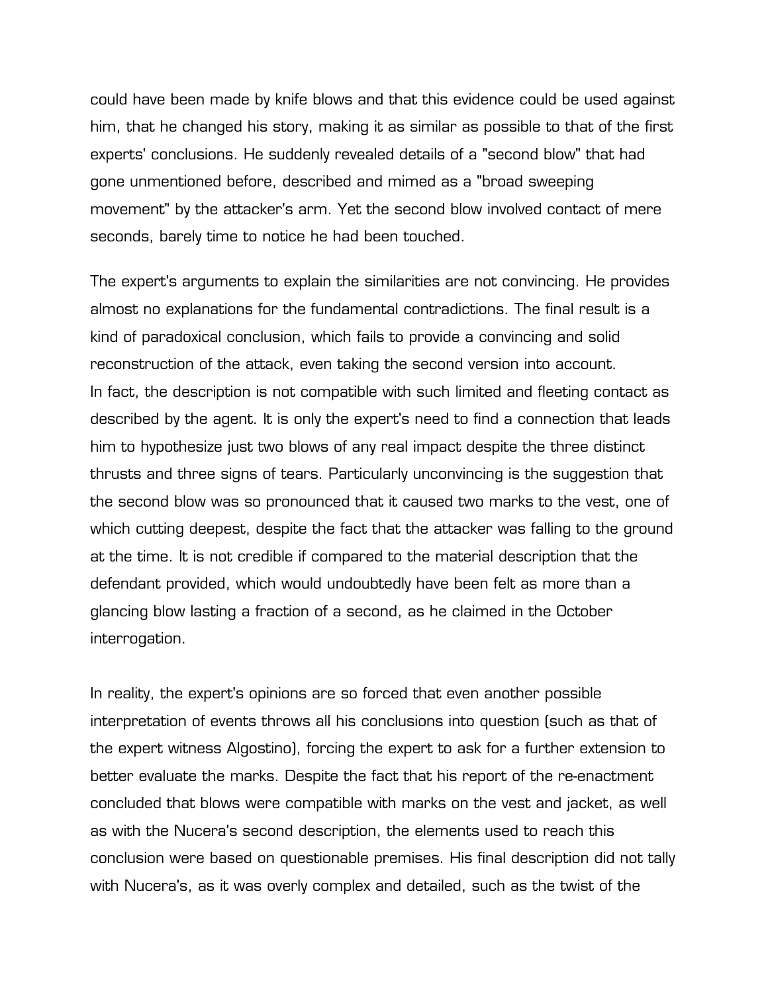could have been made by knife blows and that this evidence could be used against him, that he changed his story, making it as similar as possible to that of the first experts' conclusions. He suddenly revealed details of a "second blow" that had gone unmentioned before, described and mimed as a "broad sweeping movement" by the attacker's arm. Yet the second blow involved contact of mere seconds, barely time to notice he had been touched.

The expert's arguments to explain the similarities are not convincing. He provides almost no explanations for the fundamental contradictions. The final result is a kind of paradoxical conclusion, which fails to provide a convincing and solid reconstruction of the attack, even taking the second version into account. In fact, the description is not compatible with such limited and fleeting contact as described by the agent. It is only the expert's need to find a connection that leads him to hypothesize just two blows of any real impact despite the three distinct thrusts and three signs of tears. Particularly unconvincing is the suggestion that the second blow was so pronounced that it caused two marks to the vest, one of which cutting deepest, despite the fact that the attacker was falling to the ground at the time. It is not credible if compared to the material description that the defendant provided, which would undoubtedly have been felt as more than a glancing blow lasting a fraction of a second, as he claimed in the October interrogation.

In reality, the expert's opinions are so forced that even another possible interpretation of events throws all his conclusions into question (such as that of the expert witness Algostino), forcing the expert to ask for a further extension to better evaluate the marks. Despite the fact that his report of the re-enactment concluded that blows were compatible with marks on the vest and jacket, as well as with the Nucera's second description, the elements used to reach this conclusion were based on questionable premises. His final description did not tally with Nucera's, as it was overly complex and detailed, such as the twist of the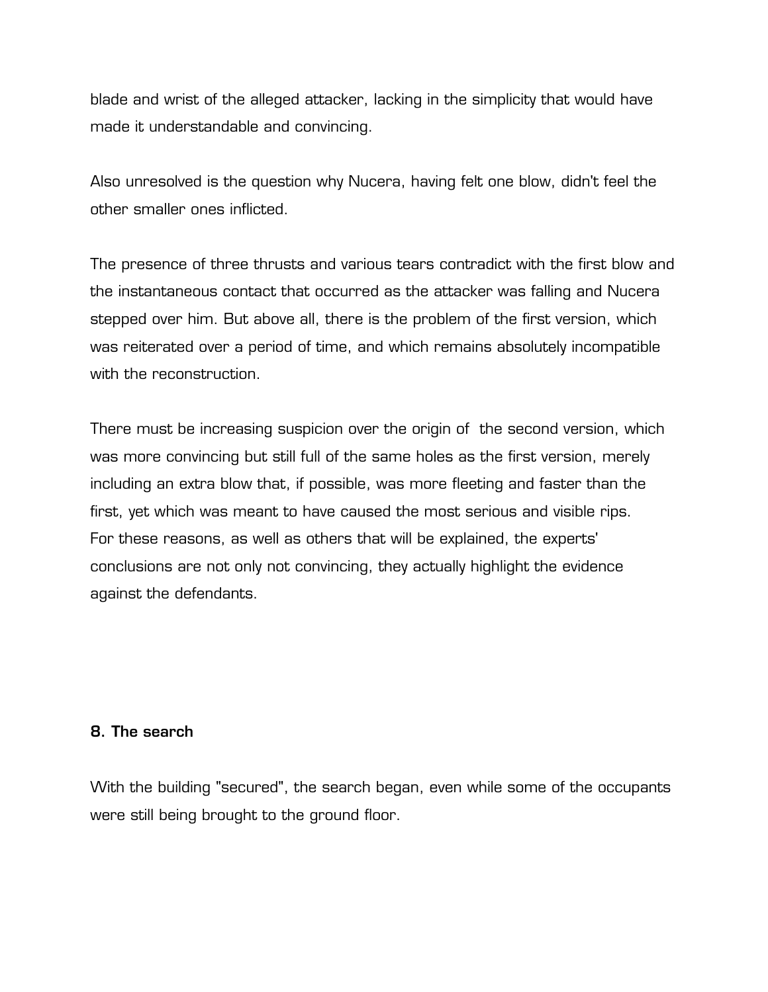blade and wrist of the alleged attacker, lacking in the simplicity that would have made it understandable and convincing.

Also unresolved is the question why Nucera, having felt one blow, didn't feel the other smaller ones inflicted.

The presence of three thrusts and various tears contradict with the first blow and the instantaneous contact that occurred as the attacker was falling and Nucera stepped over him. But above all, there is the problem of the first version, which was reiterated over a period of time, and which remains absolutely incompatible with the reconstruction.

There must be increasing suspicion over the origin of the second version, which was more convincing but still full of the same holes as the first version, merely including an extra blow that, if possible, was more fleeting and faster than the first, yet which was meant to have caused the most serious and visible rips. For these reasons, as well as others that will be explained, the experts' conclusions are not only not convincing, they actually highlight the evidence against the defendants.

## **8. The search**

With the building "secured", the search began, even while some of the occupants were still being brought to the ground floor.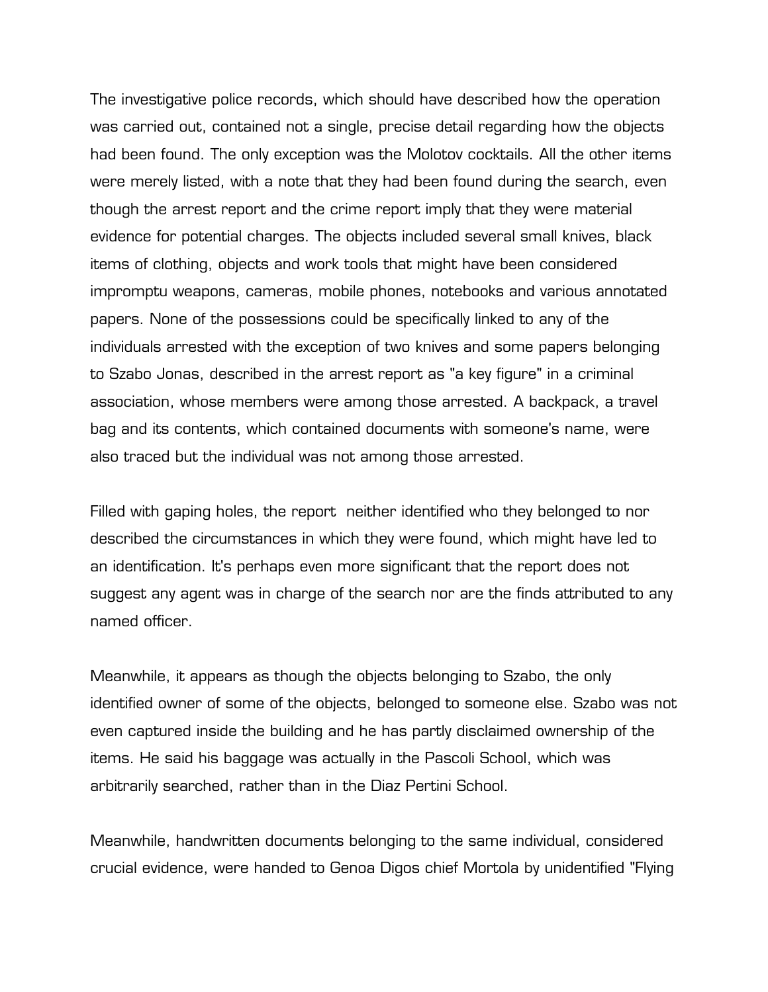The investigative police records, which should have described how the operation was carried out, contained not a single, precise detail regarding how the objects had been found. The only exception was the Molotov cocktails. All the other items were merely listed, with a note that they had been found during the search, even though the arrest report and the crime report imply that they were material evidence for potential charges. The objects included several small knives, black items of clothing, objects and work tools that might have been considered impromptu weapons, cameras, mobile phones, notebooks and various annotated papers. None of the possessions could be specifically linked to any of the individuals arrested with the exception of two knives and some papers belonging to Szabo Jonas, described in the arrest report as "a key figure" in a criminal association, whose members were among those arrested. A backpack, a travel bag and its contents, which contained documents with someone's name, were also traced but the individual was not among those arrested.

Filled with gaping holes, the report neither identified who they belonged to nor described the circumstances in which they were found, which might have led to an identification. It's perhaps even more significant that the report does not suggest any agent was in charge of the search nor are the finds attributed to any named officer.

Meanwhile, it appears as though the objects belonging to Szabo, the only identified owner of some of the objects, belonged to someone else. Szabo was not even captured inside the building and he has partly disclaimed ownership of the items. He said his baggage was actually in the Pascoli School, which was arbitrarily searched, rather than in the Diaz Pertini School.

Meanwhile, handwritten documents belonging to the same individual, considered crucial evidence, were handed to Genoa Digos chief Mortola by unidentified "Flying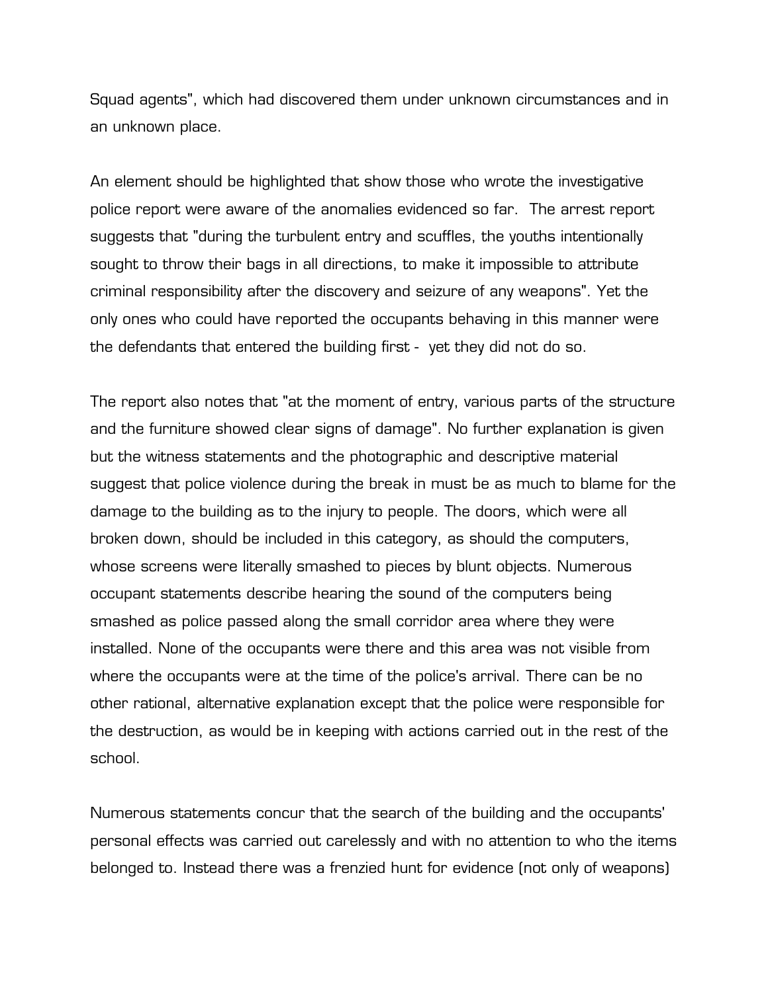Squad agents", which had discovered them under unknown circumstances and in an unknown place.

An element should be highlighted that show those who wrote the investigative police report were aware of the anomalies evidenced so far. The arrest report suggests that "during the turbulent entry and scuffles, the youths intentionally sought to throw their bags in all directions, to make it impossible to attribute criminal responsibility after the discovery and seizure of any weapons". Yet the only ones who could have reported the occupants behaving in this manner were the defendants that entered the building first - yet they did not do so.

The report also notes that "at the moment of entry, various parts of the structure and the furniture showed clear signs of damage". No further explanation is given but the witness statements and the photographic and descriptive material suggest that police violence during the break in must be as much to blame for the damage to the building as to the injury to people. The doors, which were all broken down, should be included in this category, as should the computers, whose screens were literally smashed to pieces by blunt objects. Numerous occupant statements describe hearing the sound of the computers being smashed as police passed along the small corridor area where they were installed. None of the occupants were there and this area was not visible from where the occupants were at the time of the police's arrival. There can be no other rational, alternative explanation except that the police were responsible for the destruction, as would be in keeping with actions carried out in the rest of the school.

Numerous statements concur that the search of the building and the occupants' personal effects was carried out carelessly and with no attention to who the items belonged to. Instead there was a frenzied hunt for evidence (not only of weapons)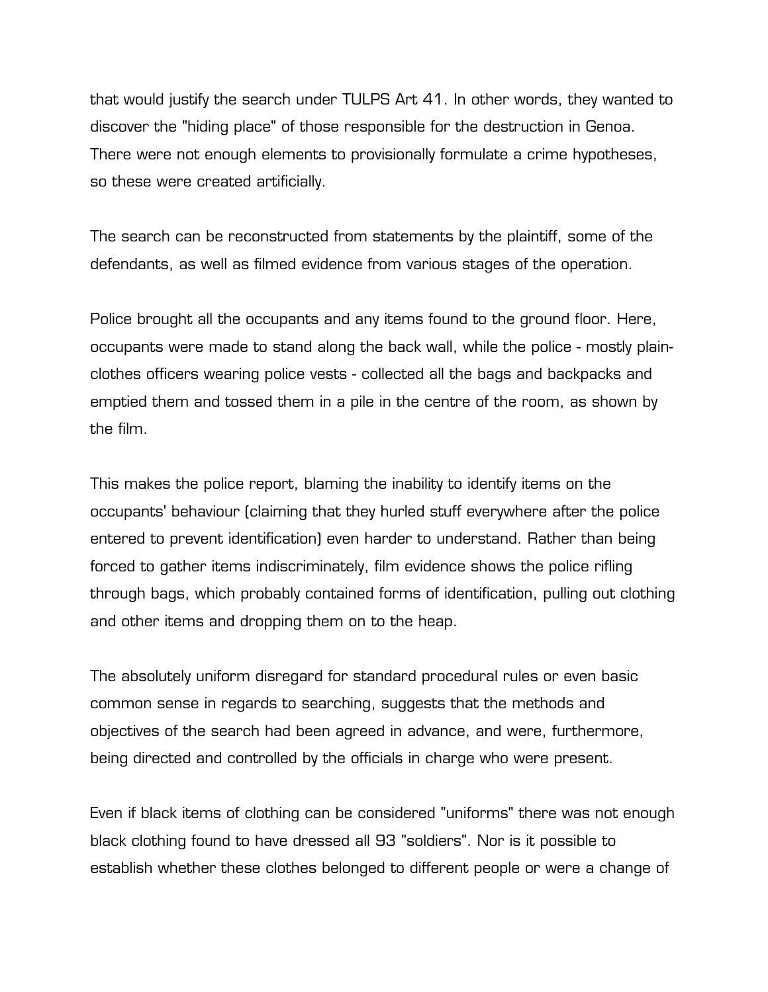that would justify the search under TULPS Art 41. In other words, they wanted to discover the "hiding place" of those responsible for the destruction in Genoa. There were not enough elements to provisionally formulate a crime hypotheses, so these were created artificially.

The search can be reconstructed from statements by the plaintiff, some of the defendants, as well as filmed evidence from various stages of the operation.

Police brought all the occupants and any items found to the ground floor. Here, occupants were made to stand along the back wall, while the police - mostly plainclothes officers wearing police vests - collected all the bags and backpacks and emptied them and tossed them in a pile in the centre of the room, as shown by the film.

This makes the police report, blaming the inability to identify items on the occupants' behaviour (claiming that they hurled stuff everywhere after the police entered to prevent identification) even harder to understand. Rather than being forced to gather items indiscriminately, film evidence shows the police rifling through bags, which probably contained forms of identification, pulling out clothing and other items and dropping them on to the heap.

The absolutely uniform disregard for standard procedural rules or even basic common sense in regards to searching, suggests that the methods and objectives of the search had been agreed in advance, and were, furthermore, being directed and controlled by the officials in charge who were present.

Even if black items of clothing can be considered "uniforms" there was not enough black clothing found to have dressed all 93 "soldiers". Nor is it possible to establish whether these clothes belonged to different people or were a change of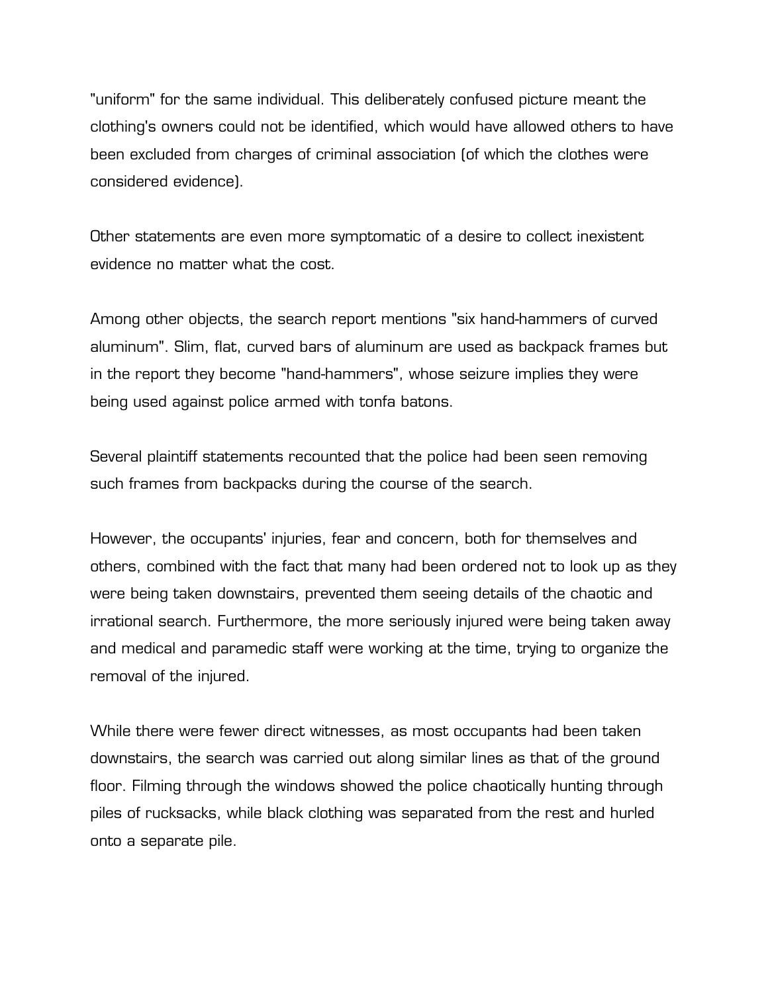"uniform" for the same individual. This deliberately confused picture meant the clothing's owners could not be identified, which would have allowed others to have been excluded from charges of criminal association (of which the clothes were considered evidence).

Other statements are even more symptomatic of a desire to collect inexistent evidence no matter what the cost.

Among other objects, the search report mentions "six hand-hammers of curved aluminum". Slim, flat, curved bars of aluminum are used as backpack frames but in the report they become "hand-hammers", whose seizure implies they were being used against police armed with tonfa batons.

Several plaintiff statements recounted that the police had been seen removing such frames from backpacks during the course of the search.

However, the occupants' injuries, fear and concern, both for themselves and others, combined with the fact that many had been ordered not to look up as they were being taken downstairs, prevented them seeing details of the chaotic and irrational search. Furthermore, the more seriously injured were being taken away and medical and paramedic staff were working at the time, trying to organize the removal of the injured.

While there were fewer direct witnesses, as most occupants had been taken downstairs, the search was carried out along similar lines as that of the ground floor. Filming through the windows showed the police chaotically hunting through piles of rucksacks, while black clothing was separated from the rest and hurled onto a separate pile.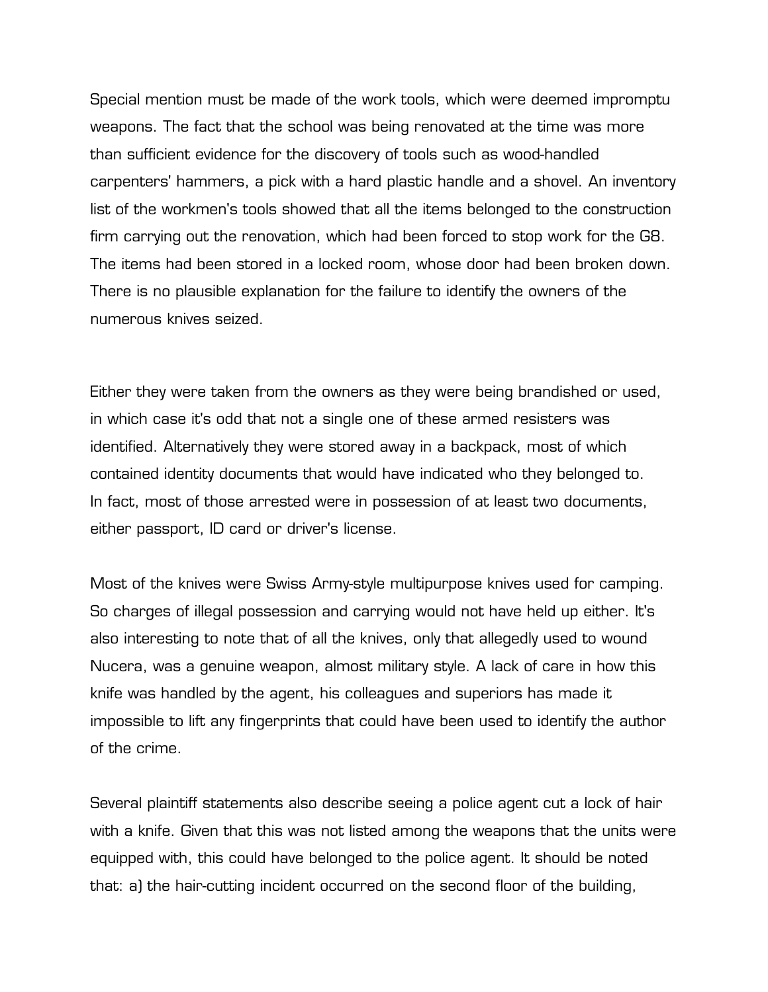Special mention must be made of the work tools, which were deemed impromptu weapons. The fact that the school was being renovated at the time was more than sufficient evidence for the discovery of tools such as wood-handled carpenters' hammers, a pick with a hard plastic handle and a shovel. An inventory list of the workmen's tools showed that all the items belonged to the construction firm carrying out the renovation, which had been forced to stop work for the G8. The items had been stored in a locked room, whose door had been broken down. There is no plausible explanation for the failure to identify the owners of the numerous knives seized.

Either they were taken from the owners as they were being brandished or used, in which case it's odd that not a single one of these armed resisters was identified. Alternatively they were stored away in a backpack, most of which contained identity documents that would have indicated who they belonged to. In fact, most of those arrested were in possession of at least two documents, either passport, ID card or driver's license.

Most of the knives were Swiss Army-style multipurpose knives used for camping. So charges of illegal possession and carrying would not have held up either. It's also interesting to note that of all the knives, only that allegedly used to wound Nucera, was a genuine weapon, almost military style. A lack of care in how this knife was handled by the agent, his colleagues and superiors has made it impossible to lift any fingerprints that could have been used to identify the author of the crime.

Several plaintiff statements also describe seeing a police agent cut a lock of hair with a knife. Given that this was not listed among the weapons that the units were equipped with, this could have belonged to the police agent. It should be noted that: a) the hair-cutting incident occurred on the second floor of the building,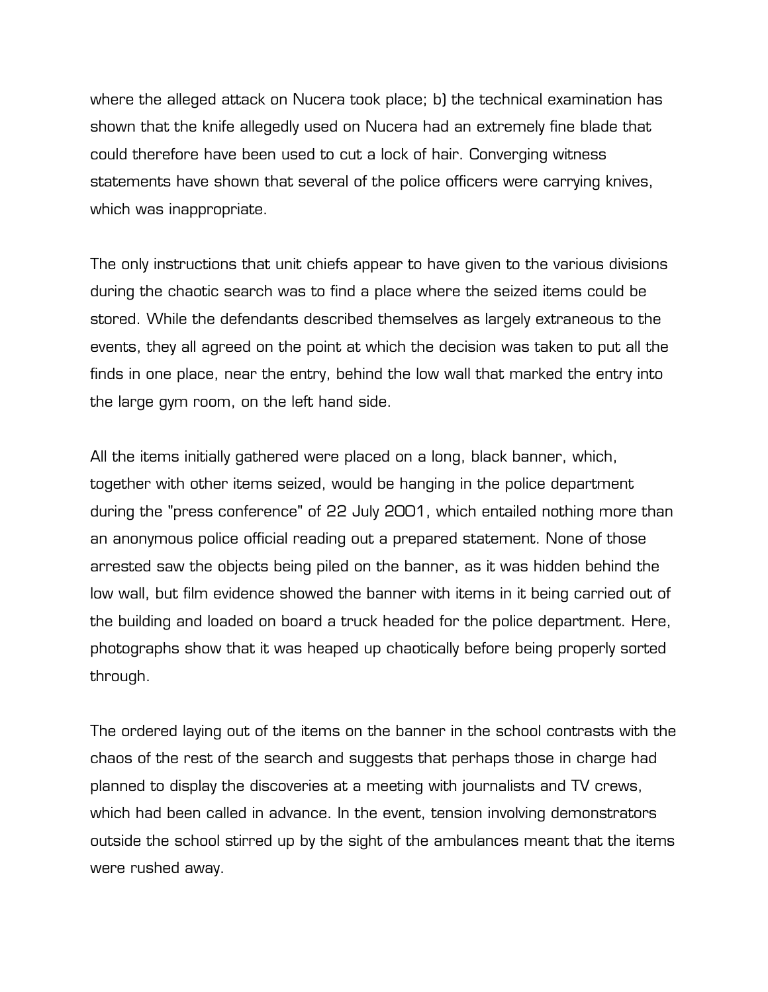where the alleged attack on Nucera took place; b) the technical examination has shown that the knife allegedly used on Nucera had an extremely fine blade that could therefore have been used to cut a lock of hair. Converging witness statements have shown that several of the police officers were carrying knives, which was inappropriate.

The only instructions that unit chiefs appear to have given to the various divisions during the chaotic search was to find a place where the seized items could be stored. While the defendants described themselves as largely extraneous to the events, they all agreed on the point at which the decision was taken to put all the finds in one place, near the entry, behind the low wall that marked the entry into the large gym room, on the left hand side.

All the items initially gathered were placed on a long, black banner, which, together with other items seized, would be hanging in the police department during the "press conference" of 22 July 2001, which entailed nothing more than an anonymous police official reading out a prepared statement. None of those arrested saw the objects being piled on the banner, as it was hidden behind the low wall, but film evidence showed the banner with items in it being carried out of the building and loaded on board a truck headed for the police department. Here, photographs show that it was heaped up chaotically before being properly sorted through.

The ordered laying out of the items on the banner in the school contrasts with the chaos of the rest of the search and suggests that perhaps those in charge had planned to display the discoveries at a meeting with journalists and TV crews, which had been called in advance. In the event, tension involving demonstrators outside the school stirred up by the sight of the ambulances meant that the items were rushed away.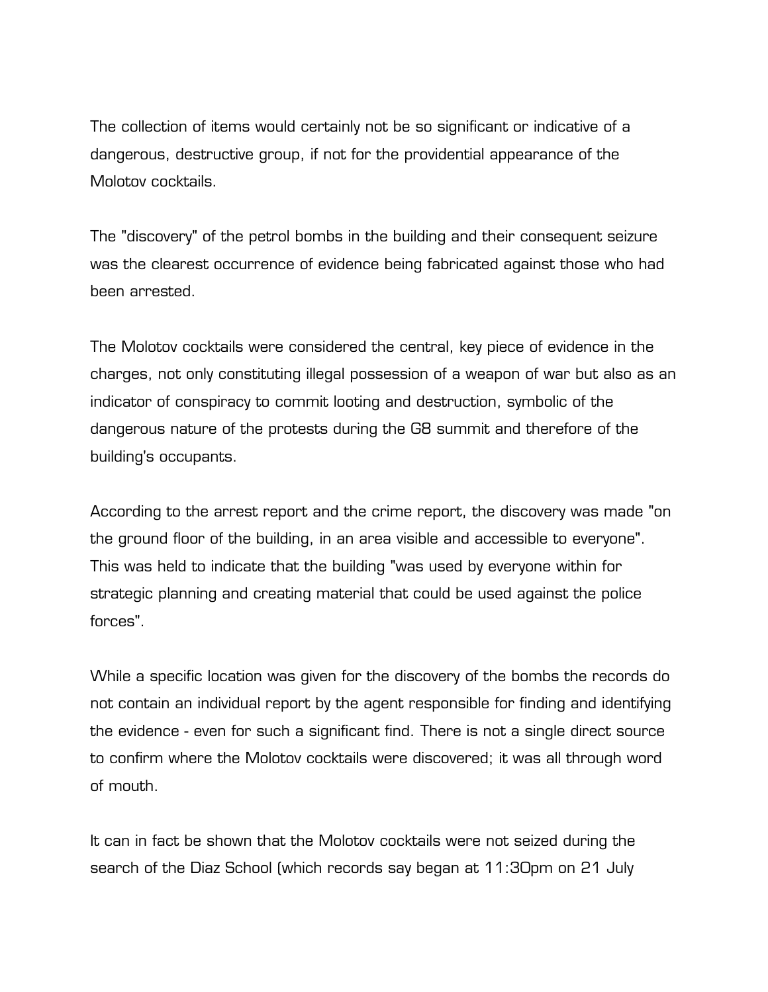The collection of items would certainly not be so significant or indicative of a dangerous, destructive group, if not for the providential appearance of the Molotov cocktails.

The "discovery" of the petrol bombs in the building and their consequent seizure was the clearest occurrence of evidence being fabricated against those who had been arrested.

The Molotov cocktails were considered the central, key piece of evidence in the charges, not only constituting illegal possession of a weapon of war but also as an indicator of conspiracy to commit looting and destruction, symbolic of the dangerous nature of the protests during the G8 summit and therefore of the building's occupants.

According to the arrest report and the crime report, the discovery was made "on the ground floor of the building, in an area visible and accessible to everyone". This was held to indicate that the building "was used by everyone within for strategic planning and creating material that could be used against the police forces".

While a specific location was given for the discovery of the bombs the records do not contain an individual report by the agent responsible for finding and identifying the evidence - even for such a significant find. There is not a single direct source to confirm where the Molotov cocktails were discovered; it was all through word of mouth.

It can in fact be shown that the Molotov cocktails were not seized during the search of the Diaz School (which records say began at 11:30pm on 21 July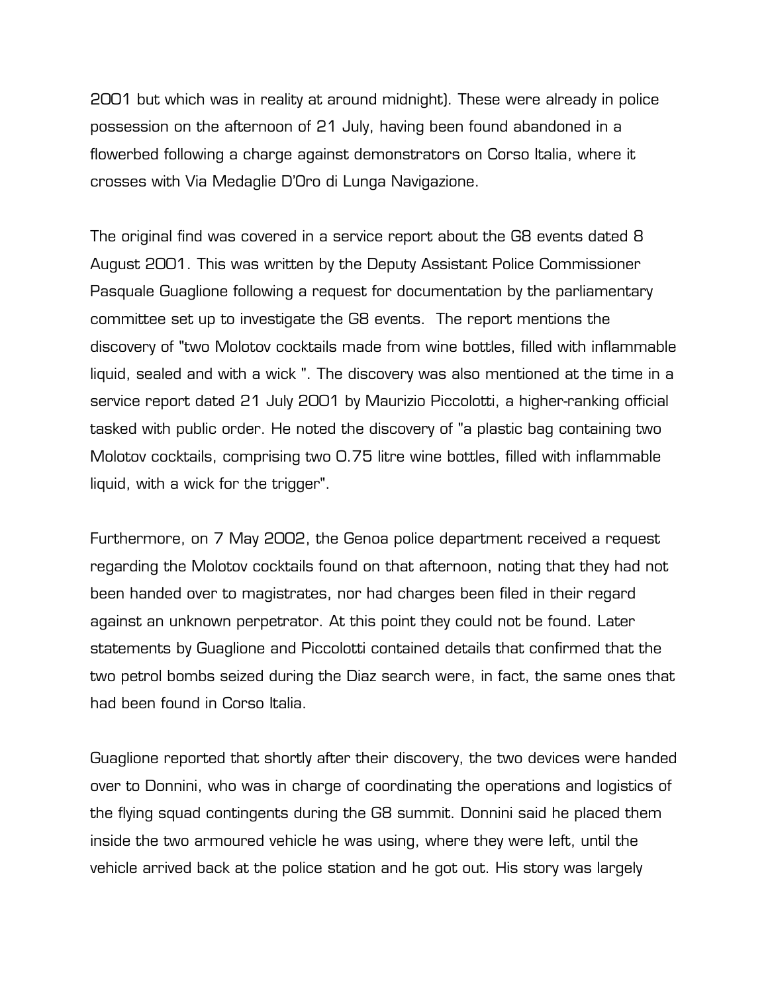2001 but which was in reality at around midnight). These were already in police possession on the afternoon of 21 July, having been found abandoned in a flowerbed following a charge against demonstrators on Corso Italia, where it crosses with Via Medaglie D'Oro di Lunga Navigazione.

The original find was covered in a service report about the G8 events dated 8 August 2001. This was written by the Deputy Assistant Police Commissioner Pasquale Guaglione following a request for documentation by the parliamentary committee set up to investigate the G8 events. The report mentions the discovery of "two Molotov cocktails made from wine bottles, filled with inflammable liquid, sealed and with a wick ". The discovery was also mentioned at the time in a service report dated 21 July 2001 by Maurizio Piccolotti, a higher-ranking official tasked with public order. He noted the discovery of "a plastic bag containing two Molotov cocktails, comprising two 0.75 litre wine bottles, filled with inflammable liquid, with a wick for the trigger".

Furthermore, on 7 May 2002, the Genoa police department received a request regarding the Molotov cocktails found on that afternoon, noting that they had not been handed over to magistrates, nor had charges been filed in their regard against an unknown perpetrator. At this point they could not be found. Later statements by Guaglione and Piccolotti contained details that confirmed that the two petrol bombs seized during the Diaz search were, in fact, the same ones that had been found in Corso Italia.

Guaglione reported that shortly after their discovery, the two devices were handed over to Donnini, who was in charge of coordinating the operations and logistics of the flying squad contingents during the G8 summit. Donnini said he placed them inside the two armoured vehicle he was using, where they were left, until the vehicle arrived back at the police station and he got out. His story was largely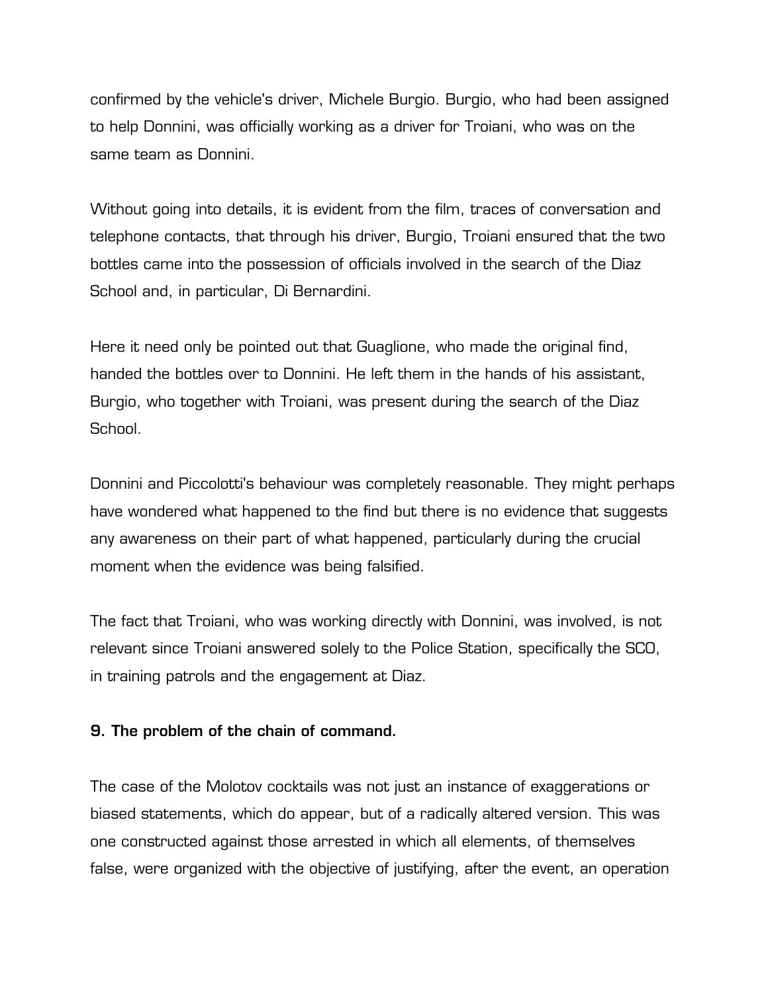confirmed by the vehicle's driver, Michele Burgio. Burgio, who had been assigned to help Donnini, was officially working as a driver for Troiani, who was on the same team as Donnini.

Without going into details, it is evident from the film, traces of conversation and telephone contacts, that through his driver, Burgio, Troiani ensured that the two bottles came into the possession of officials involved in the search of the Diaz School and, in particular, Di Bernardini.

Here it need only be pointed out that Guaglione, who made the original find, handed the bottles over to Donnini. He left them in the hands of his assistant, Burgio, who together with Troiani, was present during the search of the Diaz School.

Donnini and Piccolotti's behaviour was completely reasonable. They might perhaps have wondered what happened to the find but there is no evidence that suggests any awareness on their part of what happened, particularly during the crucial moment when the evidence was being falsified.

The fact that Troiani, who was working directly with Donnini, was involved, is not relevant since Troiani answered solely to the Police Station, specifically the SCO, in training patrols and the engagement at Diaz.

## **9. The problem of the chain of command.**

The case of the Molotov cocktails was not just an instance of exaggerations or biased statements, which do appear, but of a radically altered version. This was one constructed against those arrested in which all elements, of themselves false, were organized with the objective of justifying, after the event, an operation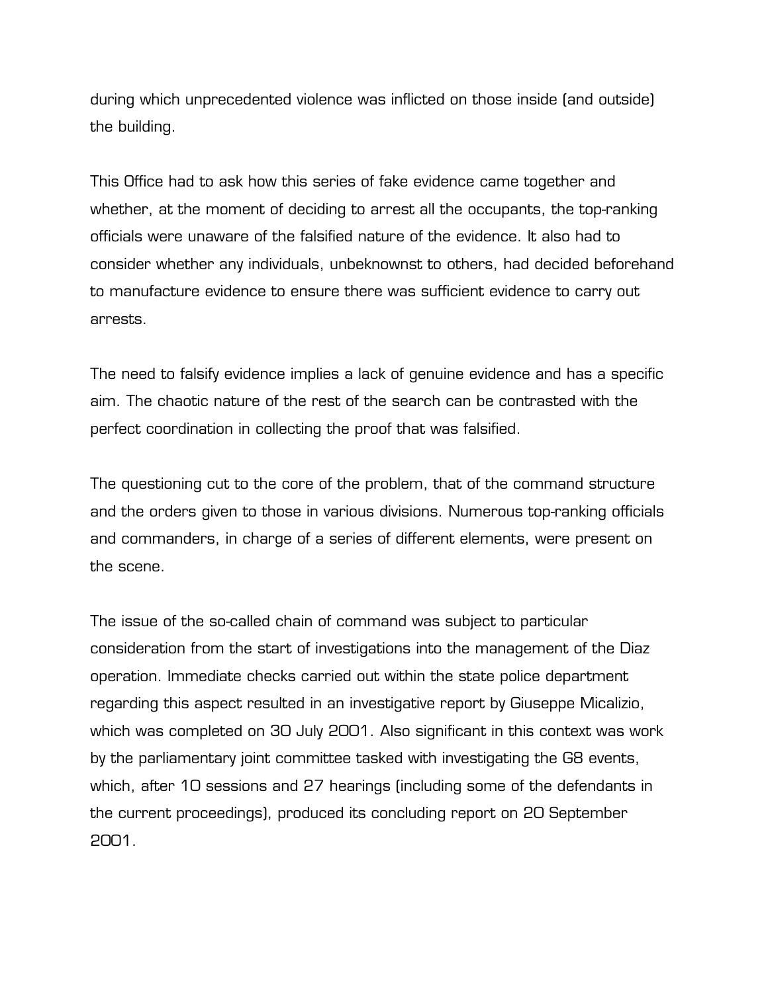during which unprecedented violence was inflicted on those inside (and outside) the building.

This Office had to ask how this series of fake evidence came together and whether, at the moment of deciding to arrest all the occupants, the top-ranking officials were unaware of the falsified nature of the evidence. It also had to consider whether any individuals, unbeknownst to others, had decided beforehand to manufacture evidence to ensure there was sufficient evidence to carry out arrests.

The need to falsify evidence implies a lack of genuine evidence and has a specific aim. The chaotic nature of the rest of the search can be contrasted with the perfect coordination in collecting the proof that was falsified.

The questioning cut to the core of the problem, that of the command structure and the orders given to those in various divisions. Numerous top-ranking officials and commanders, in charge of a series of different elements, were present on the scene.

The issue of the so-called chain of command was subject to particular consideration from the start of investigations into the management of the Diaz operation. Immediate checks carried out within the state police department regarding this aspect resulted in an investigative report by Giuseppe Micalizio, which was completed on 30 July 2001. Also significant in this context was work by the parliamentary joint committee tasked with investigating the G8 events, which, after 10 sessions and 27 hearings (including some of the defendants in the current proceedings), produced its concluding report on 20 September 2001.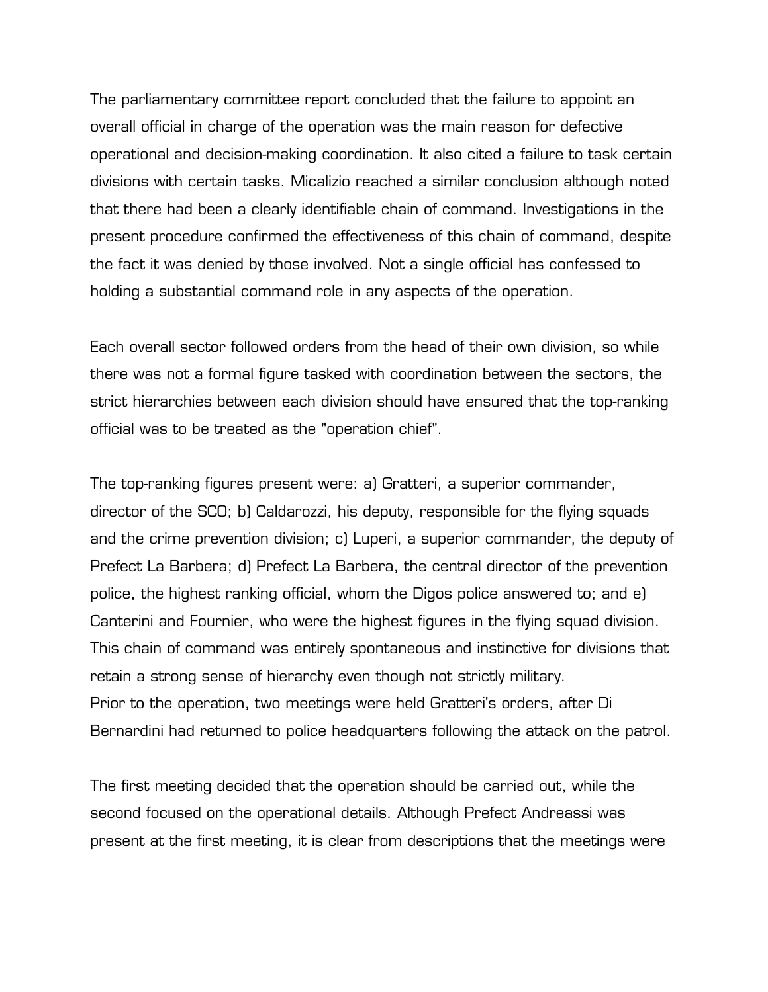The parliamentary committee report concluded that the failure to appoint an overall official in charge of the operation was the main reason for defective operational and decision-making coordination. It also cited a failure to task certain divisions with certain tasks. Micalizio reached a similar conclusion although noted that there had been a clearly identifiable chain of command. Investigations in the present procedure confirmed the effectiveness of this chain of command, despite the fact it was denied by those involved. Not a single official has confessed to holding a substantial command role in any aspects of the operation.

Each overall sector followed orders from the head of their own division, so while there was not a formal figure tasked with coordination between the sectors, the strict hierarchies between each division should have ensured that the top-ranking official was to be treated as the "operation chief".

The top-ranking figures present were: a) Gratteri, a superior commander, director of the SCO; b) Caldarozzi, his deputy, responsible for the flying squads and the crime prevention division; c) Luperi, a superior commander, the deputy of Prefect La Barbera; d) Prefect La Barbera, the central director of the prevention police, the highest ranking official, whom the Digos police answered to; and e) Canterini and Fournier, who were the highest figures in the flying squad division. This chain of command was entirely spontaneous and instinctive for divisions that retain a strong sense of hierarchy even though not strictly military. Prior to the operation, two meetings were held Gratteri's orders, after Di Bernardini had returned to police headquarters following the attack on the patrol.

The first meeting decided that the operation should be carried out, while the second focused on the operational details. Although Prefect Andreassi was present at the first meeting, it is clear from descriptions that the meetings were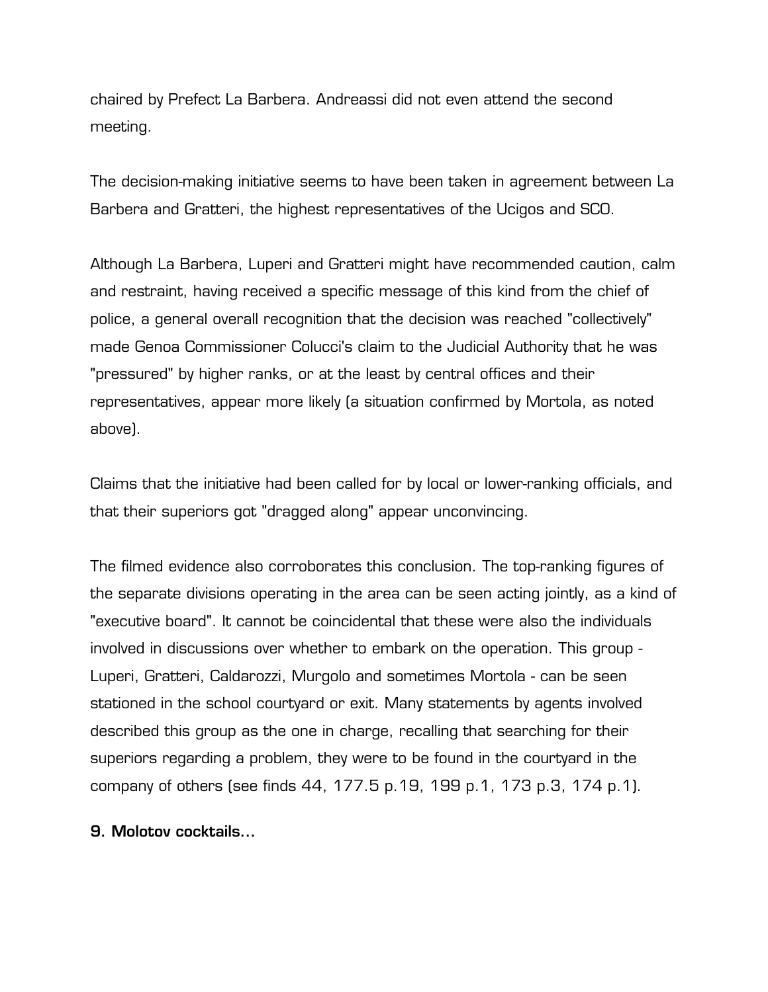chaired by Prefect La Barbera. Andreassi did not even attend the second meeting.

The decision-making initiative seems to have been taken in agreement between La Barbera and Gratteri, the highest representatives of the Ucigos and SCO.

Although La Barbera, Luperi and Gratteri might have recommended caution, calm and restraint, having received a specific message of this kind from the chief of police, a general overall recognition that the decision was reached "collectively" made Genoa Commissioner Colucci's claim to the Judicial Authority that he was "pressured" by higher ranks, or at the least by central offices and their representatives, appear more likely (a situation confirmed by Mortola, as noted above).

Claims that the initiative had been called for by local or lower-ranking officials, and that their superiors got "dragged along" appear unconvincing.

The filmed evidence also corroborates this conclusion. The top-ranking figures of the separate divisions operating in the area can be seen acting jointly, as a kind of "executive board". It cannot be coincidental that these were also the individuals involved in discussions over whether to embark on the operation. This group - Luperi, Gratteri, Caldarozzi, Murgolo and sometimes Mortola - can be seen stationed in the school courtyard or exit. Many statements by agents involved described this group as the one in charge, recalling that searching for their superiors regarding a problem, they were to be found in the courtyard in the company of others (see finds 44, 177.5 p.19, 199 p.1, 173 p.3, 174 p.1).

## **9. Molotov cocktails...**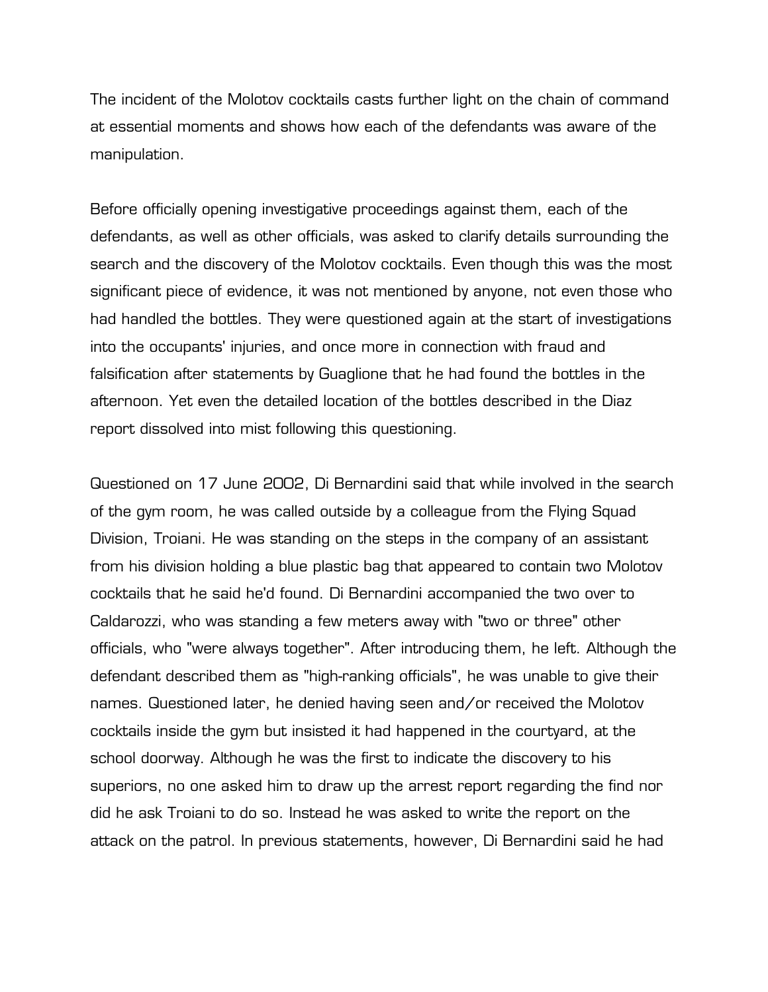The incident of the Molotov cocktails casts further light on the chain of command at essential moments and shows how each of the defendants was aware of the manipulation.

Before officially opening investigative proceedings against them, each of the defendants, as well as other officials, was asked to clarify details surrounding the search and the discovery of the Molotov cocktails. Even though this was the most significant piece of evidence, it was not mentioned by anyone, not even those who had handled the bottles. They were questioned again at the start of investigations into the occupants' injuries, and once more in connection with fraud and falsification after statements by Guaglione that he had found the bottles in the afternoon. Yet even the detailed location of the bottles described in the Diaz report dissolved into mist following this questioning.

Questioned on 17 June 2002, Di Bernardini said that while involved in the search of the gym room, he was called outside by a colleague from the Flying Squad Division, Troiani. He was standing on the steps in the company of an assistant from his division holding a blue plastic bag that appeared to contain two Molotov cocktails that he said he'd found. Di Bernardini accompanied the two over to Caldarozzi, who was standing a few meters away with "two or three" other officials, who "were always together". After introducing them, he left. Although the defendant described them as "high-ranking officials", he was unable to give their names. Questioned later, he denied having seen and/or received the Molotov cocktails inside the gym but insisted it had happened in the courtyard, at the school doorway. Although he was the first to indicate the discovery to his superiors, no one asked him to draw up the arrest report regarding the find nor did he ask Troiani to do so. Instead he was asked to write the report on the attack on the patrol. In previous statements, however, Di Bernardini said he had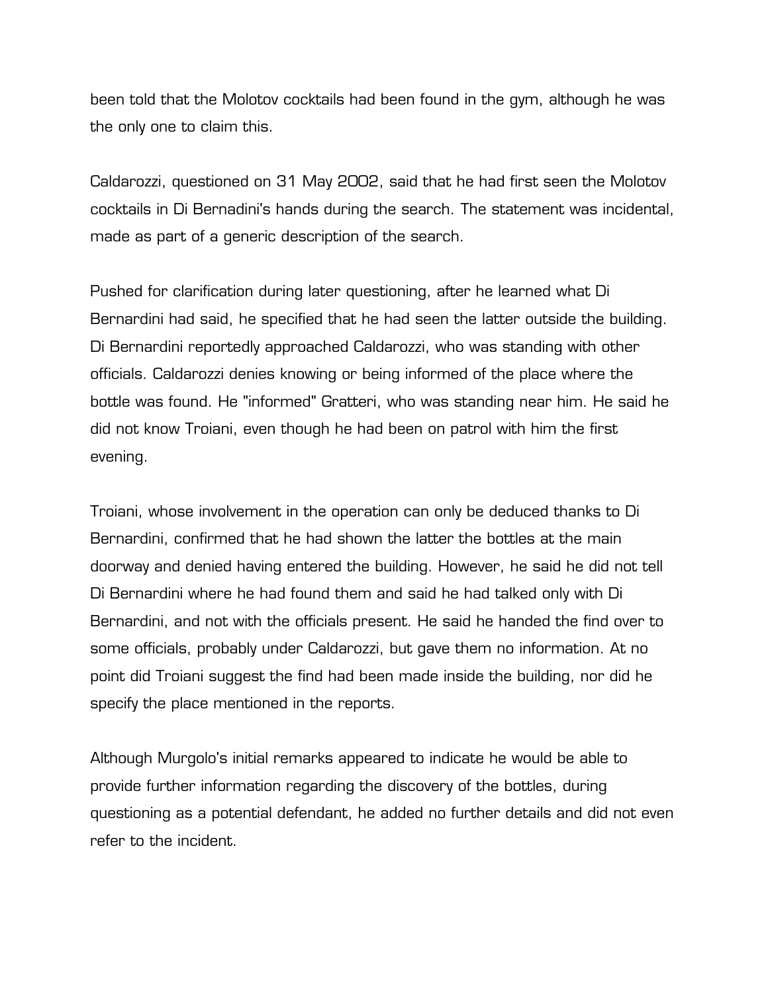been told that the Molotov cocktails had been found in the gym, although he was the only one to claim this.

Caldarozzi, questioned on 31 May 2002, said that he had first seen the Molotov cocktails in Di Bernadini's hands during the search. The statement was incidental, made as part of a generic description of the search.

Pushed for clarification during later questioning, after he learned what Di Bernardini had said, he specified that he had seen the latter outside the building. Di Bernardini reportedly approached Caldarozzi, who was standing with other officials. Caldarozzi denies knowing or being informed of the place where the bottle was found. He "informed" Gratteri, who was standing near him. He said he did not know Troiani, even though he had been on patrol with him the first evening.

Troiani, whose involvement in the operation can only be deduced thanks to Di Bernardini, confirmed that he had shown the latter the bottles at the main doorway and denied having entered the building. However, he said he did not tell Di Bernardini where he had found them and said he had talked only with Di Bernardini, and not with the officials present. He said he handed the find over to some officials, probably under Caldarozzi, but gave them no information. At no point did Troiani suggest the find had been made inside the building, nor did he specify the place mentioned in the reports.

Although Murgolo's initial remarks appeared to indicate he would be able to provide further information regarding the discovery of the bottles, during questioning as a potential defendant, he added no further details and did not even refer to the incident.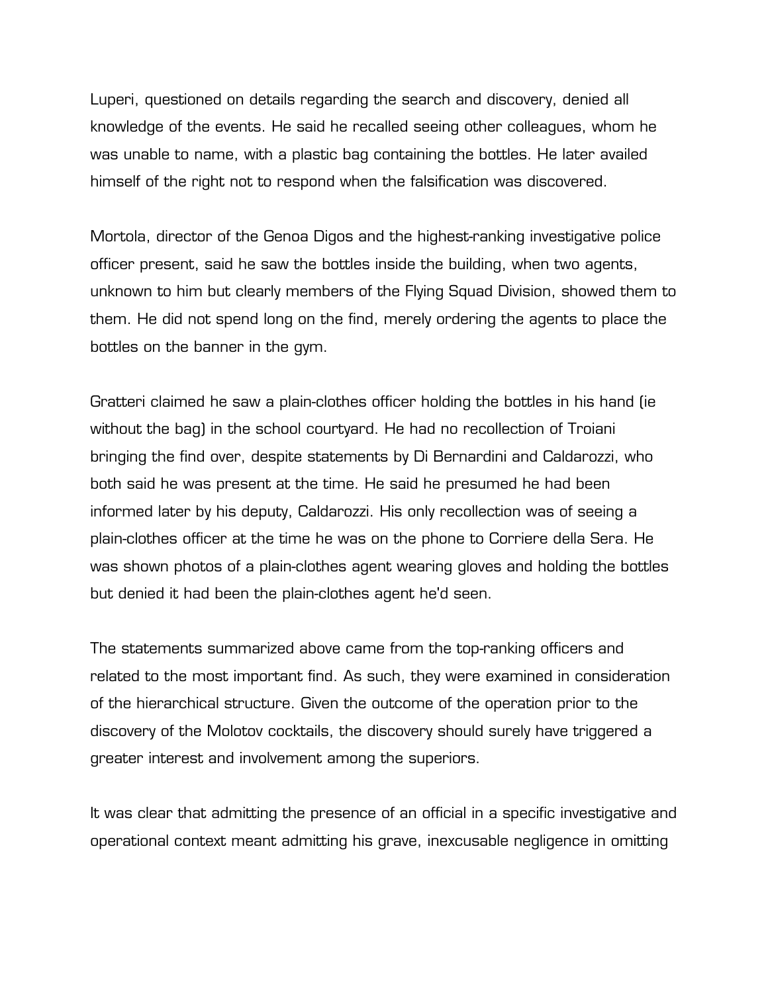Luperi, questioned on details regarding the search and discovery, denied all knowledge of the events. He said he recalled seeing other colleagues, whom he was unable to name, with a plastic bag containing the bottles. He later availed himself of the right not to respond when the falsification was discovered.

Mortola, director of the Genoa Digos and the highest-ranking investigative police officer present, said he saw the bottles inside the building, when two agents, unknown to him but clearly members of the Flying Squad Division, showed them to them. He did not spend long on the find, merely ordering the agents to place the bottles on the banner in the gym.

Gratteri claimed he saw a plain-clothes officer holding the bottles in his hand (ie without the bag) in the school courtyard. He had no recollection of Troiani bringing the find over, despite statements by Di Bernardini and Caldarozzi, who both said he was present at the time. He said he presumed he had been informed later by his deputy, Caldarozzi. His only recollection was of seeing a plain-clothes officer at the time he was on the phone to Corriere della Sera. He was shown photos of a plain-clothes agent wearing gloves and holding the bottles but denied it had been the plain-clothes agent he'd seen.

The statements summarized above came from the top-ranking officers and related to the most important find. As such, they were examined in consideration of the hierarchical structure. Given the outcome of the operation prior to the discovery of the Molotov cocktails, the discovery should surely have triggered a greater interest and involvement among the superiors.

It was clear that admitting the presence of an official in a specific investigative and operational context meant admitting his grave, inexcusable negligence in omitting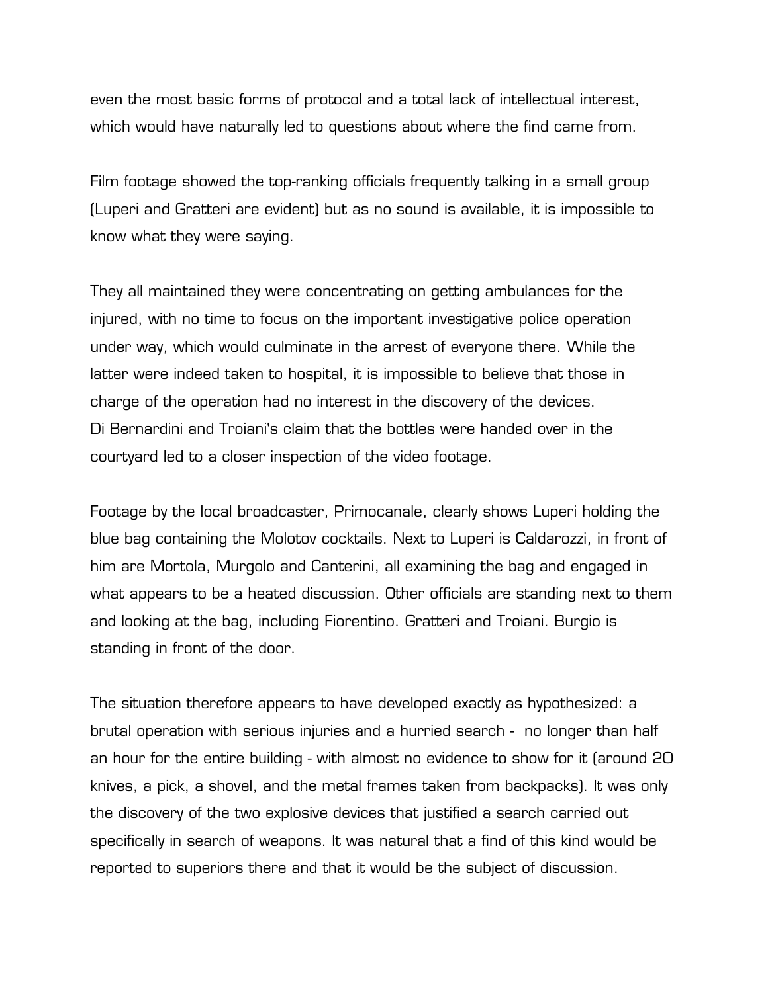even the most basic forms of protocol and a total lack of intellectual interest, which would have naturally led to questions about where the find came from.

Film footage showed the top-ranking officials frequently talking in a small group (Luperi and Gratteri are evident) but as no sound is available, it is impossible to know what they were saying.

They all maintained they were concentrating on getting ambulances for the injured, with no time to focus on the important investigative police operation under way, which would culminate in the arrest of everyone there. While the latter were indeed taken to hospital, it is impossible to believe that those in charge of the operation had no interest in the discovery of the devices. Di Bernardini and Troiani's claim that the bottles were handed over in the courtyard led to a closer inspection of the video footage.

Footage by the local broadcaster, Primocanale, clearly shows Luperi holding the blue bag containing the Molotov cocktails. Next to Luperi is Caldarozzi, in front of him are Mortola, Murgolo and Canterini, all examining the bag and engaged in what appears to be a heated discussion. Other officials are standing next to them and looking at the bag, including Fiorentino. Gratteri and Troiani. Burgio is standing in front of the door.

The situation therefore appears to have developed exactly as hypothesized: a brutal operation with serious injuries and a hurried search - no longer than half an hour for the entire building - with almost no evidence to show for it (around 20 knives, a pick, a shovel, and the metal frames taken from backpacks). It was only the discovery of the two explosive devices that justified a search carried out specifically in search of weapons. It was natural that a find of this kind would be reported to superiors there and that it would be the subject of discussion.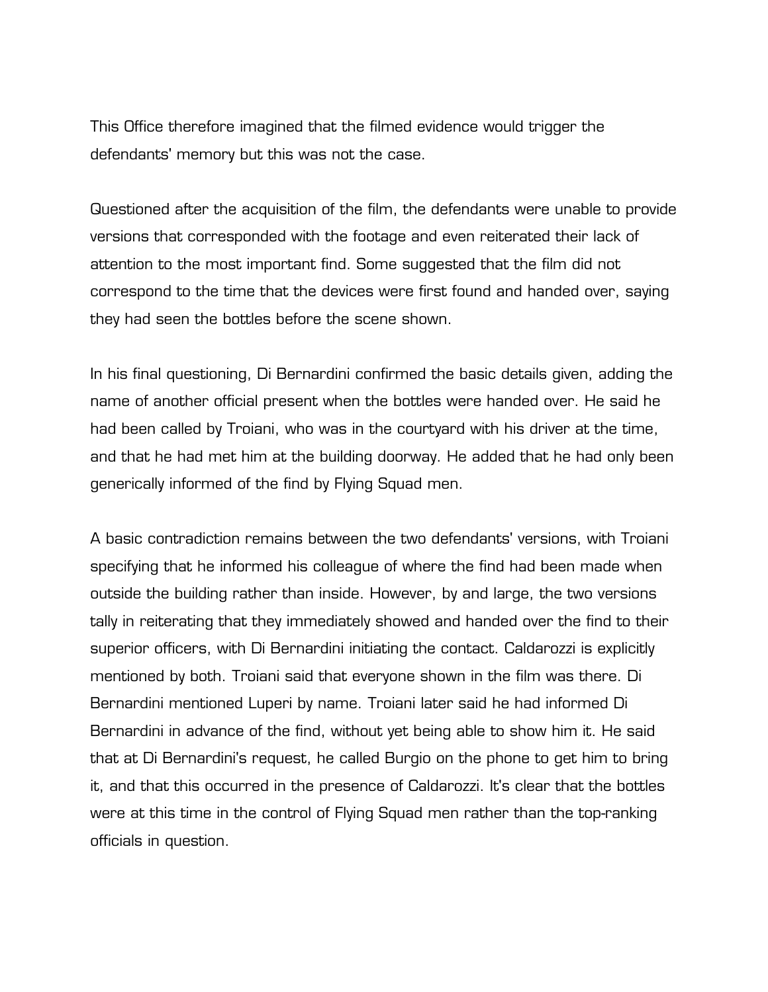This Office therefore imagined that the filmed evidence would trigger the defendants' memory but this was not the case.

Questioned after the acquisition of the film, the defendants were unable to provide versions that corresponded with the footage and even reiterated their lack of attention to the most important find. Some suggested that the film did not correspond to the time that the devices were first found and handed over, saying they had seen the bottles before the scene shown.

In his final questioning, Di Bernardini confirmed the basic details given, adding the name of another official present when the bottles were handed over. He said he had been called by Troiani, who was in the courtyard with his driver at the time, and that he had met him at the building doorway. He added that he had only been generically informed of the find by Flying Squad men.

A basic contradiction remains between the two defendants' versions, with Troiani specifying that he informed his colleague of where the find had been made when outside the building rather than inside. However, by and large, the two versions tally in reiterating that they immediately showed and handed over the find to their superior officers, with Di Bernardini initiating the contact. Caldarozzi is explicitly mentioned by both. Troiani said that everyone shown in the film was there. Di Bernardini mentioned Luperi by name. Troiani later said he had informed Di Bernardini in advance of the find, without yet being able to show him it. He said that at Di Bernardini's request, he called Burgio on the phone to get him to bring it, and that this occurred in the presence of Caldarozzi. It's clear that the bottles were at this time in the control of Flying Squad men rather than the top-ranking officials in question.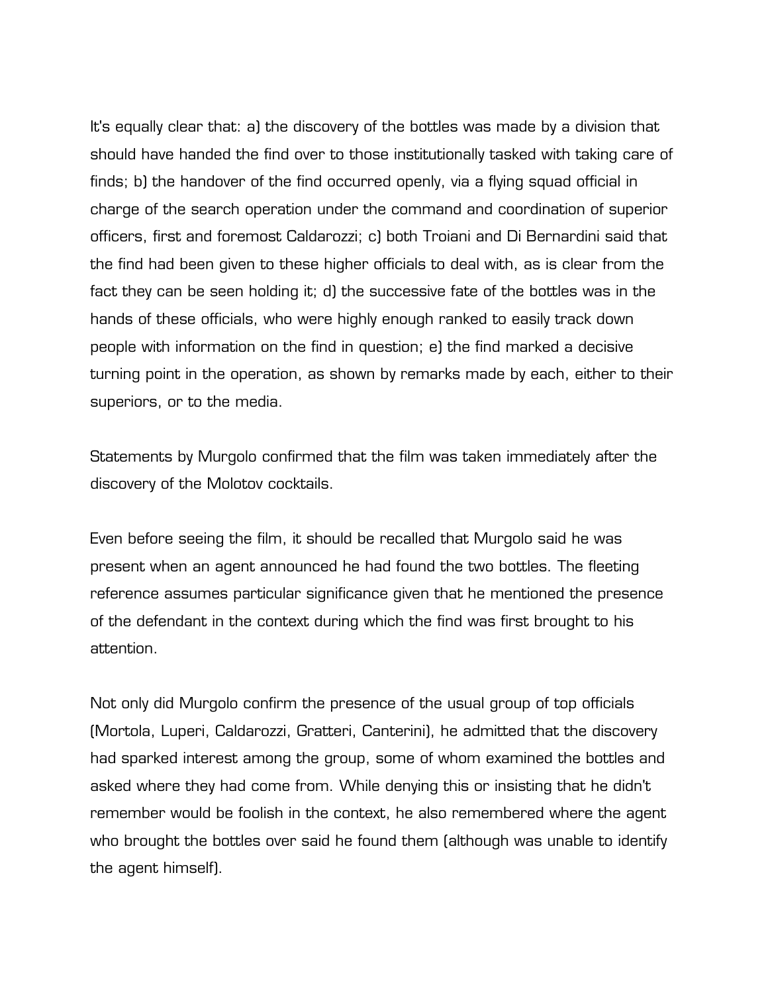It's equally clear that: a) the discovery of the bottles was made by a division that should have handed the find over to those institutionally tasked with taking care of finds; b) the handover of the find occurred openly, via a flying squad official in charge of the search operation under the command and coordination of superior officers, first and foremost Caldarozzi; c) both Troiani and Di Bernardini said that the find had been given to these higher officials to deal with, as is clear from the fact they can be seen holding it; d) the successive fate of the bottles was in the hands of these officials, who were highly enough ranked to easily track down people with information on the find in question; e) the find marked a decisive turning point in the operation, as shown by remarks made by each, either to their superiors, or to the media.

Statements by Murgolo confirmed that the film was taken immediately after the discovery of the Molotov cocktails.

Even before seeing the film, it should be recalled that Murgolo said he was present when an agent announced he had found the two bottles. The fleeting reference assumes particular significance given that he mentioned the presence of the defendant in the context during which the find was first brought to his attention.

Not only did Murgolo confirm the presence of the usual group of top officials (Mortola, Luperi, Caldarozzi, Gratteri, Canterini), he admitted that the discovery had sparked interest among the group, some of whom examined the bottles and asked where they had come from. While denying this or insisting that he didn't remember would be foolish in the context, he also remembered where the agent who brought the bottles over said he found them (although was unable to identify the agent himself).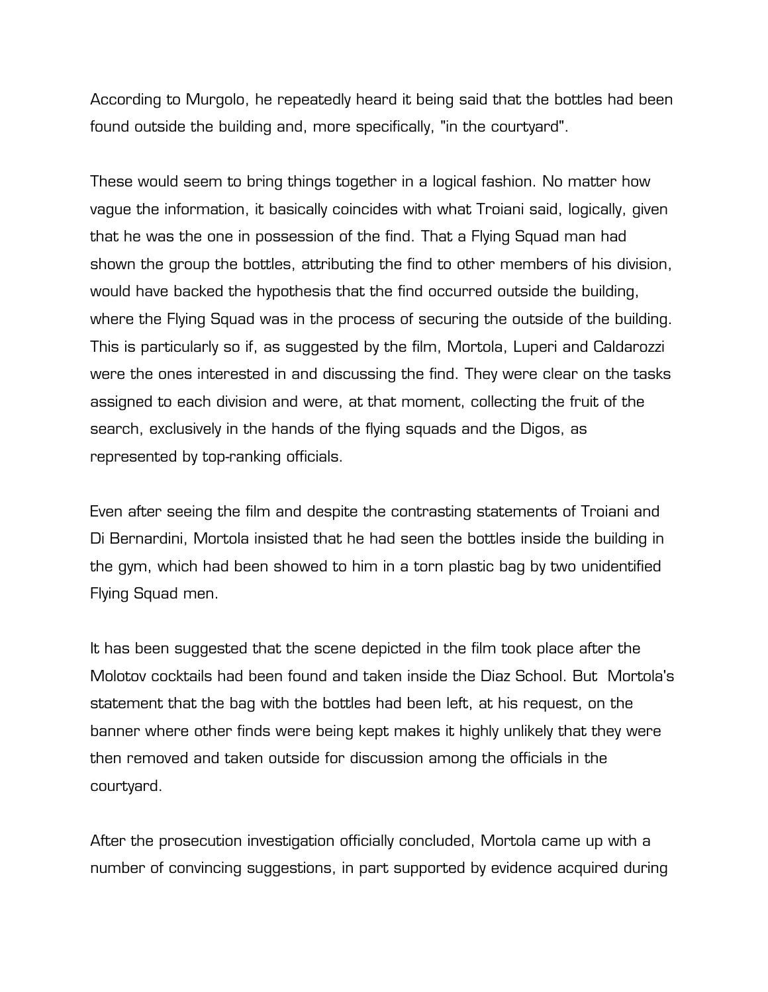According to Murgolo, he repeatedly heard it being said that the bottles had been found outside the building and, more specifically, "in the courtyard".

These would seem to bring things together in a logical fashion. No matter how vague the information, it basically coincides with what Troiani said, logically, given that he was the one in possession of the find. That a Flying Squad man had shown the group the bottles, attributing the find to other members of his division, would have backed the hypothesis that the find occurred outside the building, where the Flying Squad was in the process of securing the outside of the building. This is particularly so if, as suggested by the film, Mortola, Luperi and Caldarozzi were the ones interested in and discussing the find. They were clear on the tasks assigned to each division and were, at that moment, collecting the fruit of the search, exclusively in the hands of the flying squads and the Digos, as represented by top-ranking officials.

Even after seeing the film and despite the contrasting statements of Troiani and Di Bernardini, Mortola insisted that he had seen the bottles inside the building in the gym, which had been showed to him in a torn plastic bag by two unidentified Flying Squad men.

It has been suggested that the scene depicted in the film took place after the Molotov cocktails had been found and taken inside the Diaz School. But Mortola's statement that the bag with the bottles had been left, at his request, on the banner where other finds were being kept makes it highly unlikely that they were then removed and taken outside for discussion among the officials in the courtyard.

After the prosecution investigation officially concluded, Mortola came up with a number of convincing suggestions, in part supported by evidence acquired during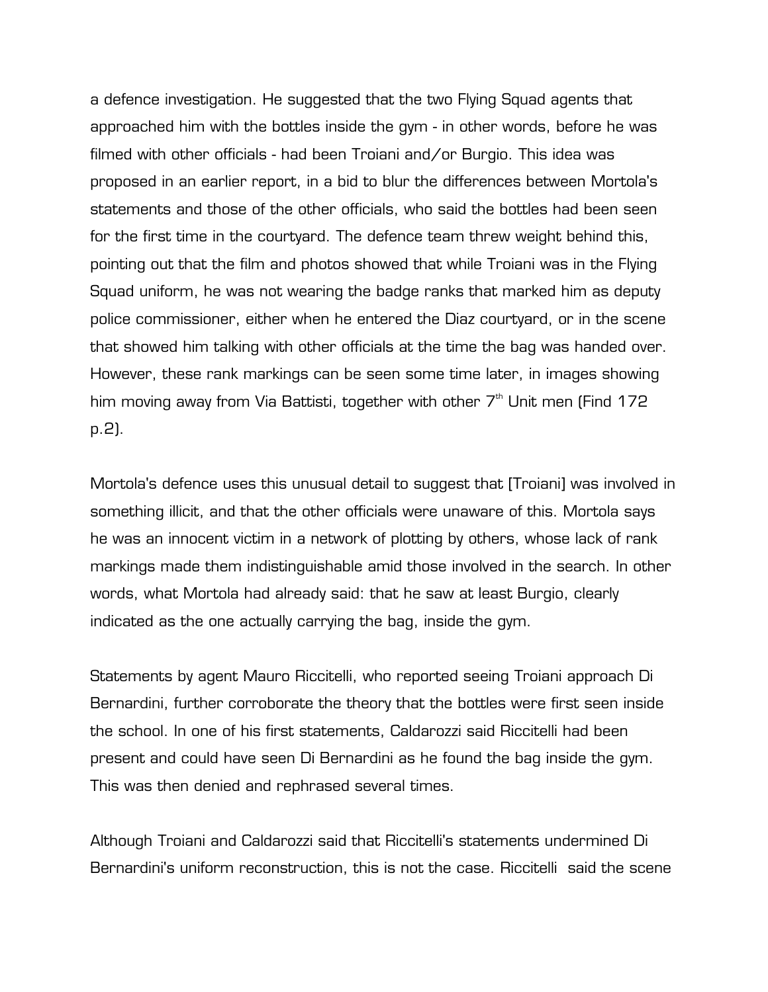a defence investigation. He suggested that the two Flying Squad agents that approached him with the bottles inside the gym - in other words, before he was filmed with other officials - had been Troiani and/or Burgio. This idea was proposed in an earlier report, in a bid to blur the differences between Mortola's statements and those of the other officials, who said the bottles had been seen for the first time in the courtyard. The defence team threw weight behind this, pointing out that the film and photos showed that while Troiani was in the Flying Squad uniform, he was not wearing the badge ranks that marked him as deputy police commissioner, either when he entered the Diaz courtyard, or in the scene that showed him talking with other officials at the time the bag was handed over. However, these rank markings can be seen some time later, in images showing him moving away from Via Battisti, together with other  $7<sup>th</sup>$  Unit men (Find 172 p.2).

Mortola's defence uses this unusual detail to suggest that [Troiani] was involved in something illicit, and that the other officials were unaware of this. Mortola says he was an innocent victim in a network of plotting by others, whose lack of rank markings made them indistinguishable amid those involved in the search. In other words, what Mortola had already said: that he saw at least Burgio, clearly indicated as the one actually carrying the bag, inside the gym.

Statements by agent Mauro Riccitelli, who reported seeing Troiani approach Di Bernardini, further corroborate the theory that the bottles were first seen inside the school. In one of his first statements, Caldarozzi said Riccitelli had been present and could have seen Di Bernardini as he found the bag inside the gym. This was then denied and rephrased several times.

Although Troiani and Caldarozzi said that Riccitelli's statements undermined Di Bernardini's uniform reconstruction, this is not the case. Riccitelli said the scene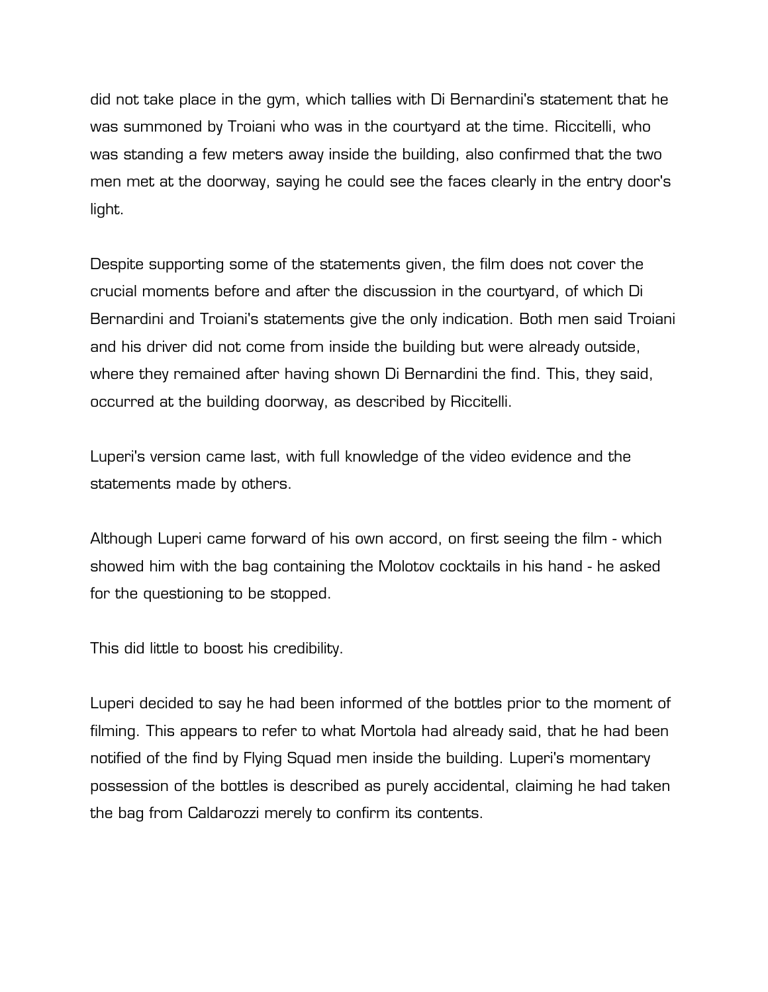did not take place in the gym, which tallies with Di Bernardini's statement that he was summoned by Troiani who was in the courtyard at the time. Riccitelli, who was standing a few meters away inside the building, also confirmed that the two men met at the doorway, saying he could see the faces clearly in the entry door's light.

Despite supporting some of the statements given, the film does not cover the crucial moments before and after the discussion in the courtyard, of which Di Bernardini and Troiani's statements give the only indication. Both men said Troiani and his driver did not come from inside the building but were already outside, where they remained after having shown Di Bernardini the find. This, they said, occurred at the building doorway, as described by Riccitelli.

Luperi's version came last, with full knowledge of the video evidence and the statements made by others.

Although Luperi came forward of his own accord, on first seeing the film - which showed him with the bag containing the Molotov cocktails in his hand - he asked for the questioning to be stopped.

This did little to boost his credibility.

Luperi decided to say he had been informed of the bottles prior to the moment of filming. This appears to refer to what Mortola had already said, that he had been notified of the find by Flying Squad men inside the building. Luperi's momentary possession of the bottles is described as purely accidental, claiming he had taken the bag from Caldarozzi merely to confirm its contents.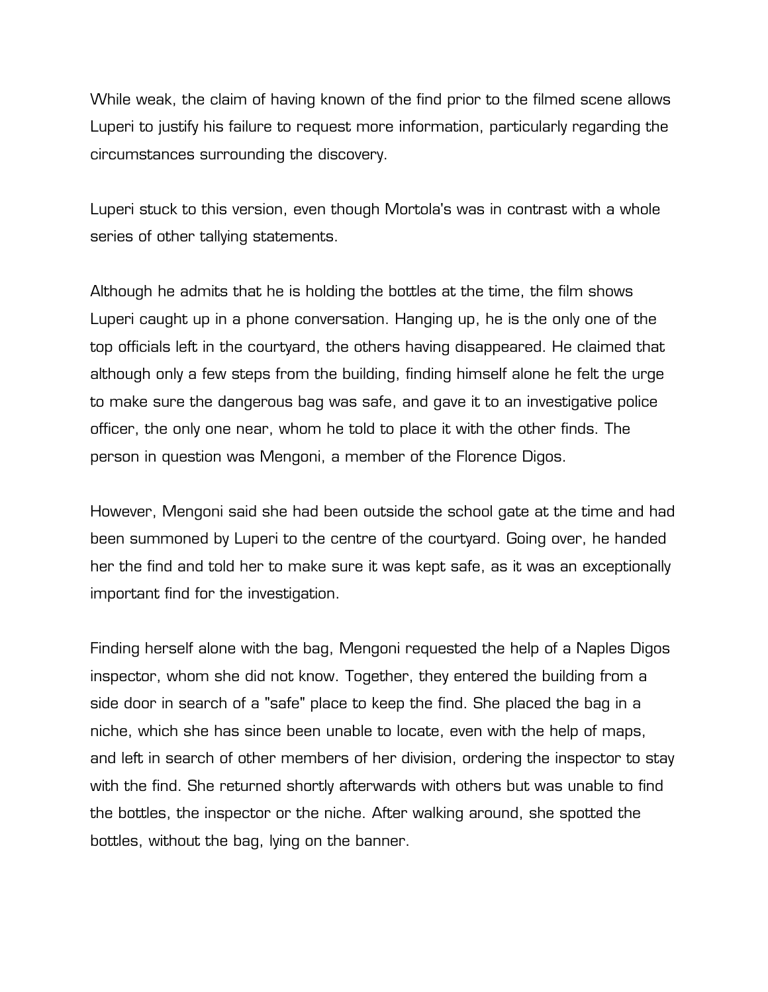While weak, the claim of having known of the find prior to the filmed scene allows Luperi to justify his failure to request more information, particularly regarding the circumstances surrounding the discovery.

Luperi stuck to this version, even though Mortola's was in contrast with a whole series of other tallying statements.

Although he admits that he is holding the bottles at the time, the film shows Luperi caught up in a phone conversation. Hanging up, he is the only one of the top officials left in the courtyard, the others having disappeared. He claimed that although only a few steps from the building, finding himself alone he felt the urge to make sure the dangerous bag was safe, and gave it to an investigative police officer, the only one near, whom he told to place it with the other finds. The person in question was Mengoni, a member of the Florence Digos.

However, Mengoni said she had been outside the school gate at the time and had been summoned by Luperi to the centre of the courtyard. Going over, he handed her the find and told her to make sure it was kept safe, as it was an exceptionally important find for the investigation.

Finding herself alone with the bag, Mengoni requested the help of a Naples Digos inspector, whom she did not know. Together, they entered the building from a side door in search of a "safe" place to keep the find. She placed the bag in a niche, which she has since been unable to locate, even with the help of maps, and left in search of other members of her division, ordering the inspector to stay with the find. She returned shortly afterwards with others but was unable to find the bottles, the inspector or the niche. After walking around, she spotted the bottles, without the bag, lying on the banner.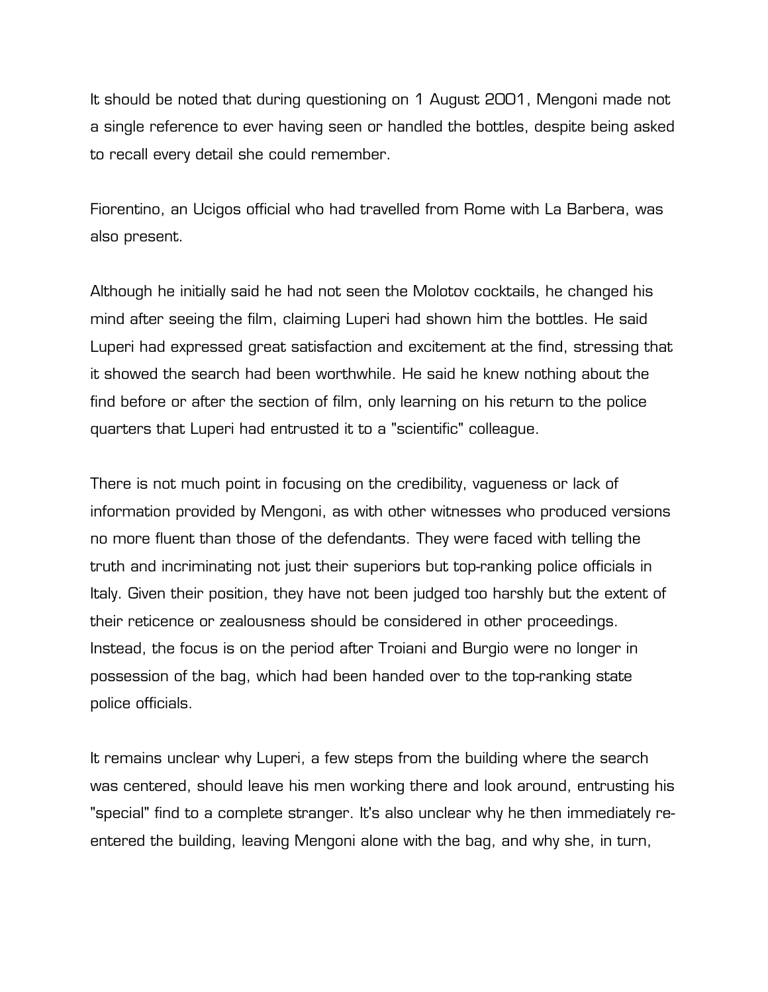It should be noted that during questioning on 1 August 2001, Mengoni made not a single reference to ever having seen or handled the bottles, despite being asked to recall every detail she could remember.

Fiorentino, an Ucigos official who had travelled from Rome with La Barbera, was also present.

Although he initially said he had not seen the Molotov cocktails, he changed his mind after seeing the film, claiming Luperi had shown him the bottles. He said Luperi had expressed great satisfaction and excitement at the find, stressing that it showed the search had been worthwhile. He said he knew nothing about the find before or after the section of film, only learning on his return to the police quarters that Luperi had entrusted it to a "scientific" colleague.

There is not much point in focusing on the credibility, vagueness or lack of information provided by Mengoni, as with other witnesses who produced versions no more fluent than those of the defendants. They were faced with telling the truth and incriminating not just their superiors but top-ranking police officials in Italy. Given their position, they have not been judged too harshly but the extent of their reticence or zealousness should be considered in other proceedings. Instead, the focus is on the period after Troiani and Burgio were no longer in possession of the bag, which had been handed over to the top-ranking state police officials.

It remains unclear why Luperi, a few steps from the building where the search was centered, should leave his men working there and look around, entrusting his "special" find to a complete stranger. It's also unclear why he then immediately reentered the building, leaving Mengoni alone with the bag, and why she, in turn,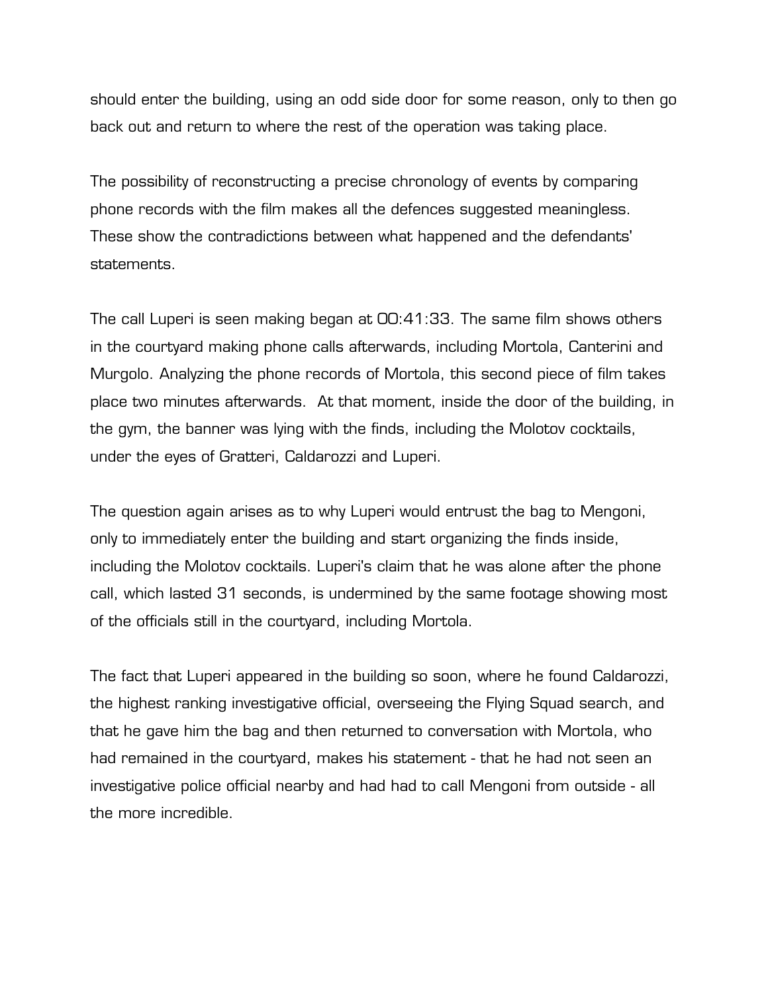should enter the building, using an odd side door for some reason, only to then go back out and return to where the rest of the operation was taking place.

The possibility of reconstructing a precise chronology of events by comparing phone records with the film makes all the defences suggested meaningless. These show the contradictions between what happened and the defendants' statements.

The call Luperi is seen making began at 00:41:33. The same film shows others in the courtyard making phone calls afterwards, including Mortola, Canterini and Murgolo. Analyzing the phone records of Mortola, this second piece of film takes place two minutes afterwards. At that moment, inside the door of the building, in the gym, the banner was lying with the finds, including the Molotov cocktails, under the eyes of Gratteri, Caldarozzi and Luperi.

The question again arises as to why Luperi would entrust the bag to Mengoni, only to immediately enter the building and start organizing the finds inside, including the Molotov cocktails. Luperi's claim that he was alone after the phone call, which lasted 31 seconds, is undermined by the same footage showing most of the officials still in the courtyard, including Mortola.

The fact that Luperi appeared in the building so soon, where he found Caldarozzi, the highest ranking investigative official, overseeing the Flying Squad search, and that he gave him the bag and then returned to conversation with Mortola, who had remained in the courtyard, makes his statement - that he had not seen an investigative police official nearby and had had to call Mengoni from outside - all the more incredible.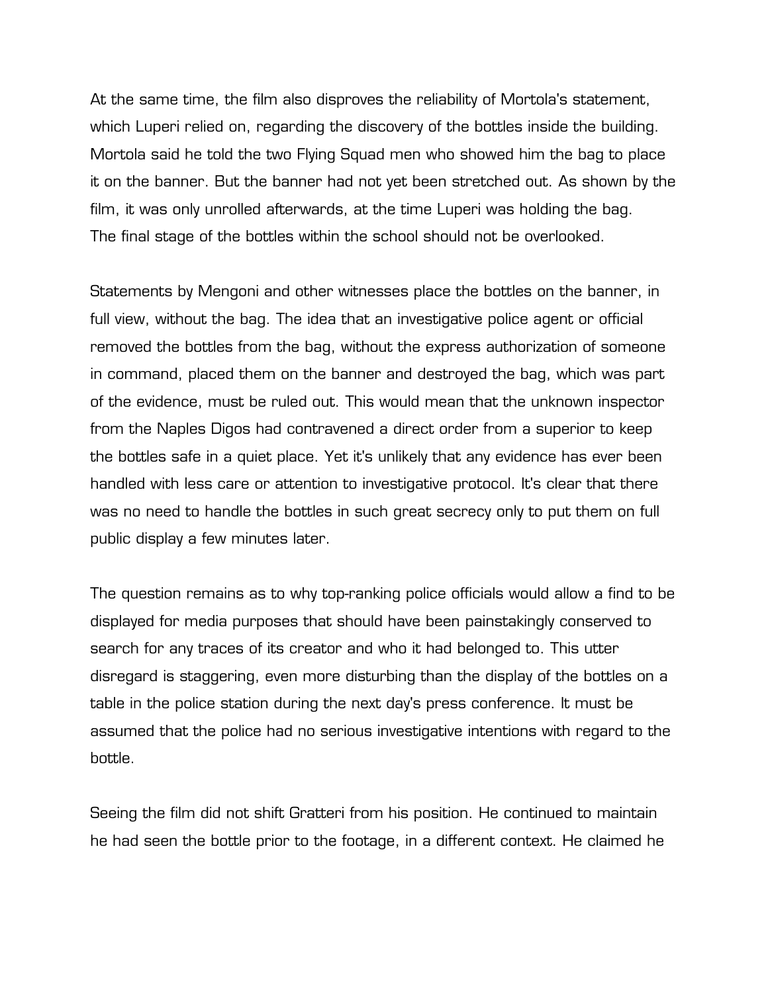At the same time, the film also disproves the reliability of Mortola's statement, which Luperi relied on, regarding the discovery of the bottles inside the building. Mortola said he told the two Flying Squad men who showed him the bag to place it on the banner. But the banner had not yet been stretched out. As shown by the film, it was only unrolled afterwards, at the time Luperi was holding the bag. The final stage of the bottles within the school should not be overlooked.

Statements by Mengoni and other witnesses place the bottles on the banner, in full view, without the bag. The idea that an investigative police agent or official removed the bottles from the bag, without the express authorization of someone in command, placed them on the banner and destroyed the bag, which was part of the evidence, must be ruled out. This would mean that the unknown inspector from the Naples Digos had contravened a direct order from a superior to keep the bottles safe in a quiet place. Yet it's unlikely that any evidence has ever been handled with less care or attention to investigative protocol. It's clear that there was no need to handle the bottles in such great secrecy only to put them on full public display a few minutes later.

The question remains as to why top-ranking police officials would allow a find to be displayed for media purposes that should have been painstakingly conserved to search for any traces of its creator and who it had belonged to. This utter disregard is staggering, even more disturbing than the display of the bottles on a table in the police station during the next day's press conference. It must be assumed that the police had no serious investigative intentions with regard to the bottle.

Seeing the film did not shift Gratteri from his position. He continued to maintain he had seen the bottle prior to the footage, in a different context. He claimed he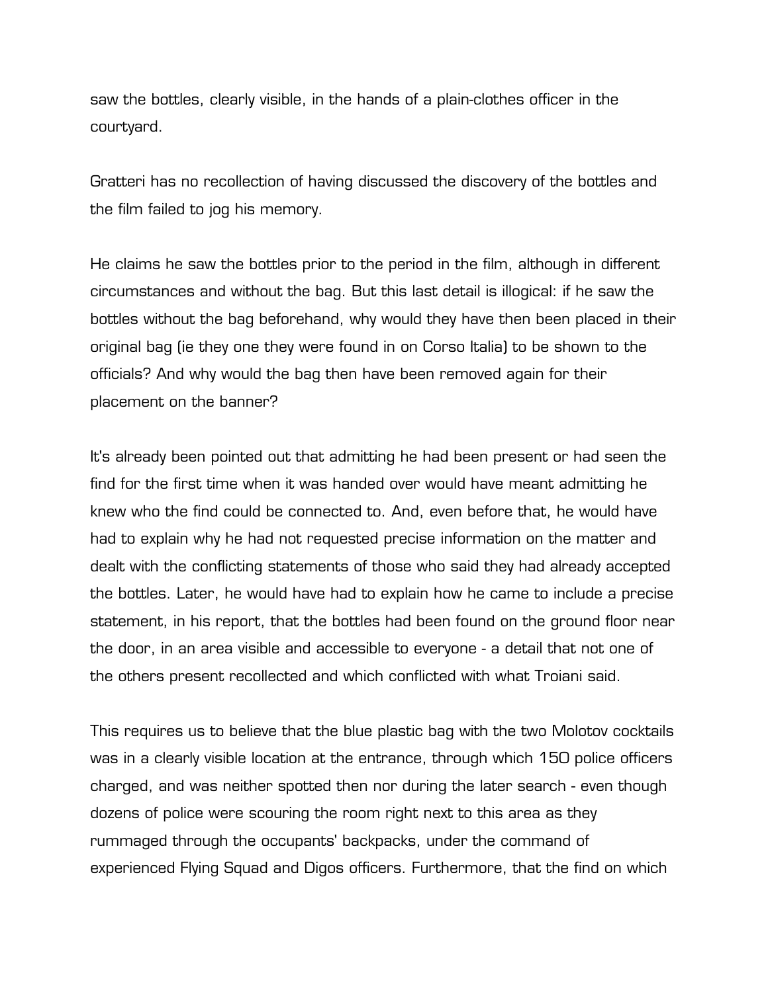saw the bottles, clearly visible, in the hands of a plain-clothes officer in the courtyard.

Gratteri has no recollection of having discussed the discovery of the bottles and the film failed to jog his memory.

He claims he saw the bottles prior to the period in the film, although in different circumstances and without the bag. But this last detail is illogical: if he saw the bottles without the bag beforehand, why would they have then been placed in their original bag (ie they one they were found in on Corso Italia) to be shown to the officials? And why would the bag then have been removed again for their placement on the banner?

It's already been pointed out that admitting he had been present or had seen the find for the first time when it was handed over would have meant admitting he knew who the find could be connected to. And, even before that, he would have had to explain why he had not requested precise information on the matter and dealt with the conflicting statements of those who said they had already accepted the bottles. Later, he would have had to explain how he came to include a precise statement, in his report, that the bottles had been found on the ground floor near the door, in an area visible and accessible to everyone - a detail that not one of the others present recollected and which conflicted with what Troiani said.

This requires us to believe that the blue plastic bag with the two Molotov cocktails was in a clearly visible location at the entrance, through which 150 police officers charged, and was neither spotted then nor during the later search - even though dozens of police were scouring the room right next to this area as they rummaged through the occupants' backpacks, under the command of experienced Flying Squad and Digos officers. Furthermore, that the find on which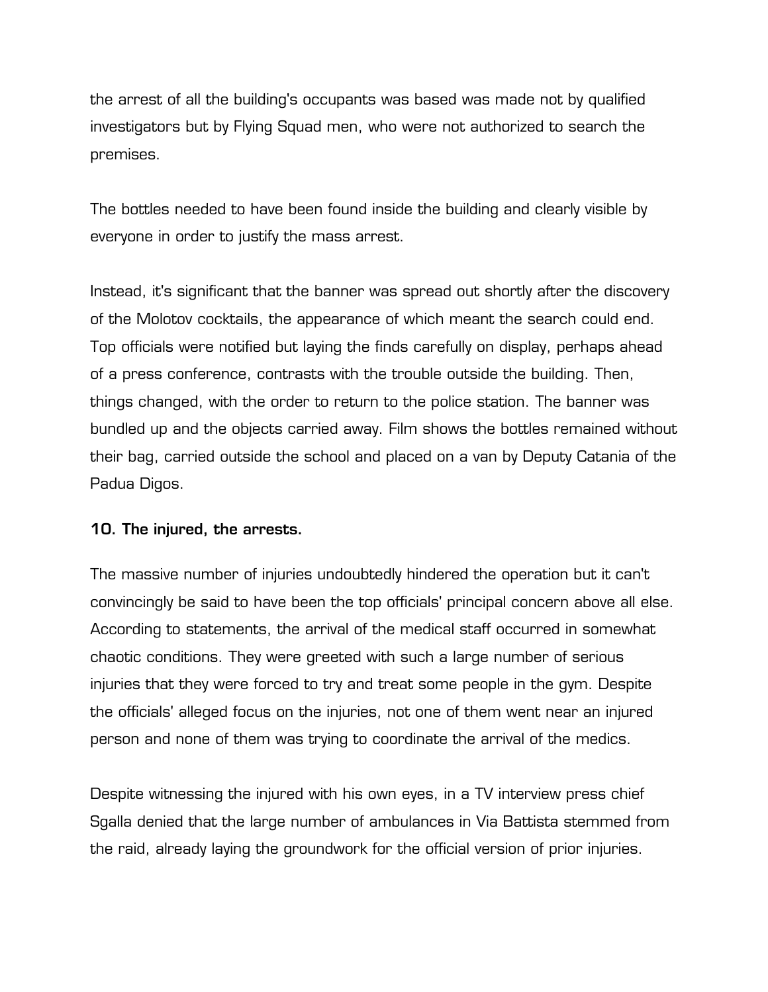the arrest of all the building's occupants was based was made not by qualified investigators but by Flying Squad men, who were not authorized to search the premises.

The bottles needed to have been found inside the building and clearly visible by everyone in order to justify the mass arrest.

Instead, it's significant that the banner was spread out shortly after the discovery of the Molotov cocktails, the appearance of which meant the search could end. Top officials were notified but laying the finds carefully on display, perhaps ahead of a press conference, contrasts with the trouble outside the building. Then, things changed, with the order to return to the police station. The banner was bundled up and the objects carried away. Film shows the bottles remained without their bag, carried outside the school and placed on a van by Deputy Catania of the Padua Digos.

## **10. The injured, the arrests.**

The massive number of injuries undoubtedly hindered the operation but it can't convincingly be said to have been the top officials' principal concern above all else. According to statements, the arrival of the medical staff occurred in somewhat chaotic conditions. They were greeted with such a large number of serious injuries that they were forced to try and treat some people in the gym. Despite the officials' alleged focus on the injuries, not one of them went near an injured person and none of them was trying to coordinate the arrival of the medics.

Despite witnessing the injured with his own eyes, in a TV interview press chief Sgalla denied that the large number of ambulances in Via Battista stemmed from the raid, already laying the groundwork for the official version of prior injuries.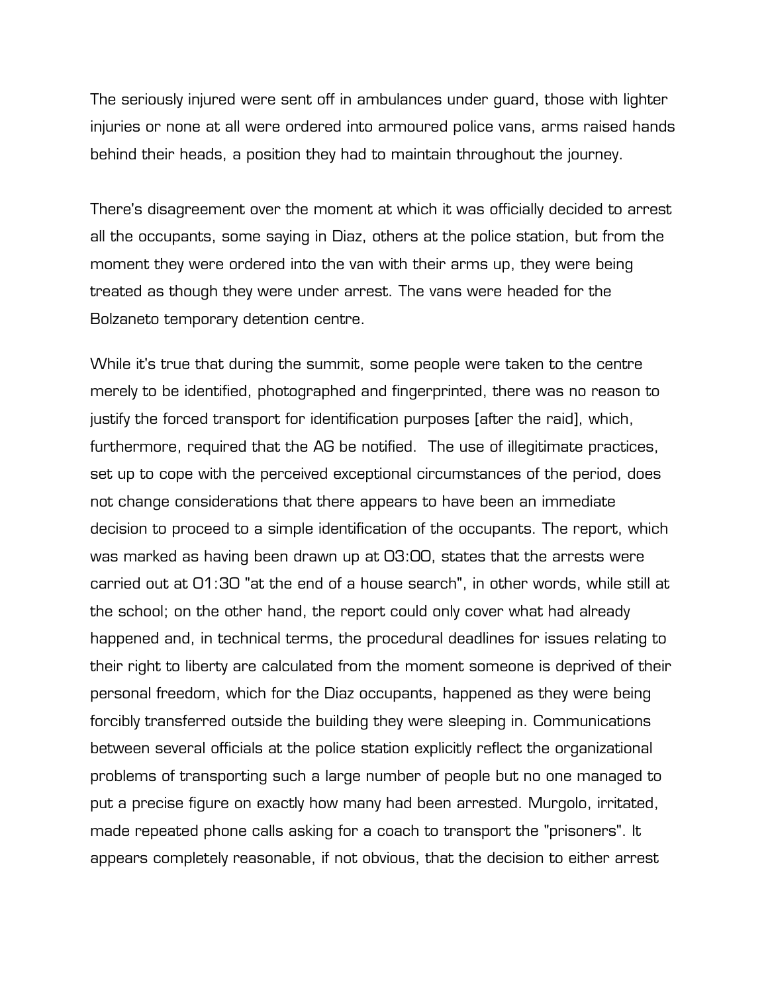The seriously injured were sent off in ambulances under guard, those with lighter injuries or none at all were ordered into armoured police vans, arms raised hands behind their heads, a position they had to maintain throughout the journey.

There's disagreement over the moment at which it was officially decided to arrest all the occupants, some saying in Diaz, others at the police station, but from the moment they were ordered into the van with their arms up, they were being treated as though they were under arrest. The vans were headed for the Bolzaneto temporary detention centre.

While it's true that during the summit, some people were taken to the centre merely to be identified, photographed and fingerprinted, there was no reason to justify the forced transport for identification purposes [after the raid], which, furthermore, required that the AG be notified. The use of illegitimate practices, set up to cope with the perceived exceptional circumstances of the period, does not change considerations that there appears to have been an immediate decision to proceed to a simple identification of the occupants. The report, which was marked as having been drawn up at 03:00, states that the arrests were carried out at 01:30 "at the end of a house search", in other words, while still at the school; on the other hand, the report could only cover what had already happened and, in technical terms, the procedural deadlines for issues relating to their right to liberty are calculated from the moment someone is deprived of their personal freedom, which for the Diaz occupants, happened as they were being forcibly transferred outside the building they were sleeping in. Communications between several officials at the police station explicitly reflect the organizational problems of transporting such a large number of people but no one managed to put a precise figure on exactly how many had been arrested. Murgolo, irritated, made repeated phone calls asking for a coach to transport the "prisoners". It appears completely reasonable, if not obvious, that the decision to either arrest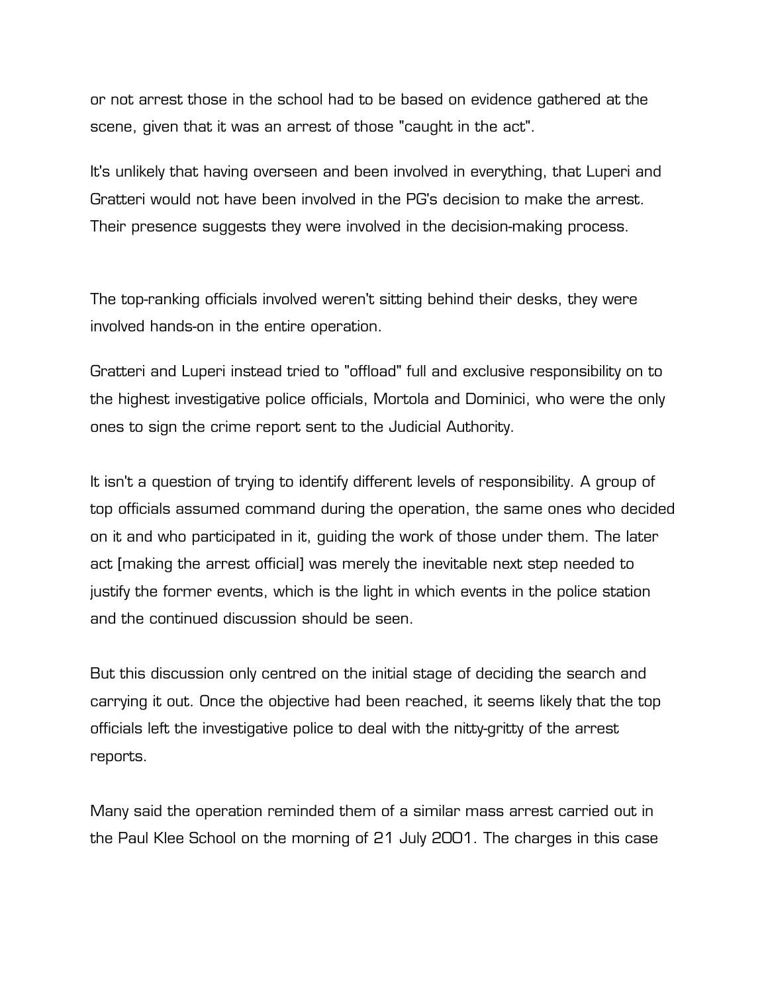or not arrest those in the school had to be based on evidence gathered at the scene, given that it was an arrest of those "caught in the act".

It's unlikely that having overseen and been involved in everything, that Luperi and Gratteri would not have been involved in the PG's decision to make the arrest. Their presence suggests they were involved in the decision-making process.

The top-ranking officials involved weren't sitting behind their desks, they were involved hands-on in the entire operation.

Gratteri and Luperi instead tried to "offload" full and exclusive responsibility on to the highest investigative police officials, Mortola and Dominici, who were the only ones to sign the crime report sent to the Judicial Authority.

It isn't a question of trying to identify different levels of responsibility. A group of top officials assumed command during the operation, the same ones who decided on it and who participated in it, guiding the work of those under them. The later act [making the arrest official] was merely the inevitable next step needed to justify the former events, which is the light in which events in the police station and the continued discussion should be seen.

But this discussion only centred on the initial stage of deciding the search and carrying it out. Once the objective had been reached, it seems likely that the top officials left the investigative police to deal with the nitty-gritty of the arrest reports.

Many said the operation reminded them of a similar mass arrest carried out in the Paul Klee School on the morning of 21 July 2001. The charges in this case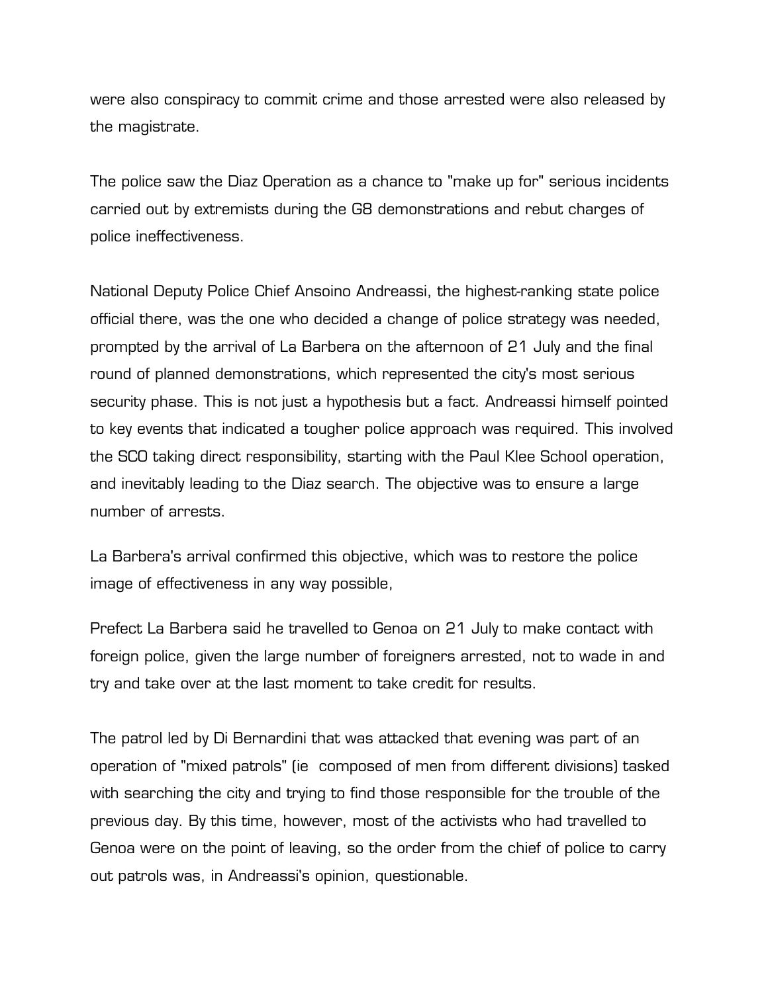were also conspiracy to commit crime and those arrested were also released by the magistrate.

The police saw the Diaz Operation as a chance to "make up for" serious incidents carried out by extremists during the G8 demonstrations and rebut charges of police ineffectiveness.

National Deputy Police Chief Ansoino Andreassi, the highest-ranking state police official there, was the one who decided a change of police strategy was needed, prompted by the arrival of La Barbera on the afternoon of 21 July and the final round of planned demonstrations, which represented the city's most serious security phase. This is not just a hypothesis but a fact. Andreassi himself pointed to key events that indicated a tougher police approach was required. This involved the SCO taking direct responsibility, starting with the Paul Klee School operation, and inevitably leading to the Diaz search. The objective was to ensure a large number of arrests.

La Barbera's arrival confirmed this objective, which was to restore the police image of effectiveness in any way possible,

Prefect La Barbera said he travelled to Genoa on 21 July to make contact with foreign police, given the large number of foreigners arrested, not to wade in and try and take over at the last moment to take credit for results.

The patrol led by Di Bernardini that was attacked that evening was part of an operation of "mixed patrols" (ie composed of men from different divisions) tasked with searching the city and trying to find those responsible for the trouble of the previous day. By this time, however, most of the activists who had travelled to Genoa were on the point of leaving, so the order from the chief of police to carry out patrols was, in Andreassi's opinion, questionable.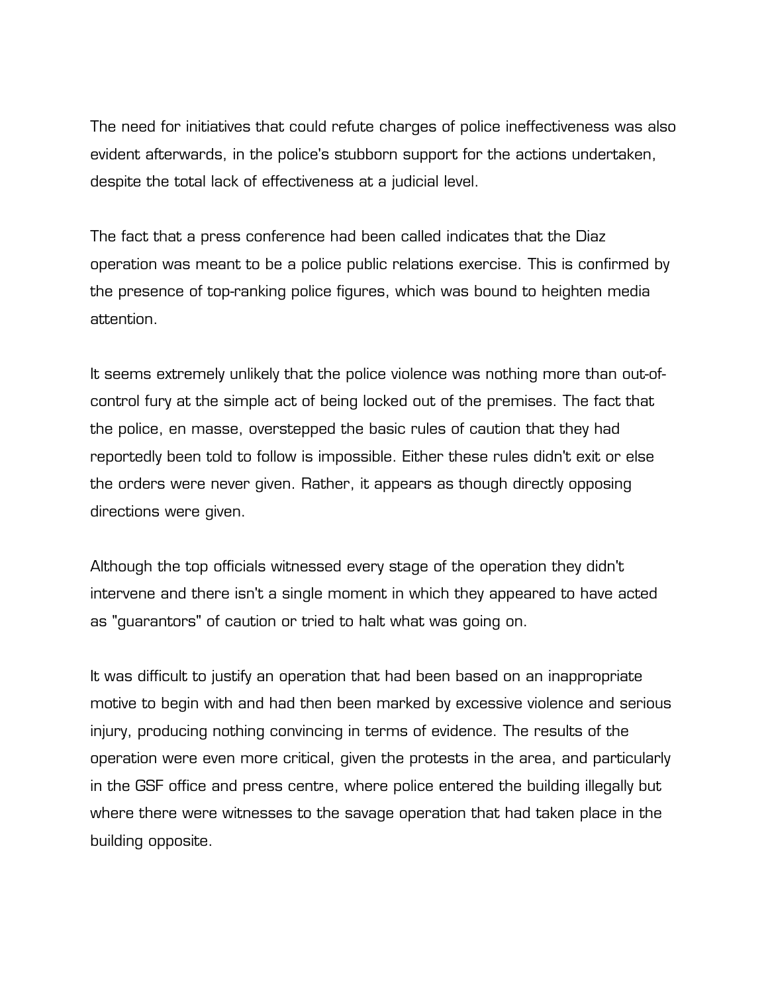The need for initiatives that could refute charges of police ineffectiveness was also evident afterwards, in the police's stubborn support for the actions undertaken, despite the total lack of effectiveness at a judicial level.

The fact that a press conference had been called indicates that the Diaz operation was meant to be a police public relations exercise. This is confirmed by the presence of top-ranking police figures, which was bound to heighten media attention.

It seems extremely unlikely that the police violence was nothing more than out-ofcontrol fury at the simple act of being locked out of the premises. The fact that the police, en masse, overstepped the basic rules of caution that they had reportedly been told to follow is impossible. Either these rules didn't exit or else the orders were never given. Rather, it appears as though directly opposing directions were given.

Although the top officials witnessed every stage of the operation they didn't intervene and there isn't a single moment in which they appeared to have acted as "guarantors" of caution or tried to halt what was going on.

It was difficult to justify an operation that had been based on an inappropriate motive to begin with and had then been marked by excessive violence and serious injury, producing nothing convincing in terms of evidence. The results of the operation were even more critical, given the protests in the area, and particularly in the GSF office and press centre, where police entered the building illegally but where there were witnesses to the savage operation that had taken place in the building opposite.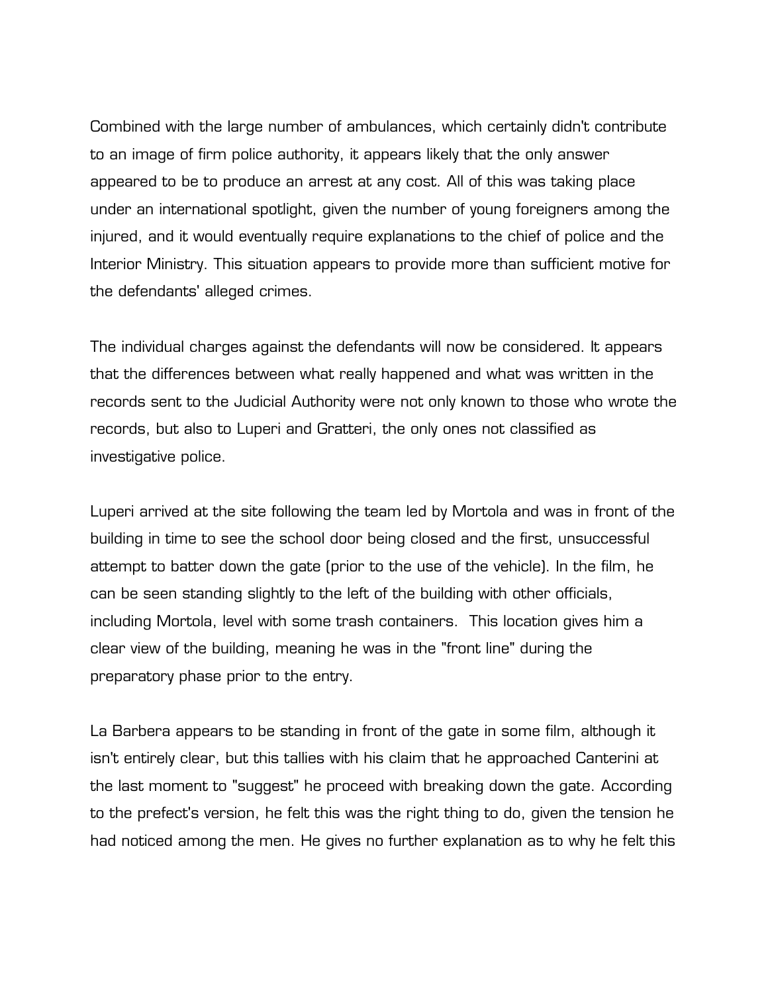Combined with the large number of ambulances, which certainly didn't contribute to an image of firm police authority, it appears likely that the only answer appeared to be to produce an arrest at any cost. All of this was taking place under an international spotlight, given the number of young foreigners among the injured, and it would eventually require explanations to the chief of police and the Interior Ministry. This situation appears to provide more than sufficient motive for the defendants' alleged crimes.

The individual charges against the defendants will now be considered. It appears that the differences between what really happened and what was written in the records sent to the Judicial Authority were not only known to those who wrote the records, but also to Luperi and Gratteri, the only ones not classified as investigative police.

Luperi arrived at the site following the team led by Mortola and was in front of the building in time to see the school door being closed and the first, unsuccessful attempt to batter down the gate (prior to the use of the vehicle). In the film, he can be seen standing slightly to the left of the building with other officials, including Mortola, level with some trash containers. This location gives him a clear view of the building, meaning he was in the "front line" during the preparatory phase prior to the entry.

La Barbera appears to be standing in front of the gate in some film, although it isn't entirely clear, but this tallies with his claim that he approached Canterini at the last moment to "suggest" he proceed with breaking down the gate. According to the prefect's version, he felt this was the right thing to do, given the tension he had noticed among the men. He gives no further explanation as to why he felt this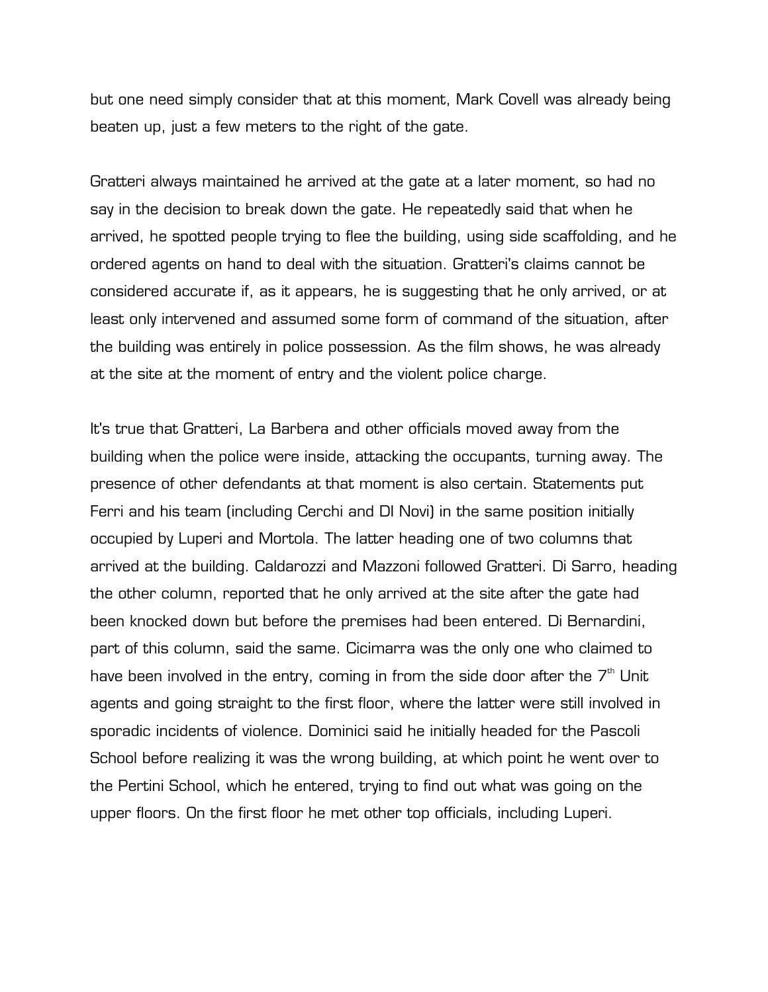but one need simply consider that at this moment, Mark Covell was already being beaten up, just a few meters to the right of the gate.

Gratteri always maintained he arrived at the gate at a later moment, so had no say in the decision to break down the gate. He repeatedly said that when he arrived, he spotted people trying to flee the building, using side scaffolding, and he ordered agents on hand to deal with the situation. Gratteri's claims cannot be considered accurate if, as it appears, he is suggesting that he only arrived, or at least only intervened and assumed some form of command of the situation, after the building was entirely in police possession. As the film shows, he was already at the site at the moment of entry and the violent police charge.

It's true that Gratteri, La Barbera and other officials moved away from the building when the police were inside, attacking the occupants, turning away. The presence of other defendants at that moment is also certain. Statements put Ferri and his team (including Cerchi and DI Novi) in the same position initially occupied by Luperi and Mortola. The latter heading one of two columns that arrived at the building. Caldarozzi and Mazzoni followed Gratteri. Di Sarro, heading the other column, reported that he only arrived at the site after the gate had been knocked down but before the premises had been entered. Di Bernardini, part of this column, said the same. Cicimarra was the only one who claimed to have been involved in the entry, coming in from the side door after the  $7<sup>th</sup>$  Unit agents and going straight to the first floor, where the latter were still involved in sporadic incidents of violence. Dominici said he initially headed for the Pascoli School before realizing it was the wrong building, at which point he went over to the Pertini School, which he entered, trying to find out what was going on the upper floors. On the first floor he met other top officials, including Luperi.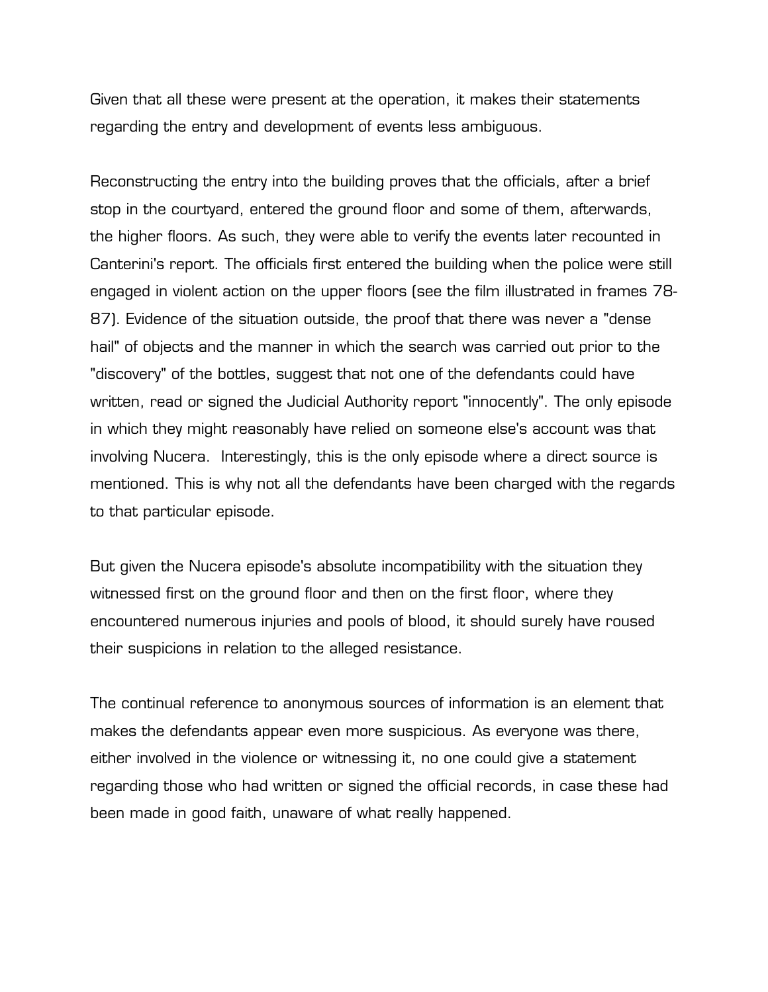Given that all these were present at the operation, it makes their statements regarding the entry and development of events less ambiguous.

Reconstructing the entry into the building proves that the officials, after a brief stop in the courtyard, entered the ground floor and some of them, afterwards, the higher floors. As such, they were able to verify the events later recounted in Canterini's report. The officials first entered the building when the police were still engaged in violent action on the upper floors (see the film illustrated in frames 78- 87). Evidence of the situation outside, the proof that there was never a "dense hail" of objects and the manner in which the search was carried out prior to the "discovery" of the bottles, suggest that not one of the defendants could have written, read or signed the Judicial Authority report "innocently". The only episode in which they might reasonably have relied on someone else's account was that involving Nucera. Interestingly, this is the only episode where a direct source is mentioned. This is why not all the defendants have been charged with the regards to that particular episode.

But given the Nucera episode's absolute incompatibility with the situation they witnessed first on the ground floor and then on the first floor, where they encountered numerous injuries and pools of blood, it should surely have roused their suspicions in relation to the alleged resistance.

The continual reference to anonymous sources of information is an element that makes the defendants appear even more suspicious. As everyone was there, either involved in the violence or witnessing it, no one could give a statement regarding those who had written or signed the official records, in case these had been made in good faith, unaware of what really happened.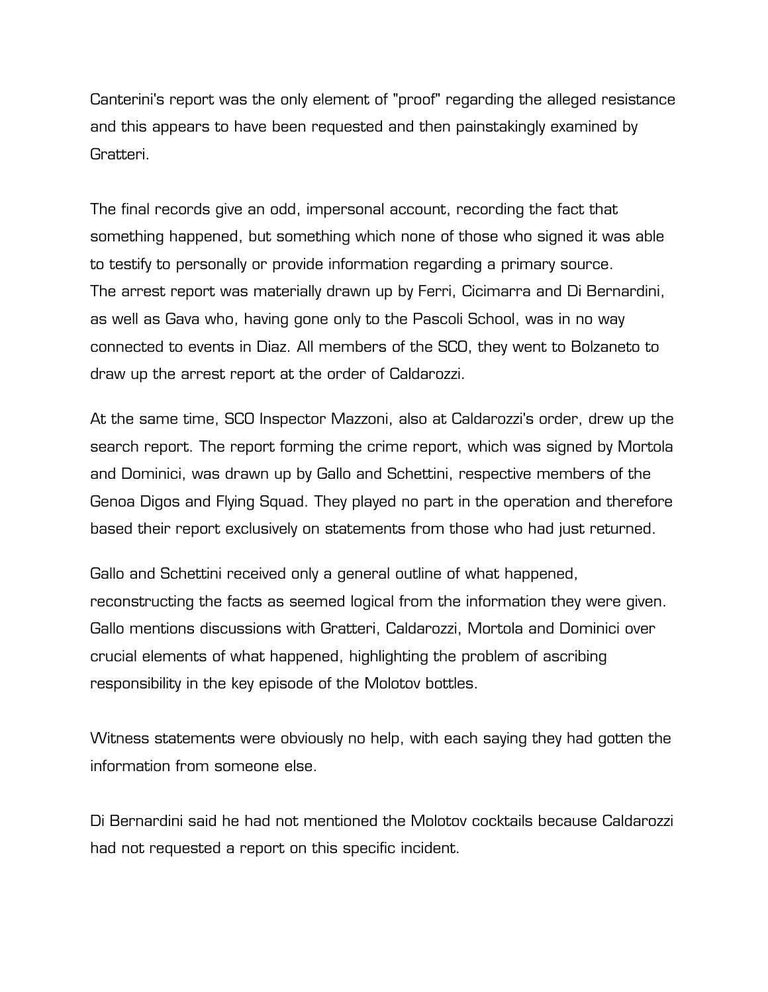Canterini's report was the only element of "proof" regarding the alleged resistance and this appears to have been requested and then painstakingly examined by Gratteri.

The final records give an odd, impersonal account, recording the fact that something happened, but something which none of those who signed it was able to testify to personally or provide information regarding a primary source. The arrest report was materially drawn up by Ferri, Cicimarra and Di Bernardini, as well as Gava who, having gone only to the Pascoli School, was in no way connected to events in Diaz. All members of the SCO, they went to Bolzaneto to draw up the arrest report at the order of Caldarozzi.

At the same time, SCO Inspector Mazzoni, also at Caldarozzi's order, drew up the search report. The report forming the crime report, which was signed by Mortola and Dominici, was drawn up by Gallo and Schettini, respective members of the Genoa Digos and Flying Squad. They played no part in the operation and therefore based their report exclusively on statements from those who had just returned.

Gallo and Schettini received only a general outline of what happened, reconstructing the facts as seemed logical from the information they were given. Gallo mentions discussions with Gratteri, Caldarozzi, Mortola and Dominici over crucial elements of what happened, highlighting the problem of ascribing responsibility in the key episode of the Molotov bottles.

Witness statements were obviously no help, with each saying they had gotten the information from someone else.

Di Bernardini said he had not mentioned the Molotov cocktails because Caldarozzi had not requested a report on this specific incident.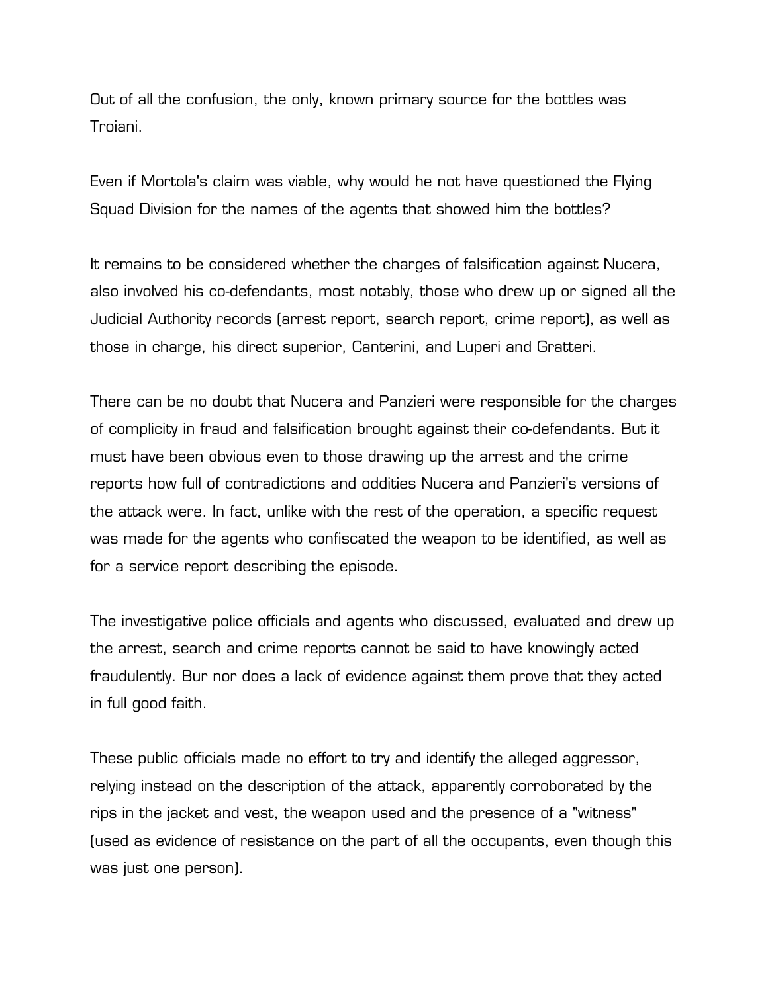Out of all the confusion, the only, known primary source for the bottles was Troiani.

Even if Mortola's claim was viable, why would he not have questioned the Flying Squad Division for the names of the agents that showed him the bottles?

It remains to be considered whether the charges of falsification against Nucera, also involved his co-defendants, most notably, those who drew up or signed all the Judicial Authority records (arrest report, search report, crime report), as well as those in charge, his direct superior, Canterini, and Luperi and Gratteri.

There can be no doubt that Nucera and Panzieri were responsible for the charges of complicity in fraud and falsification brought against their co-defendants. But it must have been obvious even to those drawing up the arrest and the crime reports how full of contradictions and oddities Nucera and Panzieri's versions of the attack were. In fact, unlike with the rest of the operation, a specific request was made for the agents who confiscated the weapon to be identified, as well as for a service report describing the episode.

The investigative police officials and agents who discussed, evaluated and drew up the arrest, search and crime reports cannot be said to have knowingly acted fraudulently. Bur nor does a lack of evidence against them prove that they acted in full good faith.

These public officials made no effort to try and identify the alleged aggressor, relying instead on the description of the attack, apparently corroborated by the rips in the jacket and vest, the weapon used and the presence of a "witness" (used as evidence of resistance on the part of all the occupants, even though this was just one person).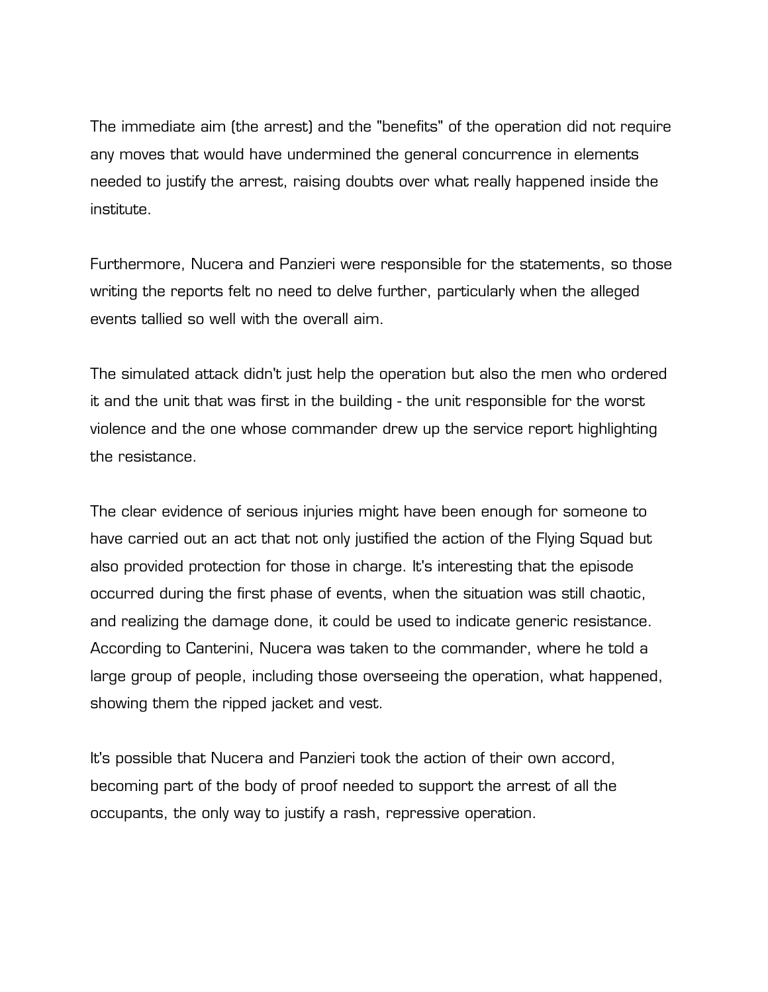The immediate aim (the arrest) and the "benefits" of the operation did not require any moves that would have undermined the general concurrence in elements needed to justify the arrest, raising doubts over what really happened inside the institute.

Furthermore, Nucera and Panzieri were responsible for the statements, so those writing the reports felt no need to delve further, particularly when the alleged events tallied so well with the overall aim.

The simulated attack didn't just help the operation but also the men who ordered it and the unit that was first in the building - the unit responsible for the worst violence and the one whose commander drew up the service report highlighting the resistance.

The clear evidence of serious injuries might have been enough for someone to have carried out an act that not only justified the action of the Flying Squad but also provided protection for those in charge. It's interesting that the episode occurred during the first phase of events, when the situation was still chaotic, and realizing the damage done, it could be used to indicate generic resistance. According to Canterini, Nucera was taken to the commander, where he told a large group of people, including those overseeing the operation, what happened, showing them the ripped jacket and vest.

It's possible that Nucera and Panzieri took the action of their own accord, becoming part of the body of proof needed to support the arrest of all the occupants, the only way to justify a rash, repressive operation.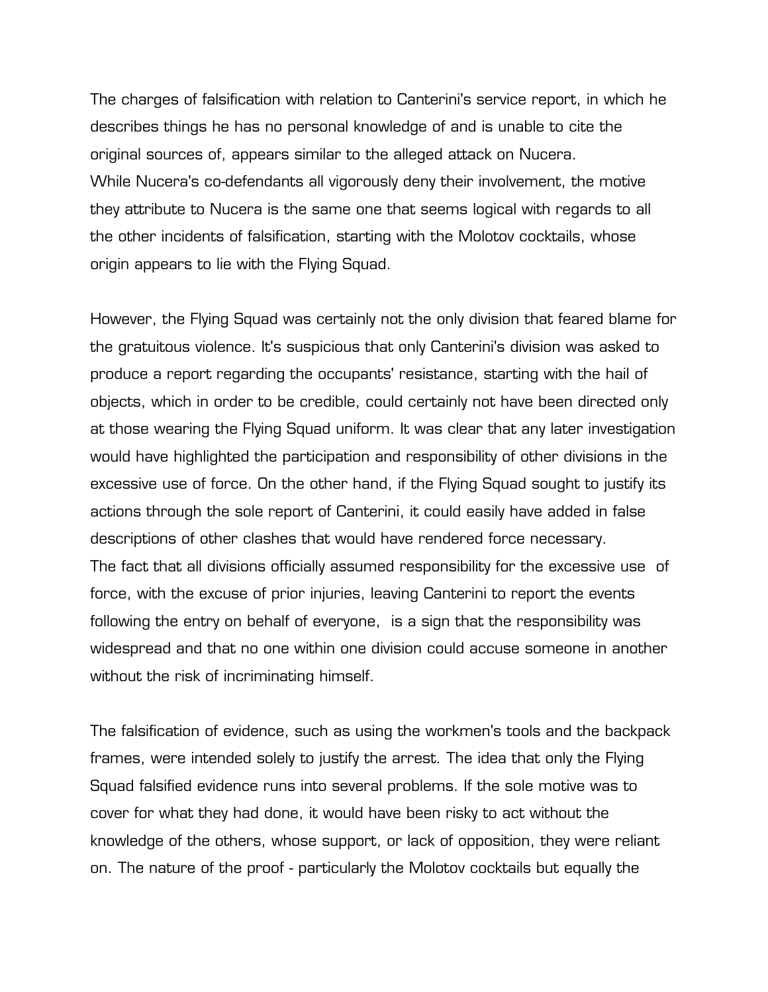The charges of falsification with relation to Canterini's service report, in which he describes things he has no personal knowledge of and is unable to cite the original sources of, appears similar to the alleged attack on Nucera. While Nucera's co-defendants all vigorously deny their involvement, the motive they attribute to Nucera is the same one that seems logical with regards to all the other incidents of falsification, starting with the Molotov cocktails, whose origin appears to lie with the Flying Squad.

However, the Flying Squad was certainly not the only division that feared blame for the gratuitous violence. It's suspicious that only Canterini's division was asked to produce a report regarding the occupants' resistance, starting with the hail of objects, which in order to be credible, could certainly not have been directed only at those wearing the Flying Squad uniform. It was clear that any later investigation would have highlighted the participation and responsibility of other divisions in the excessive use of force. On the other hand, if the Flying Squad sought to justify its actions through the sole report of Canterini, it could easily have added in false descriptions of other clashes that would have rendered force necessary. The fact that all divisions officially assumed responsibility for the excessive use of force, with the excuse of prior injuries, leaving Canterini to report the events following the entry on behalf of everyone, is a sign that the responsibility was widespread and that no one within one division could accuse someone in another without the risk of incriminating himself.

The falsification of evidence, such as using the workmen's tools and the backpack frames, were intended solely to justify the arrest. The idea that only the Flying Squad falsified evidence runs into several problems. If the sole motive was to cover for what they had done, it would have been risky to act without the knowledge of the others, whose support, or lack of opposition, they were reliant on. The nature of the proof - particularly the Molotov cocktails but equally the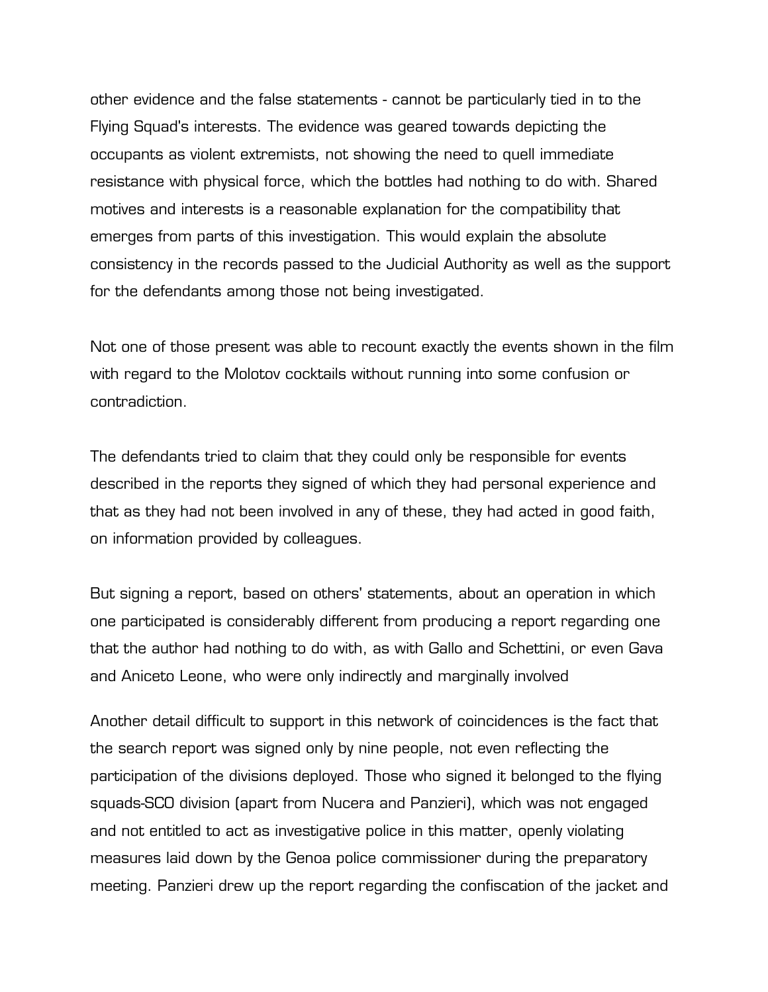other evidence and the false statements - cannot be particularly tied in to the Flying Squad's interests. The evidence was geared towards depicting the occupants as violent extremists, not showing the need to quell immediate resistance with physical force, which the bottles had nothing to do with. Shared motives and interests is a reasonable explanation for the compatibility that emerges from parts of this investigation. This would explain the absolute consistency in the records passed to the Judicial Authority as well as the support for the defendants among those not being investigated.

Not one of those present was able to recount exactly the events shown in the film with regard to the Molotov cocktails without running into some confusion or contradiction.

The defendants tried to claim that they could only be responsible for events described in the reports they signed of which they had personal experience and that as they had not been involved in any of these, they had acted in good faith, on information provided by colleagues.

But signing a report, based on others' statements, about an operation in which one participated is considerably different from producing a report regarding one that the author had nothing to do with, as with Gallo and Schettini, or even Gava and Aniceto Leone, who were only indirectly and marginally involved

Another detail difficult to support in this network of coincidences is the fact that the search report was signed only by nine people, not even reflecting the participation of the divisions deployed. Those who signed it belonged to the flying squads-SCO division (apart from Nucera and Panzieri), which was not engaged and not entitled to act as investigative police in this matter, openly violating measures laid down by the Genoa police commissioner during the preparatory meeting. Panzieri drew up the report regarding the confiscation of the jacket and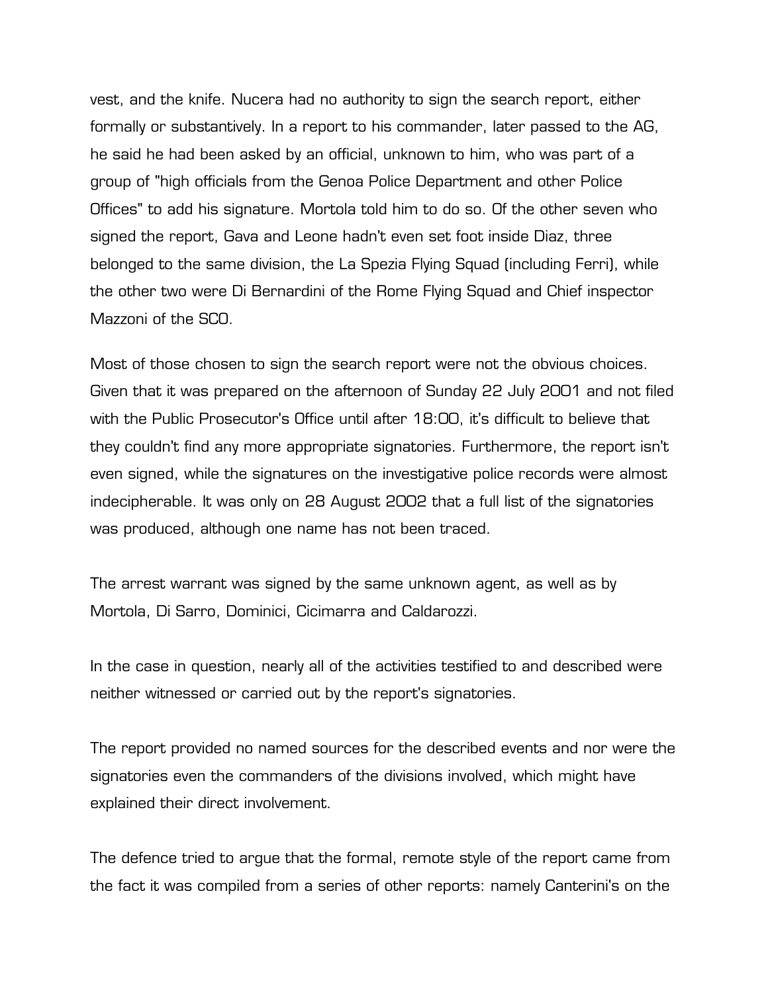vest, and the knife. Nucera had no authority to sign the search report, either formally or substantively. In a report to his commander, later passed to the AG, he said he had been asked by an official, unknown to him, who was part of a group of "high officials from the Genoa Police Department and other Police Offices" to add his signature. Mortola told him to do so. Of the other seven who signed the report, Gava and Leone hadn't even set foot inside Diaz, three belonged to the same division, the La Spezia Flying Squad (including Ferri), while the other two were Di Bernardini of the Rome Flying Squad and Chief inspector Mazzoni of the SCO.

Most of those chosen to sign the search report were not the obvious choices. Given that it was prepared on the afternoon of Sunday 22 July 2001 and not filed with the Public Prosecutor's Office until after 18:00, it's difficult to believe that they couldn't find any more appropriate signatories. Furthermore, the report isn't even signed, while the signatures on the investigative police records were almost indecipherable. It was only on 28 August 2002 that a full list of the signatories was produced, although one name has not been traced.

The arrest warrant was signed by the same unknown agent, as well as by Mortola, Di Sarro, Dominici, Cicimarra and Caldarozzi.

In the case in question, nearly all of the activities testified to and described were neither witnessed or carried out by the report's signatories.

The report provided no named sources for the described events and nor were the signatories even the commanders of the divisions involved, which might have explained their direct involvement.

The defence tried to argue that the formal, remote style of the report came from the fact it was compiled from a series of other reports: namely Canterini's on the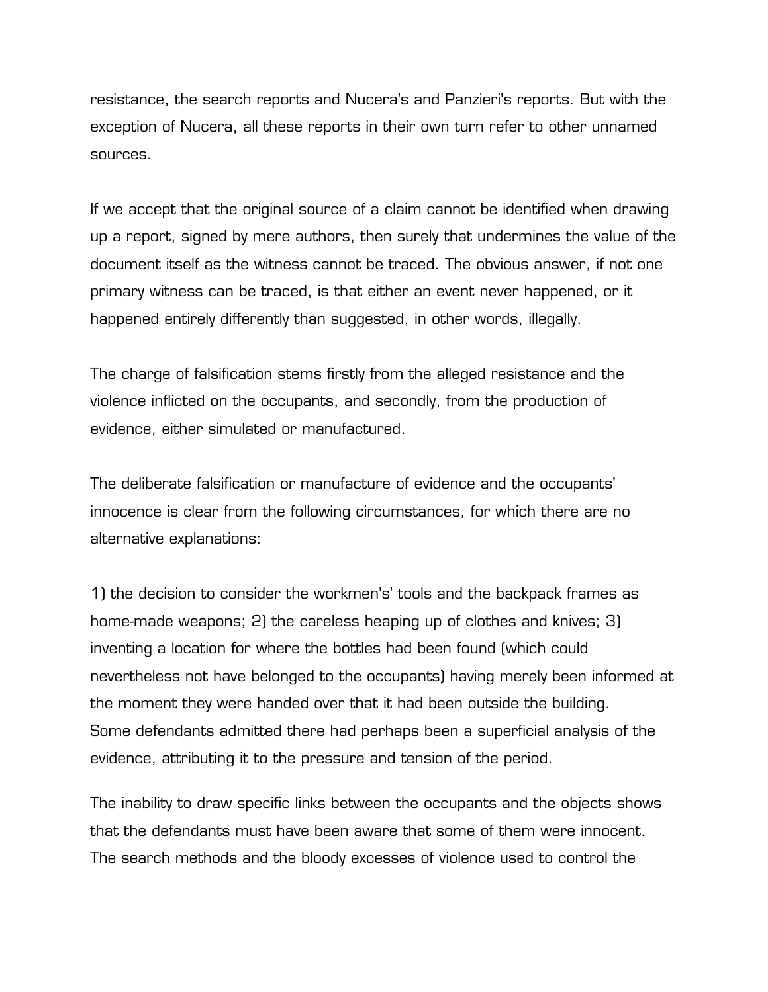resistance, the search reports and Nucera's and Panzieri's reports. But with the exception of Nucera, all these reports in their own turn refer to other unnamed sources.

If we accept that the original source of a claim cannot be identified when drawing up a report, signed by mere authors, then surely that undermines the value of the document itself as the witness cannot be traced. The obvious answer, if not one primary witness can be traced, is that either an event never happened, or it happened entirely differently than suggested, in other words, illegally.

The charge of falsification stems firstly from the alleged resistance and the violence inflicted on the occupants, and secondly, from the production of evidence, either simulated or manufactured.

The deliberate falsification or manufacture of evidence and the occupants' innocence is clear from the following circumstances, for which there are no alternative explanations:

1) the decision to consider the workmen's' tools and the backpack frames as home-made weapons; 2) the careless heaping up of clothes and knives; 3) inventing a location for where the bottles had been found (which could nevertheless not have belonged to the occupants) having merely been informed at the moment they were handed over that it had been outside the building. Some defendants admitted there had perhaps been a superficial analysis of the evidence, attributing it to the pressure and tension of the period.

The inability to draw specific links between the occupants and the objects shows that the defendants must have been aware that some of them were innocent. The search methods and the bloody excesses of violence used to control the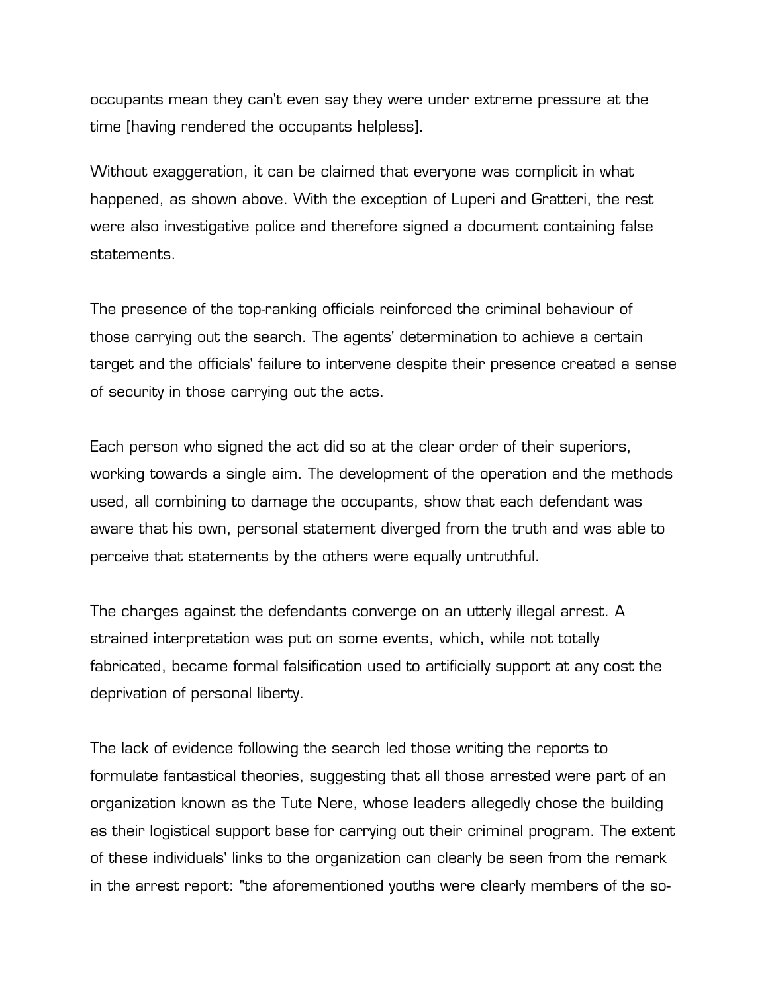occupants mean they can't even say they were under extreme pressure at the time [having rendered the occupants helpless].

Without exaggeration, it can be claimed that everyone was complicit in what happened, as shown above. With the exception of Luperi and Gratteri, the rest were also investigative police and therefore signed a document containing false statements.

The presence of the top-ranking officials reinforced the criminal behaviour of those carrying out the search. The agents' determination to achieve a certain target and the officials' failure to intervene despite their presence created a sense of security in those carrying out the acts.

Each person who signed the act did so at the clear order of their superiors, working towards a single aim. The development of the operation and the methods used, all combining to damage the occupants, show that each defendant was aware that his own, personal statement diverged from the truth and was able to perceive that statements by the others were equally untruthful.

The charges against the defendants converge on an utterly illegal arrest. A strained interpretation was put on some events, which, while not totally fabricated, became formal falsification used to artificially support at any cost the deprivation of personal liberty.

The lack of evidence following the search led those writing the reports to formulate fantastical theories, suggesting that all those arrested were part of an organization known as the Tute Nere, whose leaders allegedly chose the building as their logistical support base for carrying out their criminal program. The extent of these individuals' links to the organization can clearly be seen from the remark in the arrest report: "the aforementioned youths were clearly members of the so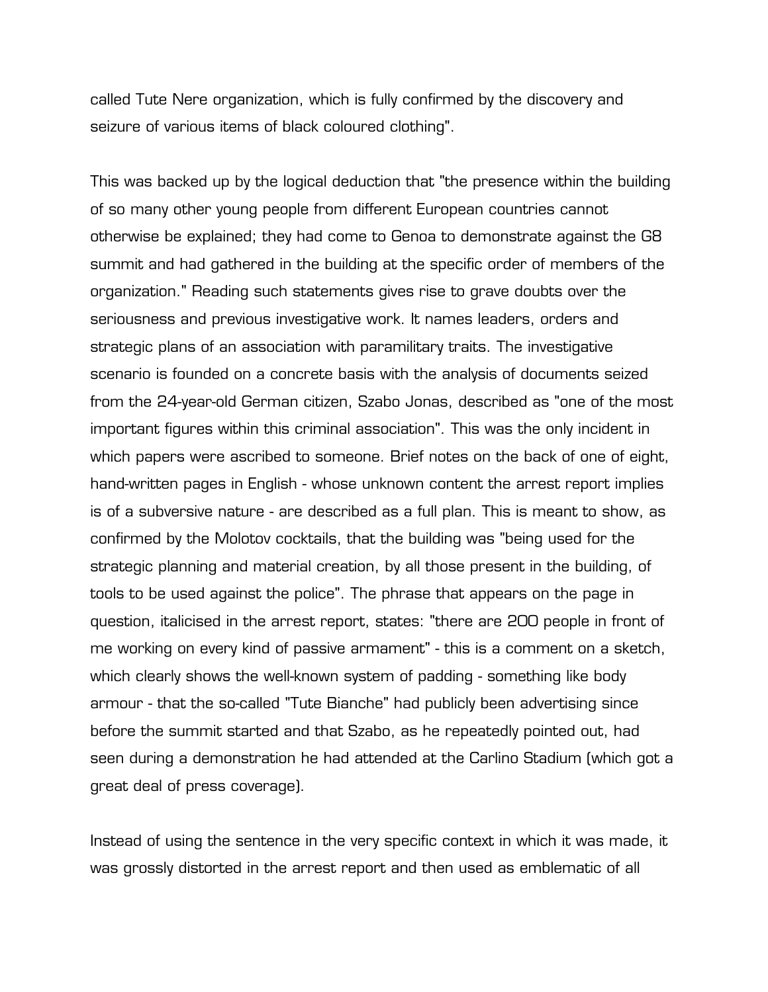called Tute Nere organization, which is fully confirmed by the discovery and seizure of various items of black coloured clothing".

This was backed up by the logical deduction that "the presence within the building of so many other young people from different European countries cannot otherwise be explained; they had come to Genoa to demonstrate against the G8 summit and had gathered in the building at the specific order of members of the organization." Reading such statements gives rise to grave doubts over the seriousness and previous investigative work. It names leaders, orders and strategic plans of an association with paramilitary traits. The investigative scenario is founded on a concrete basis with the analysis of documents seized from the 24-year-old German citizen, Szabo Jonas, described as "one of the most important figures within this criminal association". This was the only incident in which papers were ascribed to someone. Brief notes on the back of one of eight, hand-written pages in English - whose unknown content the arrest report implies is of a subversive nature - are described as a full plan. This is meant to show, as confirmed by the Molotov cocktails, that the building was "being used for the strategic planning and material creation, by all those present in the building, of tools to be used against the police". The phrase that appears on the page in question, italicised in the arrest report, states: "there are 200 people in front of me working on every kind of passive armament" - this is a comment on a sketch, which clearly shows the well-known system of padding - something like body armour - that the so-called "Tute Bianche" had publicly been advertising since before the summit started and that Szabo, as he repeatedly pointed out, had seen during a demonstration he had attended at the Carlino Stadium (which got a great deal of press coverage).

Instead of using the sentence in the very specific context in which it was made, it was grossly distorted in the arrest report and then used as emblematic of all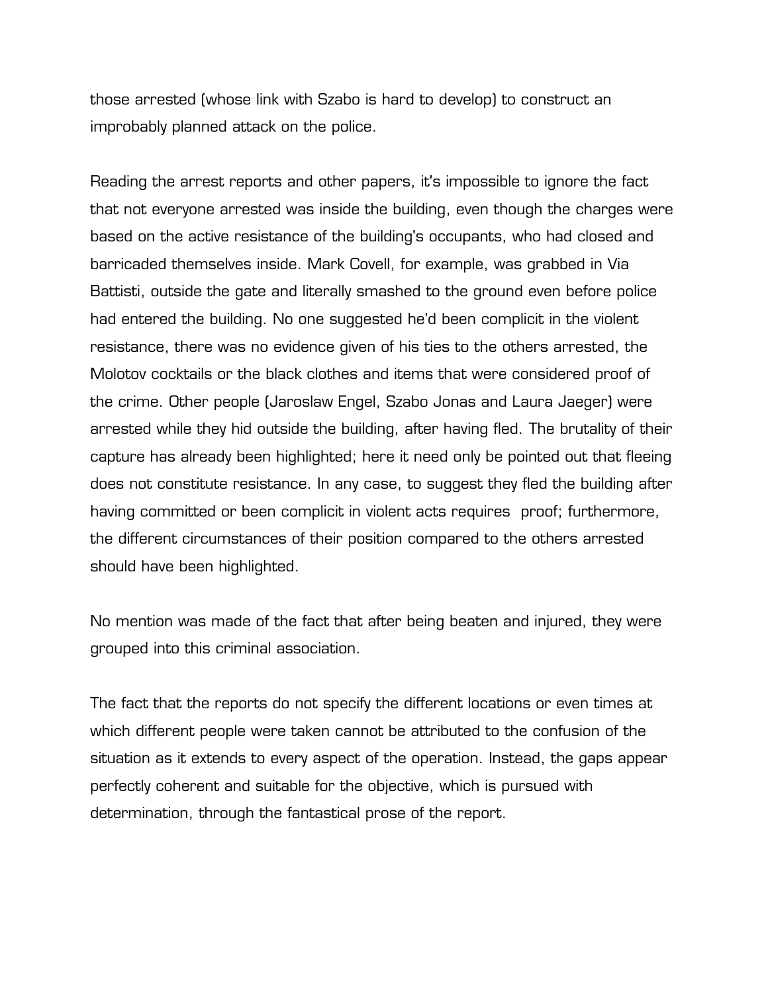those arrested (whose link with Szabo is hard to develop) to construct an improbably planned attack on the police.

Reading the arrest reports and other papers, it's impossible to ignore the fact that not everyone arrested was inside the building, even though the charges were based on the active resistance of the building's occupants, who had closed and barricaded themselves inside. Mark Covell, for example, was grabbed in Via Battisti, outside the gate and literally smashed to the ground even before police had entered the building. No one suggested he'd been complicit in the violent resistance, there was no evidence given of his ties to the others arrested, the Molotov cocktails or the black clothes and items that were considered proof of the crime. Other people (Jaroslaw Engel, Szabo Jonas and Laura Jaeger) were arrested while they hid outside the building, after having fled. The brutality of their capture has already been highlighted; here it need only be pointed out that fleeing does not constitute resistance. In any case, to suggest they fled the building after having committed or been complicit in violent acts requires proof; furthermore, the different circumstances of their position compared to the others arrested should have been highlighted.

No mention was made of the fact that after being beaten and injured, they were grouped into this criminal association.

The fact that the reports do not specify the different locations or even times at which different people were taken cannot be attributed to the confusion of the situation as it extends to every aspect of the operation. Instead, the gaps appear perfectly coherent and suitable for the objective, which is pursued with determination, through the fantastical prose of the report.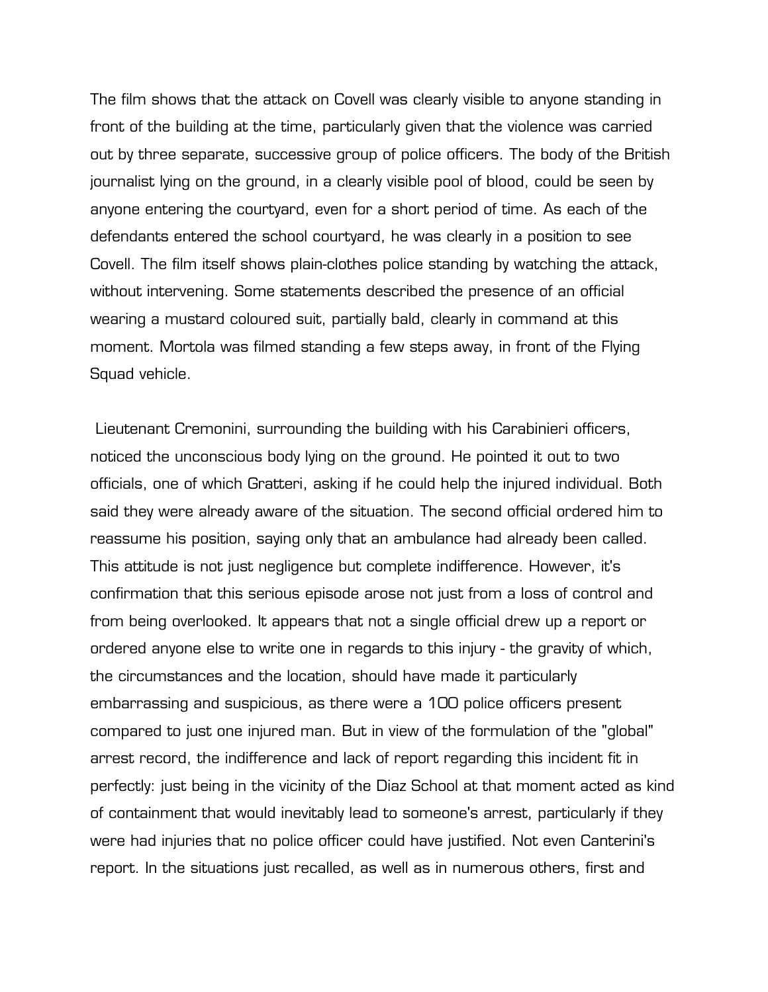The film shows that the attack on Covell was clearly visible to anyone standing in front of the building at the time, particularly given that the violence was carried out by three separate, successive group of police officers. The body of the British journalist lying on the ground, in a clearly visible pool of blood, could be seen by anyone entering the courtyard, even for a short period of time. As each of the defendants entered the school courtyard, he was clearly in a position to see Covell. The film itself shows plain-clothes police standing by watching the attack, without intervening. Some statements described the presence of an official wearing a mustard coloured suit, partially bald, clearly in command at this moment. Mortola was filmed standing a few steps away, in front of the Flying Squad vehicle.

 Lieutenant Cremonini, surrounding the building with his Carabinieri officers, noticed the unconscious body lying on the ground. He pointed it out to two officials, one of which Gratteri, asking if he could help the injured individual. Both said they were already aware of the situation. The second official ordered him to reassume his position, saying only that an ambulance had already been called. This attitude is not just negligence but complete indifference. However, it's confirmation that this serious episode arose not just from a loss of control and from being overlooked. It appears that not a single official drew up a report or ordered anyone else to write one in regards to this injury - the gravity of which, the circumstances and the location, should have made it particularly embarrassing and suspicious, as there were a 100 police officers present compared to just one injured man. But in view of the formulation of the "global" arrest record, the indifference and lack of report regarding this incident fit in perfectly: just being in the vicinity of the Diaz School at that moment acted as kind of containment that would inevitably lead to someone's arrest, particularly if they were had injuries that no police officer could have justified. Not even Canterini's report. In the situations just recalled, as well as in numerous others, first and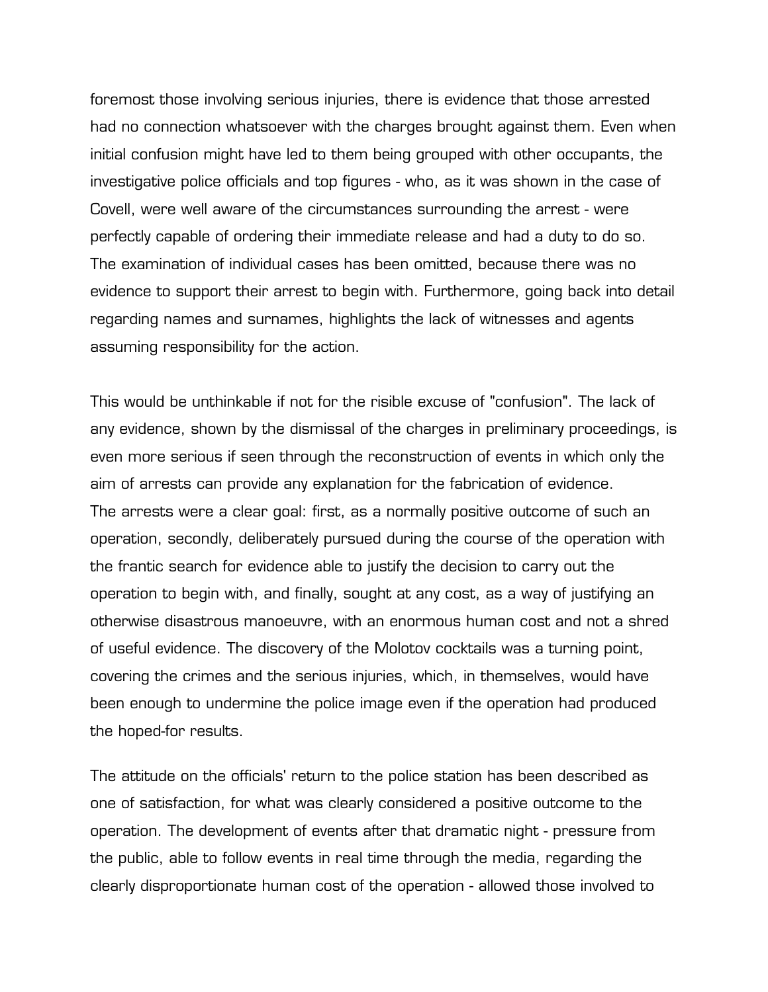foremost those involving serious injuries, there is evidence that those arrested had no connection whatsoever with the charges brought against them. Even when initial confusion might have led to them being grouped with other occupants, the investigative police officials and top figures - who, as it was shown in the case of Covell, were well aware of the circumstances surrounding the arrest - were perfectly capable of ordering their immediate release and had a duty to do so. The examination of individual cases has been omitted, because there was no evidence to support their arrest to begin with. Furthermore, going back into detail regarding names and surnames, highlights the lack of witnesses and agents assuming responsibility for the action.

This would be unthinkable if not for the risible excuse of "confusion". The lack of any evidence, shown by the dismissal of the charges in preliminary proceedings, is even more serious if seen through the reconstruction of events in which only the aim of arrests can provide any explanation for the fabrication of evidence. The arrests were a clear goal: first, as a normally positive outcome of such an operation, secondly, deliberately pursued during the course of the operation with the frantic search for evidence able to justify the decision to carry out the operation to begin with, and finally, sought at any cost, as a way of justifying an otherwise disastrous manoeuvre, with an enormous human cost and not a shred of useful evidence. The discovery of the Molotov cocktails was a turning point, covering the crimes and the serious injuries, which, in themselves, would have been enough to undermine the police image even if the operation had produced the hoped-for results.

The attitude on the officials' return to the police station has been described as one of satisfaction, for what was clearly considered a positive outcome to the operation. The development of events after that dramatic night - pressure from the public, able to follow events in real time through the media, regarding the clearly disproportionate human cost of the operation - allowed those involved to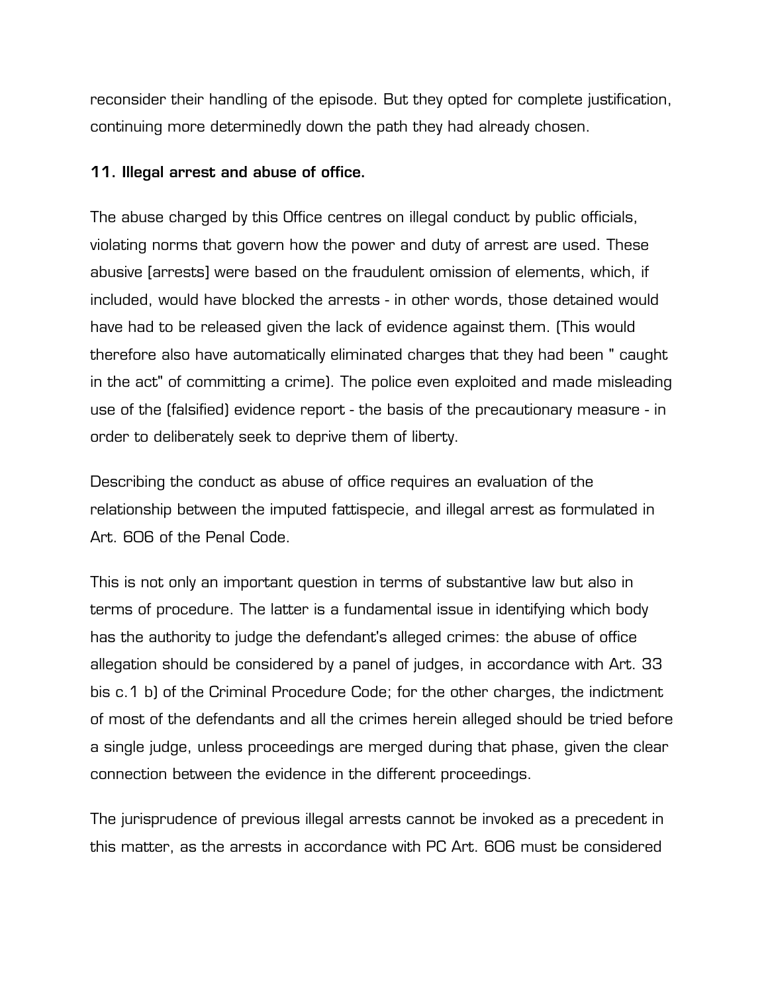reconsider their handling of the episode. But they opted for complete justification, continuing more determinedly down the path they had already chosen.

## **11. Illegal arrest and abuse of office.**

The abuse charged by this Office centres on illegal conduct by public officials, violating norms that govern how the power and duty of arrest are used. These abusive [arrests] were based on the fraudulent omission of elements, which, if included, would have blocked the arrests - in other words, those detained would have had to be released given the lack of evidence against them. (This would therefore also have automatically eliminated charges that they had been " caught in the act" of committing a crime). The police even exploited and made misleading use of the (falsified) evidence report - the basis of the precautionary measure - in order to deliberately seek to deprive them of liberty.

Describing the conduct as abuse of office requires an evaluation of the relationship between the imputed fattispecie, and illegal arrest as formulated in Art. 606 of the Penal Code.

This is not only an important question in terms of substantive law but also in terms of procedure. The latter is a fundamental issue in identifying which body has the authority to judge the defendant's alleged crimes: the abuse of office allegation should be considered by a panel of judges, in accordance with Art. 33 bis c.1 b) of the Criminal Procedure Code; for the other charges, the indictment of most of the defendants and all the crimes herein alleged should be tried before a single judge, unless proceedings are merged during that phase, given the clear connection between the evidence in the different proceedings.

The jurisprudence of previous illegal arrests cannot be invoked as a precedent in this matter, as the arrests in accordance with PC Art. 606 must be considered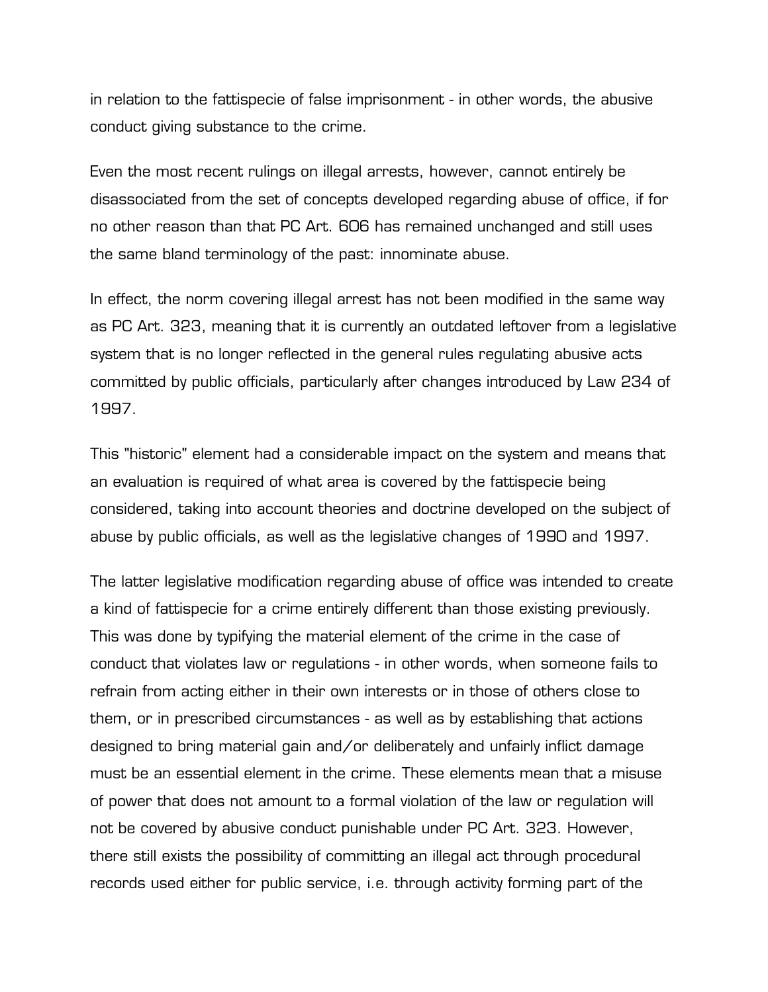in relation to the fattispecie of false imprisonment - in other words, the abusive conduct giving substance to the crime.

Even the most recent rulings on illegal arrests, however, cannot entirely be disassociated from the set of concepts developed regarding abuse of office, if for no other reason than that PC Art. 606 has remained unchanged and still uses the same bland terminology of the past: innominate abuse.

In effect, the norm covering illegal arrest has not been modified in the same way as PC Art. 323, meaning that it is currently an outdated leftover from a legislative system that is no longer reflected in the general rules regulating abusive acts committed by public officials, particularly after changes introduced by Law 234 of 1997.

This "historic" element had a considerable impact on the system and means that an evaluation is required of what area is covered by the fattispecie being considered, taking into account theories and doctrine developed on the subject of abuse by public officials, as well as the legislative changes of 1990 and 1997.

The latter legislative modification regarding abuse of office was intended to create a kind of fattispecie for a crime entirely different than those existing previously. This was done by typifying the material element of the crime in the case of conduct that violates law or regulations - in other words, when someone fails to refrain from acting either in their own interests or in those of others close to them, or in prescribed circumstances - as well as by establishing that actions designed to bring material gain and/or deliberately and unfairly inflict damage must be an essential element in the crime. These elements mean that a misuse of power that does not amount to a formal violation of the law or regulation will not be covered by abusive conduct punishable under PC Art. 323. However, there still exists the possibility of committing an illegal act through procedural records used either for public service, i.e. through activity forming part of the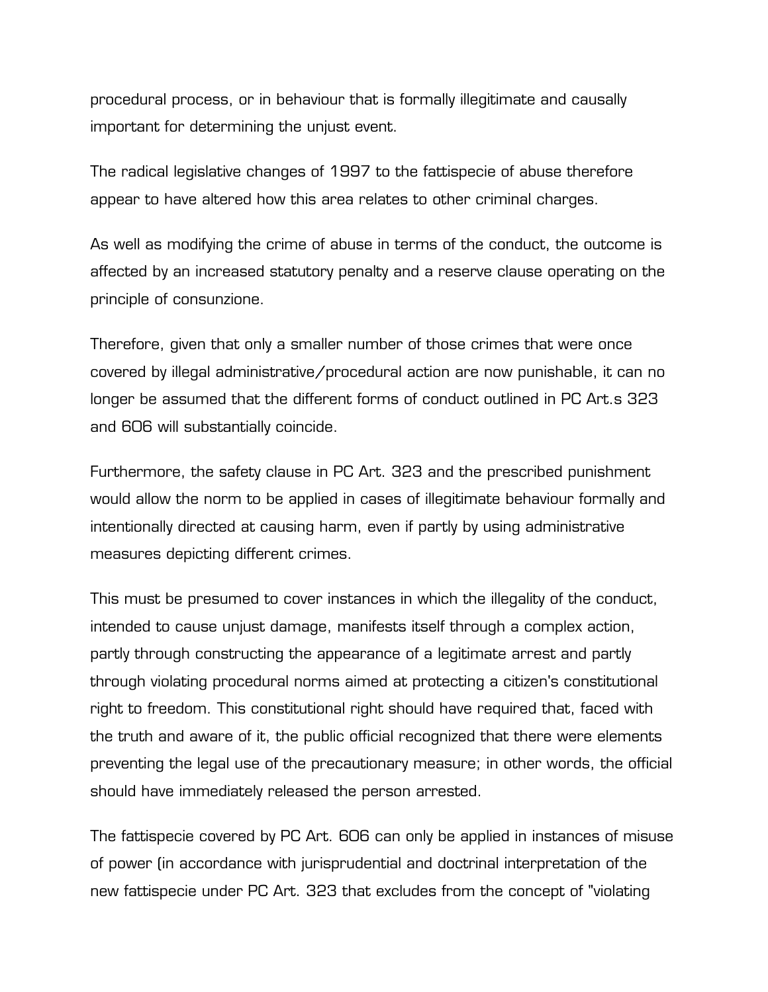procedural process, or in behaviour that is formally illegitimate and causally important for determining the unjust event.

The radical legislative changes of 1997 to the fattispecie of abuse therefore appear to have altered how this area relates to other criminal charges.

As well as modifying the crime of abuse in terms of the conduct, the outcome is affected by an increased statutory penalty and a reserve clause operating on the principle of consunzione.

Therefore, given that only a smaller number of those crimes that were once covered by illegal administrative/procedural action are now punishable, it can no longer be assumed that the different forms of conduct outlined in PC Art.s 323 and 606 will substantially coincide.

Furthermore, the safety clause in PC Art. 323 and the prescribed punishment would allow the norm to be applied in cases of illegitimate behaviour formally and intentionally directed at causing harm, even if partly by using administrative measures depicting different crimes.

This must be presumed to cover instances in which the illegality of the conduct, intended to cause unjust damage, manifests itself through a complex action, partly through constructing the appearance of a legitimate arrest and partly through violating procedural norms aimed at protecting a citizen's constitutional right to freedom. This constitutional right should have required that, faced with the truth and aware of it, the public official recognized that there were elements preventing the legal use of the precautionary measure; in other words, the official should have immediately released the person arrested.

The fattispecie covered by PC Art. 606 can only be applied in instances of misuse of power (in accordance with jurisprudential and doctrinal interpretation of the new fattispecie under PC Art. 323 that excludes from the concept of "violating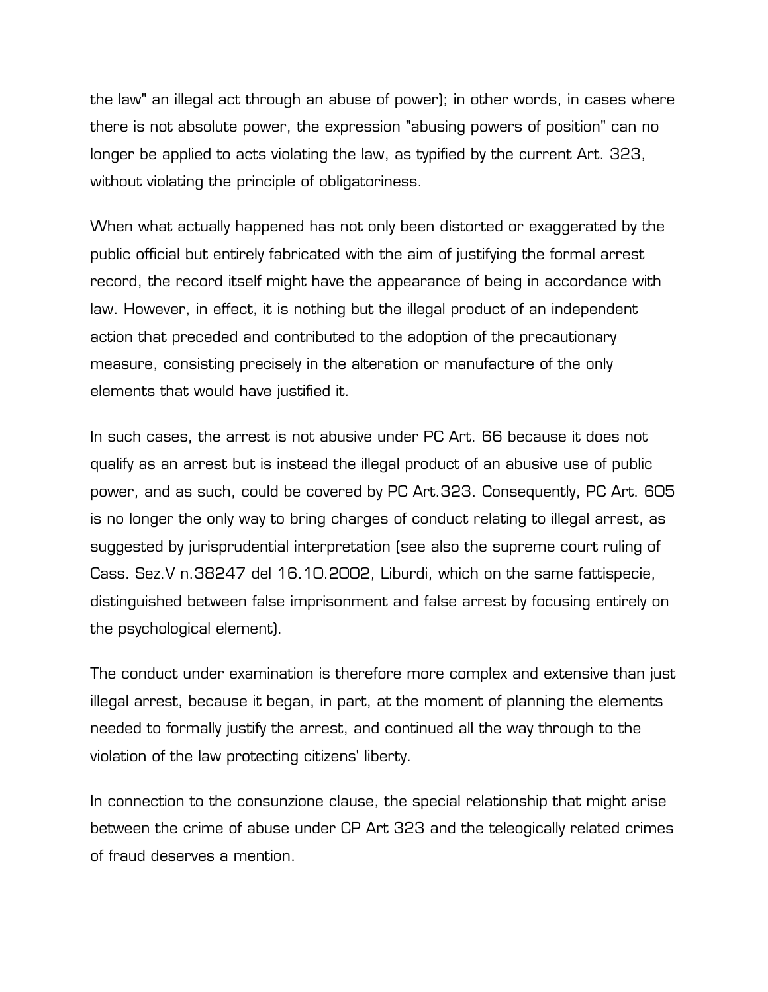the law" an illegal act through an abuse of power); in other words, in cases where there is not absolute power, the expression "abusing powers of position" can no longer be applied to acts violating the law, as typified by the current Art. 323, without violating the principle of obligatoriness.

When what actually happened has not only been distorted or exaggerated by the public official but entirely fabricated with the aim of justifying the formal arrest record, the record itself might have the appearance of being in accordance with law. However, in effect, it is nothing but the illegal product of an independent action that preceded and contributed to the adoption of the precautionary measure, consisting precisely in the alteration or manufacture of the only elements that would have justified it.

In such cases, the arrest is not abusive under PC Art. 66 because it does not qualify as an arrest but is instead the illegal product of an abusive use of public power, and as such, could be covered by PC Art.323. Consequently, PC Art. 605 is no longer the only way to bring charges of conduct relating to illegal arrest, as suggested by jurisprudential interpretation (see also the supreme court ruling of Cass. Sez.V n.38247 del 16.10.2002, Liburdi, which on the same fattispecie, distinguished between false imprisonment and false arrest by focusing entirely on the psychological element).

The conduct under examination is therefore more complex and extensive than just illegal arrest, because it began, in part, at the moment of planning the elements needed to formally justify the arrest, and continued all the way through to the violation of the law protecting citizens' liberty.

In connection to the consunzione clause, the special relationship that might arise between the crime of abuse under CP Art 323 and the teleogically related crimes of fraud deserves a mention.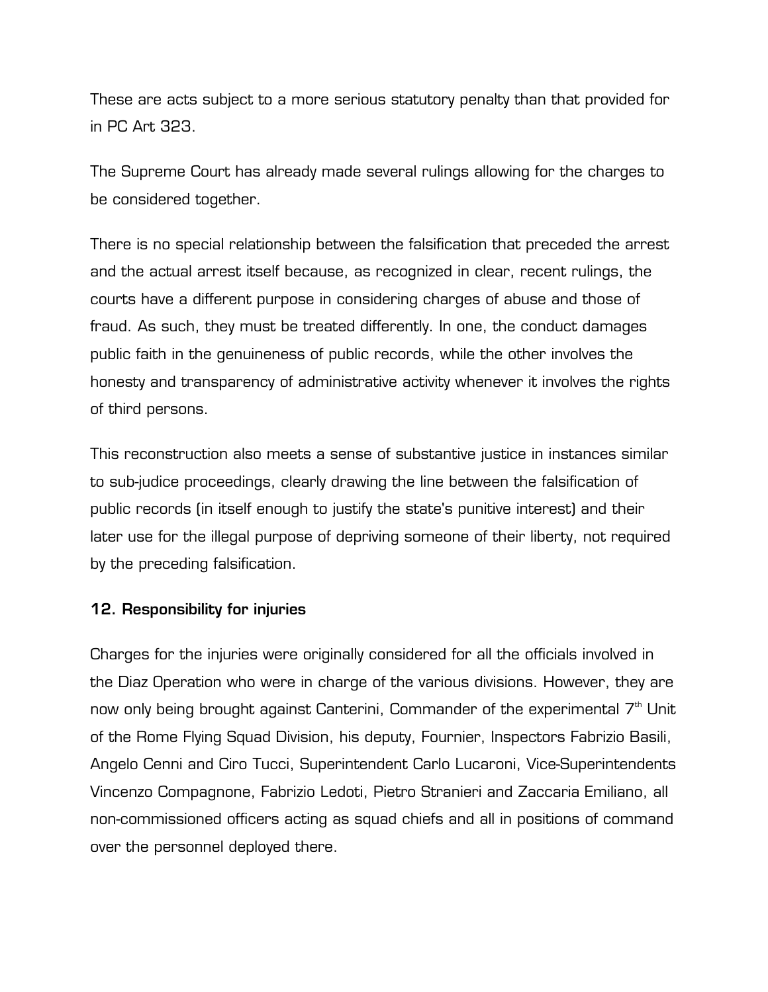These are acts subject to a more serious statutory penalty than that provided for in PC Art 323.

The Supreme Court has already made several rulings allowing for the charges to be considered together.

There is no special relationship between the falsification that preceded the arrest and the actual arrest itself because, as recognized in clear, recent rulings, the courts have a different purpose in considering charges of abuse and those of fraud. As such, they must be treated differently. In one, the conduct damages public faith in the genuineness of public records, while the other involves the honesty and transparency of administrative activity whenever it involves the rights of third persons.

This reconstruction also meets a sense of substantive justice in instances similar to sub-judice proceedings, clearly drawing the line between the falsification of public records (in itself enough to justify the state's punitive interest) and their later use for the illegal purpose of depriving someone of their liberty, not required by the preceding falsification.

## **12. Responsibility for injuries**

Charges for the injuries were originally considered for all the officials involved in the Diaz Operation who were in charge of the various divisions. However, they are now only being brought against Canterini, Commander of the experimental  $7<sup>th</sup>$  Unit of the Rome Flying Squad Division, his deputy, Fournier, Inspectors Fabrizio Basili, Angelo Cenni and Ciro Tucci, Superintendent Carlo Lucaroni, Vice-Superintendents Vincenzo Compagnone, Fabrizio Ledoti, Pietro Stranieri and Zaccaria Emiliano, all non-commissioned officers acting as squad chiefs and all in positions of command over the personnel deployed there.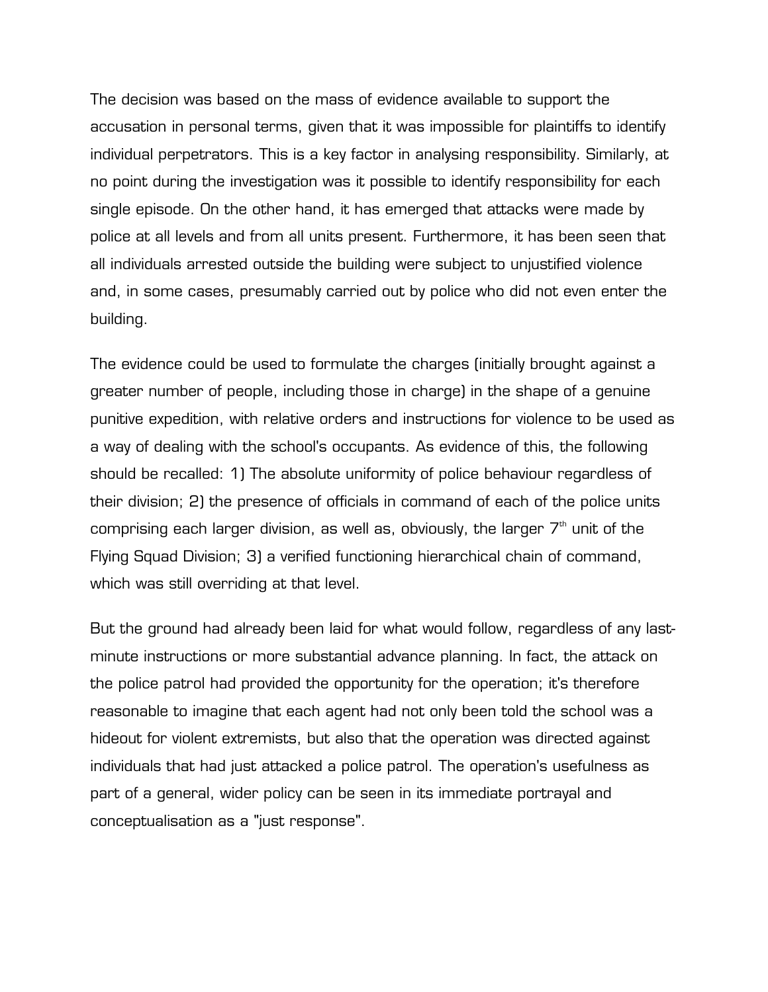The decision was based on the mass of evidence available to support the accusation in personal terms, given that it was impossible for plaintiffs to identify individual perpetrators. This is a key factor in analysing responsibility. Similarly, at no point during the investigation was it possible to identify responsibility for each single episode. On the other hand, it has emerged that attacks were made by police at all levels and from all units present. Furthermore, it has been seen that all individuals arrested outside the building were subject to unjustified violence and, in some cases, presumably carried out by police who did not even enter the building.

The evidence could be used to formulate the charges (initially brought against a greater number of people, including those in charge) in the shape of a genuine punitive expedition, with relative orders and instructions for violence to be used as a way of dealing with the school's occupants. As evidence of this, the following should be recalled: 1) The absolute uniformity of police behaviour regardless of their division; 2) the presence of officials in command of each of the police units comprising each larger division, as well as, obviously, the larger  $7<sup>th</sup>$  unit of the Flying Squad Division; 3) a verified functioning hierarchical chain of command, which was still overriding at that level.

But the ground had already been laid for what would follow, regardless of any lastminute instructions or more substantial advance planning. In fact, the attack on the police patrol had provided the opportunity for the operation; it's therefore reasonable to imagine that each agent had not only been told the school was a hideout for violent extremists, but also that the operation was directed against individuals that had just attacked a police patrol. The operation's usefulness as part of a general, wider policy can be seen in its immediate portrayal and conceptualisation as a "just response".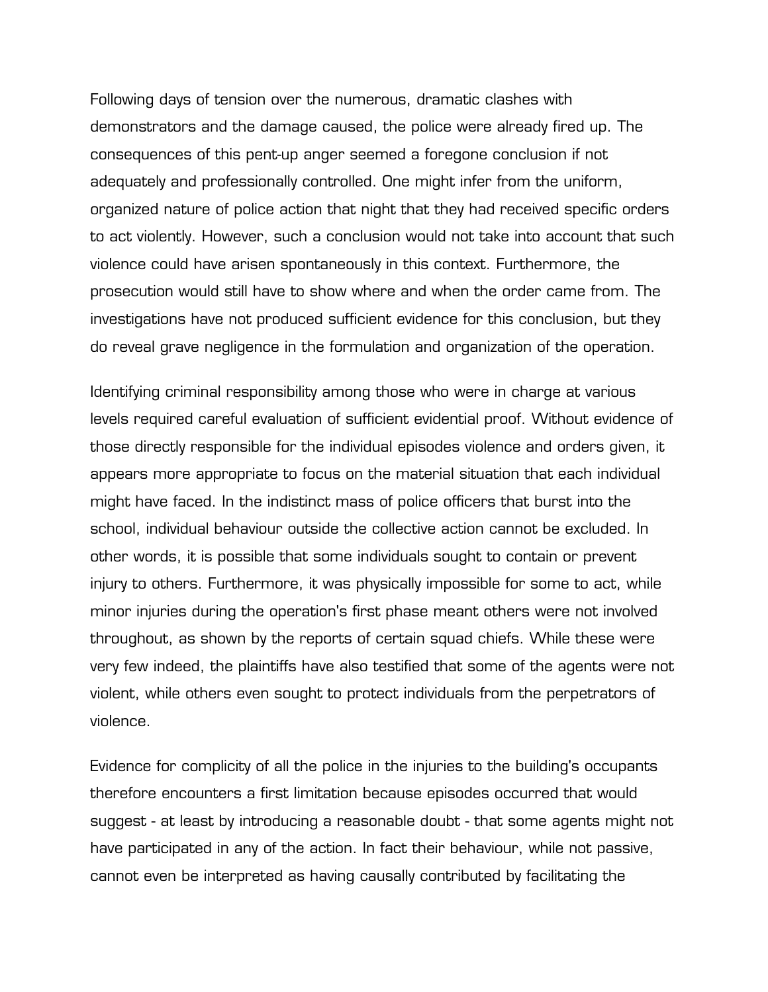Following days of tension over the numerous, dramatic clashes with demonstrators and the damage caused, the police were already fired up. The consequences of this pent-up anger seemed a foregone conclusion if not adequately and professionally controlled. One might infer from the uniform, organized nature of police action that night that they had received specific orders to act violently. However, such a conclusion would not take into account that such violence could have arisen spontaneously in this context. Furthermore, the prosecution would still have to show where and when the order came from. The investigations have not produced sufficient evidence for this conclusion, but they do reveal grave negligence in the formulation and organization of the operation.

Identifying criminal responsibility among those who were in charge at various levels required careful evaluation of sufficient evidential proof. Without evidence of those directly responsible for the individual episodes violence and orders given, it appears more appropriate to focus on the material situation that each individual might have faced. In the indistinct mass of police officers that burst into the school, individual behaviour outside the collective action cannot be excluded. In other words, it is possible that some individuals sought to contain or prevent injury to others. Furthermore, it was physically impossible for some to act, while minor injuries during the operation's first phase meant others were not involved throughout, as shown by the reports of certain squad chiefs. While these were very few indeed, the plaintiffs have also testified that some of the agents were not violent, while others even sought to protect individuals from the perpetrators of violence.

Evidence for complicity of all the police in the injuries to the building's occupants therefore encounters a first limitation because episodes occurred that would suggest - at least by introducing a reasonable doubt - that some agents might not have participated in any of the action. In fact their behaviour, while not passive, cannot even be interpreted as having causally contributed by facilitating the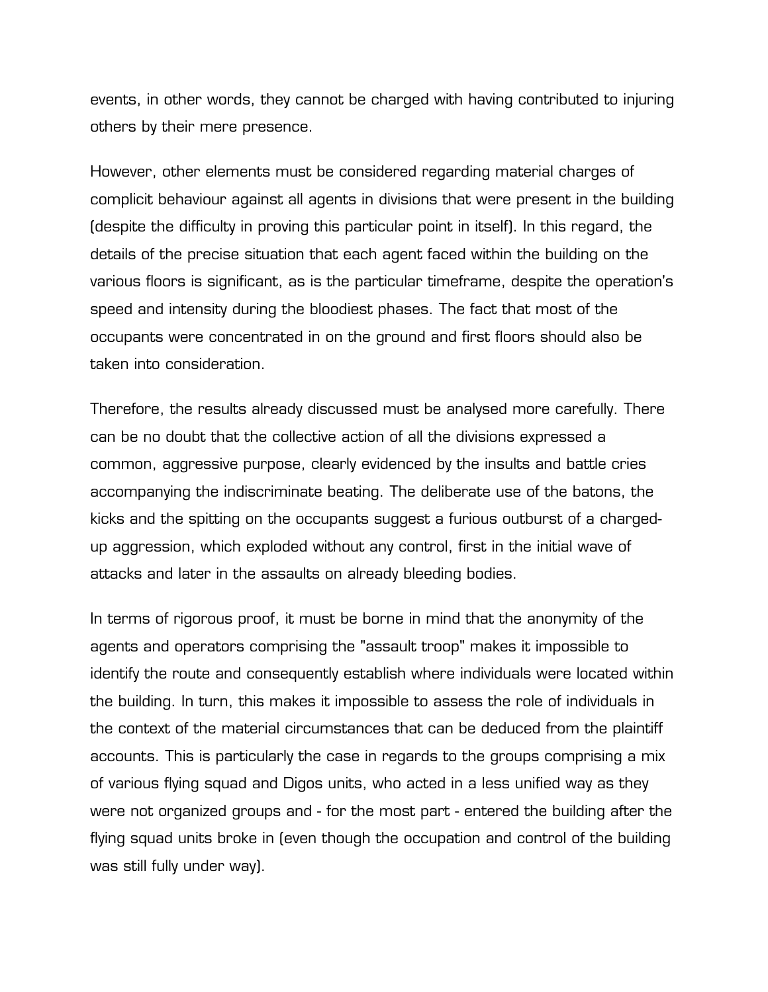events, in other words, they cannot be charged with having contributed to injuring others by their mere presence.

However, other elements must be considered regarding material charges of complicit behaviour against all agents in divisions that were present in the building (despite the difficulty in proving this particular point in itself). In this regard, the details of the precise situation that each agent faced within the building on the various floors is significant, as is the particular timeframe, despite the operation's speed and intensity during the bloodiest phases. The fact that most of the occupants were concentrated in on the ground and first floors should also be taken into consideration.

Therefore, the results already discussed must be analysed more carefully. There can be no doubt that the collective action of all the divisions expressed a common, aggressive purpose, clearly evidenced by the insults and battle cries accompanying the indiscriminate beating. The deliberate use of the batons, the kicks and the spitting on the occupants suggest a furious outburst of a chargedup aggression, which exploded without any control, first in the initial wave of attacks and later in the assaults on already bleeding bodies.

In terms of rigorous proof, it must be borne in mind that the anonymity of the agents and operators comprising the "assault troop" makes it impossible to identify the route and consequently establish where individuals were located within the building. In turn, this makes it impossible to assess the role of individuals in the context of the material circumstances that can be deduced from the plaintiff accounts. This is particularly the case in regards to the groups comprising a mix of various flying squad and Digos units, who acted in a less unified way as they were not organized groups and - for the most part - entered the building after the flying squad units broke in (even though the occupation and control of the building was still fully under way).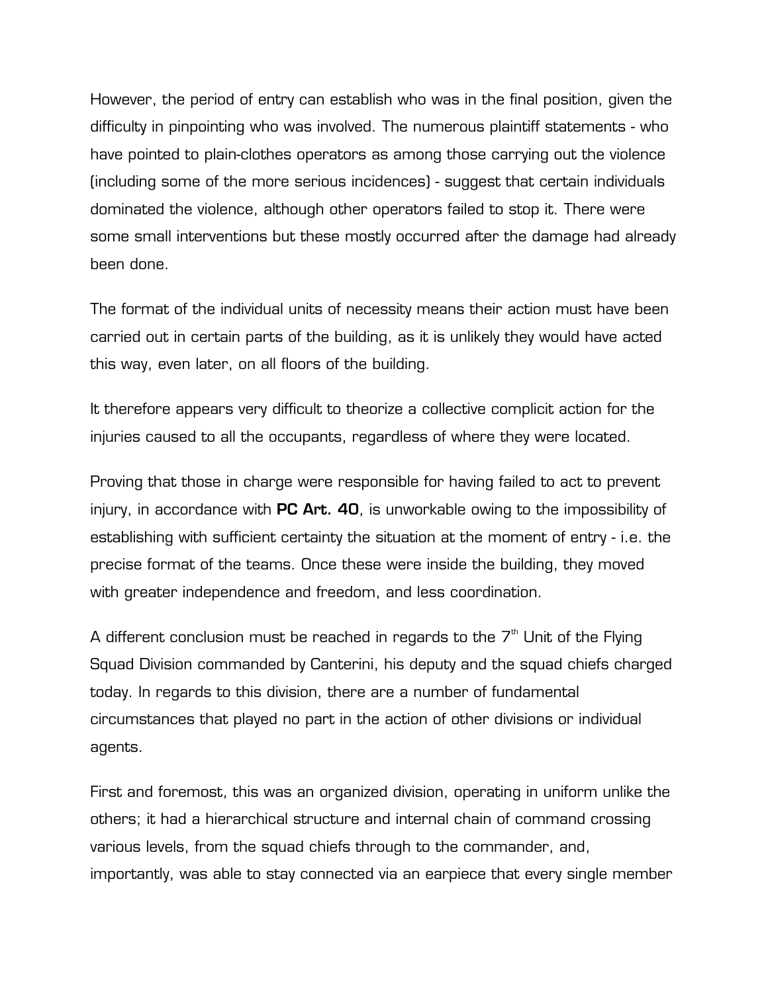However, the period of entry can establish who was in the final position, given the difficulty in pinpointing who was involved. The numerous plaintiff statements - who have pointed to plain-clothes operators as among those carrying out the violence (including some of the more serious incidences) - suggest that certain individuals dominated the violence, although other operators failed to stop it. There were some small interventions but these mostly occurred after the damage had already been done.

The format of the individual units of necessity means their action must have been carried out in certain parts of the building, as it is unlikely they would have acted this way, even later, on all floors of the building.

It therefore appears very difficult to theorize a collective complicit action for the injuries caused to all the occupants, regardless of where they were located.

Proving that those in charge were responsible for having failed to act to prevent injury, in accordance with **PC Art. 40**, is unworkable owing to the impossibility of establishing with sufficient certainty the situation at the moment of entry - i.e. the precise format of the teams. Once these were inside the building, they moved with greater independence and freedom, and less coordination.

A different conclusion must be reached in regards to the  $7<sup>th</sup>$  Unit of the Flying Squad Division commanded by Canterini, his deputy and the squad chiefs charged today. In regards to this division, there are a number of fundamental circumstances that played no part in the action of other divisions or individual agents.

First and foremost, this was an organized division, operating in uniform unlike the others; it had a hierarchical structure and internal chain of command crossing various levels, from the squad chiefs through to the commander, and, importantly, was able to stay connected via an earpiece that every single member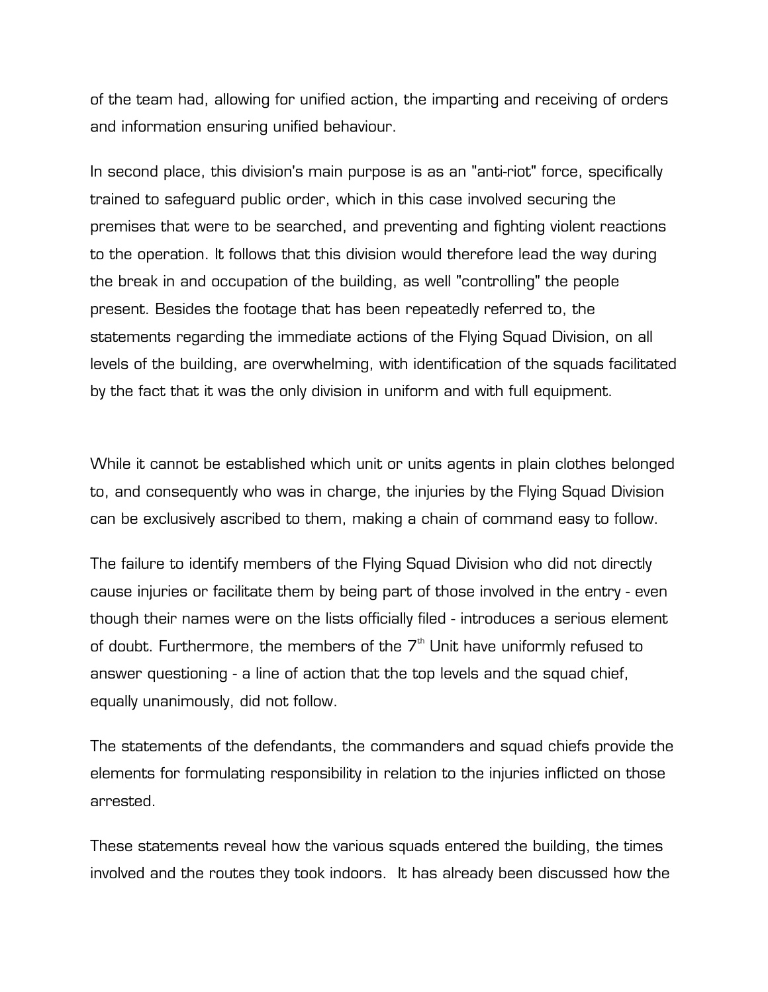of the team had, allowing for unified action, the imparting and receiving of orders and information ensuring unified behaviour.

In second place, this division's main purpose is as an "anti-riot" force, specifically trained to safeguard public order, which in this case involved securing the premises that were to be searched, and preventing and fighting violent reactions to the operation. It follows that this division would therefore lead the way during the break in and occupation of the building, as well "controlling" the people present. Besides the footage that has been repeatedly referred to, the statements regarding the immediate actions of the Flying Squad Division, on all levels of the building, are overwhelming, with identification of the squads facilitated by the fact that it was the only division in uniform and with full equipment.

While it cannot be established which unit or units agents in plain clothes belonged to, and consequently who was in charge, the injuries by the Flying Squad Division can be exclusively ascribed to them, making a chain of command easy to follow.

The failure to identify members of the Flying Squad Division who did not directly cause injuries or facilitate them by being part of those involved in the entry - even though their names were on the lists officially filed - introduces a serious element of doubt. Furthermore, the members of the  $7<sup>th</sup>$  Unit have uniformly refused to answer questioning - a line of action that the top levels and the squad chief, equally unanimously, did not follow.

The statements of the defendants, the commanders and squad chiefs provide the elements for formulating responsibility in relation to the injuries inflicted on those arrested.

These statements reveal how the various squads entered the building, the times involved and the routes they took indoors. It has already been discussed how the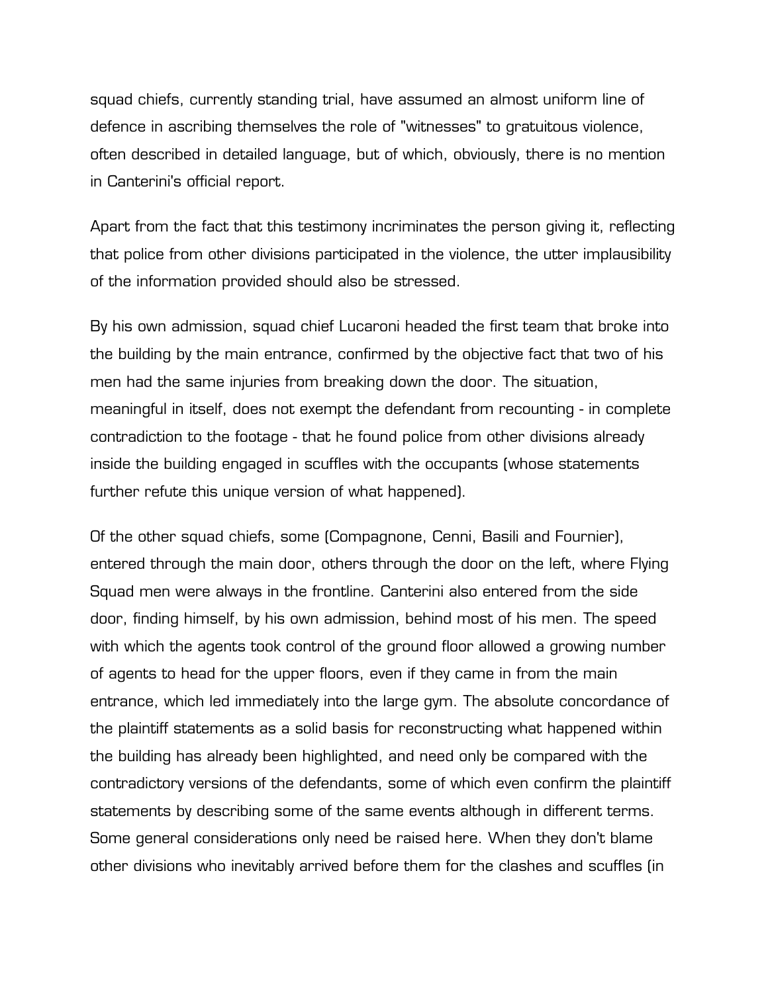squad chiefs, currently standing trial, have assumed an almost uniform line of defence in ascribing themselves the role of "witnesses" to gratuitous violence, often described in detailed language, but of which, obviously, there is no mention in Canterini's official report.

Apart from the fact that this testimony incriminates the person giving it, reflecting that police from other divisions participated in the violence, the utter implausibility of the information provided should also be stressed.

By his own admission, squad chief Lucaroni headed the first team that broke into the building by the main entrance, confirmed by the objective fact that two of his men had the same injuries from breaking down the door. The situation, meaningful in itself, does not exempt the defendant from recounting - in complete contradiction to the footage - that he found police from other divisions already inside the building engaged in scuffles with the occupants (whose statements further refute this unique version of what happened).

Of the other squad chiefs, some (Compagnone, Cenni, Basili and Fournier), entered through the main door, others through the door on the left, where Flying Squad men were always in the frontline. Canterini also entered from the side door, finding himself, by his own admission, behind most of his men. The speed with which the agents took control of the ground floor allowed a growing number of agents to head for the upper floors, even if they came in from the main entrance, which led immediately into the large gym. The absolute concordance of the plaintiff statements as a solid basis for reconstructing what happened within the building has already been highlighted, and need only be compared with the contradictory versions of the defendants, some of which even confirm the plaintiff statements by describing some of the same events although in different terms. Some general considerations only need be raised here. When they don't blame other divisions who inevitably arrived before them for the clashes and scuffles (in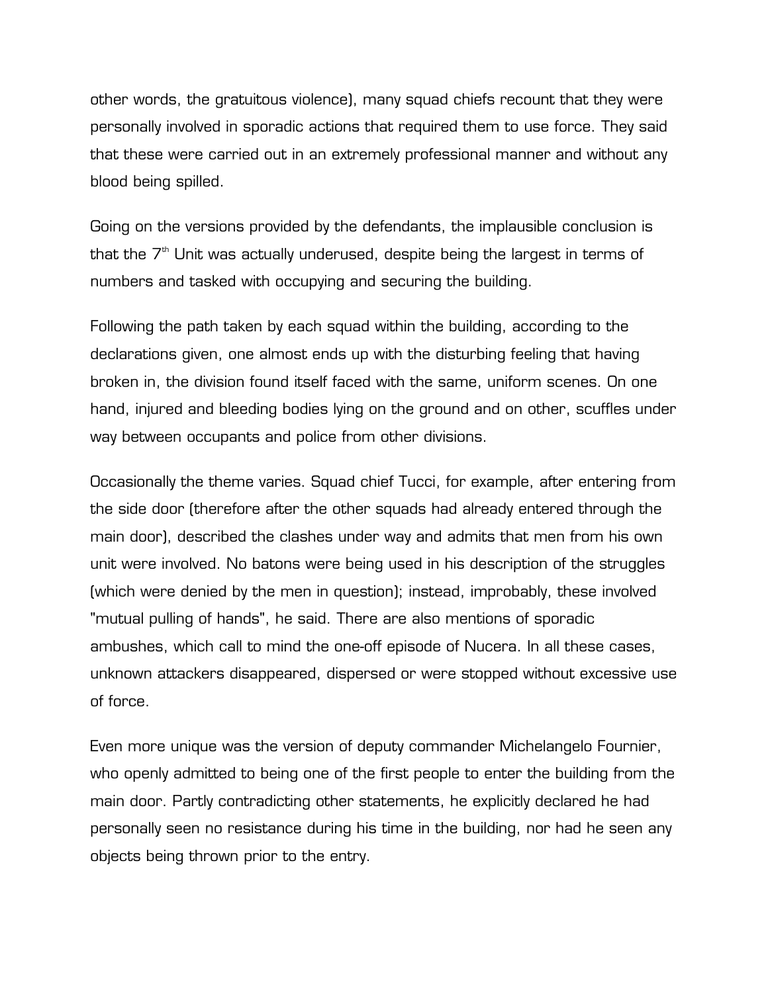other words, the gratuitous violence), many squad chiefs recount that they were personally involved in sporadic actions that required them to use force. They said that these were carried out in an extremely professional manner and without any blood being spilled.

Going on the versions provided by the defendants, the implausible conclusion is that the  $7<sup>th</sup>$  Unit was actually underused, despite being the largest in terms of numbers and tasked with occupying and securing the building.

Following the path taken by each squad within the building, according to the declarations given, one almost ends up with the disturbing feeling that having broken in, the division found itself faced with the same, uniform scenes. On one hand, injured and bleeding bodies lying on the ground and on other, scuffles under way between occupants and police from other divisions.

Occasionally the theme varies. Squad chief Tucci, for example, after entering from the side door (therefore after the other squads had already entered through the main door), described the clashes under way and admits that men from his own unit were involved. No batons were being used in his description of the struggles (which were denied by the men in question); instead, improbably, these involved "mutual pulling of hands", he said. There are also mentions of sporadic ambushes, which call to mind the one-off episode of Nucera. In all these cases, unknown attackers disappeared, dispersed or were stopped without excessive use of force.

Even more unique was the version of deputy commander Michelangelo Fournier, who openly admitted to being one of the first people to enter the building from the main door. Partly contradicting other statements, he explicitly declared he had personally seen no resistance during his time in the building, nor had he seen any objects being thrown prior to the entry.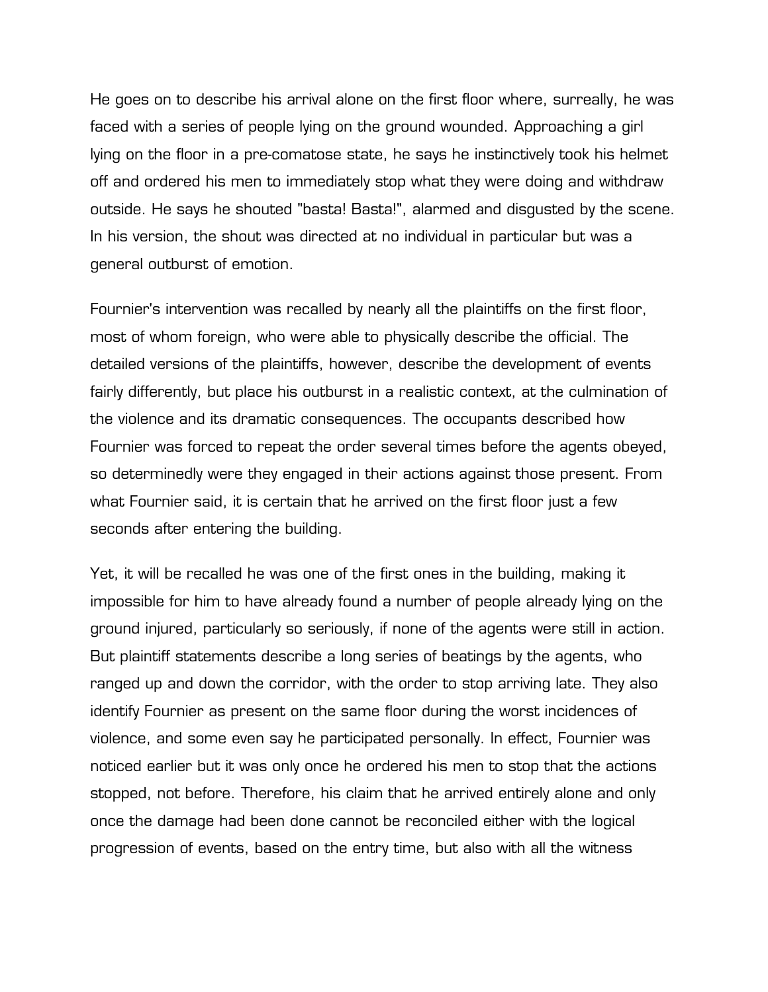He goes on to describe his arrival alone on the first floor where, surreally, he was faced with a series of people lying on the ground wounded. Approaching a girl lying on the floor in a pre-comatose state, he says he instinctively took his helmet off and ordered his men to immediately stop what they were doing and withdraw outside. He says he shouted "basta! Basta!", alarmed and disgusted by the scene. In his version, the shout was directed at no individual in particular but was a general outburst of emotion.

Fournier's intervention was recalled by nearly all the plaintiffs on the first floor, most of whom foreign, who were able to physically describe the official. The detailed versions of the plaintiffs, however, describe the development of events fairly differently, but place his outburst in a realistic context, at the culmination of the violence and its dramatic consequences. The occupants described how Fournier was forced to repeat the order several times before the agents obeyed, so determinedly were they engaged in their actions against those present. From what Fournier said, it is certain that he arrived on the first floor just a few seconds after entering the building.

Yet, it will be recalled he was one of the first ones in the building, making it impossible for him to have already found a number of people already lying on the ground injured, particularly so seriously, if none of the agents were still in action. But plaintiff statements describe a long series of beatings by the agents, who ranged up and down the corridor, with the order to stop arriving late. They also identify Fournier as present on the same floor during the worst incidences of violence, and some even say he participated personally. In effect, Fournier was noticed earlier but it was only once he ordered his men to stop that the actions stopped, not before. Therefore, his claim that he arrived entirely alone and only once the damage had been done cannot be reconciled either with the logical progression of events, based on the entry time, but also with all the witness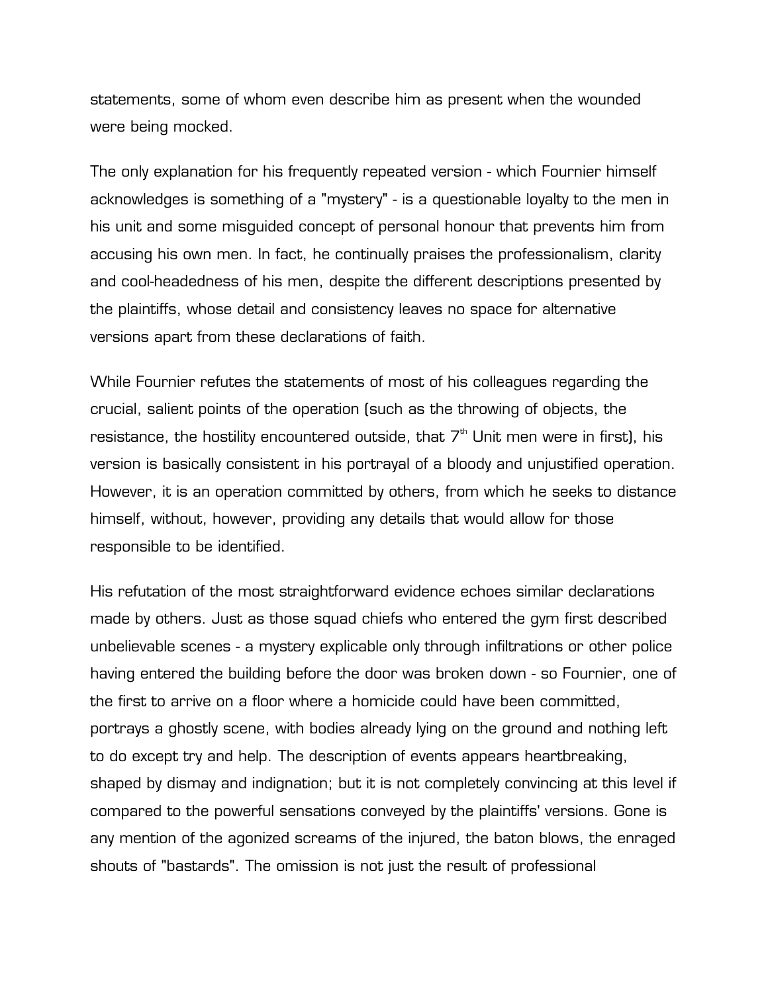statements, some of whom even describe him as present when the wounded were being mocked.

The only explanation for his frequently repeated version - which Fournier himself acknowledges is something of a "mystery" - is a questionable loyalty to the men in his unit and some misguided concept of personal honour that prevents him from accusing his own men. In fact, he continually praises the professionalism, clarity and cool-headedness of his men, despite the different descriptions presented by the plaintiffs, whose detail and consistency leaves no space for alternative versions apart from these declarations of faith.

While Fournier refutes the statements of most of his colleagues regarding the crucial, salient points of the operation (such as the throwing of objects, the resistance, the hostility encountered outside, that  $7<sup>th</sup>$  Unit men were in first), his version is basically consistent in his portrayal of a bloody and unjustified operation. However, it is an operation committed by others, from which he seeks to distance himself, without, however, providing any details that would allow for those responsible to be identified.

His refutation of the most straightforward evidence echoes similar declarations made by others. Just as those squad chiefs who entered the gym first described unbelievable scenes - a mystery explicable only through infiltrations or other police having entered the building before the door was broken down - so Fournier, one of the first to arrive on a floor where a homicide could have been committed, portrays a ghostly scene, with bodies already lying on the ground and nothing left to do except try and help. The description of events appears heartbreaking, shaped by dismay and indignation; but it is not completely convincing at this level if compared to the powerful sensations conveyed by the plaintiffs' versions. Gone is any mention of the agonized screams of the injured, the baton blows, the enraged shouts of "bastards". The omission is not just the result of professional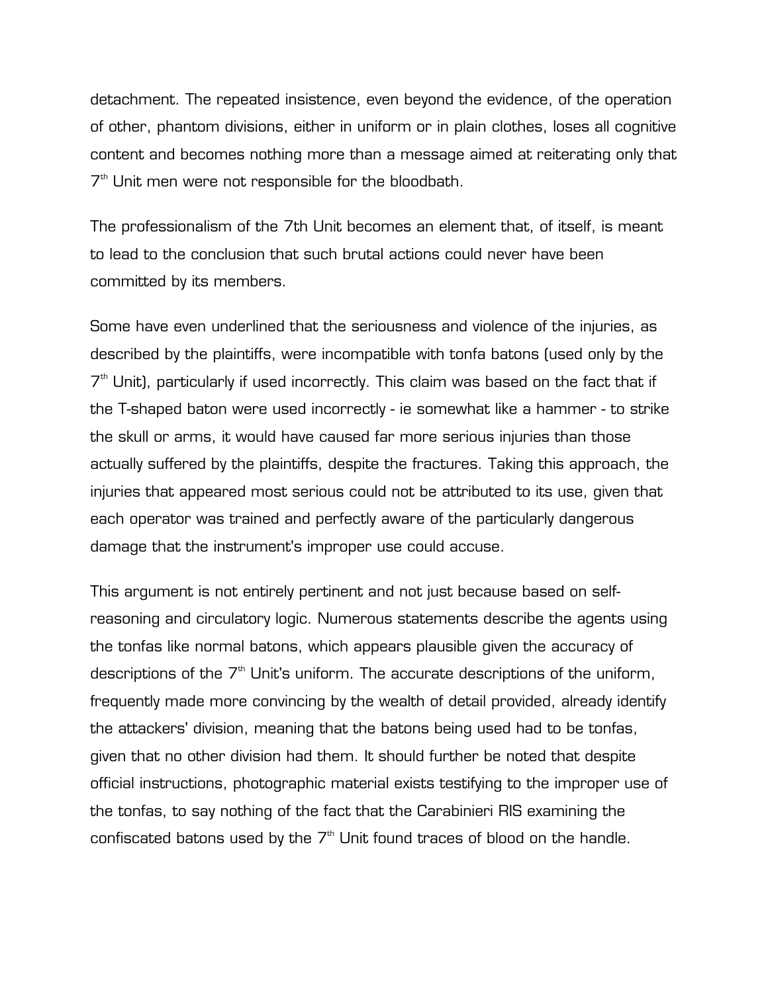detachment. The repeated insistence, even beyond the evidence, of the operation of other, phantom divisions, either in uniform or in plain clothes, loses all cognitive content and becomes nothing more than a message aimed at reiterating only that  $7<sup>th</sup>$  Unit men were not responsible for the bloodbath.

The professionalism of the 7th Unit becomes an element that, of itself, is meant to lead to the conclusion that such brutal actions could never have been committed by its members.

Some have even underlined that the seriousness and violence of the injuries, as described by the plaintiffs, were incompatible with tonfa batons (used only by the  $7<sup>th</sup>$  Unit), particularly if used incorrectly. This claim was based on the fact that if the T-shaped baton were used incorrectly - ie somewhat like a hammer - to strike the skull or arms, it would have caused far more serious injuries than those actually suffered by the plaintiffs, despite the fractures. Taking this approach, the injuries that appeared most serious could not be attributed to its use, given that each operator was trained and perfectly aware of the particularly dangerous damage that the instrument's improper use could accuse.

This argument is not entirely pertinent and not just because based on selfreasoning and circulatory logic. Numerous statements describe the agents using the tonfas like normal batons, which appears plausible given the accuracy of descriptions of the  $7<sup>th</sup>$  Unit's uniform. The accurate descriptions of the uniform, frequently made more convincing by the wealth of detail provided, already identify the attackers' division, meaning that the batons being used had to be tonfas, given that no other division had them. It should further be noted that despite official instructions, photographic material exists testifying to the improper use of the tonfas, to say nothing of the fact that the Carabinieri RIS examining the confiscated batons used by the  $7<sup>th</sup>$  Unit found traces of blood on the handle.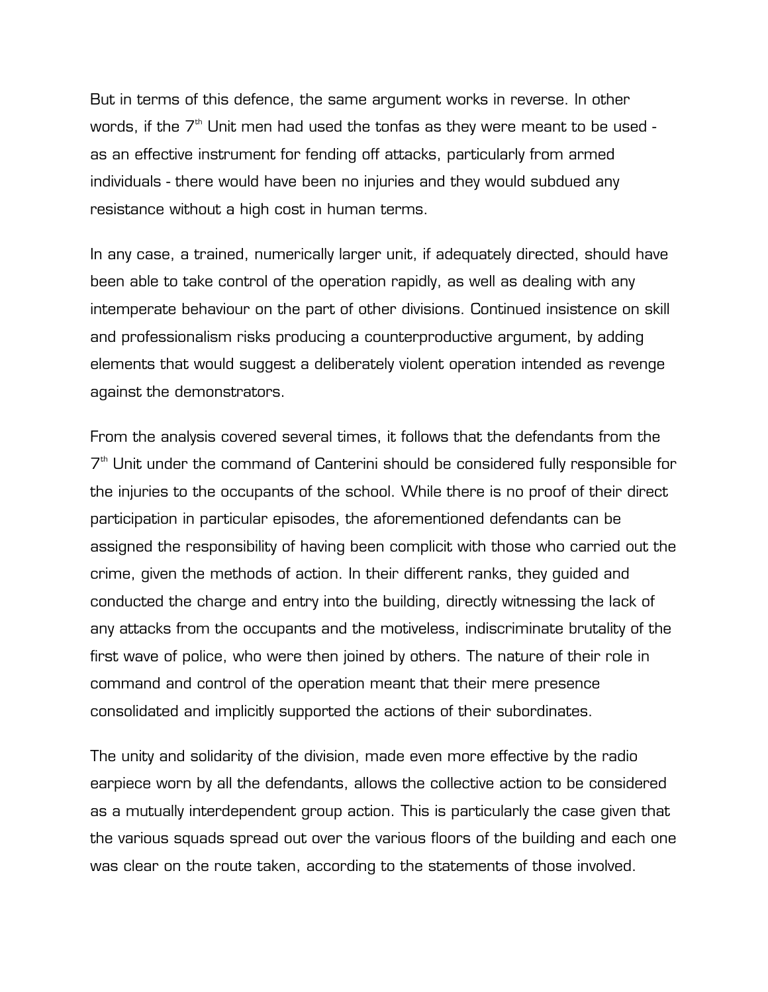But in terms of this defence, the same argument works in reverse. In other words, if the  $7<sup>th</sup>$  Unit men had used the tonfas as they were meant to be used as an effective instrument for fending off attacks, particularly from armed individuals - there would have been no injuries and they would subdued any resistance without a high cost in human terms.

In any case, a trained, numerically larger unit, if adequately directed, should have been able to take control of the operation rapidly, as well as dealing with any intemperate behaviour on the part of other divisions. Continued insistence on skill and professionalism risks producing a counterproductive argument, by adding elements that would suggest a deliberately violent operation intended as revenge against the demonstrators.

From the analysis covered several times, it follows that the defendants from the  $7<sup>th</sup>$  Unit under the command of Canterini should be considered fully responsible for the injuries to the occupants of the school. While there is no proof of their direct participation in particular episodes, the aforementioned defendants can be assigned the responsibility of having been complicit with those who carried out the crime, given the methods of action. In their different ranks, they guided and conducted the charge and entry into the building, directly witnessing the lack of any attacks from the occupants and the motiveless, indiscriminate brutality of the first wave of police, who were then joined by others. The nature of their role in command and control of the operation meant that their mere presence consolidated and implicitly supported the actions of their subordinates.

The unity and solidarity of the division, made even more effective by the radio earpiece worn by all the defendants, allows the collective action to be considered as a mutually interdependent group action. This is particularly the case given that the various squads spread out over the various floors of the building and each one was clear on the route taken, according to the statements of those involved.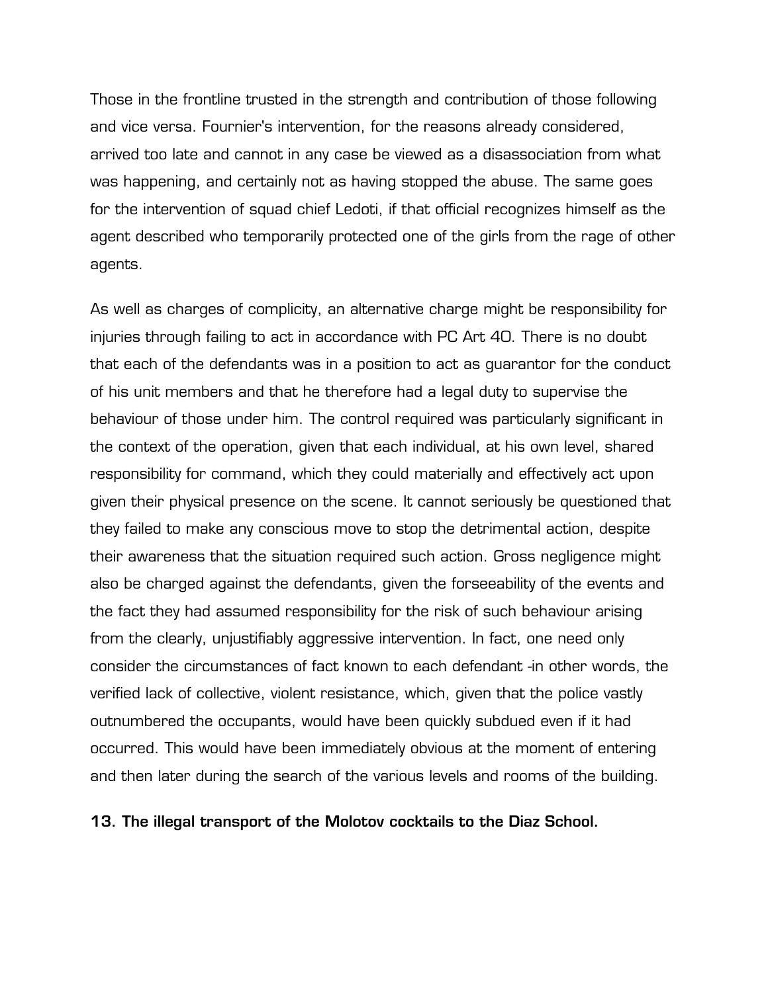Those in the frontline trusted in the strength and contribution of those following and vice versa. Fournier's intervention, for the reasons already considered, arrived too late and cannot in any case be viewed as a disassociation from what was happening, and certainly not as having stopped the abuse. The same goes for the intervention of squad chief Ledoti, if that official recognizes himself as the agent described who temporarily protected one of the girls from the rage of other agents.

As well as charges of complicity, an alternative charge might be responsibility for injuries through failing to act in accordance with PC Art 40. There is no doubt that each of the defendants was in a position to act as guarantor for the conduct of his unit members and that he therefore had a legal duty to supervise the behaviour of those under him. The control required was particularly significant in the context of the operation, given that each individual, at his own level, shared responsibility for command, which they could materially and effectively act upon given their physical presence on the scene. It cannot seriously be questioned that they failed to make any conscious move to stop the detrimental action, despite their awareness that the situation required such action. Gross negligence might also be charged against the defendants, given the forseeability of the events and the fact they had assumed responsibility for the risk of such behaviour arising from the clearly, unjustifiably aggressive intervention. In fact, one need only consider the circumstances of fact known to each defendant -in other words, the verified lack of collective, violent resistance, which, given that the police vastly outnumbered the occupants, would have been quickly subdued even if it had occurred. This would have been immediately obvious at the moment of entering and then later during the search of the various levels and rooms of the building.

## **13. The illegal transport of the Molotov cocktails to the Diaz School.**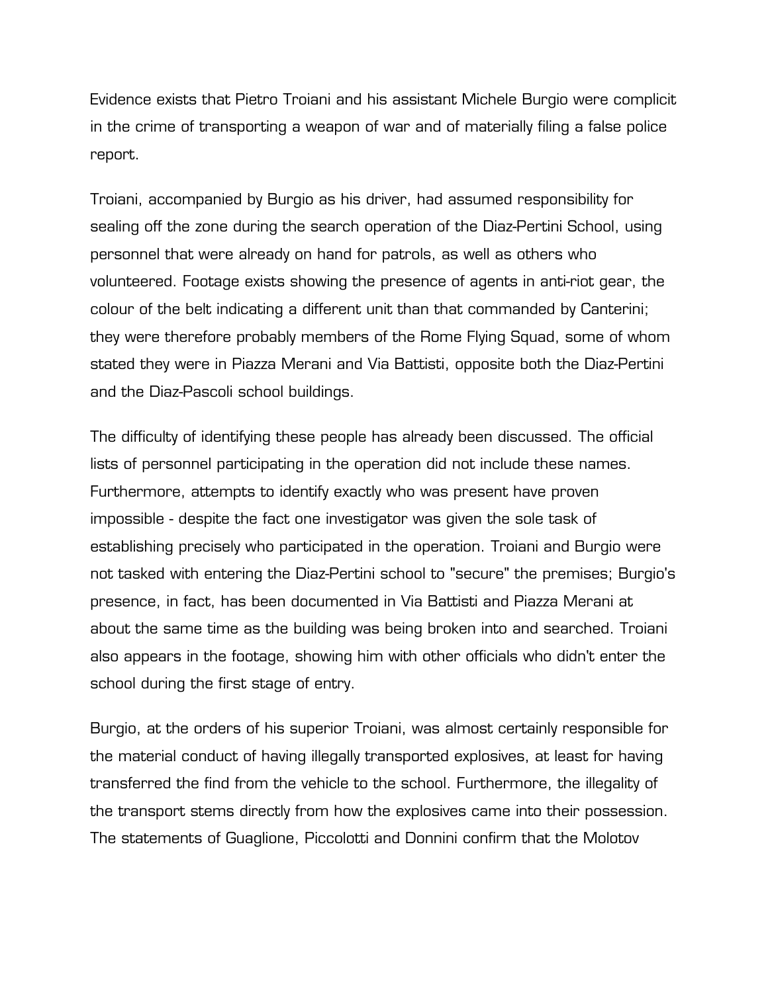Evidence exists that Pietro Troiani and his assistant Michele Burgio were complicit in the crime of transporting a weapon of war and of materially filing a false police report.

Troiani, accompanied by Burgio as his driver, had assumed responsibility for sealing off the zone during the search operation of the Diaz-Pertini School, using personnel that were already on hand for patrols, as well as others who volunteered. Footage exists showing the presence of agents in anti-riot gear, the colour of the belt indicating a different unit than that commanded by Canterini; they were therefore probably members of the Rome Flying Squad, some of whom stated they were in Piazza Merani and Via Battisti, opposite both the Diaz-Pertini and the Diaz-Pascoli school buildings.

The difficulty of identifying these people has already been discussed. The official lists of personnel participating in the operation did not include these names. Furthermore, attempts to identify exactly who was present have proven impossible - despite the fact one investigator was given the sole task of establishing precisely who participated in the operation. Troiani and Burgio were not tasked with entering the Diaz-Pertini school to "secure" the premises; Burgio's presence, in fact, has been documented in Via Battisti and Piazza Merani at about the same time as the building was being broken into and searched. Troiani also appears in the footage, showing him with other officials who didn't enter the school during the first stage of entry.

Burgio, at the orders of his superior Troiani, was almost certainly responsible for the material conduct of having illegally transported explosives, at least for having transferred the find from the vehicle to the school. Furthermore, the illegality of the transport stems directly from how the explosives came into their possession. The statements of Guaglione, Piccolotti and Donnini confirm that the Molotov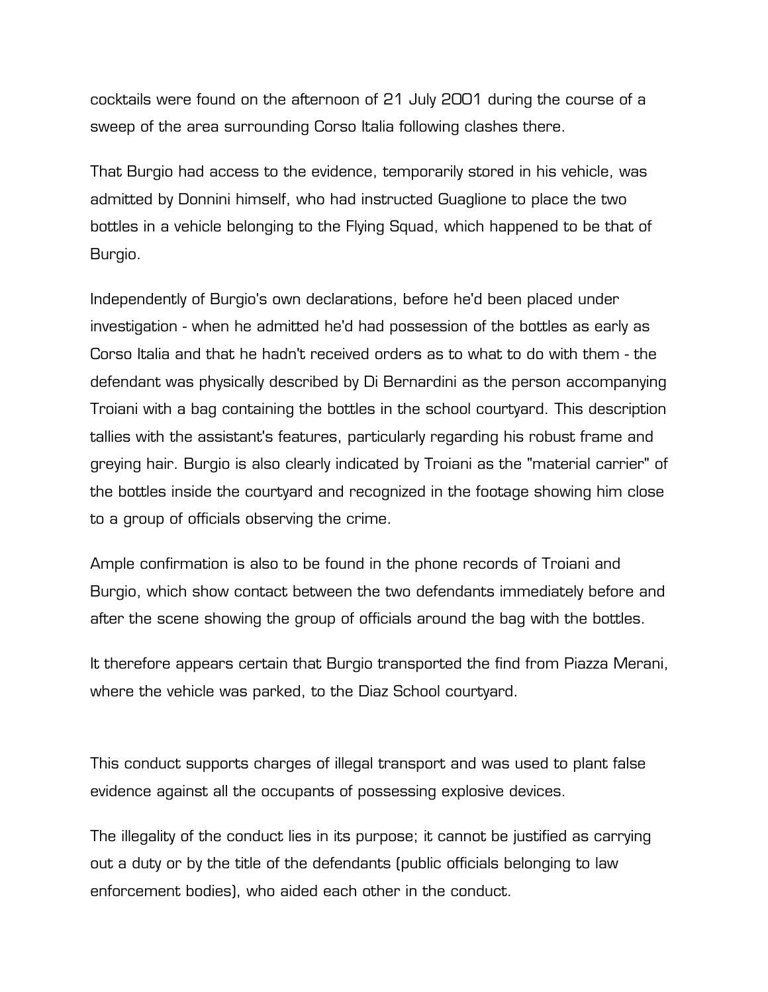cocktails were found on the afternoon of 21 July 2001 during the course of a sweep of the area surrounding Corso Italia following clashes there.

That Burgio had access to the evidence, temporarily stored in his vehicle, was admitted by Donnini himself, who had instructed Guaglione to place the two bottles in a vehicle belonging to the Flying Squad, which happened to be that of Burgio.

Independently of Burgio's own declarations, before he'd been placed under investigation - when he admitted he'd had possession of the bottles as early as Corso Italia and that he hadn't received orders as to what to do with them - the defendant was physically described by Di Bernardini as the person accompanying Troiani with a bag containing the bottles in the school courtyard. This description tallies with the assistant's features, particularly regarding his robust frame and greying hair. Burgio is also clearly indicated by Troiani as the "material carrier" of the bottles inside the courtyard and recognized in the footage showing him close to a group of officials observing the crime.

Ample confirmation is also to be found in the phone records of Troiani and Burgio, which show contact between the two defendants immediately before and after the scene showing the group of officials around the bag with the bottles.

It therefore appears certain that Burgio transported the find from Piazza Merani, where the vehicle was parked, to the Diaz School courtyard.

This conduct supports charges of illegal transport and was used to plant false evidence against all the occupants of possessing explosive devices.

The illegality of the conduct lies in its purpose; it cannot be justified as carrying out a duty or by the title of the defendants (public officials belonging to law enforcement bodies), who aided each other in the conduct.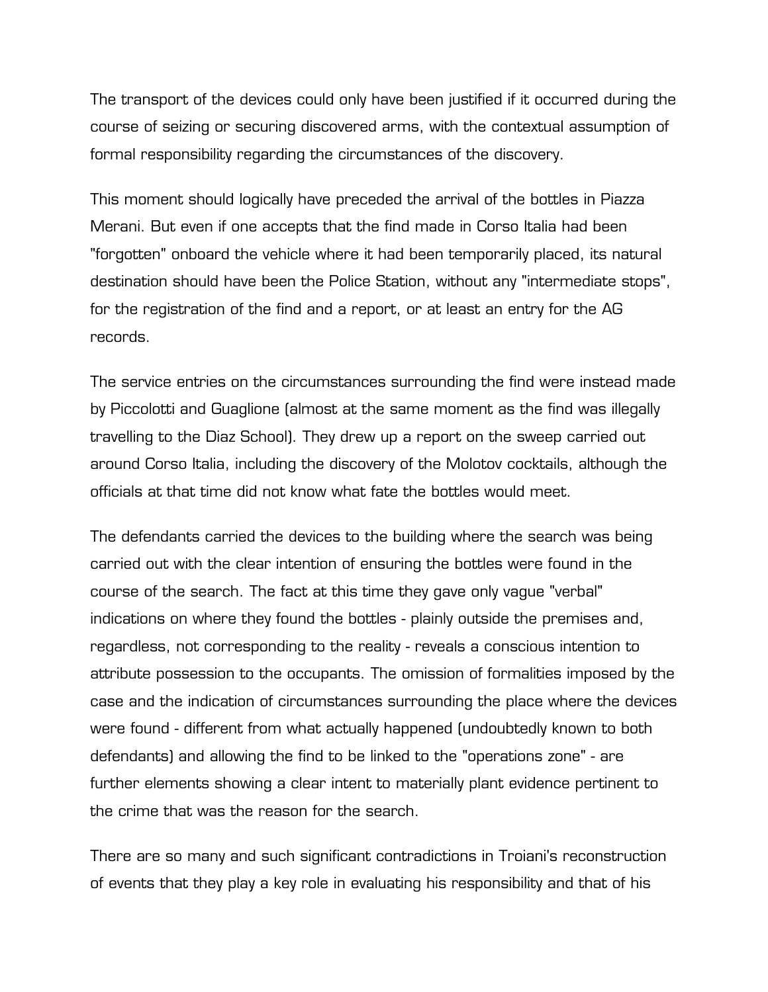The transport of the devices could only have been justified if it occurred during the course of seizing or securing discovered arms, with the contextual assumption of formal responsibility regarding the circumstances of the discovery.

This moment should logically have preceded the arrival of the bottles in Piazza Merani. But even if one accepts that the find made in Corso Italia had been "forgotten" onboard the vehicle where it had been temporarily placed, its natural destination should have been the Police Station, without any "intermediate stops", for the registration of the find and a report, or at least an entry for the AG records.

The service entries on the circumstances surrounding the find were instead made by Piccolotti and Guaglione (almost at the same moment as the find was illegally travelling to the Diaz School). They drew up a report on the sweep carried out around Corso Italia, including the discovery of the Molotov cocktails, although the officials at that time did not know what fate the bottles would meet.

The defendants carried the devices to the building where the search was being carried out with the clear intention of ensuring the bottles were found in the course of the search. The fact at this time they gave only vague "verbal" indications on where they found the bottles - plainly outside the premises and, regardless, not corresponding to the reality - reveals a conscious intention to attribute possession to the occupants. The omission of formalities imposed by the case and the indication of circumstances surrounding the place where the devices were found - different from what actually happened (undoubtedly known to both defendants) and allowing the find to be linked to the "operations zone" - are further elements showing a clear intent to materially plant evidence pertinent to the crime that was the reason for the search.

There are so many and such significant contradictions in Troiani's reconstruction of events that they play a key role in evaluating his responsibility and that of his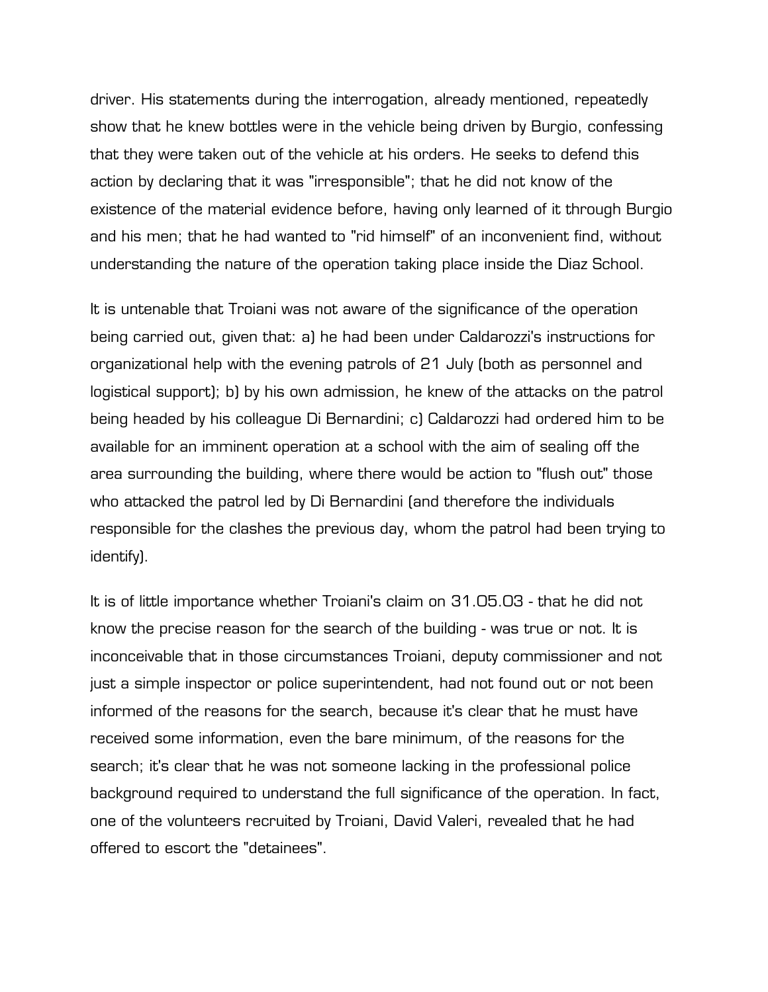driver. His statements during the interrogation, already mentioned, repeatedly show that he knew bottles were in the vehicle being driven by Burgio, confessing that they were taken out of the vehicle at his orders. He seeks to defend this action by declaring that it was "irresponsible"; that he did not know of the existence of the material evidence before, having only learned of it through Burgio and his men; that he had wanted to "rid himself" of an inconvenient find, without understanding the nature of the operation taking place inside the Diaz School.

It is untenable that Troiani was not aware of the significance of the operation being carried out, given that: a) he had been under Caldarozzi's instructions for organizational help with the evening patrols of 21 July (both as personnel and logistical support); b) by his own admission, he knew of the attacks on the patrol being headed by his colleague Di Bernardini; c) Caldarozzi had ordered him to be available for an imminent operation at a school with the aim of sealing off the area surrounding the building, where there would be action to "flush out" those who attacked the patrol led by Di Bernardini (and therefore the individuals responsible for the clashes the previous day, whom the patrol had been trying to identify).

It is of little importance whether Troiani's claim on 31.05.03 - that he did not know the precise reason for the search of the building - was true or not. It is inconceivable that in those circumstances Troiani, deputy commissioner and not just a simple inspector or police superintendent, had not found out or not been informed of the reasons for the search, because it's clear that he must have received some information, even the bare minimum, of the reasons for the search; it's clear that he was not someone lacking in the professional police background required to understand the full significance of the operation. In fact, one of the volunteers recruited by Troiani, David Valeri, revealed that he had offered to escort the "detainees".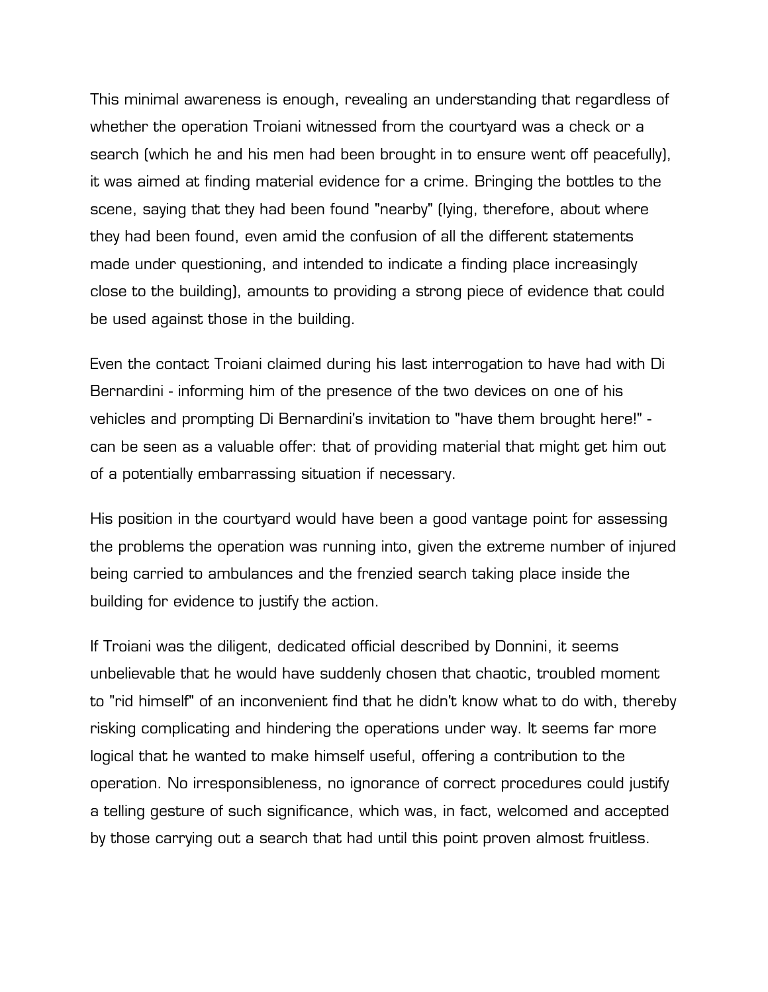This minimal awareness is enough, revealing an understanding that regardless of whether the operation Troiani witnessed from the courtyard was a check or a search (which he and his men had been brought in to ensure went off peacefully), it was aimed at finding material evidence for a crime. Bringing the bottles to the scene, saying that they had been found "nearby" (lying, therefore, about where they had been found, even amid the confusion of all the different statements made under questioning, and intended to indicate a finding place increasingly close to the building), amounts to providing a strong piece of evidence that could be used against those in the building.

Even the contact Troiani claimed during his last interrogation to have had with Di Bernardini - informing him of the presence of the two devices on one of his vehicles and prompting Di Bernardini's invitation to "have them brought here!" can be seen as a valuable offer: that of providing material that might get him out of a potentially embarrassing situation if necessary.

His position in the courtyard would have been a good vantage point for assessing the problems the operation was running into, given the extreme number of injured being carried to ambulances and the frenzied search taking place inside the building for evidence to justify the action.

If Troiani was the diligent, dedicated official described by Donnini, it seems unbelievable that he would have suddenly chosen that chaotic, troubled moment to "rid himself" of an inconvenient find that he didn't know what to do with, thereby risking complicating and hindering the operations under way. It seems far more logical that he wanted to make himself useful, offering a contribution to the operation. No irresponsibleness, no ignorance of correct procedures could justify a telling gesture of such significance, which was, in fact, welcomed and accepted by those carrying out a search that had until this point proven almost fruitless.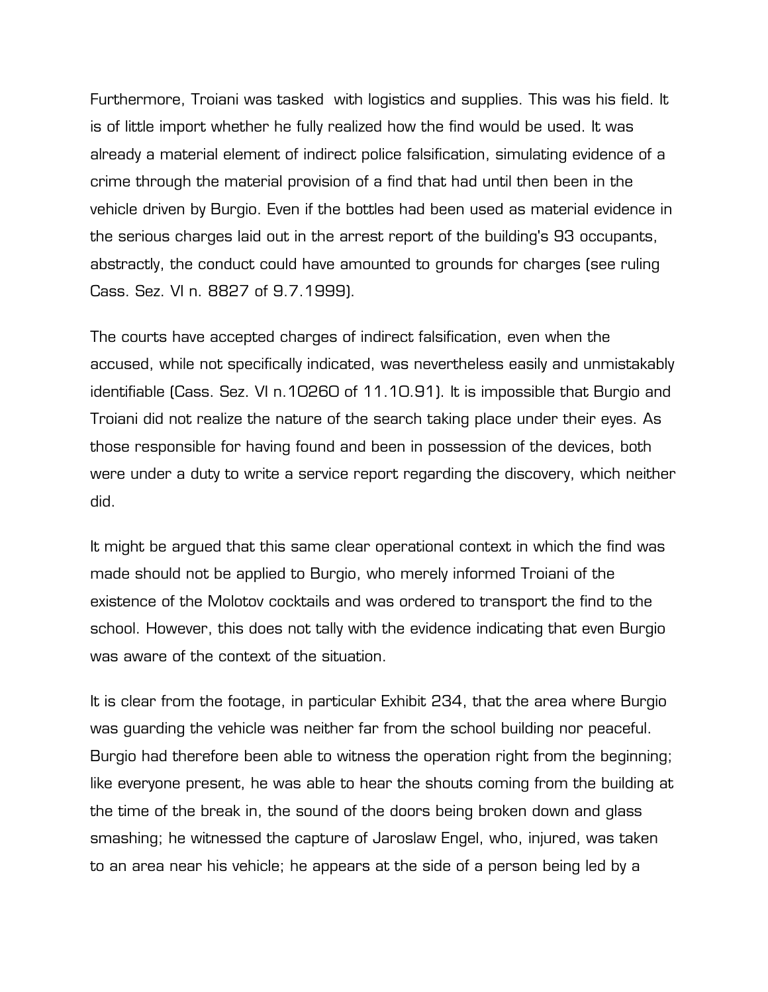Furthermore, Troiani was tasked with logistics and supplies. This was his field. It is of little import whether he fully realized how the find would be used. It was already a material element of indirect police falsification, simulating evidence of a crime through the material provision of a find that had until then been in the vehicle driven by Burgio. Even if the bottles had been used as material evidence in the serious charges laid out in the arrest report of the building's 93 occupants, abstractly, the conduct could have amounted to grounds for charges (see ruling Cass. Sez. VI n. 8827 of 9.7.1999).

The courts have accepted charges of indirect falsification, even when the accused, while not specifically indicated, was nevertheless easily and unmistakably identifiable (Cass. Sez. VI n.10260 of 11.10.91). It is impossible that Burgio and Troiani did not realize the nature of the search taking place under their eyes. As those responsible for having found and been in possession of the devices, both were under a duty to write a service report regarding the discovery, which neither did.

It might be argued that this same clear operational context in which the find was made should not be applied to Burgio, who merely informed Troiani of the existence of the Molotov cocktails and was ordered to transport the find to the school. However, this does not tally with the evidence indicating that even Burgio was aware of the context of the situation.

It is clear from the footage, in particular Exhibit 234, that the area where Burgio was guarding the vehicle was neither far from the school building nor peaceful. Burgio had therefore been able to witness the operation right from the beginning; like everyone present, he was able to hear the shouts coming from the building at the time of the break in, the sound of the doors being broken down and glass smashing; he witnessed the capture of Jaroslaw Engel, who, injured, was taken to an area near his vehicle; he appears at the side of a person being led by a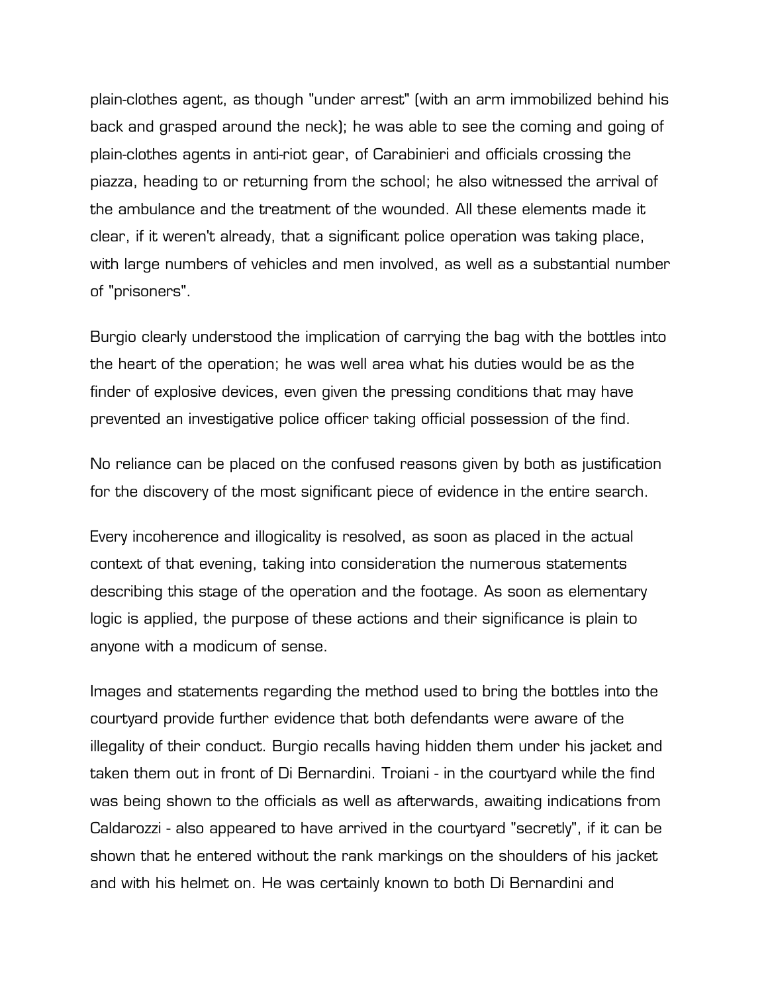plain-clothes agent, as though "under arrest" (with an arm immobilized behind his back and grasped around the neck); he was able to see the coming and going of plain-clothes agents in anti-riot gear, of Carabinieri and officials crossing the piazza, heading to or returning from the school; he also witnessed the arrival of the ambulance and the treatment of the wounded. All these elements made it clear, if it weren't already, that a significant police operation was taking place, with large numbers of vehicles and men involved, as well as a substantial number of "prisoners".

Burgio clearly understood the implication of carrying the bag with the bottles into the heart of the operation; he was well area what his duties would be as the finder of explosive devices, even given the pressing conditions that may have prevented an investigative police officer taking official possession of the find.

No reliance can be placed on the confused reasons given by both as justification for the discovery of the most significant piece of evidence in the entire search.

Every incoherence and illogicality is resolved, as soon as placed in the actual context of that evening, taking into consideration the numerous statements describing this stage of the operation and the footage. As soon as elementary logic is applied, the purpose of these actions and their significance is plain to anyone with a modicum of sense.

Images and statements regarding the method used to bring the bottles into the courtyard provide further evidence that both defendants were aware of the illegality of their conduct. Burgio recalls having hidden them under his jacket and taken them out in front of Di Bernardini. Troiani - in the courtyard while the find was being shown to the officials as well as afterwards, awaiting indications from Caldarozzi - also appeared to have arrived in the courtyard "secretly", if it can be shown that he entered without the rank markings on the shoulders of his jacket and with his helmet on. He was certainly known to both Di Bernardini and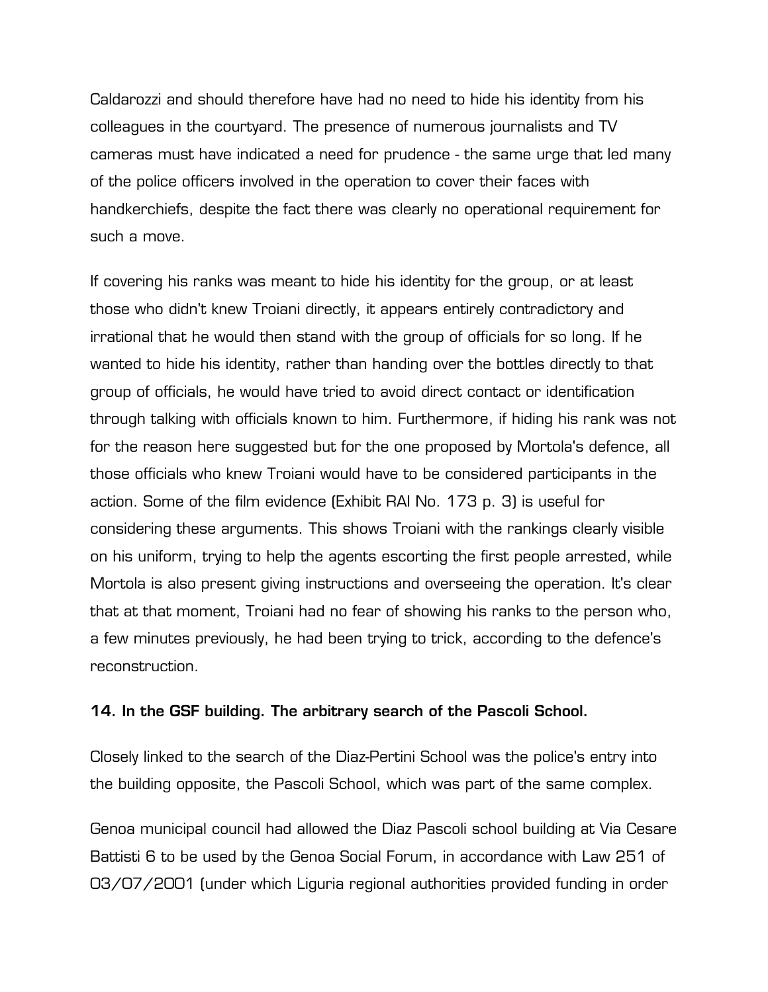Caldarozzi and should therefore have had no need to hide his identity from his colleagues in the courtyard. The presence of numerous journalists and TV cameras must have indicated a need for prudence - the same urge that led many of the police officers involved in the operation to cover their faces with handkerchiefs, despite the fact there was clearly no operational requirement for such a move.

If covering his ranks was meant to hide his identity for the group, or at least those who didn't knew Troiani directly, it appears entirely contradictory and irrational that he would then stand with the group of officials for so long. If he wanted to hide his identity, rather than handing over the bottles directly to that group of officials, he would have tried to avoid direct contact or identification through talking with officials known to him. Furthermore, if hiding his rank was not for the reason here suggested but for the one proposed by Mortola's defence, all those officials who knew Troiani would have to be considered participants in the action. Some of the film evidence (Exhibit RAI No. 173 p. 3) is useful for considering these arguments. This shows Troiani with the rankings clearly visible on his uniform, trying to help the agents escorting the first people arrested, while Mortola is also present giving instructions and overseeing the operation. It's clear that at that moment, Troiani had no fear of showing his ranks to the person who, a few minutes previously, he had been trying to trick, according to the defence's reconstruction.

## **14. In the GSF building. The arbitrary search of the Pascoli School.**

Closely linked to the search of the Diaz-Pertini School was the police's entry into the building opposite, the Pascoli School, which was part of the same complex.

Genoa municipal council had allowed the Diaz Pascoli school building at Via Cesare Battisti 6 to be used by the Genoa Social Forum, in accordance with Law 251 of 03/07/2001 (under which Liguria regional authorities provided funding in order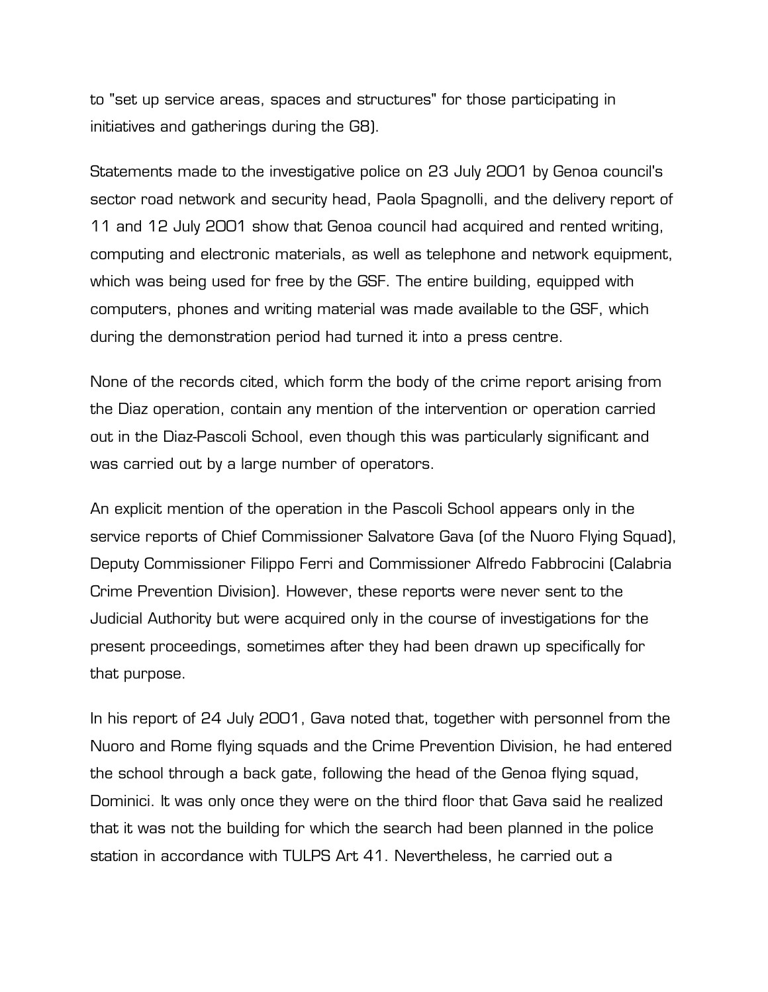to "set up service areas, spaces and structures" for those participating in initiatives and gatherings during the G8).

Statements made to the investigative police on 23 July 2001 by Genoa council's sector road network and security head, Paola Spagnolli, and the delivery report of 11 and 12 July 2001 show that Genoa council had acquired and rented writing, computing and electronic materials, as well as telephone and network equipment, which was being used for free by the GSF. The entire building, equipped with computers, phones and writing material was made available to the GSF, which during the demonstration period had turned it into a press centre.

None of the records cited, which form the body of the crime report arising from the Diaz operation, contain any mention of the intervention or operation carried out in the Diaz-Pascoli School, even though this was particularly significant and was carried out by a large number of operators.

An explicit mention of the operation in the Pascoli School appears only in the service reports of Chief Commissioner Salvatore Gava (of the Nuoro Flying Squad), Deputy Commissioner Filippo Ferri and Commissioner Alfredo Fabbrocini (Calabria Crime Prevention Division). However, these reports were never sent to the Judicial Authority but were acquired only in the course of investigations for the present proceedings, sometimes after they had been drawn up specifically for that purpose.

In his report of 24 July 2001, Gava noted that, together with personnel from the Nuoro and Rome flying squads and the Crime Prevention Division, he had entered the school through a back gate, following the head of the Genoa flying squad, Dominici. It was only once they were on the third floor that Gava said he realized that it was not the building for which the search had been planned in the police station in accordance with TULPS Art 41. Nevertheless, he carried out a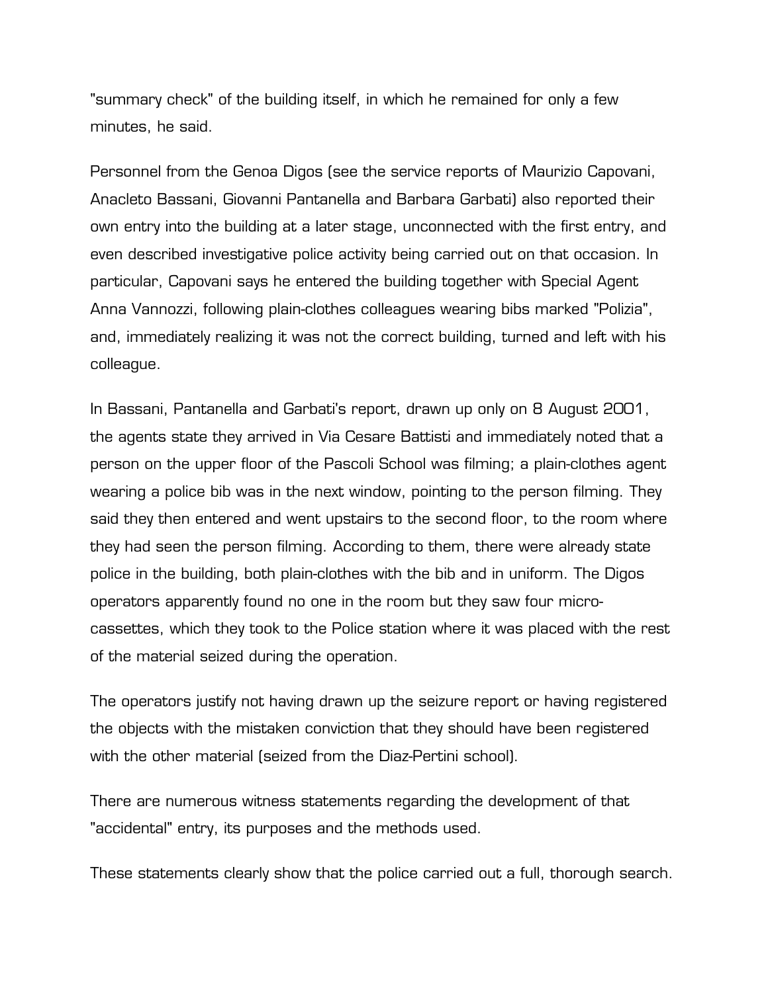"summary check" of the building itself, in which he remained for only a few minutes, he said.

Personnel from the Genoa Digos (see the service reports of Maurizio Capovani, Anacleto Bassani, Giovanni Pantanella and Barbara Garbati) also reported their own entry into the building at a later stage, unconnected with the first entry, and even described investigative police activity being carried out on that occasion. In particular, Capovani says he entered the building together with Special Agent Anna Vannozzi, following plain-clothes colleagues wearing bibs marked "Polizia", and, immediately realizing it was not the correct building, turned and left with his colleague.

In Bassani, Pantanella and Garbati's report, drawn up only on 8 August 2001, the agents state they arrived in Via Cesare Battisti and immediately noted that a person on the upper floor of the Pascoli School was filming; a plain-clothes agent wearing a police bib was in the next window, pointing to the person filming. They said they then entered and went upstairs to the second floor, to the room where they had seen the person filming. According to them, there were already state police in the building, both plain-clothes with the bib and in uniform. The Digos operators apparently found no one in the room but they saw four microcassettes, which they took to the Police station where it was placed with the rest of the material seized during the operation.

The operators justify not having drawn up the seizure report or having registered the objects with the mistaken conviction that they should have been registered with the other material (seized from the Diaz-Pertini school).

There are numerous witness statements regarding the development of that "accidental" entry, its purposes and the methods used.

These statements clearly show that the police carried out a full, thorough search.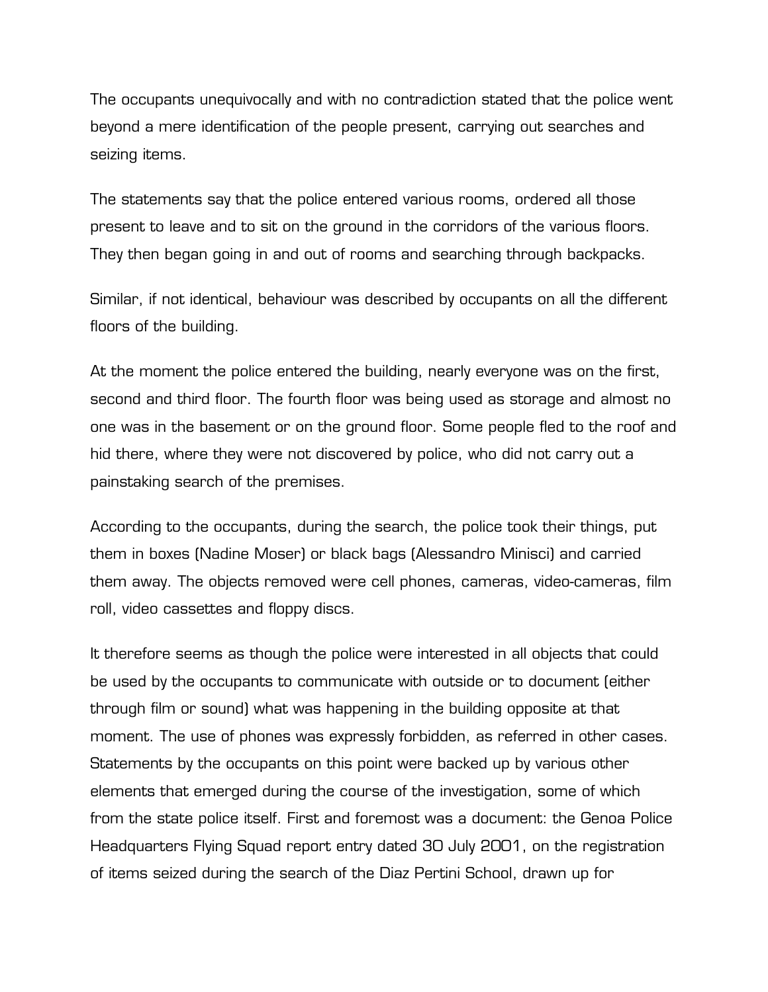The occupants unequivocally and with no contradiction stated that the police went beyond a mere identification of the people present, carrying out searches and seizing items.

The statements say that the police entered various rooms, ordered all those present to leave and to sit on the ground in the corridors of the various floors. They then began going in and out of rooms and searching through backpacks.

Similar, if not identical, behaviour was described by occupants on all the different floors of the building.

At the moment the police entered the building, nearly everyone was on the first, second and third floor. The fourth floor was being used as storage and almost no one was in the basement or on the ground floor. Some people fled to the roof and hid there, where they were not discovered by police, who did not carry out a painstaking search of the premises.

According to the occupants, during the search, the police took their things, put them in boxes (Nadine Moser) or black bags (Alessandro Minisci) and carried them away. The objects removed were cell phones, cameras, video-cameras, film roll, video cassettes and floppy discs.

It therefore seems as though the police were interested in all objects that could be used by the occupants to communicate with outside or to document (either through film or sound) what was happening in the building opposite at that moment. The use of phones was expressly forbidden, as referred in other cases. Statements by the occupants on this point were backed up by various other elements that emerged during the course of the investigation, some of which from the state police itself. First and foremost was a document: the Genoa Police Headquarters Flying Squad report entry dated 30 July 2001, on the registration of items seized during the search of the Diaz Pertini School, drawn up for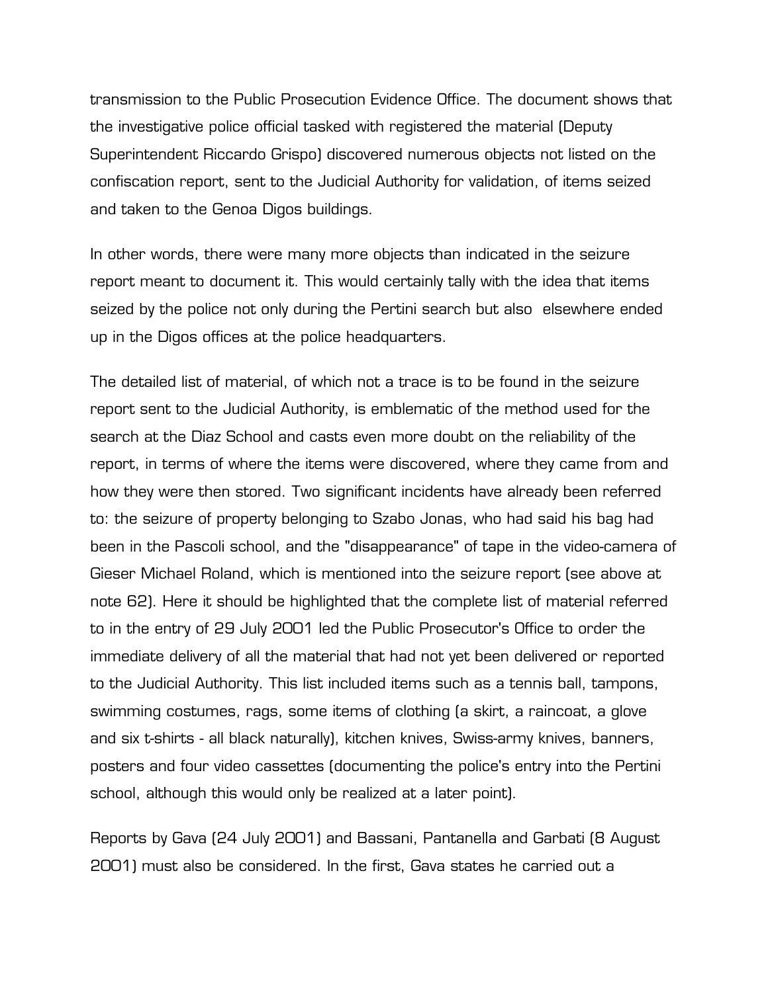transmission to the Public Prosecution Evidence Office. The document shows that the investigative police official tasked with registered the material (Deputy Superintendent Riccardo Grispo) discovered numerous objects not listed on the confiscation report, sent to the Judicial Authority for validation, of items seized and taken to the Genoa Digos buildings.

In other words, there were many more objects than indicated in the seizure report meant to document it. This would certainly tally with the idea that items seized by the police not only during the Pertini search but also elsewhere ended up in the Digos offices at the police headquarters.

The detailed list of material, of which not a trace is to be found in the seizure report sent to the Judicial Authority, is emblematic of the method used for the search at the Diaz School and casts even more doubt on the reliability of the report, in terms of where the items were discovered, where they came from and how they were then stored. Two significant incidents have already been referred to: the seizure of property belonging to Szabo Jonas, who had said his bag had been in the Pascoli school, and the "disappearance" of tape in the video-camera of Gieser Michael Roland, which is mentioned into the seizure report (see above at note 62). Here it should be highlighted that the complete list of material referred to in the entry of 29 July 2001 led the Public Prosecutor's Office to order the immediate delivery of all the material that had not yet been delivered or reported to the Judicial Authority. This list included items such as a tennis ball, tampons, swimming costumes, rags, some items of clothing (a skirt, a raincoat, a glove and six t-shirts - all black naturally), kitchen knives, Swiss-army knives, banners, posters and four video cassettes (documenting the police's entry into the Pertini school, although this would only be realized at a later point).

Reports by Gava (24 July 2001) and Bassani, Pantanella and Garbati (8 August 2001) must also be considered. In the first, Gava states he carried out a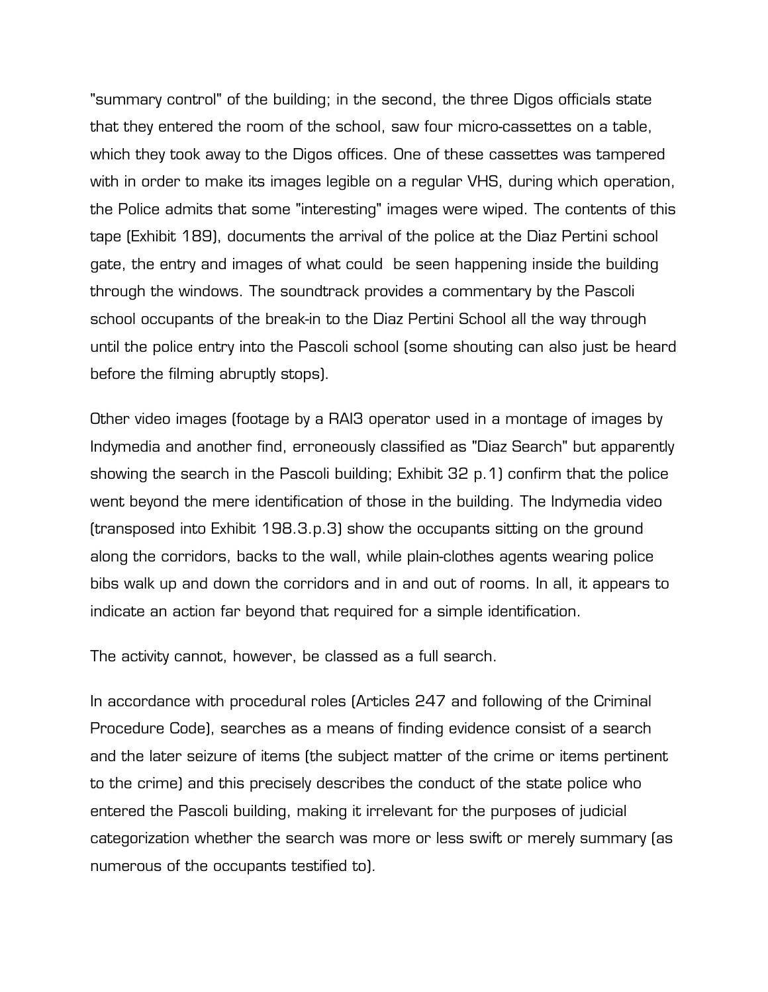"summary control" of the building; in the second, the three Digos officials state that they entered the room of the school, saw four micro-cassettes on a table, which they took away to the Digos offices. One of these cassettes was tampered with in order to make its images legible on a regular VHS, during which operation, the Police admits that some "interesting" images were wiped. The contents of this tape (Exhibit 189), documents the arrival of the police at the Diaz Pertini school gate, the entry and images of what could be seen happening inside the building through the windows. The soundtrack provides a commentary by the Pascoli school occupants of the break-in to the Diaz Pertini School all the way through until the police entry into the Pascoli school (some shouting can also just be heard before the filming abruptly stops).

Other video images (footage by a RAI3 operator used in a montage of images by Indymedia and another find, erroneously classified as "Diaz Search" but apparently showing the search in the Pascoli building; Exhibit 32 p.1) confirm that the police went beyond the mere identification of those in the building. The Indymedia video (transposed into Exhibit 198.3.p.3) show the occupants sitting on the ground along the corridors, backs to the wall, while plain-clothes agents wearing police bibs walk up and down the corridors and in and out of rooms. In all, it appears to indicate an action far beyond that required for a simple identification.

The activity cannot, however, be classed as a full search.

In accordance with procedural roles (Articles 247 and following of the Criminal Procedure Code), searches as a means of finding evidence consist of a search and the later seizure of items (the subject matter of the crime or items pertinent to the crime) and this precisely describes the conduct of the state police who entered the Pascoli building, making it irrelevant for the purposes of judicial categorization whether the search was more or less swift or merely summary (as numerous of the occupants testified to).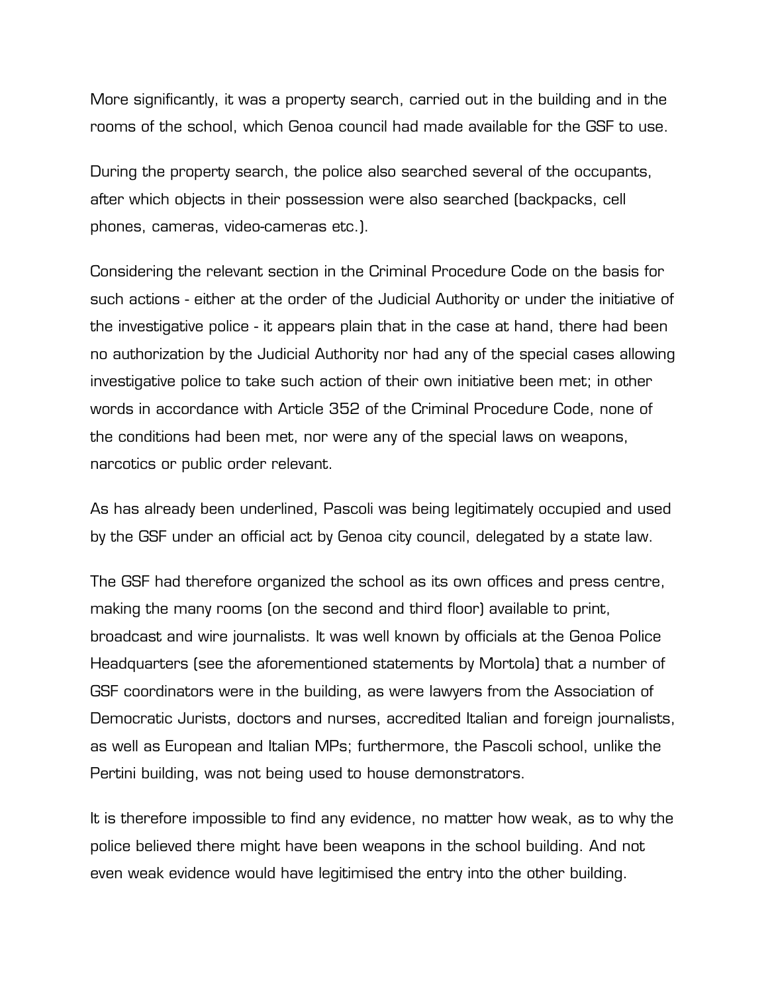More significantly, it was a property search, carried out in the building and in the rooms of the school, which Genoa council had made available for the GSF to use.

During the property search, the police also searched several of the occupants, after which objects in their possession were also searched (backpacks, cell phones, cameras, video-cameras etc.).

Considering the relevant section in the Criminal Procedure Code on the basis for such actions - either at the order of the Judicial Authority or under the initiative of the investigative police - it appears plain that in the case at hand, there had been no authorization by the Judicial Authority nor had any of the special cases allowing investigative police to take such action of their own initiative been met; in other words in accordance with Article 352 of the Criminal Procedure Code, none of the conditions had been met, nor were any of the special laws on weapons, narcotics or public order relevant.

As has already been underlined, Pascoli was being legitimately occupied and used by the GSF under an official act by Genoa city council, delegated by a state law.

The GSF had therefore organized the school as its own offices and press centre, making the many rooms (on the second and third floor) available to print, broadcast and wire journalists. It was well known by officials at the Genoa Police Headquarters (see the aforementioned statements by Mortola) that a number of GSF coordinators were in the building, as were lawyers from the Association of Democratic Jurists, doctors and nurses, accredited Italian and foreign journalists, as well as European and Italian MPs; furthermore, the Pascoli school, unlike the Pertini building, was not being used to house demonstrators.

It is therefore impossible to find any evidence, no matter how weak, as to why the police believed there might have been weapons in the school building. And not even weak evidence would have legitimised the entry into the other building.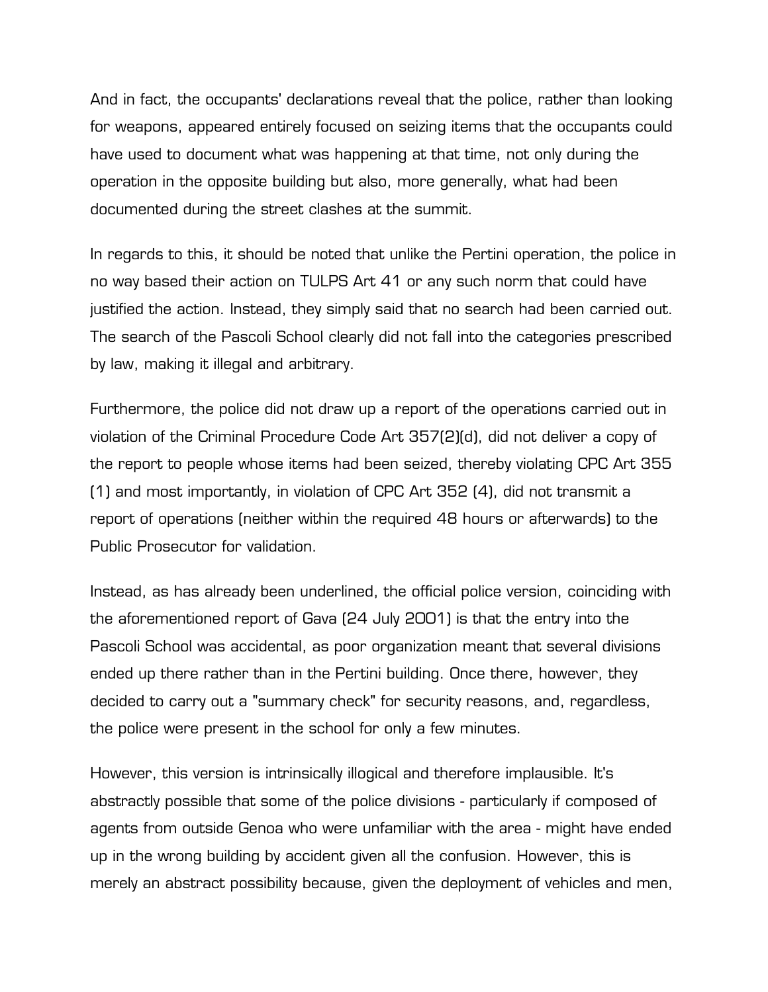And in fact, the occupants' declarations reveal that the police, rather than looking for weapons, appeared entirely focused on seizing items that the occupants could have used to document what was happening at that time, not only during the operation in the opposite building but also, more generally, what had been documented during the street clashes at the summit.

In regards to this, it should be noted that unlike the Pertini operation, the police in no way based their action on TULPS Art 41 or any such norm that could have justified the action. Instead, they simply said that no search had been carried out. The search of the Pascoli School clearly did not fall into the categories prescribed by law, making it illegal and arbitrary.

Furthermore, the police did not draw up a report of the operations carried out in violation of the Criminal Procedure Code Art 357(2)(d), did not deliver a copy of the report to people whose items had been seized, thereby violating CPC Art 355 (1) and most importantly, in violation of CPC Art 352 (4), did not transmit a report of operations (neither within the required 48 hours or afterwards) to the Public Prosecutor for validation.

Instead, as has already been underlined, the official police version, coinciding with the aforementioned report of Gava (24 July 2001) is that the entry into the Pascoli School was accidental, as poor organization meant that several divisions ended up there rather than in the Pertini building. Once there, however, they decided to carry out a "summary check" for security reasons, and, regardless, the police were present in the school for only a few minutes.

However, this version is intrinsically illogical and therefore implausible. It's abstractly possible that some of the police divisions - particularly if composed of agents from outside Genoa who were unfamiliar with the area - might have ended up in the wrong building by accident given all the confusion. However, this is merely an abstract possibility because, given the deployment of vehicles and men,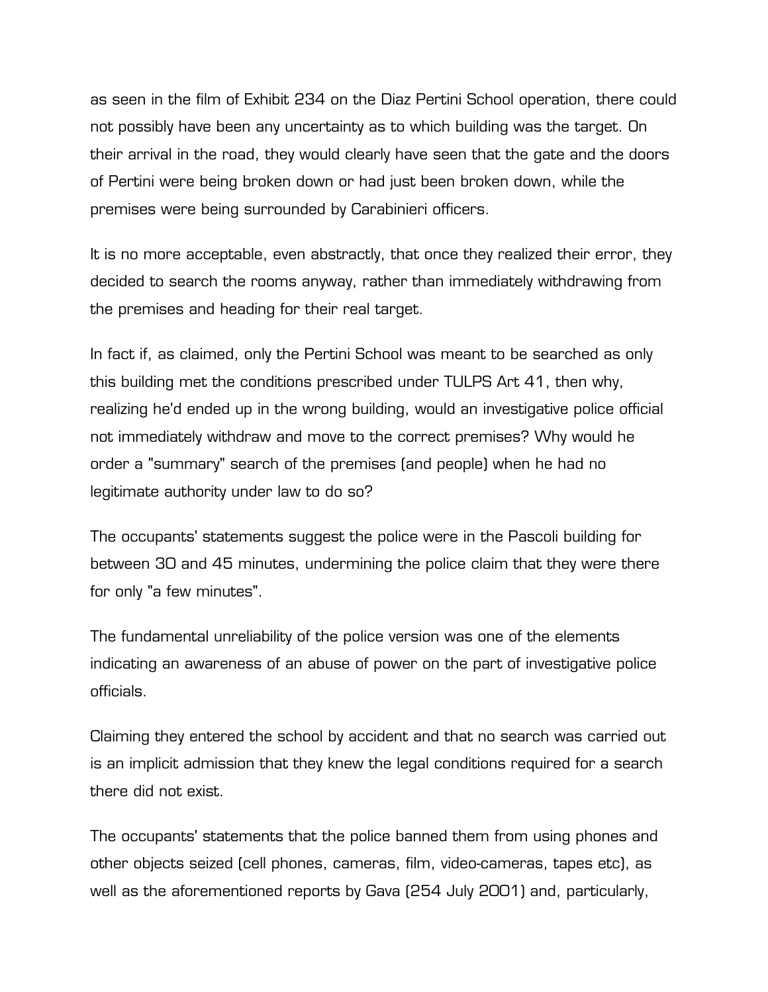as seen in the film of Exhibit 234 on the Diaz Pertini School operation, there could not possibly have been any uncertainty as to which building was the target. On their arrival in the road, they would clearly have seen that the gate and the doors of Pertini were being broken down or had just been broken down, while the premises were being surrounded by Carabinieri officers.

It is no more acceptable, even abstractly, that once they realized their error, they decided to search the rooms anyway, rather than immediately withdrawing from the premises and heading for their real target.

In fact if, as claimed, only the Pertini School was meant to be searched as only this building met the conditions prescribed under TULPS Art 41, then why, realizing he'd ended up in the wrong building, would an investigative police official not immediately withdraw and move to the correct premises? Why would he order a "summary" search of the premises (and people) when he had no legitimate authority under law to do so?

The occupants' statements suggest the police were in the Pascoli building for between 30 and 45 minutes, undermining the police claim that they were there for only "a few minutes".

The fundamental unreliability of the police version was one of the elements indicating an awareness of an abuse of power on the part of investigative police officials.

Claiming they entered the school by accident and that no search was carried out is an implicit admission that they knew the legal conditions required for a search there did not exist.

The occupants' statements that the police banned them from using phones and other objects seized (cell phones, cameras, film, video-cameras, tapes etc), as well as the aforementioned reports by Gava (254 July 2001) and, particularly,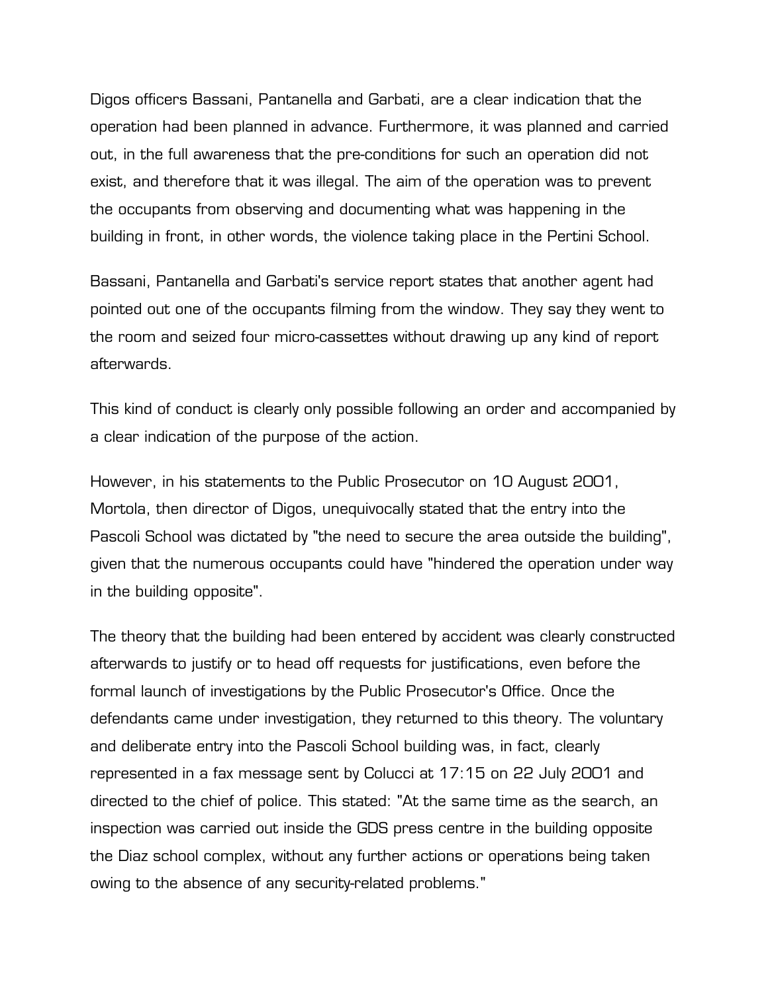Digos officers Bassani, Pantanella and Garbati, are a clear indication that the operation had been planned in advance. Furthermore, it was planned and carried out, in the full awareness that the pre-conditions for such an operation did not exist, and therefore that it was illegal. The aim of the operation was to prevent the occupants from observing and documenting what was happening in the building in front, in other words, the violence taking place in the Pertini School.

Bassani, Pantanella and Garbati's service report states that another agent had pointed out one of the occupants filming from the window. They say they went to the room and seized four micro-cassettes without drawing up any kind of report afterwards.

This kind of conduct is clearly only possible following an order and accompanied by a clear indication of the purpose of the action.

However, in his statements to the Public Prosecutor on 10 August 2001, Mortola, then director of Digos, unequivocally stated that the entry into the Pascoli School was dictated by "the need to secure the area outside the building", given that the numerous occupants could have "hindered the operation under way in the building opposite".

The theory that the building had been entered by accident was clearly constructed afterwards to justify or to head off requests for justifications, even before the formal launch of investigations by the Public Prosecutor's Office. Once the defendants came under investigation, they returned to this theory. The voluntary and deliberate entry into the Pascoli School building was, in fact, clearly represented in a fax message sent by Colucci at 17:15 on 22 July 2001 and directed to the chief of police. This stated: "At the same time as the search, an inspection was carried out inside the GDS press centre in the building opposite the Diaz school complex, without any further actions or operations being taken owing to the absence of any security-related problems."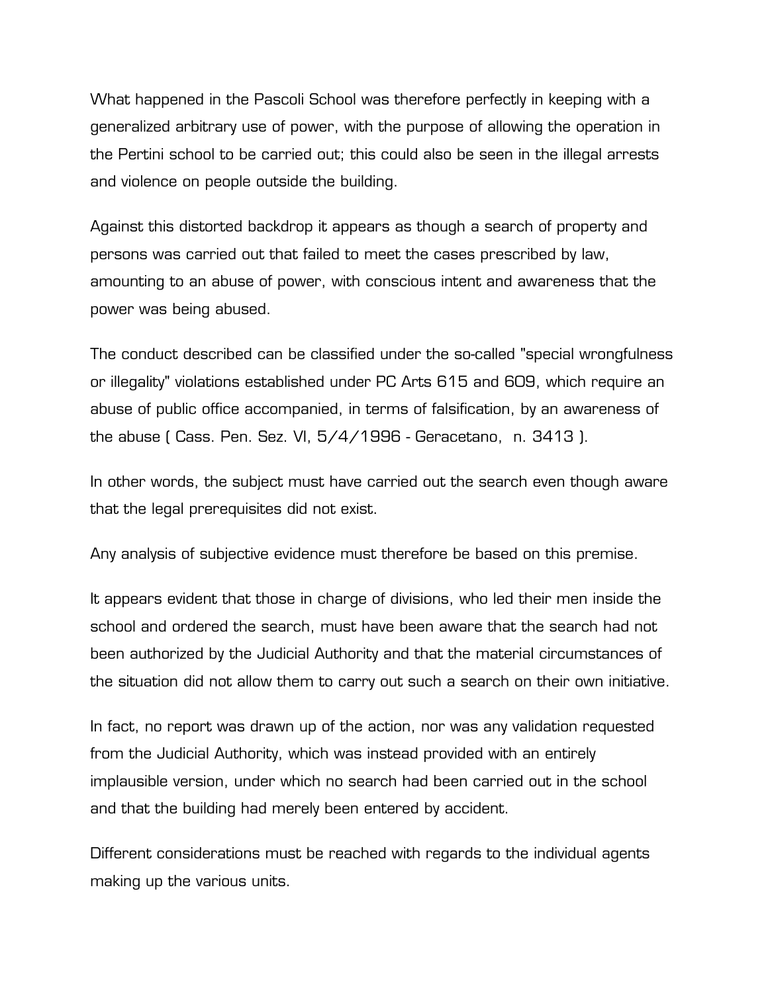What happened in the Pascoli School was therefore perfectly in keeping with a generalized arbitrary use of power, with the purpose of allowing the operation in the Pertini school to be carried out; this could also be seen in the illegal arrests and violence on people outside the building.

Against this distorted backdrop it appears as though a search of property and persons was carried out that failed to meet the cases prescribed by law, amounting to an abuse of power, with conscious intent and awareness that the power was being abused.

The conduct described can be classified under the so-called "special wrongfulness or illegality" violations established under PC Arts 615 and 609, which require an abuse of public office accompanied, in terms of falsification, by an awareness of the abuse ( Cass. Pen. Sez. VI, 5/4/1996 - Geracetano, n. 3413 ).

In other words, the subject must have carried out the search even though aware that the legal prerequisites did not exist.

Any analysis of subjective evidence must therefore be based on this premise.

It appears evident that those in charge of divisions, who led their men inside the school and ordered the search, must have been aware that the search had not been authorized by the Judicial Authority and that the material circumstances of the situation did not allow them to carry out such a search on their own initiative.

In fact, no report was drawn up of the action, nor was any validation requested from the Judicial Authority, which was instead provided with an entirely implausible version, under which no search had been carried out in the school and that the building had merely been entered by accident.

Different considerations must be reached with regards to the individual agents making up the various units.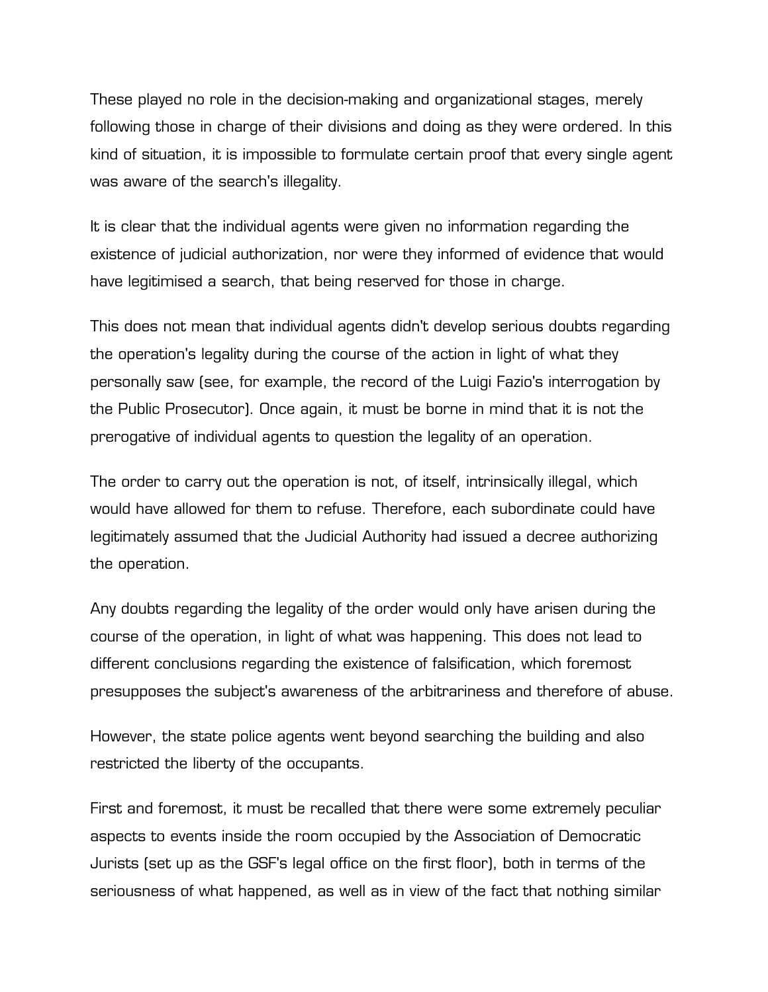These played no role in the decision-making and organizational stages, merely following those in charge of their divisions and doing as they were ordered. In this kind of situation, it is impossible to formulate certain proof that every single agent was aware of the search's illegality.

It is clear that the individual agents were given no information regarding the existence of judicial authorization, nor were they informed of evidence that would have legitimised a search, that being reserved for those in charge.

This does not mean that individual agents didn't develop serious doubts regarding the operation's legality during the course of the action in light of what they personally saw (see, for example, the record of the Luigi Fazio's interrogation by the Public Prosecutor). Once again, it must be borne in mind that it is not the prerogative of individual agents to question the legality of an operation.

The order to carry out the operation is not, of itself, intrinsically illegal, which would have allowed for them to refuse. Therefore, each subordinate could have legitimately assumed that the Judicial Authority had issued a decree authorizing the operation.

Any doubts regarding the legality of the order would only have arisen during the course of the operation, in light of what was happening. This does not lead to different conclusions regarding the existence of falsification, which foremost presupposes the subject's awareness of the arbitrariness and therefore of abuse.

However, the state police agents went beyond searching the building and also restricted the liberty of the occupants.

First and foremost, it must be recalled that there were some extremely peculiar aspects to events inside the room occupied by the Association of Democratic Jurists (set up as the GSF's legal office on the first floor), both in terms of the seriousness of what happened, as well as in view of the fact that nothing similar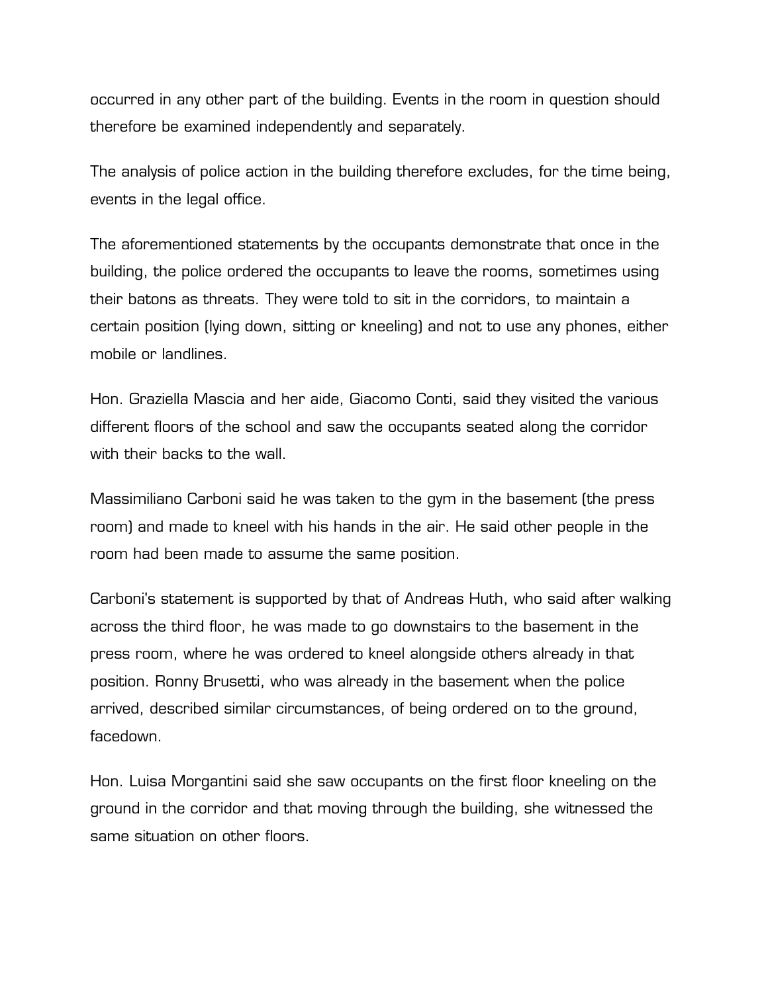occurred in any other part of the building. Events in the room in question should therefore be examined independently and separately.

The analysis of police action in the building therefore excludes, for the time being, events in the legal office.

The aforementioned statements by the occupants demonstrate that once in the building, the police ordered the occupants to leave the rooms, sometimes using their batons as threats. They were told to sit in the corridors, to maintain a certain position (lying down, sitting or kneeling) and not to use any phones, either mobile or landlines.

Hon. Graziella Mascia and her aide, Giacomo Conti, said they visited the various different floors of the school and saw the occupants seated along the corridor with their backs to the wall.

Massimiliano Carboni said he was taken to the gym in the basement (the press room) and made to kneel with his hands in the air. He said other people in the room had been made to assume the same position.

Carboni's statement is supported by that of Andreas Huth, who said after walking across the third floor, he was made to go downstairs to the basement in the press room, where he was ordered to kneel alongside others already in that position. Ronny Brusetti, who was already in the basement when the police arrived, described similar circumstances, of being ordered on to the ground, facedown.

Hon. Luisa Morgantini said she saw occupants on the first floor kneeling on the ground in the corridor and that moving through the building, she witnessed the same situation on other floors.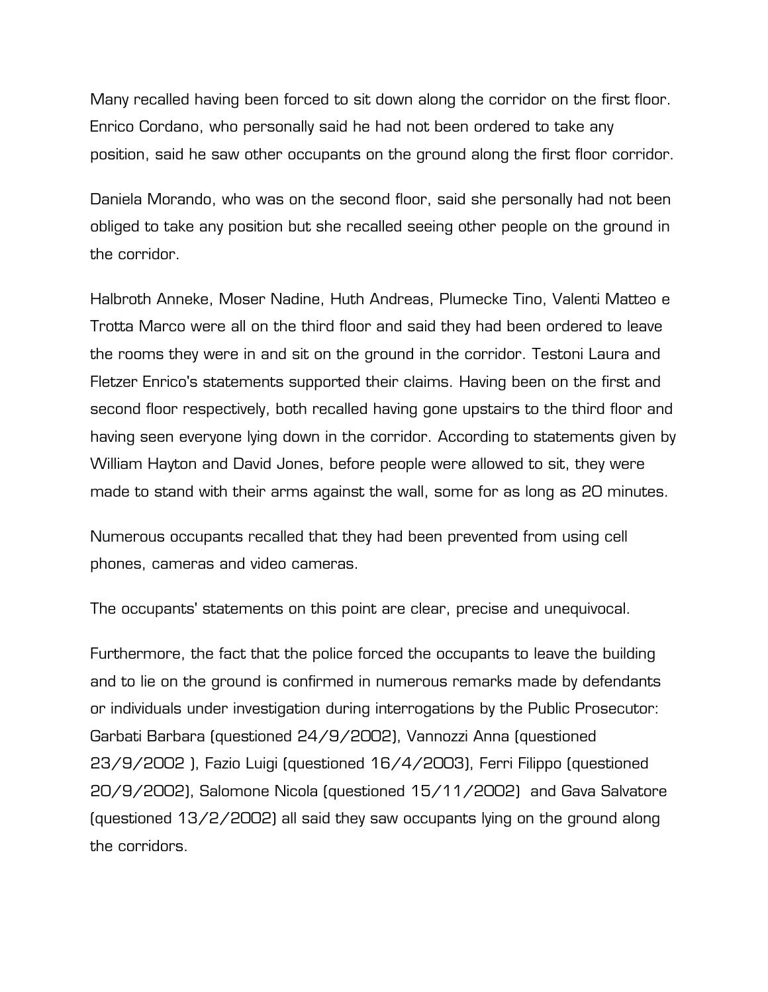Many recalled having been forced to sit down along the corridor on the first floor. Enrico Cordano, who personally said he had not been ordered to take any position, said he saw other occupants on the ground along the first floor corridor.

Daniela Morando, who was on the second floor, said she personally had not been obliged to take any position but she recalled seeing other people on the ground in the corridor.

Halbroth Anneke, Moser Nadine, Huth Andreas, Plumecke Tino, Valenti Matteo e Trotta Marco were all on the third floor and said they had been ordered to leave the rooms they were in and sit on the ground in the corridor. Testoni Laura and Fletzer Enrico's statements supported their claims. Having been on the first and second floor respectively, both recalled having gone upstairs to the third floor and having seen everyone lying down in the corridor. According to statements given by William Hayton and David Jones, before people were allowed to sit, they were made to stand with their arms against the wall, some for as long as 20 minutes.

Numerous occupants recalled that they had been prevented from using cell phones, cameras and video cameras.

The occupants' statements on this point are clear, precise and unequivocal.

Furthermore, the fact that the police forced the occupants to leave the building and to lie on the ground is confirmed in numerous remarks made by defendants or individuals under investigation during interrogations by the Public Prosecutor: Garbati Barbara (questioned 24/9/2002), Vannozzi Anna (questioned 23/9/2002 ), Fazio Luigi (questioned 16/4/2003), Ferri Filippo (questioned 20/9/2002), Salomone Nicola (questioned 15/11/2002) and Gava Salvatore (questioned 13/2/2002) all said they saw occupants lying on the ground along the corridors.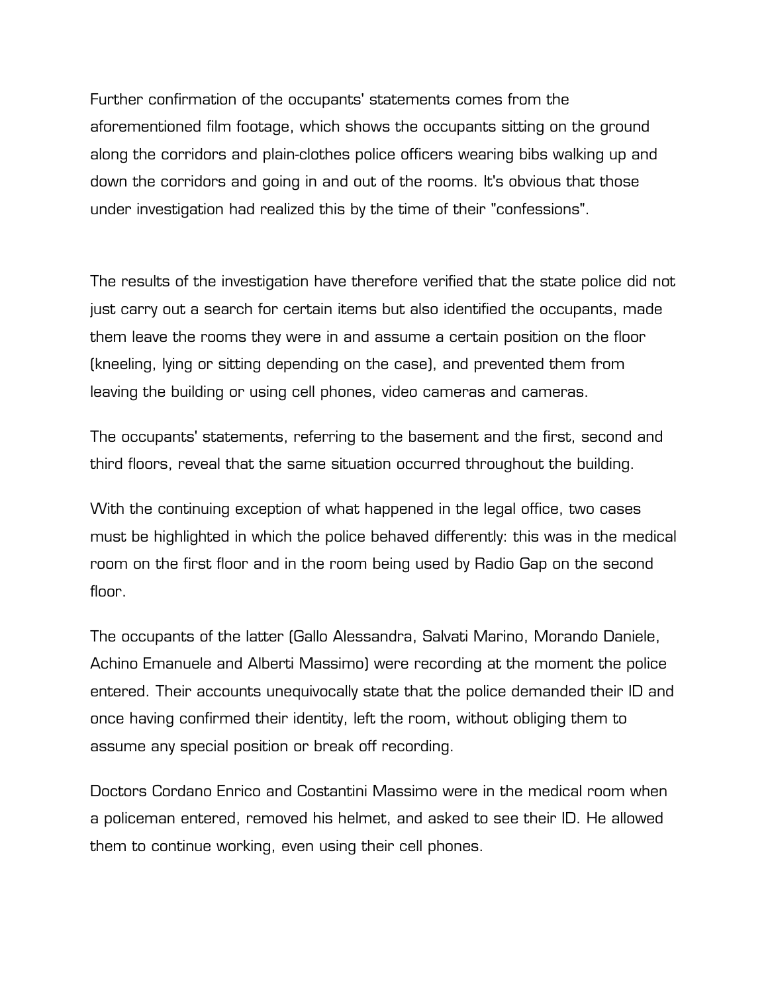Further confirmation of the occupants' statements comes from the aforementioned film footage, which shows the occupants sitting on the ground along the corridors and plain-clothes police officers wearing bibs walking up and down the corridors and going in and out of the rooms. It's obvious that those under investigation had realized this by the time of their "confessions".

The results of the investigation have therefore verified that the state police did not just carry out a search for certain items but also identified the occupants, made them leave the rooms they were in and assume a certain position on the floor (kneeling, lying or sitting depending on the case), and prevented them from leaving the building or using cell phones, video cameras and cameras.

The occupants' statements, referring to the basement and the first, second and third floors, reveal that the same situation occurred throughout the building.

With the continuing exception of what happened in the legal office, two cases must be highlighted in which the police behaved differently: this was in the medical room on the first floor and in the room being used by Radio Gap on the second floor.

The occupants of the latter (Gallo Alessandra, Salvati Marino, Morando Daniele, Achino Emanuele and Alberti Massimo) were recording at the moment the police entered. Their accounts unequivocally state that the police demanded their ID and once having confirmed their identity, left the room, without obliging them to assume any special position or break off recording.

Doctors Cordano Enrico and Costantini Massimo were in the medical room when a policeman entered, removed his helmet, and asked to see their ID. He allowed them to continue working, even using their cell phones.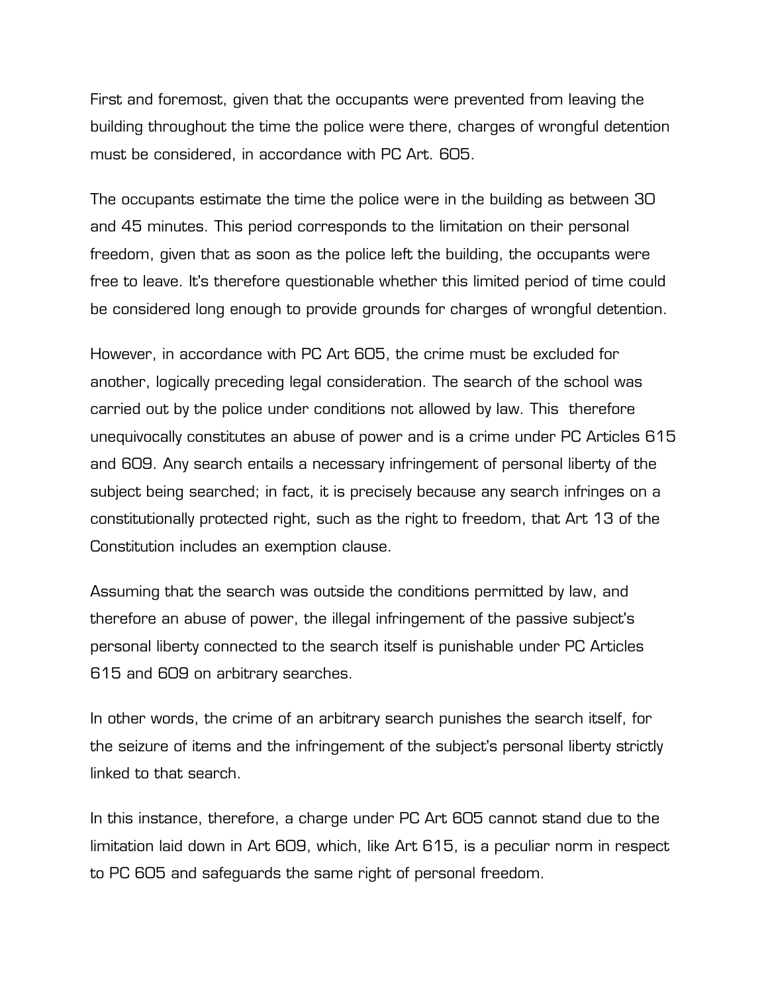First and foremost, given that the occupants were prevented from leaving the building throughout the time the police were there, charges of wrongful detention must be considered, in accordance with PC Art. 605.

The occupants estimate the time the police were in the building as between 30 and 45 minutes. This period corresponds to the limitation on their personal freedom, given that as soon as the police left the building, the occupants were free to leave. It's therefore questionable whether this limited period of time could be considered long enough to provide grounds for charges of wrongful detention.

However, in accordance with PC Art 605, the crime must be excluded for another, logically preceding legal consideration. The search of the school was carried out by the police under conditions not allowed by law. This therefore unequivocally constitutes an abuse of power and is a crime under PC Articles 615 and 609. Any search entails a necessary infringement of personal liberty of the subject being searched; in fact, it is precisely because any search infringes on a constitutionally protected right, such as the right to freedom, that Art 13 of the Constitution includes an exemption clause.

Assuming that the search was outside the conditions permitted by law, and therefore an abuse of power, the illegal infringement of the passive subject's personal liberty connected to the search itself is punishable under PC Articles 615 and 609 on arbitrary searches.

In other words, the crime of an arbitrary search punishes the search itself, for the seizure of items and the infringement of the subject's personal liberty strictly linked to that search.

In this instance, therefore, a charge under PC Art 605 cannot stand due to the limitation laid down in Art 609, which, like Art 615, is a peculiar norm in respect to PC 605 and safeguards the same right of personal freedom.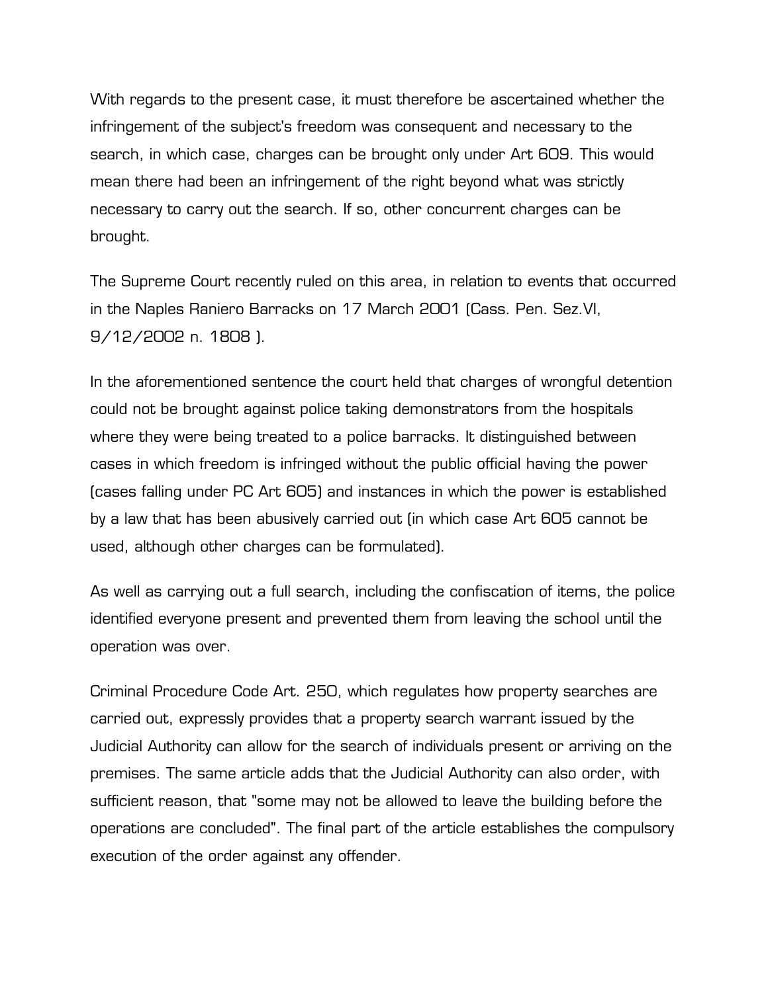With regards to the present case, it must therefore be ascertained whether the infringement of the subject's freedom was consequent and necessary to the search, in which case, charges can be brought only under Art 609. This would mean there had been an infringement of the right beyond what was strictly necessary to carry out the search. If so, other concurrent charges can be brought.

The Supreme Court recently ruled on this area, in relation to events that occurred in the Naples Raniero Barracks on 17 March 2001 (Cass. Pen. Sez.VI, 9/12/2002 n. 1808 ).

In the aforementioned sentence the court held that charges of wrongful detention could not be brought against police taking demonstrators from the hospitals where they were being treated to a police barracks. It distinguished between cases in which freedom is infringed without the public official having the power (cases falling under PC Art 605) and instances in which the power is established by a law that has been abusively carried out (in which case Art 605 cannot be used, although other charges can be formulated).

As well as carrying out a full search, including the confiscation of items, the police identified everyone present and prevented them from leaving the school until the operation was over.

Criminal Procedure Code Art. 250, which regulates how property searches are carried out, expressly provides that a property search warrant issued by the Judicial Authority can allow for the search of individuals present or arriving on the premises. The same article adds that the Judicial Authority can also order, with sufficient reason, that "some may not be allowed to leave the building before the operations are concluded". The final part of the article establishes the compulsory execution of the order against any offender.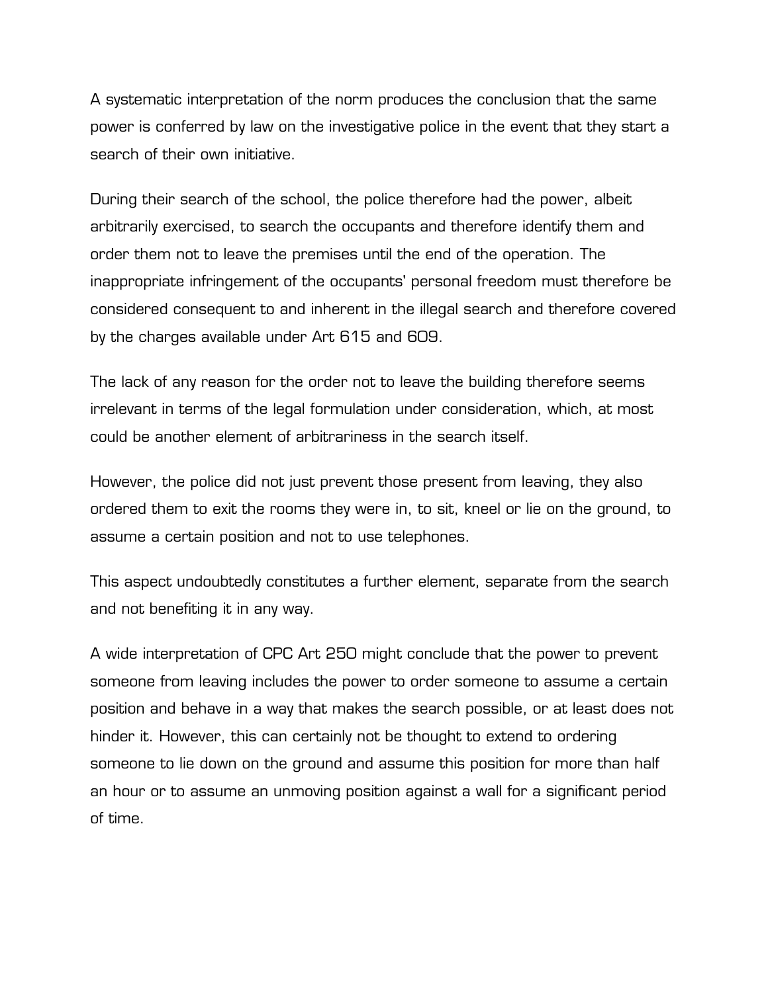A systematic interpretation of the norm produces the conclusion that the same power is conferred by law on the investigative police in the event that they start a search of their own initiative.

During their search of the school, the police therefore had the power, albeit arbitrarily exercised, to search the occupants and therefore identify them and order them not to leave the premises until the end of the operation. The inappropriate infringement of the occupants' personal freedom must therefore be considered consequent to and inherent in the illegal search and therefore covered by the charges available under Art 615 and 609.

The lack of any reason for the order not to leave the building therefore seems irrelevant in terms of the legal formulation under consideration, which, at most could be another element of arbitrariness in the search itself.

However, the police did not just prevent those present from leaving, they also ordered them to exit the rooms they were in, to sit, kneel or lie on the ground, to assume a certain position and not to use telephones.

This aspect undoubtedly constitutes a further element, separate from the search and not benefiting it in any way.

A wide interpretation of CPC Art 250 might conclude that the power to prevent someone from leaving includes the power to order someone to assume a certain position and behave in a way that makes the search possible, or at least does not hinder it. However, this can certainly not be thought to extend to ordering someone to lie down on the ground and assume this position for more than half an hour or to assume an unmoving position against a wall for a significant period of time.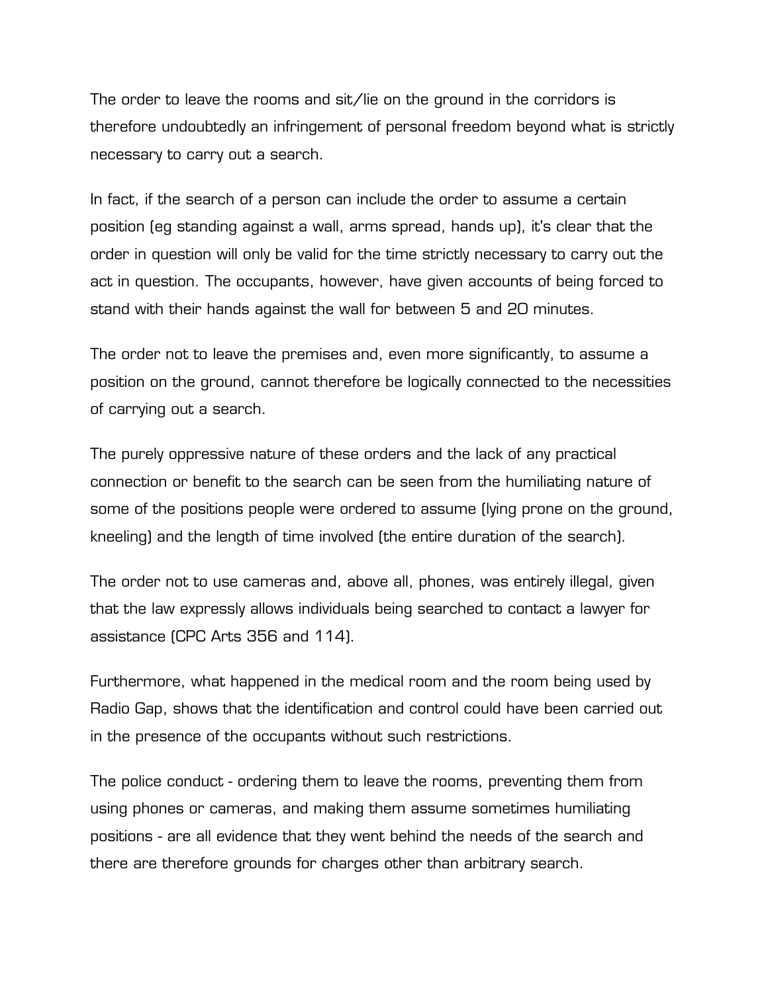The order to leave the rooms and sit/lie on the ground in the corridors is therefore undoubtedly an infringement of personal freedom beyond what is strictly necessary to carry out a search.

In fact, if the search of a person can include the order to assume a certain position (eg standing against a wall, arms spread, hands up), it's clear that the order in question will only be valid for the time strictly necessary to carry out the act in question. The occupants, however, have given accounts of being forced to stand with their hands against the wall for between 5 and 20 minutes.

The order not to leave the premises and, even more significantly, to assume a position on the ground, cannot therefore be logically connected to the necessities of carrying out a search.

The purely oppressive nature of these orders and the lack of any practical connection or benefit to the search can be seen from the humiliating nature of some of the positions people were ordered to assume (lying prone on the ground, kneeling) and the length of time involved (the entire duration of the search).

The order not to use cameras and, above all, phones, was entirely illegal, given that the law expressly allows individuals being searched to contact a lawyer for assistance (CPC Arts 356 and 114).

Furthermore, what happened in the medical room and the room being used by Radio Gap, shows that the identification and control could have been carried out in the presence of the occupants without such restrictions.

The police conduct - ordering them to leave the rooms, preventing them from using phones or cameras, and making them assume sometimes humiliating positions - are all evidence that they went behind the needs of the search and there are therefore grounds for charges other than arbitrary search.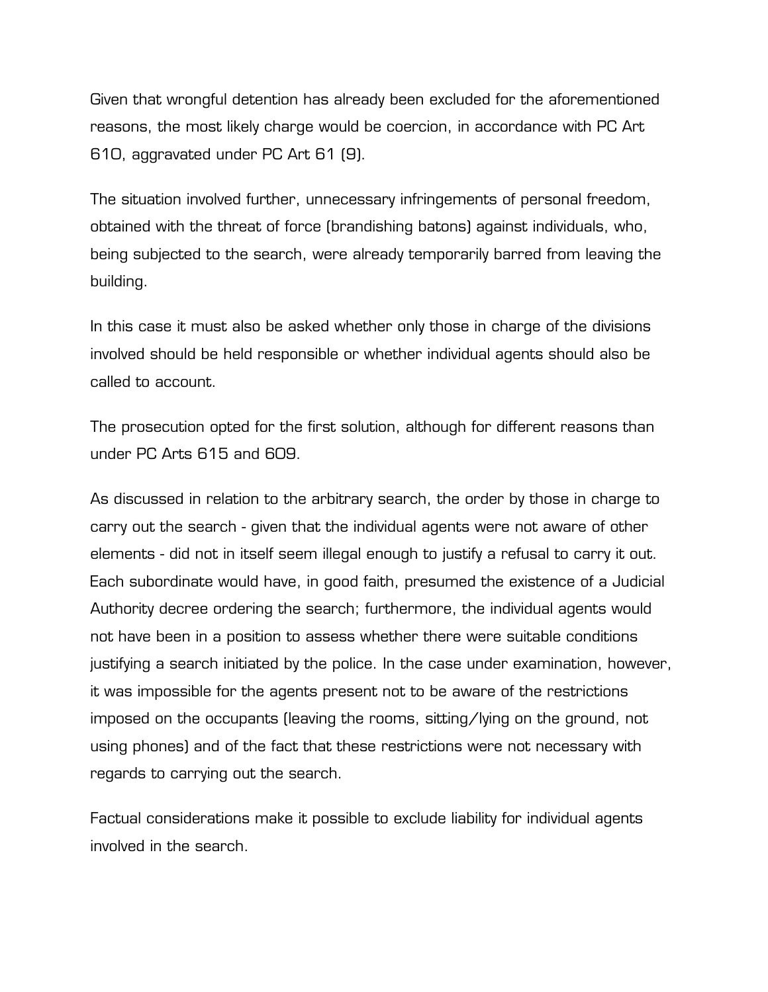Given that wrongful detention has already been excluded for the aforementioned reasons, the most likely charge would be coercion, in accordance with PC Art 610, aggravated under PC Art 61 (9).

The situation involved further, unnecessary infringements of personal freedom, obtained with the threat of force (brandishing batons) against individuals, who, being subjected to the search, were already temporarily barred from leaving the building.

In this case it must also be asked whether only those in charge of the divisions involved should be held responsible or whether individual agents should also be called to account.

The prosecution opted for the first solution, although for different reasons than under PC Arts 615 and 609.

As discussed in relation to the arbitrary search, the order by those in charge to carry out the search - given that the individual agents were not aware of other elements - did not in itself seem illegal enough to justify a refusal to carry it out. Each subordinate would have, in good faith, presumed the existence of a Judicial Authority decree ordering the search; furthermore, the individual agents would not have been in a position to assess whether there were suitable conditions justifying a search initiated by the police. In the case under examination, however, it was impossible for the agents present not to be aware of the restrictions imposed on the occupants (leaving the rooms, sitting/lying on the ground, not using phones) and of the fact that these restrictions were not necessary with regards to carrying out the search.

Factual considerations make it possible to exclude liability for individual agents involved in the search.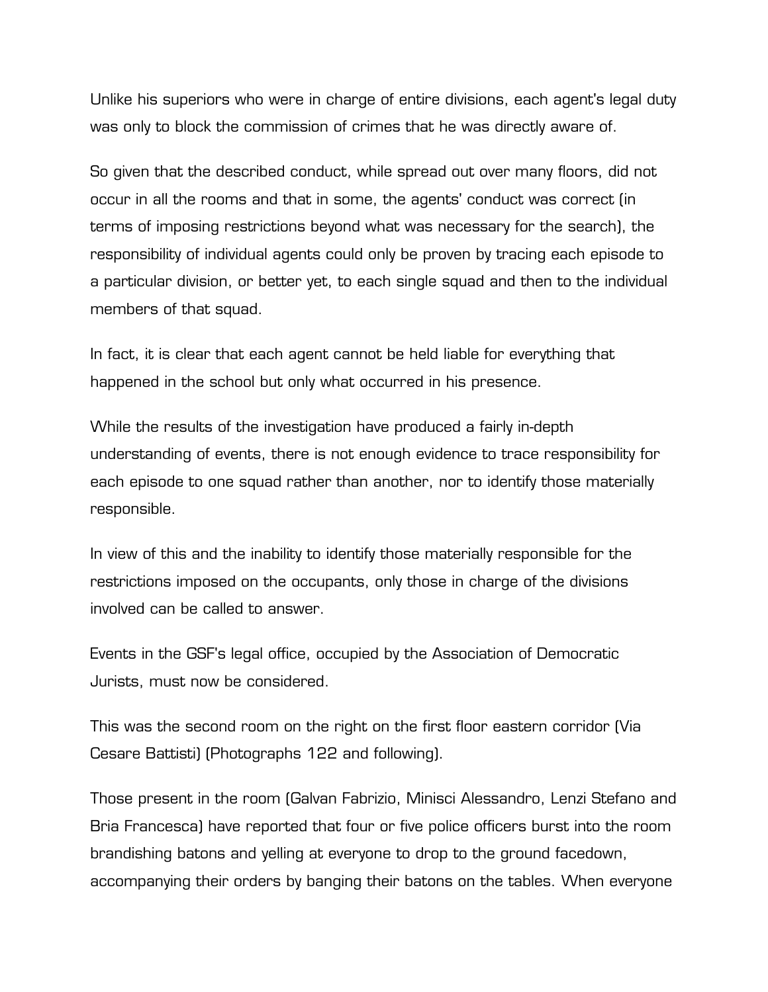Unlike his superiors who were in charge of entire divisions, each agent's legal duty was only to block the commission of crimes that he was directly aware of.

So given that the described conduct, while spread out over many floors, did not occur in all the rooms and that in some, the agents' conduct was correct (in terms of imposing restrictions beyond what was necessary for the search), the responsibility of individual agents could only be proven by tracing each episode to a particular division, or better yet, to each single squad and then to the individual members of that squad.

In fact, it is clear that each agent cannot be held liable for everything that happened in the school but only what occurred in his presence.

While the results of the investigation have produced a fairly in-depth understanding of events, there is not enough evidence to trace responsibility for each episode to one squad rather than another, nor to identify those materially responsible.

In view of this and the inability to identify those materially responsible for the restrictions imposed on the occupants, only those in charge of the divisions involved can be called to answer.

Events in the GSF's legal office, occupied by the Association of Democratic Jurists, must now be considered.

This was the second room on the right on the first floor eastern corridor (Via Cesare Battisti) (Photographs 122 and following).

Those present in the room (Galvan Fabrizio, Minisci Alessandro, Lenzi Stefano and Bria Francesca) have reported that four or five police officers burst into the room brandishing batons and yelling at everyone to drop to the ground facedown, accompanying their orders by banging their batons on the tables. When everyone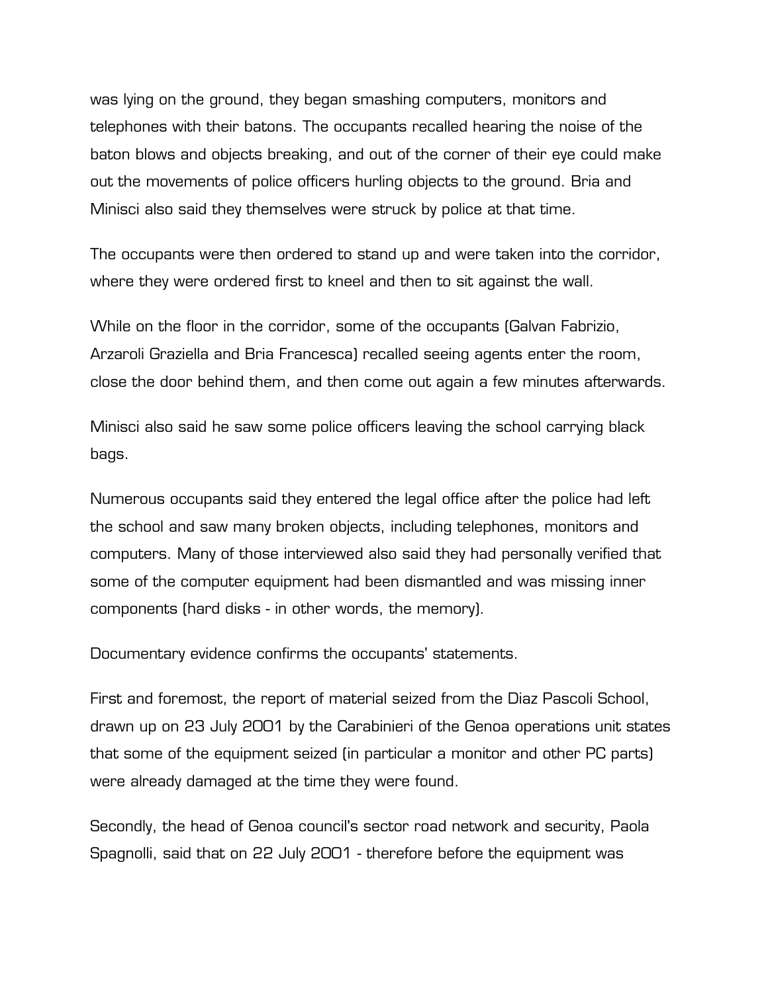was lying on the ground, they began smashing computers, monitors and telephones with their batons. The occupants recalled hearing the noise of the baton blows and objects breaking, and out of the corner of their eye could make out the movements of police officers hurling objects to the ground. Bria and Minisci also said they themselves were struck by police at that time.

The occupants were then ordered to stand up and were taken into the corridor, where they were ordered first to kneel and then to sit against the wall.

While on the floor in the corridor, some of the occupants (Galvan Fabrizio, Arzaroli Graziella and Bria Francesca) recalled seeing agents enter the room, close the door behind them, and then come out again a few minutes afterwards.

Minisci also said he saw some police officers leaving the school carrying black bags.

Numerous occupants said they entered the legal office after the police had left the school and saw many broken objects, including telephones, monitors and computers. Many of those interviewed also said they had personally verified that some of the computer equipment had been dismantled and was missing inner components (hard disks - in other words, the memory).

Documentary evidence confirms the occupants' statements.

First and foremost, the report of material seized from the Diaz Pascoli School, drawn up on 23 July 2001 by the Carabinieri of the Genoa operations unit states that some of the equipment seized (in particular a monitor and other PC parts) were already damaged at the time they were found.

Secondly, the head of Genoa council's sector road network and security, Paola Spagnolli, said that on 22 July 2001 - therefore before the equipment was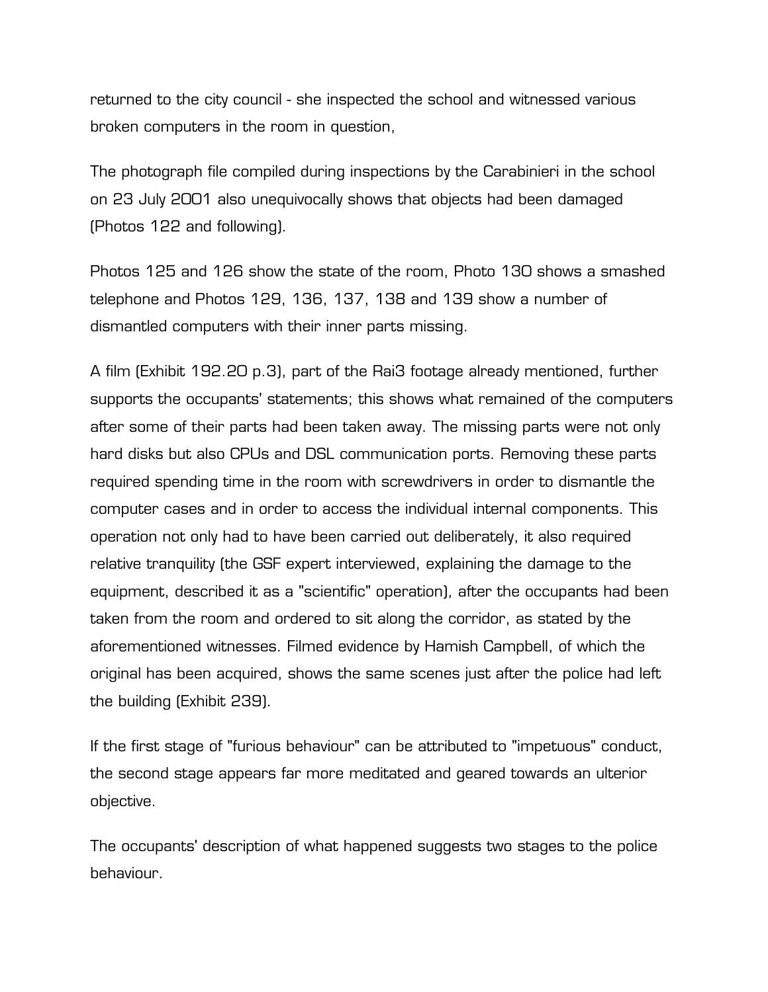returned to the city council - she inspected the school and witnessed various broken computers in the room in question,

The photograph file compiled during inspections by the Carabinieri in the school on 23 July 2001 also unequivocally shows that objects had been damaged (Photos 122 and following).

Photos 125 and 126 show the state of the room, Photo 130 shows a smashed telephone and Photos 129, 136, 137, 138 and 139 show a number of dismantled computers with their inner parts missing.

A film (Exhibit 192.20 p.3), part of the Rai3 footage already mentioned, further supports the occupants' statements; this shows what remained of the computers after some of their parts had been taken away. The missing parts were not only hard disks but also CPUs and DSL communication ports. Removing these parts required spending time in the room with screwdrivers in order to dismantle the computer cases and in order to access the individual internal components. This operation not only had to have been carried out deliberately, it also required relative tranquility (the GSF expert interviewed, explaining the damage to the equipment, described it as a "scientific" operation), after the occupants had been taken from the room and ordered to sit along the corridor, as stated by the aforementioned witnesses. Filmed evidence by Hamish Campbell, of which the original has been acquired, shows the same scenes just after the police had left the building (Exhibit 239).

If the first stage of "furious behaviour" can be attributed to "impetuous" conduct, the second stage appears far more meditated and geared towards an ulterior objective.

The occupants' description of what happened suggests two stages to the police behaviour.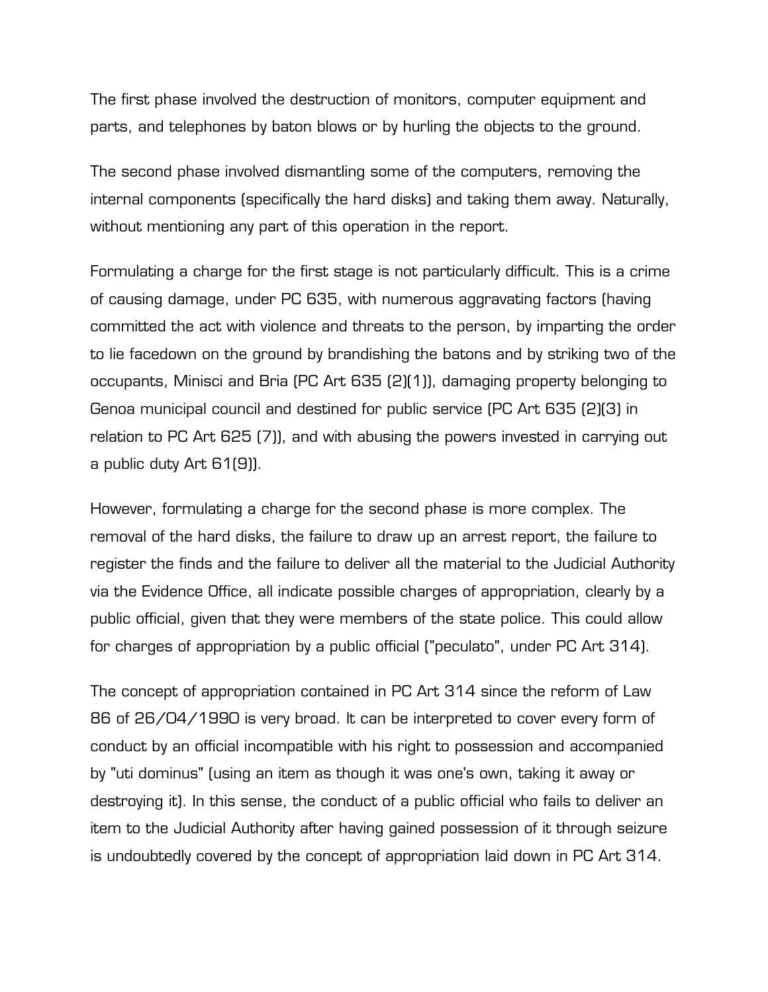The first phase involved the destruction of monitors, computer equipment and parts, and telephones by baton blows or by hurling the objects to the ground.

The second phase involved dismantling some of the computers, removing the internal components (specifically the hard disks) and taking them away. Naturally, without mentioning any part of this operation in the report.

Formulating a charge for the first stage is not particularly difficult. This is a crime of causing damage, under PC 635, with numerous aggravating factors (having committed the act with violence and threats to the person, by imparting the order to lie facedown on the ground by brandishing the batons and by striking two of the occupants, Minisci and Bria (PC Art 635 (2)(1)), damaging property belonging to Genoa municipal council and destined for public service (PC Art 635 (2)(3) in relation to PC Art 625 (7)), and with abusing the powers invested in carrying out a public duty Art 61(9)).

However, formulating a charge for the second phase is more complex. The removal of the hard disks, the failure to draw up an arrest report, the failure to register the finds and the failure to deliver all the material to the Judicial Authority via the Evidence Office, all indicate possible charges of appropriation, clearly by a public official, given that they were members of the state police. This could allow for charges of appropriation by a public official ("peculato", under PC Art 314).

The concept of appropriation contained in PC Art 314 since the reform of Law 86 of 26/04/1990 is very broad. It can be interpreted to cover every form of conduct by an official incompatible with his right to possession and accompanied by "uti dominus" (using an item as though it was one's own, taking it away or destroying it). In this sense, the conduct of a public official who fails to deliver an item to the Judicial Authority after having gained possession of it through seizure is undoubtedly covered by the concept of appropriation laid down in PC Art 314.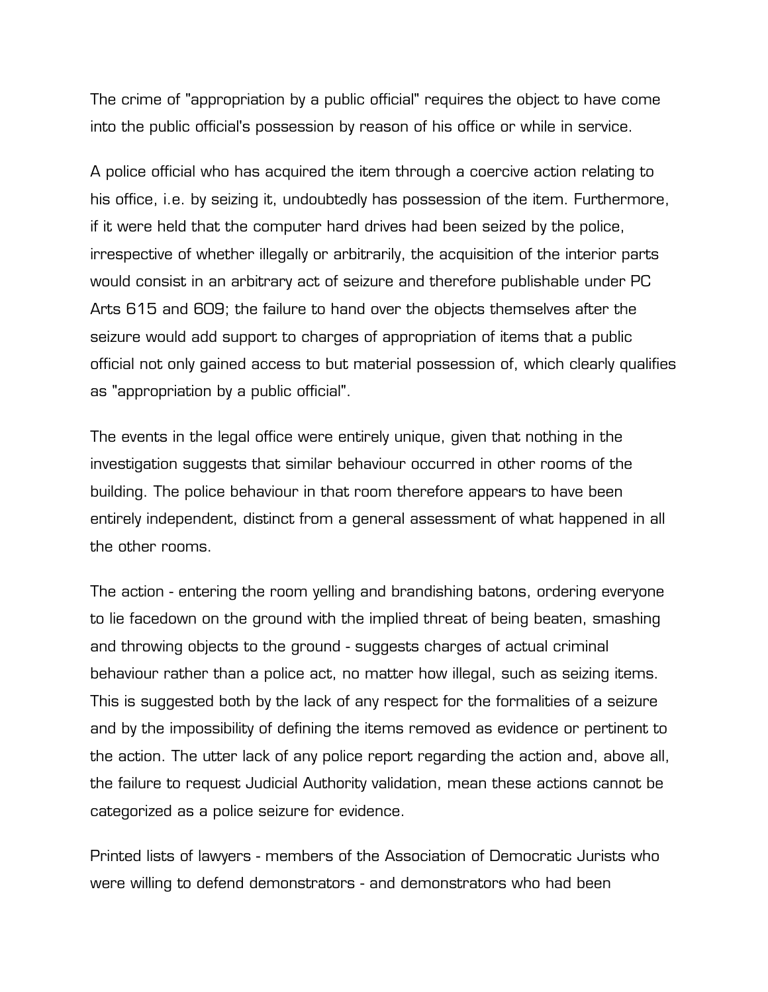The crime of "appropriation by a public official" requires the object to have come into the public official's possession by reason of his office or while in service.

A police official who has acquired the item through a coercive action relating to his office, i.e. by seizing it, undoubtedly has possession of the item. Furthermore, if it were held that the computer hard drives had been seized by the police, irrespective of whether illegally or arbitrarily, the acquisition of the interior parts would consist in an arbitrary act of seizure and therefore publishable under PC Arts 615 and 609; the failure to hand over the objects themselves after the seizure would add support to charges of appropriation of items that a public official not only gained access to but material possession of, which clearly qualifies as "appropriation by a public official".

The events in the legal office were entirely unique, given that nothing in the investigation suggests that similar behaviour occurred in other rooms of the building. The police behaviour in that room therefore appears to have been entirely independent, distinct from a general assessment of what happened in all the other rooms.

The action - entering the room yelling and brandishing batons, ordering everyone to lie facedown on the ground with the implied threat of being beaten, smashing and throwing objects to the ground - suggests charges of actual criminal behaviour rather than a police act, no matter how illegal, such as seizing items. This is suggested both by the lack of any respect for the formalities of a seizure and by the impossibility of defining the items removed as evidence or pertinent to the action. The utter lack of any police report regarding the action and, above all, the failure to request Judicial Authority validation, mean these actions cannot be categorized as a police seizure for evidence.

Printed lists of lawyers - members of the Association of Democratic Jurists who were willing to defend demonstrators - and demonstrators who had been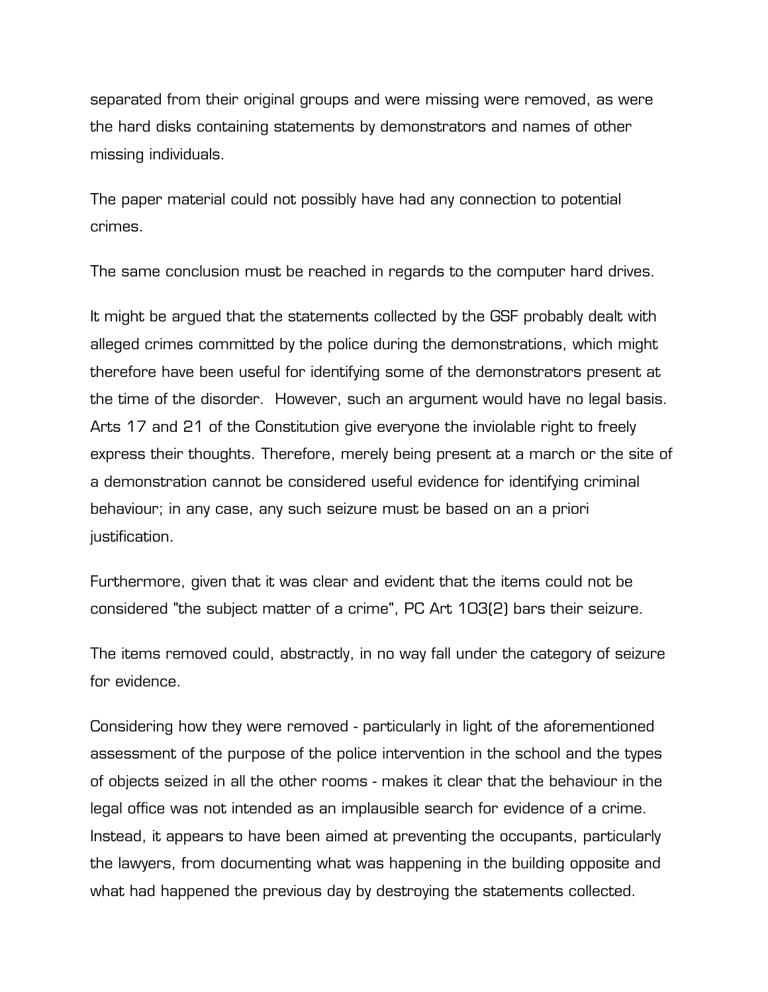separated from their original groups and were missing were removed, as were the hard disks containing statements by demonstrators and names of other missing individuals.

The paper material could not possibly have had any connection to potential crimes.

The same conclusion must be reached in regards to the computer hard drives.

It might be argued that the statements collected by the GSF probably dealt with alleged crimes committed by the police during the demonstrations, which might therefore have been useful for identifying some of the demonstrators present at the time of the disorder. However, such an argument would have no legal basis. Arts 17 and 21 of the Constitution give everyone the inviolable right to freely express their thoughts. Therefore, merely being present at a march or the site of a demonstration cannot be considered useful evidence for identifying criminal behaviour; in any case, any such seizure must be based on an a priori justification.

Furthermore, given that it was clear and evident that the items could not be considered "the subject matter of a crime", PC Art 103(2) bars their seizure.

The items removed could, abstractly, in no way fall under the category of seizure for evidence.

Considering how they were removed - particularly in light of the aforementioned assessment of the purpose of the police intervention in the school and the types of objects seized in all the other rooms - makes it clear that the behaviour in the legal office was not intended as an implausible search for evidence of a crime. Instead, it appears to have been aimed at preventing the occupants, particularly the lawyers, from documenting what was happening in the building opposite and what had happened the previous day by destroying the statements collected.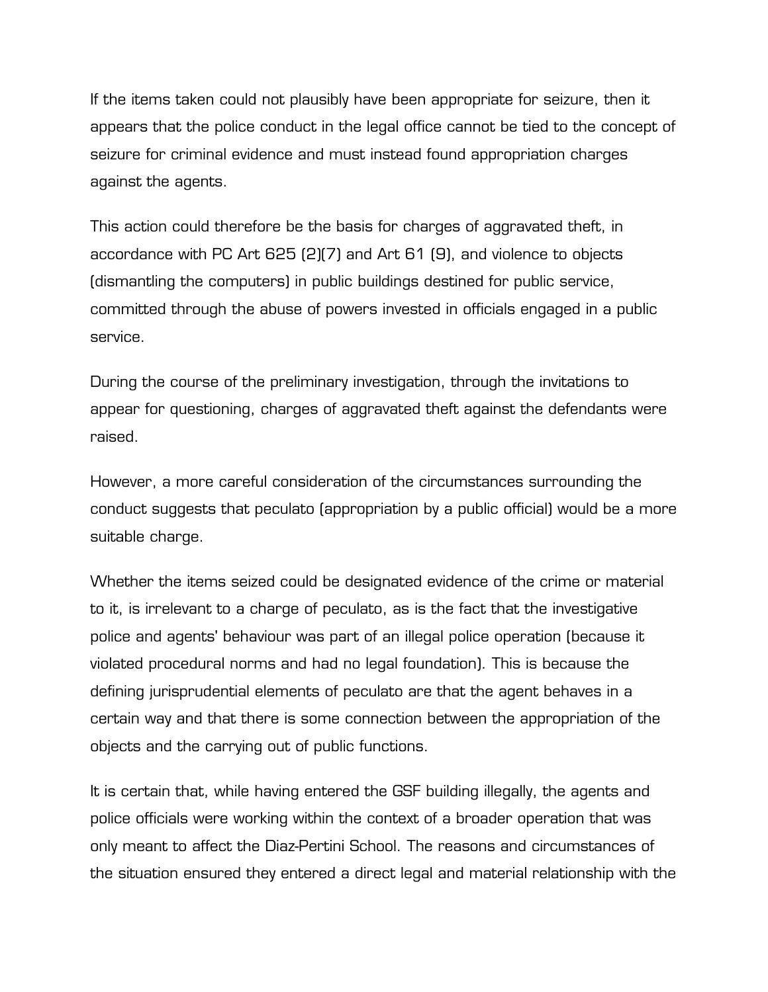If the items taken could not plausibly have been appropriate for seizure, then it appears that the police conduct in the legal office cannot be tied to the concept of seizure for criminal evidence and must instead found appropriation charges against the agents.

This action could therefore be the basis for charges of aggravated theft, in accordance with PC Art 625 (2)(7) and Art 61 (9), and violence to objects (dismantling the computers) in public buildings destined for public service, committed through the abuse of powers invested in officials engaged in a public service.

During the course of the preliminary investigation, through the invitations to appear for questioning, charges of aggravated theft against the defendants were raised.

However, a more careful consideration of the circumstances surrounding the conduct suggests that peculato (appropriation by a public official) would be a more suitable charge.

Whether the items seized could be designated evidence of the crime or material to it, is irrelevant to a charge of peculato, as is the fact that the investigative police and agents' behaviour was part of an illegal police operation (because it violated procedural norms and had no legal foundation). This is because the defining jurisprudential elements of peculato are that the agent behaves in a certain way and that there is some connection between the appropriation of the objects and the carrying out of public functions.

It is certain that, while having entered the GSF building illegally, the agents and police officials were working within the context of a broader operation that was only meant to affect the Diaz-Pertini School. The reasons and circumstances of the situation ensured they entered a direct legal and material relationship with the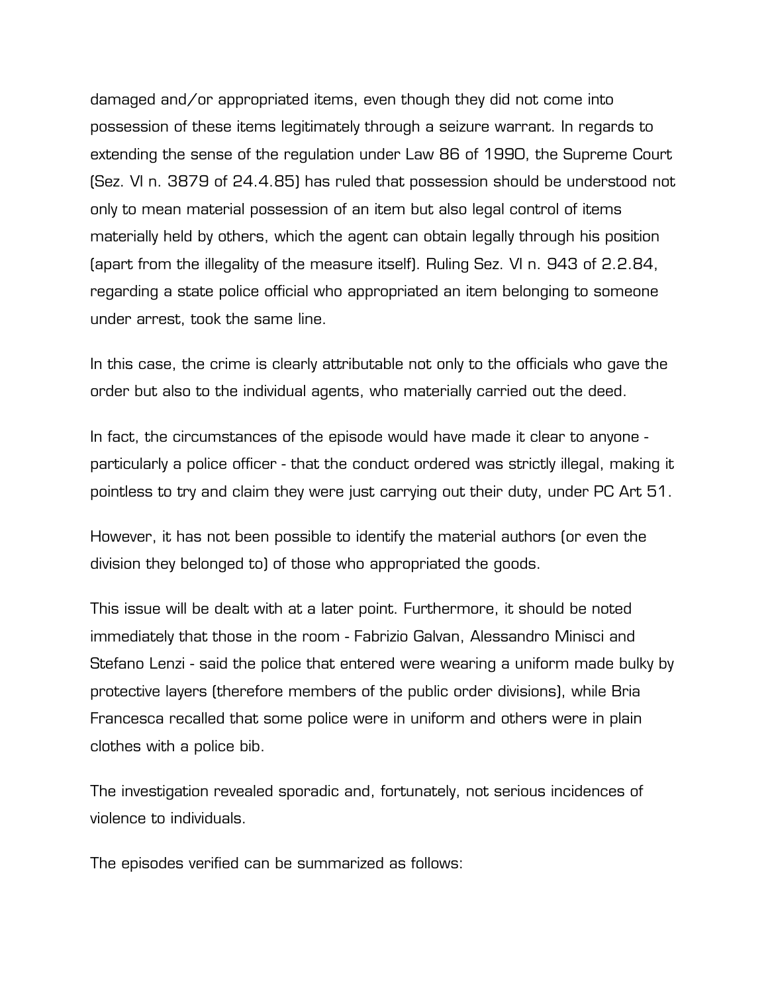damaged and/or appropriated items, even though they did not come into possession of these items legitimately through a seizure warrant. In regards to extending the sense of the regulation under Law 86 of 1990, the Supreme Court (Sez. VI n. 3879 of 24.4.85) has ruled that possession should be understood not only to mean material possession of an item but also legal control of items materially held by others, which the agent can obtain legally through his position (apart from the illegality of the measure itself). Ruling Sez. VI n. 943 of 2.2.84, regarding a state police official who appropriated an item belonging to someone under arrest, took the same line.

In this case, the crime is clearly attributable not only to the officials who gave the order but also to the individual agents, who materially carried out the deed.

In fact, the circumstances of the episode would have made it clear to anyone particularly a police officer - that the conduct ordered was strictly illegal, making it pointless to try and claim they were just carrying out their duty, under PC Art 51.

However, it has not been possible to identify the material authors (or even the division they belonged to) of those who appropriated the goods.

This issue will be dealt with at a later point. Furthermore, it should be noted immediately that those in the room - Fabrizio Galvan, Alessandro Minisci and Stefano Lenzi - said the police that entered were wearing a uniform made bulky by protective layers (therefore members of the public order divisions), while Bria Francesca recalled that some police were in uniform and others were in plain clothes with a police bib.

The investigation revealed sporadic and, fortunately, not serious incidences of violence to individuals.

The episodes verified can be summarized as follows: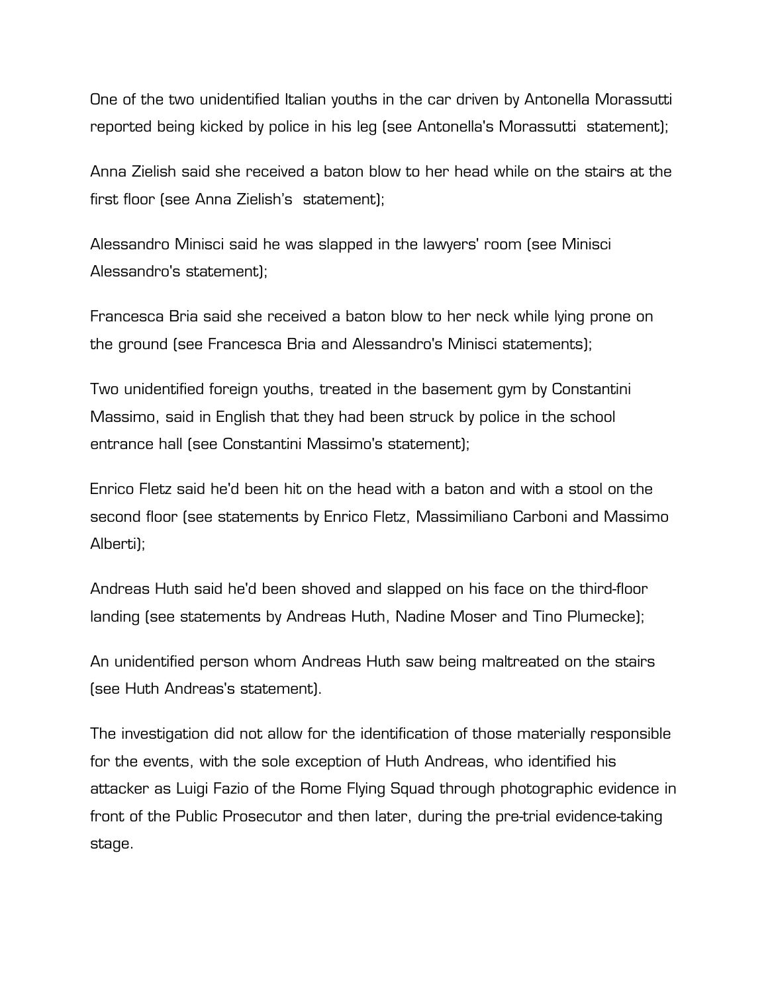One of the two unidentified Italian youths in the car driven by Antonella Morassutti reported being kicked by police in his leg (see Antonella's Morassutti statement);

Anna Zielish said she received a baton blow to her head while on the stairs at the first floor (see Anna Zielish's statement);

Alessandro Minisci said he was slapped in the lawyers' room (see Minisci Alessandro's statement);

Francesca Bria said she received a baton blow to her neck while lying prone on the ground (see Francesca Bria and Alessandro's Minisci statements);

Two unidentified foreign youths, treated in the basement gym by Constantini Massimo, said in English that they had been struck by police in the school entrance hall (see Constantini Massimo's statement);

Enrico Fletz said he'd been hit on the head with a baton and with a stool on the second floor (see statements by Enrico Fletz, Massimiliano Carboni and Massimo Alberti);

Andreas Huth said he'd been shoved and slapped on his face on the third-floor landing (see statements by Andreas Huth, Nadine Moser and Tino Plumecke);

An unidentified person whom Andreas Huth saw being maltreated on the stairs (see Huth Andreas's statement).

The investigation did not allow for the identification of those materially responsible for the events, with the sole exception of Huth Andreas, who identified his attacker as Luigi Fazio of the Rome Flying Squad through photographic evidence in front of the Public Prosecutor and then later, during the pre-trial evidence-taking stage.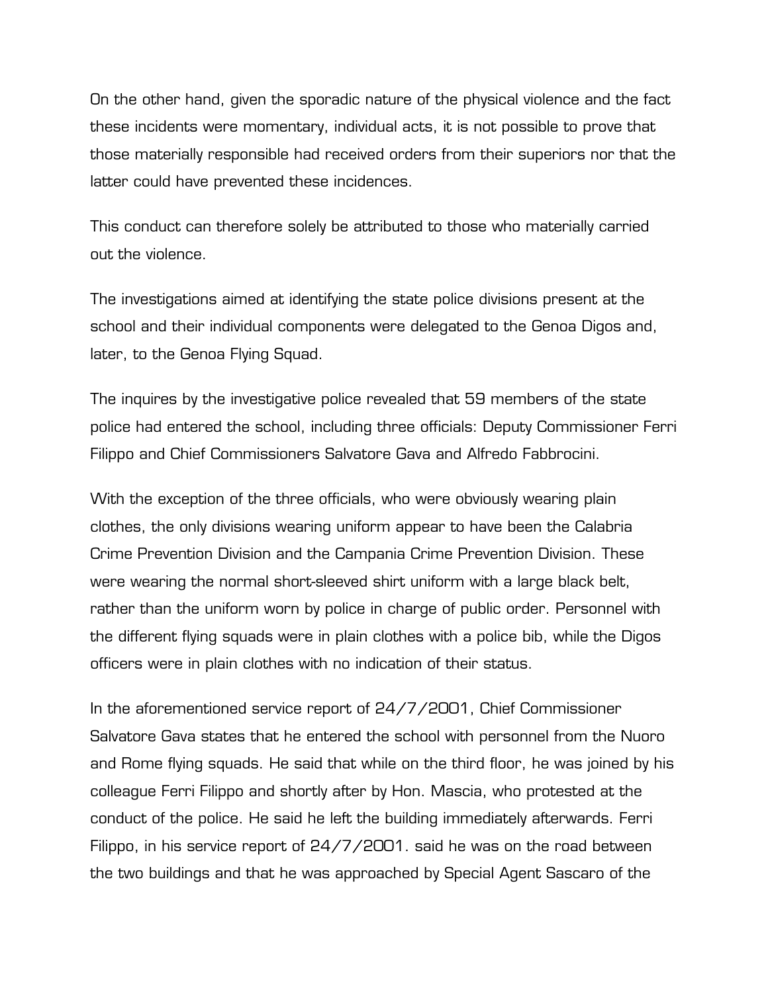On the other hand, given the sporadic nature of the physical violence and the fact these incidents were momentary, individual acts, it is not possible to prove that those materially responsible had received orders from their superiors nor that the latter could have prevented these incidences.

This conduct can therefore solely be attributed to those who materially carried out the violence.

The investigations aimed at identifying the state police divisions present at the school and their individual components were delegated to the Genoa Digos and, later, to the Genoa Flying Squad.

The inquires by the investigative police revealed that 59 members of the state police had entered the school, including three officials: Deputy Commissioner Ferri Filippo and Chief Commissioners Salvatore Gava and Alfredo Fabbrocini.

With the exception of the three officials, who were obviously wearing plain clothes, the only divisions wearing uniform appear to have been the Calabria Crime Prevention Division and the Campania Crime Prevention Division. These were wearing the normal short-sleeved shirt uniform with a large black belt, rather than the uniform worn by police in charge of public order. Personnel with the different flying squads were in plain clothes with a police bib, while the Digos officers were in plain clothes with no indication of their status.

In the aforementioned service report of 24/7/2001, Chief Commissioner Salvatore Gava states that he entered the school with personnel from the Nuoro and Rome flying squads. He said that while on the third floor, he was joined by his colleague Ferri Filippo and shortly after by Hon. Mascia, who protested at the conduct of the police. He said he left the building immediately afterwards. Ferri Filippo, in his service report of 24/7/2001. said he was on the road between the two buildings and that he was approached by Special Agent Sascaro of the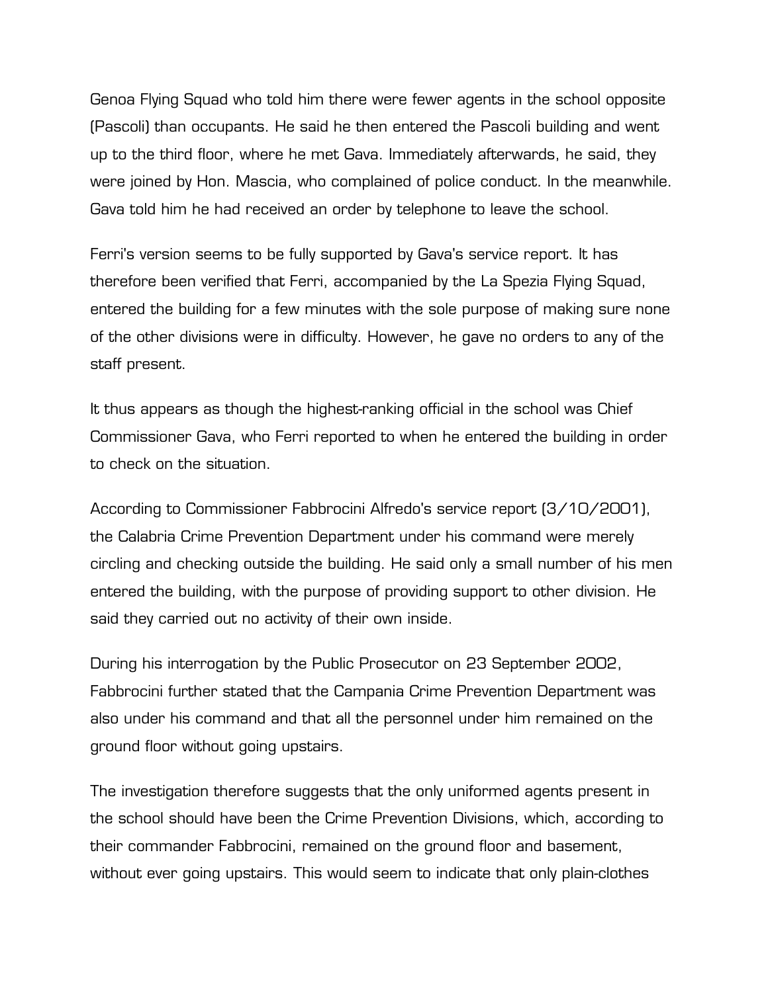Genoa Flying Squad who told him there were fewer agents in the school opposite (Pascoli) than occupants. He said he then entered the Pascoli building and went up to the third floor, where he met Gava. Immediately afterwards, he said, they were joined by Hon. Mascia, who complained of police conduct. In the meanwhile. Gava told him he had received an order by telephone to leave the school.

Ferri's version seems to be fully supported by Gava's service report. It has therefore been verified that Ferri, accompanied by the La Spezia Flying Squad, entered the building for a few minutes with the sole purpose of making sure none of the other divisions were in difficulty. However, he gave no orders to any of the staff present.

It thus appears as though the highest-ranking official in the school was Chief Commissioner Gava, who Ferri reported to when he entered the building in order to check on the situation.

According to Commissioner Fabbrocini Alfredo's service report (3/10/2001), the Calabria Crime Prevention Department under his command were merely circling and checking outside the building. He said only a small number of his men entered the building, with the purpose of providing support to other division. He said they carried out no activity of their own inside.

During his interrogation by the Public Prosecutor on 23 September 2002, Fabbrocini further stated that the Campania Crime Prevention Department was also under his command and that all the personnel under him remained on the ground floor without going upstairs.

The investigation therefore suggests that the only uniformed agents present in the school should have been the Crime Prevention Divisions, which, according to their commander Fabbrocini, remained on the ground floor and basement, without ever going upstairs. This would seem to indicate that only plain-clothes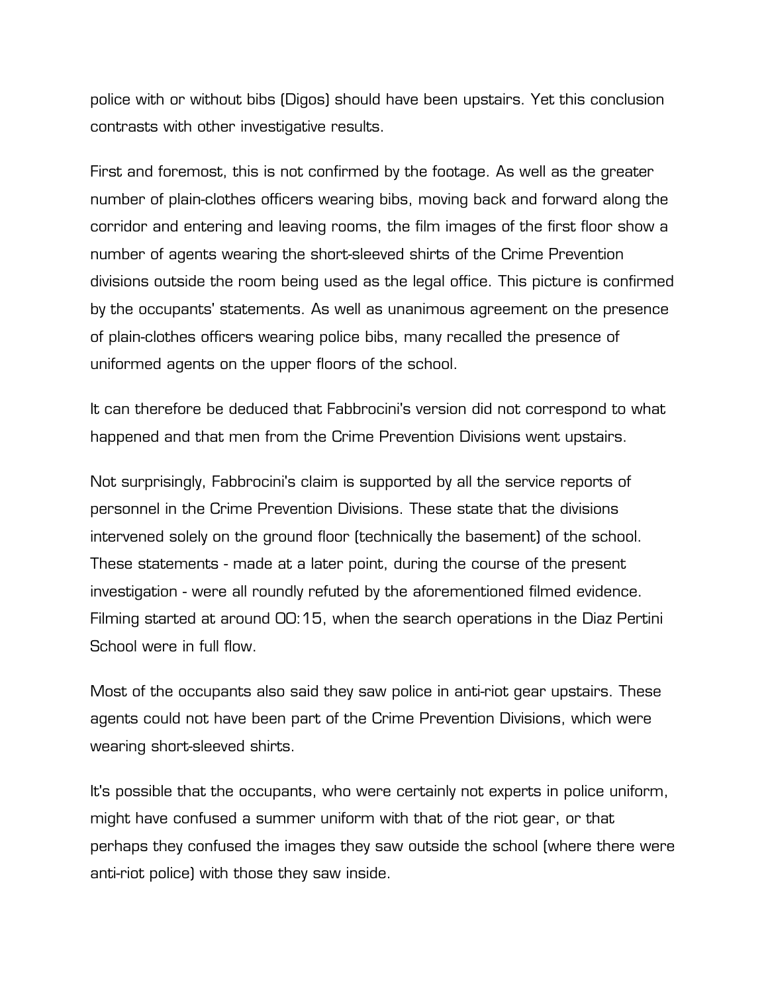police with or without bibs (Digos) should have been upstairs. Yet this conclusion contrasts with other investigative results.

First and foremost, this is not confirmed by the footage. As well as the greater number of plain-clothes officers wearing bibs, moving back and forward along the corridor and entering and leaving rooms, the film images of the first floor show a number of agents wearing the short-sleeved shirts of the Crime Prevention divisions outside the room being used as the legal office. This picture is confirmed by the occupants' statements. As well as unanimous agreement on the presence of plain-clothes officers wearing police bibs, many recalled the presence of uniformed agents on the upper floors of the school.

It can therefore be deduced that Fabbrocini's version did not correspond to what happened and that men from the Crime Prevention Divisions went upstairs.

Not surprisingly, Fabbrocini's claim is supported by all the service reports of personnel in the Crime Prevention Divisions. These state that the divisions intervened solely on the ground floor (technically the basement) of the school. These statements - made at a later point, during the course of the present investigation - were all roundly refuted by the aforementioned filmed evidence. Filming started at around 00:15, when the search operations in the Diaz Pertini School were in full flow.

Most of the occupants also said they saw police in anti-riot gear upstairs. These agents could not have been part of the Crime Prevention Divisions, which were wearing short-sleeved shirts.

It's possible that the occupants, who were certainly not experts in police uniform, might have confused a summer uniform with that of the riot gear, or that perhaps they confused the images they saw outside the school (where there were anti-riot police) with those they saw inside.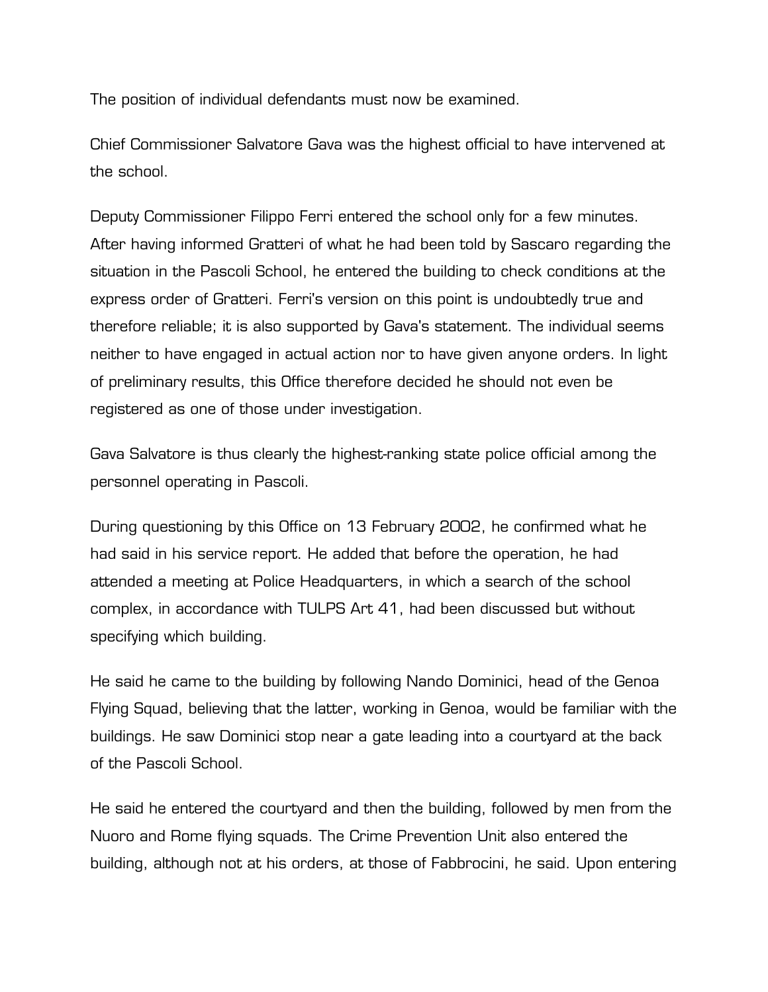The position of individual defendants must now be examined.

Chief Commissioner Salvatore Gava was the highest official to have intervened at the school.

Deputy Commissioner Filippo Ferri entered the school only for a few minutes. After having informed Gratteri of what he had been told by Sascaro regarding the situation in the Pascoli School, he entered the building to check conditions at the express order of Gratteri. Ferri's version on this point is undoubtedly true and therefore reliable; it is also supported by Gava's statement. The individual seems neither to have engaged in actual action nor to have given anyone orders. In light of preliminary results, this Office therefore decided he should not even be registered as one of those under investigation.

Gava Salvatore is thus clearly the highest-ranking state police official among the personnel operating in Pascoli.

During questioning by this Office on 13 February 2002, he confirmed what he had said in his service report. He added that before the operation, he had attended a meeting at Police Headquarters, in which a search of the school complex, in accordance with TULPS Art 41, had been discussed but without specifying which building.

He said he came to the building by following Nando Dominici, head of the Genoa Flying Squad, believing that the latter, working in Genoa, would be familiar with the buildings. He saw Dominici stop near a gate leading into a courtyard at the back of the Pascoli School.

He said he entered the courtyard and then the building, followed by men from the Nuoro and Rome flying squads. The Crime Prevention Unit also entered the building, although not at his orders, at those of Fabbrocini, he said. Upon entering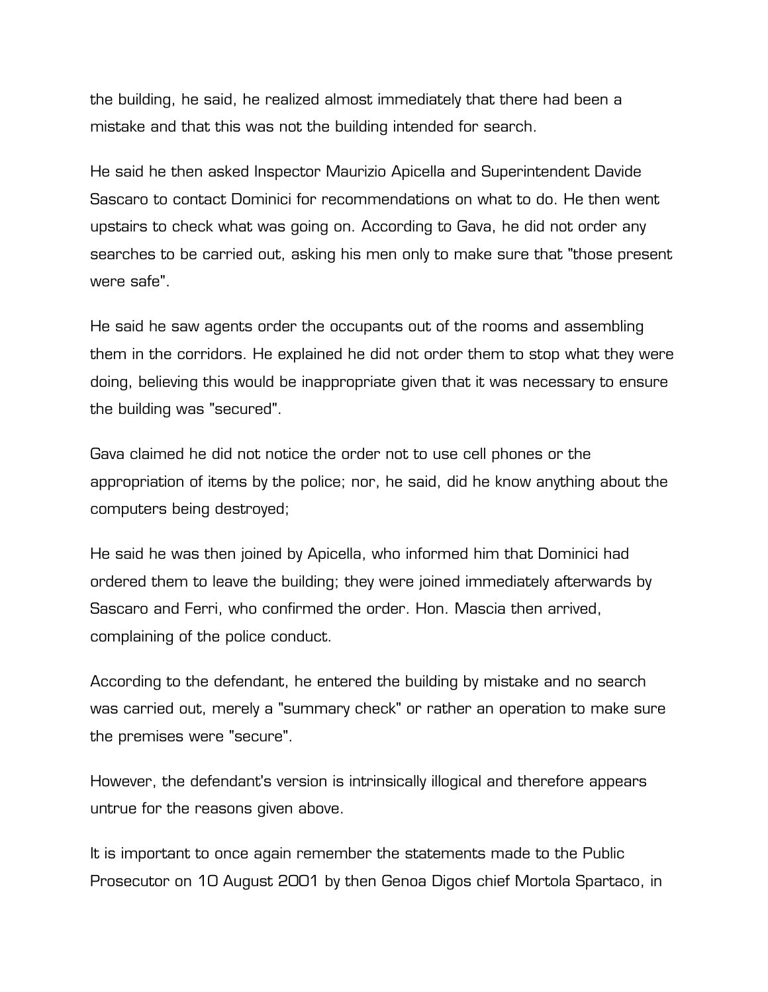the building, he said, he realized almost immediately that there had been a mistake and that this was not the building intended for search.

He said he then asked Inspector Maurizio Apicella and Superintendent Davide Sascaro to contact Dominici for recommendations on what to do. He then went upstairs to check what was going on. According to Gava, he did not order any searches to be carried out, asking his men only to make sure that "those present were safe".

He said he saw agents order the occupants out of the rooms and assembling them in the corridors. He explained he did not order them to stop what they were doing, believing this would be inappropriate given that it was necessary to ensure the building was "secured".

Gava claimed he did not notice the order not to use cell phones or the appropriation of items by the police; nor, he said, did he know anything about the computers being destroyed;

He said he was then joined by Apicella, who informed him that Dominici had ordered them to leave the building; they were joined immediately afterwards by Sascaro and Ferri, who confirmed the order. Hon. Mascia then arrived, complaining of the police conduct.

According to the defendant, he entered the building by mistake and no search was carried out, merely a "summary check" or rather an operation to make sure the premises were "secure".

However, the defendant's version is intrinsically illogical and therefore appears untrue for the reasons given above.

It is important to once again remember the statements made to the Public Prosecutor on 10 August 2001 by then Genoa Digos chief Mortola Spartaco, in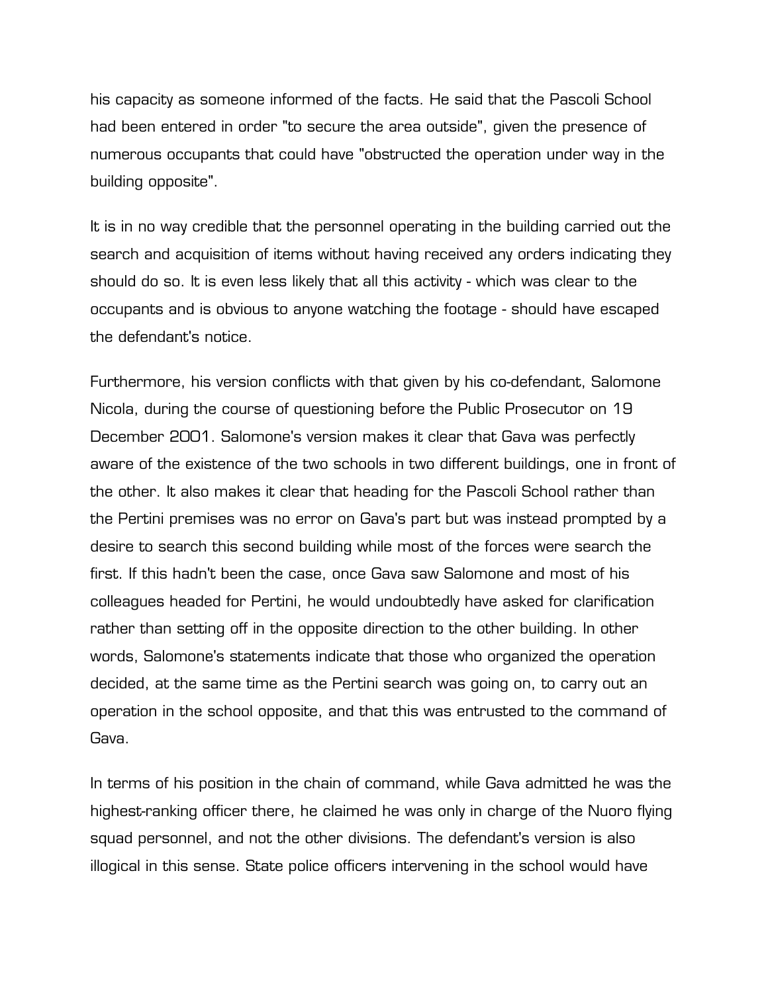his capacity as someone informed of the facts. He said that the Pascoli School had been entered in order "to secure the area outside", given the presence of numerous occupants that could have "obstructed the operation under way in the building opposite".

It is in no way credible that the personnel operating in the building carried out the search and acquisition of items without having received any orders indicating they should do so. It is even less likely that all this activity - which was clear to the occupants and is obvious to anyone watching the footage - should have escaped the defendant's notice.

Furthermore, his version conflicts with that given by his co-defendant, Salomone Nicola, during the course of questioning before the Public Prosecutor on 19 December 2001. Salomone's version makes it clear that Gava was perfectly aware of the existence of the two schools in two different buildings, one in front of the other. It also makes it clear that heading for the Pascoli School rather than the Pertini premises was no error on Gava's part but was instead prompted by a desire to search this second building while most of the forces were search the first. If this hadn't been the case, once Gava saw Salomone and most of his colleagues headed for Pertini, he would undoubtedly have asked for clarification rather than setting off in the opposite direction to the other building. In other words, Salomone's statements indicate that those who organized the operation decided, at the same time as the Pertini search was going on, to carry out an operation in the school opposite, and that this was entrusted to the command of Gava.

In terms of his position in the chain of command, while Gava admitted he was the highest-ranking officer there, he claimed he was only in charge of the Nuoro flying squad personnel, and not the other divisions. The defendant's version is also illogical in this sense. State police officers intervening in the school would have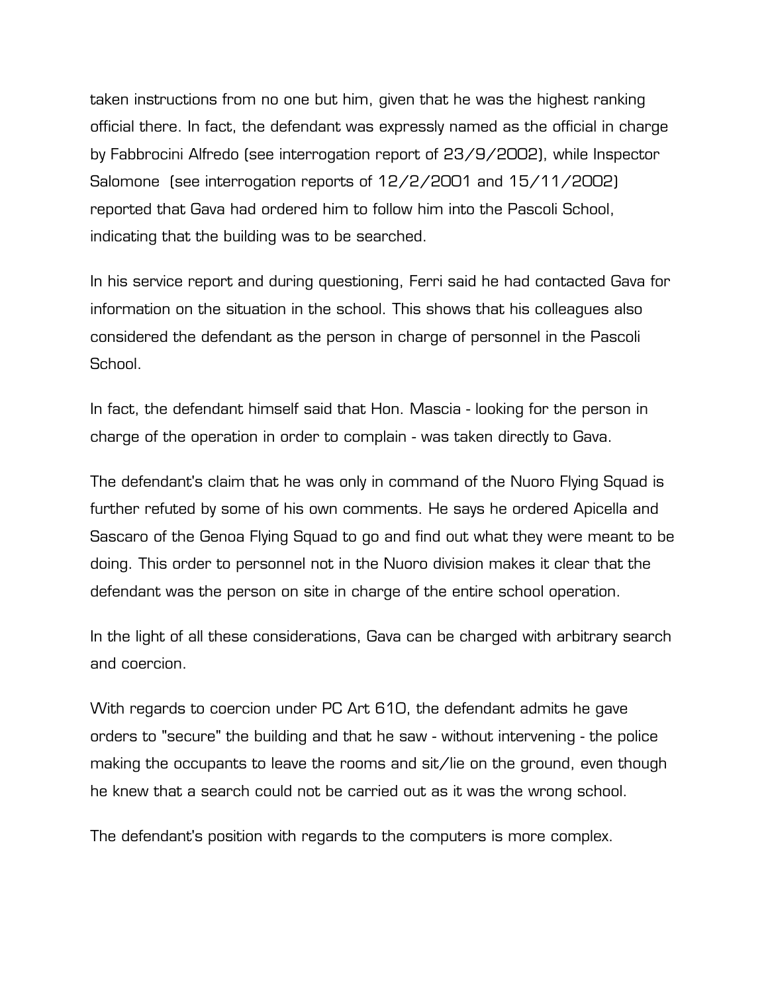taken instructions from no one but him, given that he was the highest ranking official there. In fact, the defendant was expressly named as the official in charge by Fabbrocini Alfredo (see interrogation report of 23/9/2002), while Inspector Salomone (see interrogation reports of 12/2/2001 and 15/11/2002) reported that Gava had ordered him to follow him into the Pascoli School, indicating that the building was to be searched.

In his service report and during questioning, Ferri said he had contacted Gava for information on the situation in the school. This shows that his colleagues also considered the defendant as the person in charge of personnel in the Pascoli School.

In fact, the defendant himself said that Hon. Mascia - looking for the person in charge of the operation in order to complain - was taken directly to Gava.

The defendant's claim that he was only in command of the Nuoro Flying Squad is further refuted by some of his own comments. He says he ordered Apicella and Sascaro of the Genoa Flying Squad to go and find out what they were meant to be doing. This order to personnel not in the Nuoro division makes it clear that the defendant was the person on site in charge of the entire school operation.

In the light of all these considerations, Gava can be charged with arbitrary search and coercion.

With regards to coercion under PC Art 610, the defendant admits he gave orders to "secure" the building and that he saw - without intervening - the police making the occupants to leave the rooms and sit/lie on the ground, even though he knew that a search could not be carried out as it was the wrong school.

The defendant's position with regards to the computers is more complex.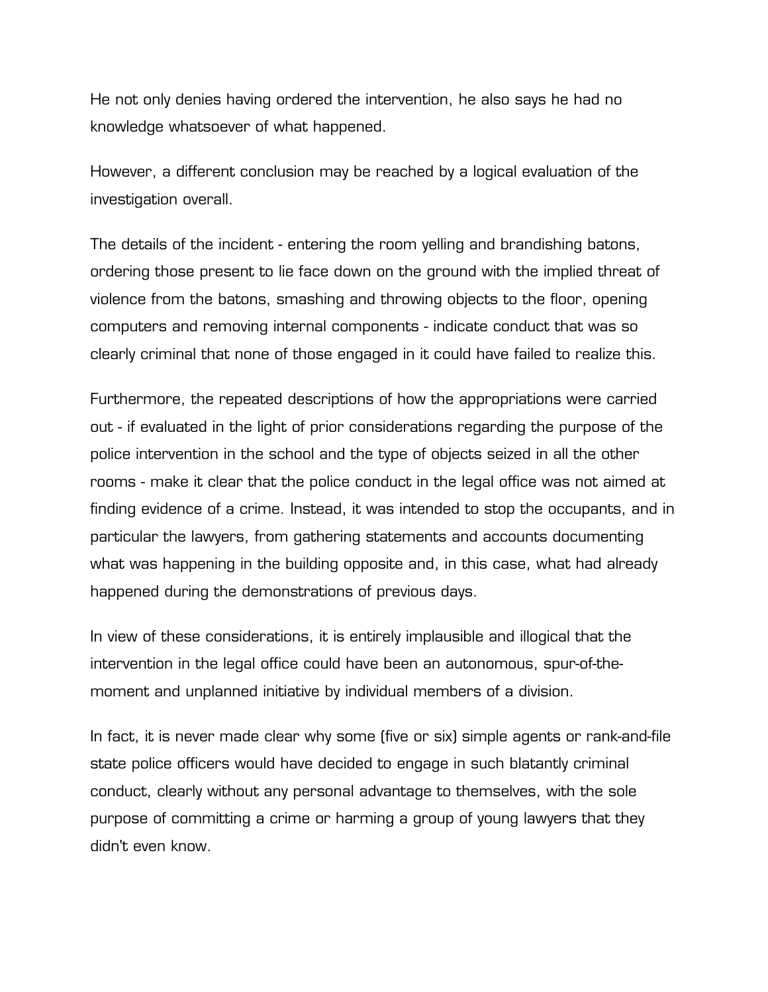He not only denies having ordered the intervention, he also says he had no knowledge whatsoever of what happened.

However, a different conclusion may be reached by a logical evaluation of the investigation overall.

The details of the incident - entering the room yelling and brandishing batons, ordering those present to lie face down on the ground with the implied threat of violence from the batons, smashing and throwing objects to the floor, opening computers and removing internal components - indicate conduct that was so clearly criminal that none of those engaged in it could have failed to realize this.

Furthermore, the repeated descriptions of how the appropriations were carried out - if evaluated in the light of prior considerations regarding the purpose of the police intervention in the school and the type of objects seized in all the other rooms - make it clear that the police conduct in the legal office was not aimed at finding evidence of a crime. Instead, it was intended to stop the occupants, and in particular the lawyers, from gathering statements and accounts documenting what was happening in the building opposite and, in this case, what had already happened during the demonstrations of previous days.

In view of these considerations, it is entirely implausible and illogical that the intervention in the legal office could have been an autonomous, spur-of-themoment and unplanned initiative by individual members of a division.

In fact, it is never made clear why some (five or six) simple agents or rank-and-file state police officers would have decided to engage in such blatantly criminal conduct, clearly without any personal advantage to themselves, with the sole purpose of committing a crime or harming a group of young lawyers that they didn't even know.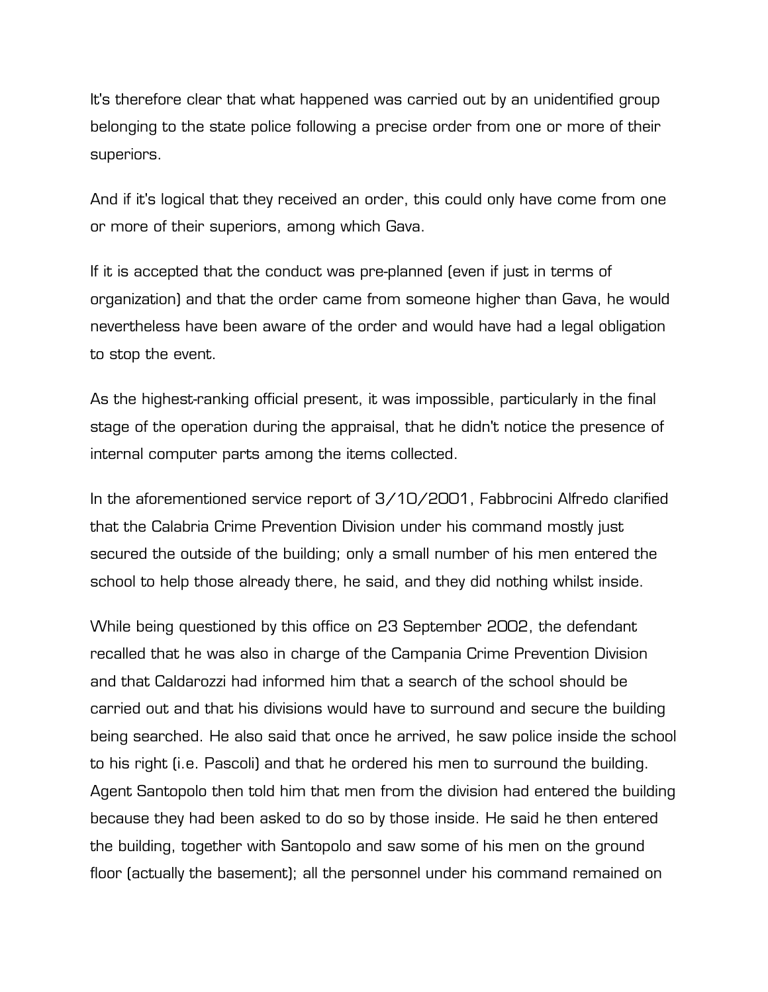It's therefore clear that what happened was carried out by an unidentified group belonging to the state police following a precise order from one or more of their superiors.

And if it's logical that they received an order, this could only have come from one or more of their superiors, among which Gava.

If it is accepted that the conduct was pre-planned (even if just in terms of organization) and that the order came from someone higher than Gava, he would nevertheless have been aware of the order and would have had a legal obligation to stop the event.

As the highest-ranking official present, it was impossible, particularly in the final stage of the operation during the appraisal, that he didn't notice the presence of internal computer parts among the items collected.

In the aforementioned service report of 3/10/2001, Fabbrocini Alfredo clarified that the Calabria Crime Prevention Division under his command mostly just secured the outside of the building; only a small number of his men entered the school to help those already there, he said, and they did nothing whilst inside.

While being questioned by this office on 23 September 2002, the defendant recalled that he was also in charge of the Campania Crime Prevention Division and that Caldarozzi had informed him that a search of the school should be carried out and that his divisions would have to surround and secure the building being searched. He also said that once he arrived, he saw police inside the school to his right (i.e. Pascoli) and that he ordered his men to surround the building. Agent Santopolo then told him that men from the division had entered the building because they had been asked to do so by those inside. He said he then entered the building, together with Santopolo and saw some of his men on the ground floor (actually the basement); all the personnel under his command remained on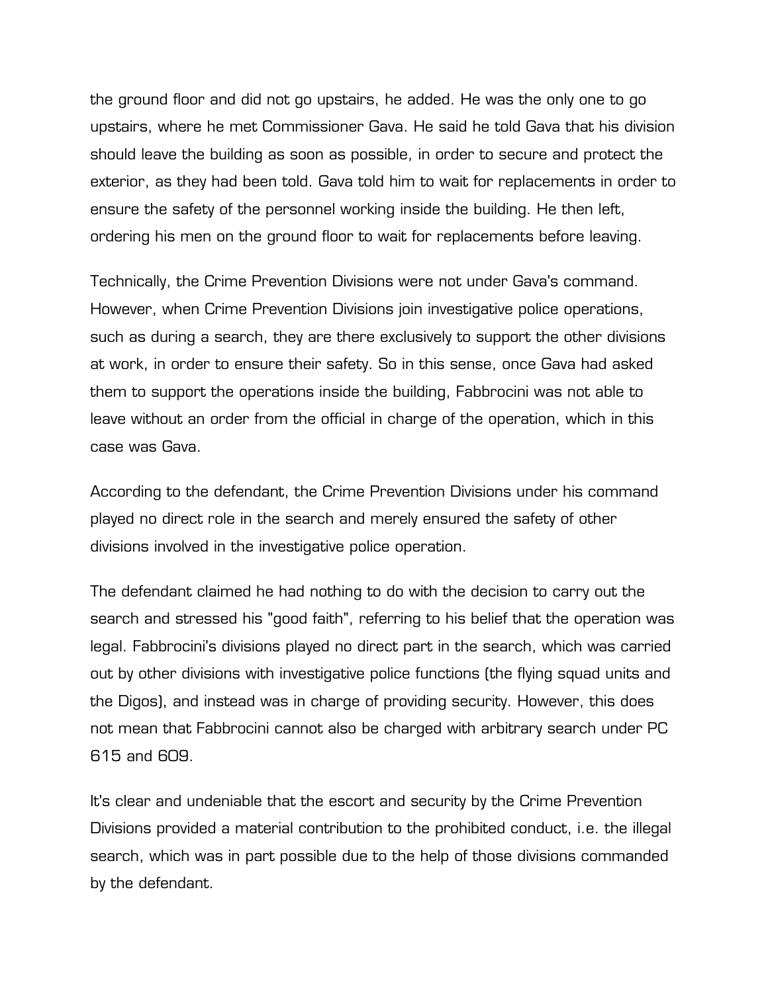the ground floor and did not go upstairs, he added. He was the only one to go upstairs, where he met Commissioner Gava. He said he told Gava that his division should leave the building as soon as possible, in order to secure and protect the exterior, as they had been told. Gava told him to wait for replacements in order to ensure the safety of the personnel working inside the building. He then left, ordering his men on the ground floor to wait for replacements before leaving.

Technically, the Crime Prevention Divisions were not under Gava's command. However, when Crime Prevention Divisions join investigative police operations, such as during a search, they are there exclusively to support the other divisions at work, in order to ensure their safety. So in this sense, once Gava had asked them to support the operations inside the building, Fabbrocini was not able to leave without an order from the official in charge of the operation, which in this case was Gava.

According to the defendant, the Crime Prevention Divisions under his command played no direct role in the search and merely ensured the safety of other divisions involved in the investigative police operation.

The defendant claimed he had nothing to do with the decision to carry out the search and stressed his "good faith", referring to his belief that the operation was legal. Fabbrocini's divisions played no direct part in the search, which was carried out by other divisions with investigative police functions (the flying squad units and the Digos), and instead was in charge of providing security. However, this does not mean that Fabbrocini cannot also be charged with arbitrary search under PC 615 and 609.

It's clear and undeniable that the escort and security by the Crime Prevention Divisions provided a material contribution to the prohibited conduct, i.e. the illegal search, which was in part possible due to the help of those divisions commanded by the defendant.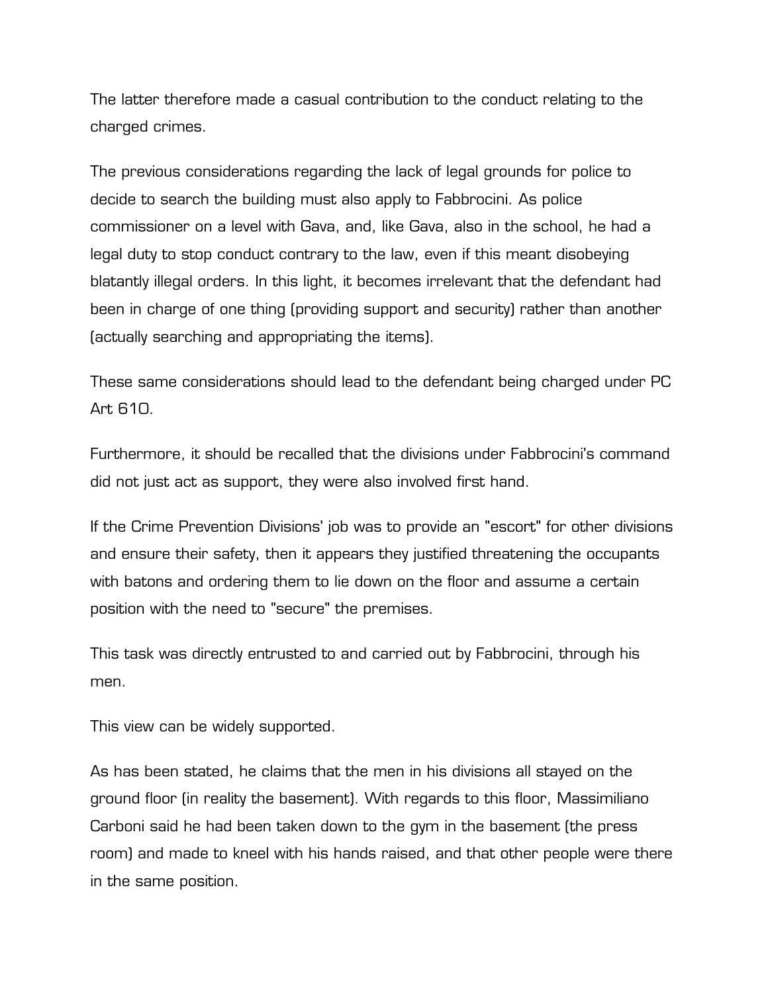The latter therefore made a casual contribution to the conduct relating to the charged crimes.

The previous considerations regarding the lack of legal grounds for police to decide to search the building must also apply to Fabbrocini. As police commissioner on a level with Gava, and, like Gava, also in the school, he had a legal duty to stop conduct contrary to the law, even if this meant disobeying blatantly illegal orders. In this light, it becomes irrelevant that the defendant had been in charge of one thing (providing support and security) rather than another (actually searching and appropriating the items).

These same considerations should lead to the defendant being charged under PC Art 610.

Furthermore, it should be recalled that the divisions under Fabbrocini's command did not just act as support, they were also involved first hand.

If the Crime Prevention Divisions' job was to provide an "escort" for other divisions and ensure their safety, then it appears they justified threatening the occupants with batons and ordering them to lie down on the floor and assume a certain position with the need to "secure" the premises.

This task was directly entrusted to and carried out by Fabbrocini, through his men.

This view can be widely supported.

As has been stated, he claims that the men in his divisions all stayed on the ground floor (in reality the basement). With regards to this floor, Massimiliano Carboni said he had been taken down to the gym in the basement (the press room) and made to kneel with his hands raised, and that other people were there in the same position.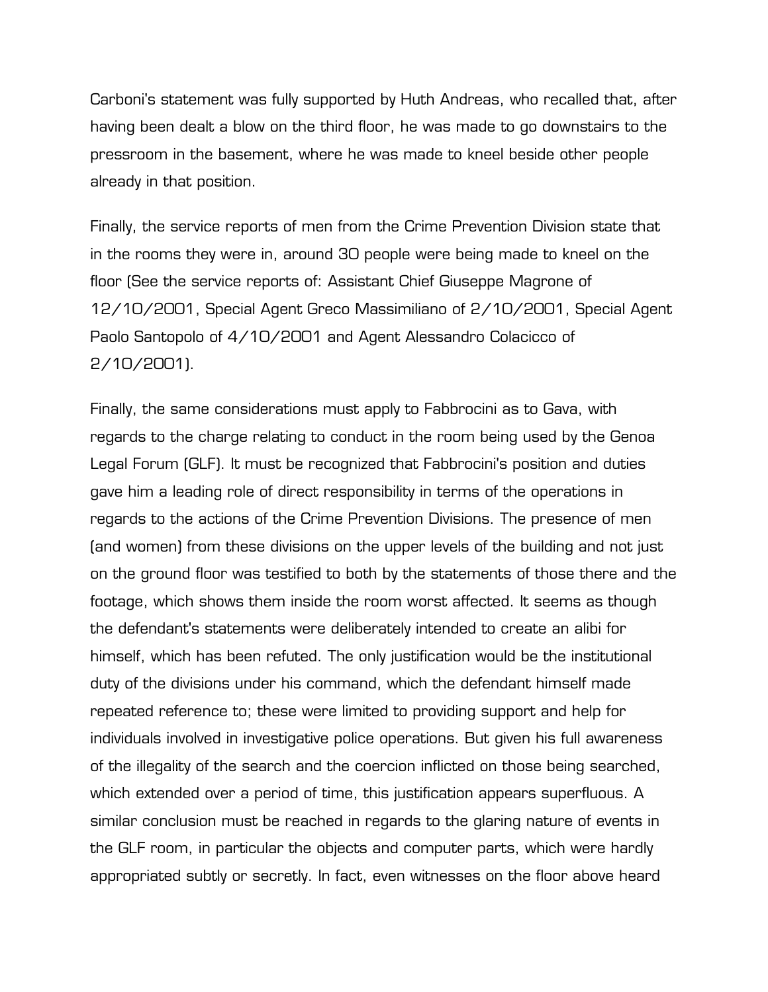Carboni's statement was fully supported by Huth Andreas, who recalled that, after having been dealt a blow on the third floor, he was made to go downstairs to the pressroom in the basement, where he was made to kneel beside other people already in that position.

Finally, the service reports of men from the Crime Prevention Division state that in the rooms they were in, around 30 people were being made to kneel on the floor (See the service reports of: Assistant Chief Giuseppe Magrone of 12/10/2001, Special Agent Greco Massimiliano of 2/10/2001, Special Agent Paolo Santopolo of 4/10/2001 and Agent Alessandro Colacicco of 2/10/2001).

Finally, the same considerations must apply to Fabbrocini as to Gava, with regards to the charge relating to conduct in the room being used by the Genoa Legal Forum (GLF). It must be recognized that Fabbrocini's position and duties gave him a leading role of direct responsibility in terms of the operations in regards to the actions of the Crime Prevention Divisions. The presence of men (and women) from these divisions on the upper levels of the building and not just on the ground floor was testified to both by the statements of those there and the footage, which shows them inside the room worst affected. It seems as though the defendant's statements were deliberately intended to create an alibi for himself, which has been refuted. The only justification would be the institutional duty of the divisions under his command, which the defendant himself made repeated reference to; these were limited to providing support and help for individuals involved in investigative police operations. But given his full awareness of the illegality of the search and the coercion inflicted on those being searched, which extended over a period of time, this justification appears superfluous. A similar conclusion must be reached in regards to the glaring nature of events in the GLF room, in particular the objects and computer parts, which were hardly appropriated subtly or secretly. In fact, even witnesses on the floor above heard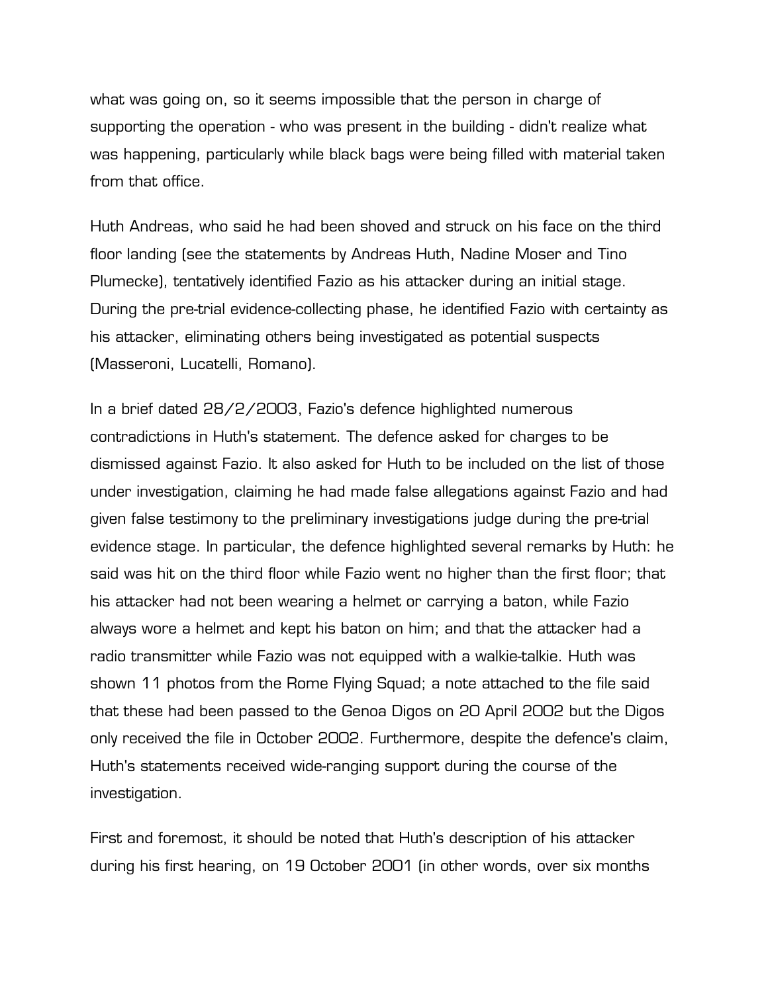what was going on, so it seems impossible that the person in charge of supporting the operation - who was present in the building - didn't realize what was happening, particularly while black bags were being filled with material taken from that office.

Huth Andreas, who said he had been shoved and struck on his face on the third floor landing (see the statements by Andreas Huth, Nadine Moser and Tino Plumecke), tentatively identified Fazio as his attacker during an initial stage. During the pre-trial evidence-collecting phase, he identified Fazio with certainty as his attacker, eliminating others being investigated as potential suspects (Masseroni, Lucatelli, Romano).

In a brief dated 28/2/2003, Fazio's defence highlighted numerous contradictions in Huth's statement. The defence asked for charges to be dismissed against Fazio. It also asked for Huth to be included on the list of those under investigation, claiming he had made false allegations against Fazio and had given false testimony to the preliminary investigations judge during the pre-trial evidence stage. In particular, the defence highlighted several remarks by Huth: he said was hit on the third floor while Fazio went no higher than the first floor; that his attacker had not been wearing a helmet or carrying a baton, while Fazio always wore a helmet and kept his baton on him; and that the attacker had a radio transmitter while Fazio was not equipped with a walkie-talkie. Huth was shown 11 photos from the Rome Flying Squad; a note attached to the file said that these had been passed to the Genoa Digos on 20 April 2002 but the Digos only received the file in October 2002. Furthermore, despite the defence's claim, Huth's statements received wide-ranging support during the course of the investigation.

First and foremost, it should be noted that Huth's description of his attacker during his first hearing, on 19 October 2001 (in other words, over six months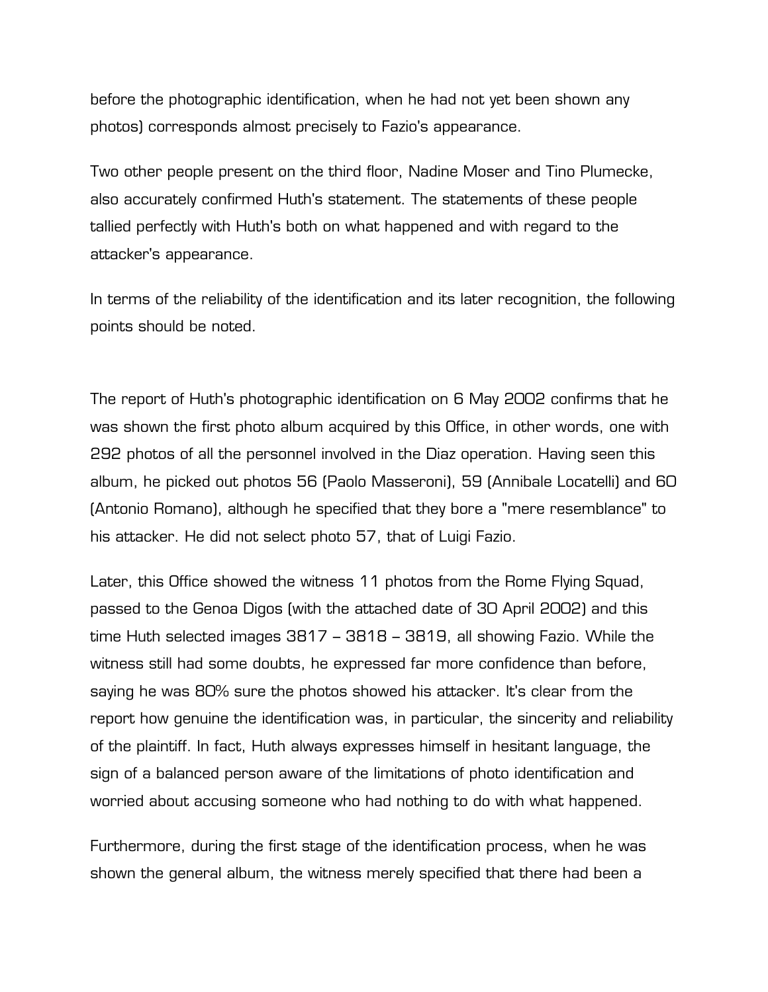before the photographic identification, when he had not yet been shown any photos) corresponds almost precisely to Fazio's appearance.

Two other people present on the third floor, Nadine Moser and Tino Plumecke, also accurately confirmed Huth's statement. The statements of these people tallied perfectly with Huth's both on what happened and with regard to the attacker's appearance.

In terms of the reliability of the identification and its later recognition, the following points should be noted.

The report of Huth's photographic identification on 6 May 2002 confirms that he was shown the first photo album acquired by this Office, in other words, one with 292 photos of all the personnel involved in the Diaz operation. Having seen this album, he picked out photos 56 (Paolo Masseroni), 59 (Annibale Locatelli) and 60 (Antonio Romano), although he specified that they bore a "mere resemblance" to his attacker. He did not select photo 57, that of Luigi Fazio.

Later, this Office showed the witness 11 photos from the Rome Flying Squad, passed to the Genoa Digos (with the attached date of 30 April 2002) and this time Huth selected images 3817 – 3818 – 3819, all showing Fazio. While the witness still had some doubts, he expressed far more confidence than before, saying he was 80% sure the photos showed his attacker. It's clear from the report how genuine the identification was, in particular, the sincerity and reliability of the plaintiff. In fact, Huth always expresses himself in hesitant language, the sign of a balanced person aware of the limitations of photo identification and worried about accusing someone who had nothing to do with what happened.

Furthermore, during the first stage of the identification process, when he was shown the general album, the witness merely specified that there had been a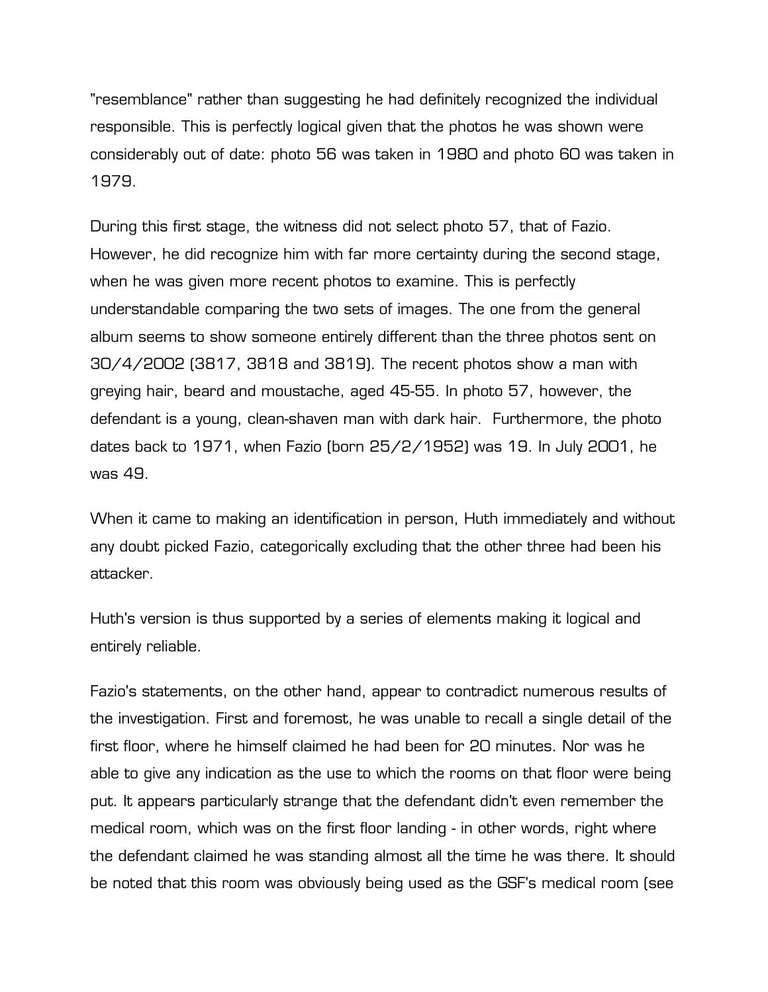"resemblance" rather than suggesting he had definitely recognized the individual responsible. This is perfectly logical given that the photos he was shown were considerably out of date: photo 56 was taken in 1980 and photo 60 was taken in 1979.

During this first stage, the witness did not select photo 57, that of Fazio. However, he did recognize him with far more certainty during the second stage, when he was given more recent photos to examine. This is perfectly understandable comparing the two sets of images. The one from the general album seems to show someone entirely different than the three photos sent on 30/4/2002 (3817, 3818 and 3819). The recent photos show a man with greying hair, beard and moustache, aged 45-55. In photo 57, however, the defendant is a young, clean-shaven man with dark hair. Furthermore, the photo dates back to 1971, when Fazio (born 25/2/1952) was 19. In July 2001, he was 49.

When it came to making an identification in person, Huth immediately and without any doubt picked Fazio, categorically excluding that the other three had been his attacker.

Huth's version is thus supported by a series of elements making it logical and entirely reliable.

Fazio's statements, on the other hand, appear to contradict numerous results of the investigation. First and foremost, he was unable to recall a single detail of the first floor, where he himself claimed he had been for 20 minutes. Nor was he able to give any indication as the use to which the rooms on that floor were being put. It appears particularly strange that the defendant didn't even remember the medical room, which was on the first floor landing - in other words, right where the defendant claimed he was standing almost all the time he was there. It should be noted that this room was obviously being used as the GSF's medical room (see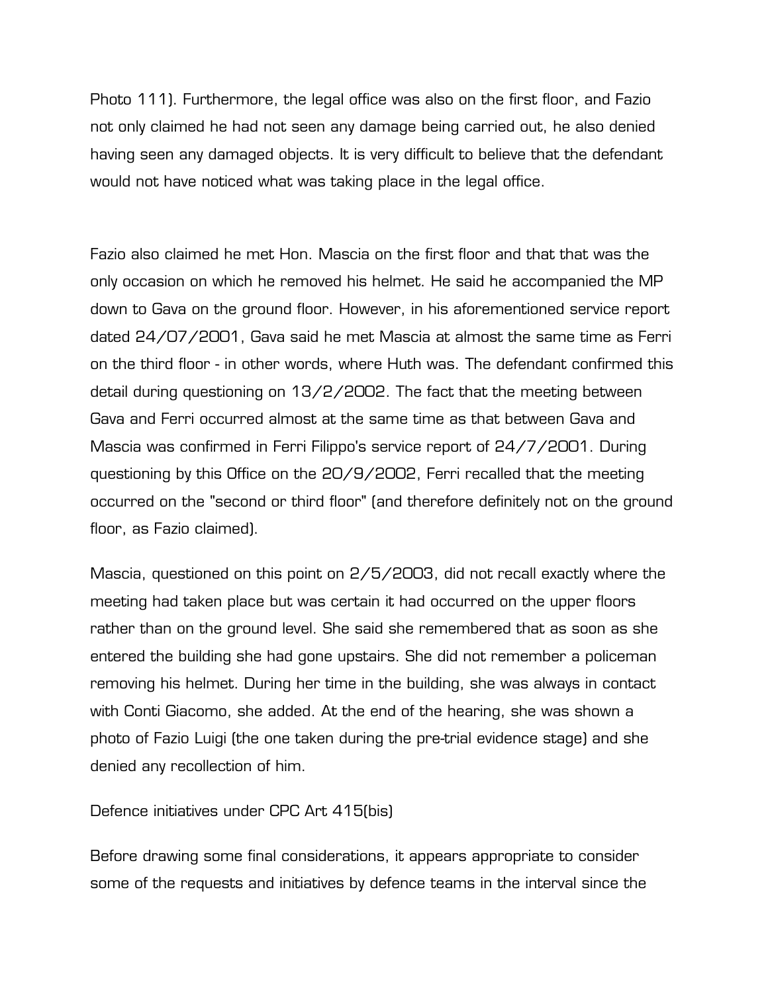Photo 111). Furthermore, the legal office was also on the first floor, and Fazio not only claimed he had not seen any damage being carried out, he also denied having seen any damaged objects. It is very difficult to believe that the defendant would not have noticed what was taking place in the legal office.

Fazio also claimed he met Hon. Mascia on the first floor and that that was the only occasion on which he removed his helmet. He said he accompanied the MP down to Gava on the ground floor. However, in his aforementioned service report dated 24/07/2001, Gava said he met Mascia at almost the same time as Ferri on the third floor - in other words, where Huth was. The defendant confirmed this detail during questioning on 13/2/2002. The fact that the meeting between Gava and Ferri occurred almost at the same time as that between Gava and Mascia was confirmed in Ferri Filippo's service report of 24/7/2001. During questioning by this Office on the 20/9/2002, Ferri recalled that the meeting occurred on the "second or third floor" (and therefore definitely not on the ground floor, as Fazio claimed).

Mascia, questioned on this point on 2/5/2003, did not recall exactly where the meeting had taken place but was certain it had occurred on the upper floors rather than on the ground level. She said she remembered that as soon as she entered the building she had gone upstairs. She did not remember a policeman removing his helmet. During her time in the building, she was always in contact with Conti Giacomo, she added. At the end of the hearing, she was shown a photo of Fazio Luigi (the one taken during the pre-trial evidence stage) and she denied any recollection of him.

Defence initiatives under CPC Art 415(bis)

Before drawing some final considerations, it appears appropriate to consider some of the requests and initiatives by defence teams in the interval since the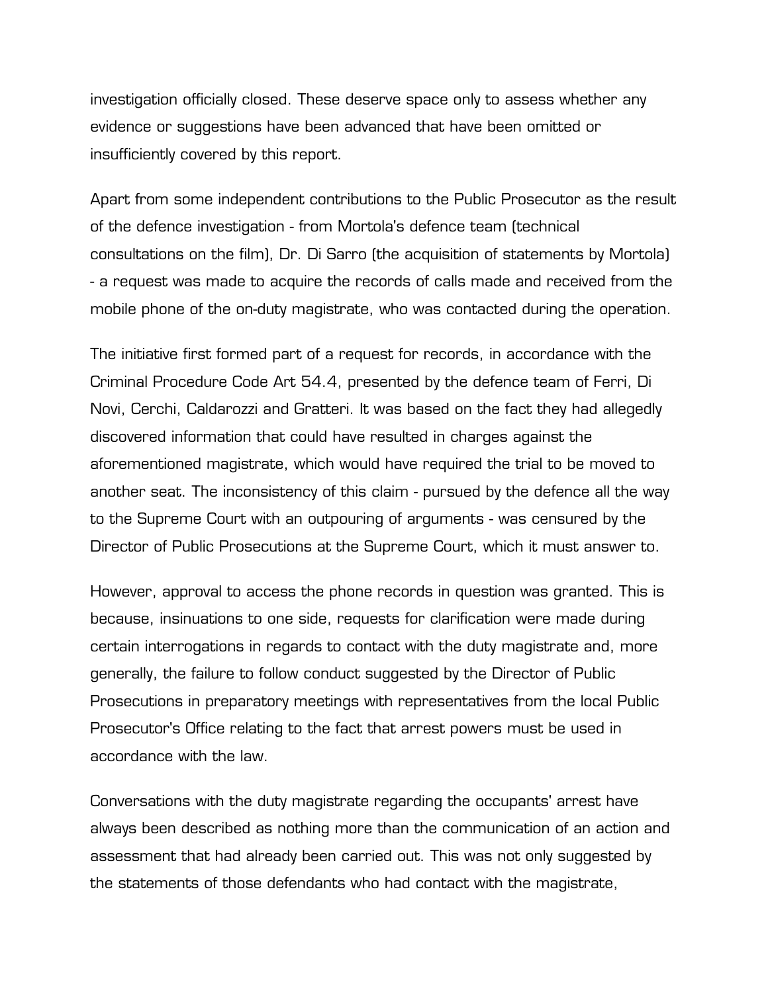investigation officially closed. These deserve space only to assess whether any evidence or suggestions have been advanced that have been omitted or insufficiently covered by this report.

Apart from some independent contributions to the Public Prosecutor as the result of the defence investigation - from Mortola's defence team (technical consultations on the film), Dr. Di Sarro (the acquisition of statements by Mortola) - a request was made to acquire the records of calls made and received from the mobile phone of the on-duty magistrate, who was contacted during the operation.

The initiative first formed part of a request for records, in accordance with the Criminal Procedure Code Art 54.4, presented by the defence team of Ferri, Di Novi, Cerchi, Caldarozzi and Gratteri. It was based on the fact they had allegedly discovered information that could have resulted in charges against the aforementioned magistrate, which would have required the trial to be moved to another seat. The inconsistency of this claim - pursued by the defence all the way to the Supreme Court with an outpouring of arguments - was censured by the Director of Public Prosecutions at the Supreme Court, which it must answer to.

However, approval to access the phone records in question was granted. This is because, insinuations to one side, requests for clarification were made during certain interrogations in regards to contact with the duty magistrate and, more generally, the failure to follow conduct suggested by the Director of Public Prosecutions in preparatory meetings with representatives from the local Public Prosecutor's Office relating to the fact that arrest powers must be used in accordance with the law.

Conversations with the duty magistrate regarding the occupants' arrest have always been described as nothing more than the communication of an action and assessment that had already been carried out. This was not only suggested by the statements of those defendants who had contact with the magistrate,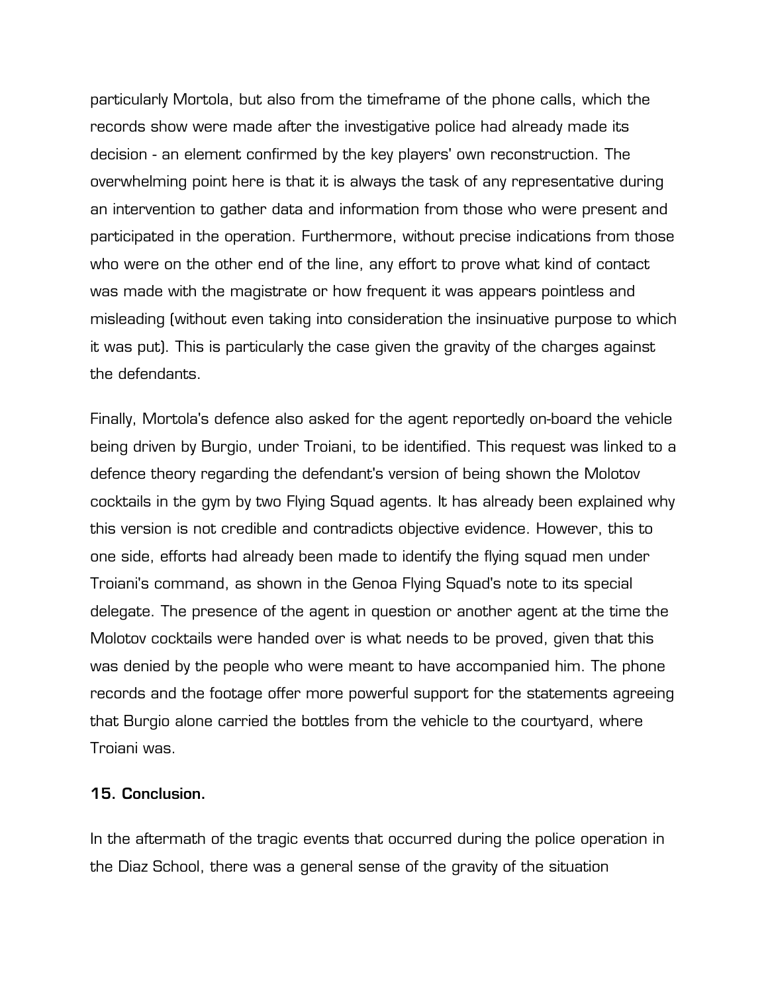particularly Mortola, but also from the timeframe of the phone calls, which the records show were made after the investigative police had already made its decision - an element confirmed by the key players' own reconstruction. The overwhelming point here is that it is always the task of any representative during an intervention to gather data and information from those who were present and participated in the operation. Furthermore, without precise indications from those who were on the other end of the line, any effort to prove what kind of contact was made with the magistrate or how frequent it was appears pointless and misleading (without even taking into consideration the insinuative purpose to which it was put). This is particularly the case given the gravity of the charges against the defendants.

Finally, Mortola's defence also asked for the agent reportedly on-board the vehicle being driven by Burgio, under Troiani, to be identified. This request was linked to a defence theory regarding the defendant's version of being shown the Molotov cocktails in the gym by two Flying Squad agents. It has already been explained why this version is not credible and contradicts objective evidence. However, this to one side, efforts had already been made to identify the flying squad men under Troiani's command, as shown in the Genoa Flying Squad's note to its special delegate. The presence of the agent in question or another agent at the time the Molotov cocktails were handed over is what needs to be proved, given that this was denied by the people who were meant to have accompanied him. The phone records and the footage offer more powerful support for the statements agreeing that Burgio alone carried the bottles from the vehicle to the courtyard, where Troiani was.

## **15. Conclusion.**

In the aftermath of the tragic events that occurred during the police operation in the Diaz School, there was a general sense of the gravity of the situation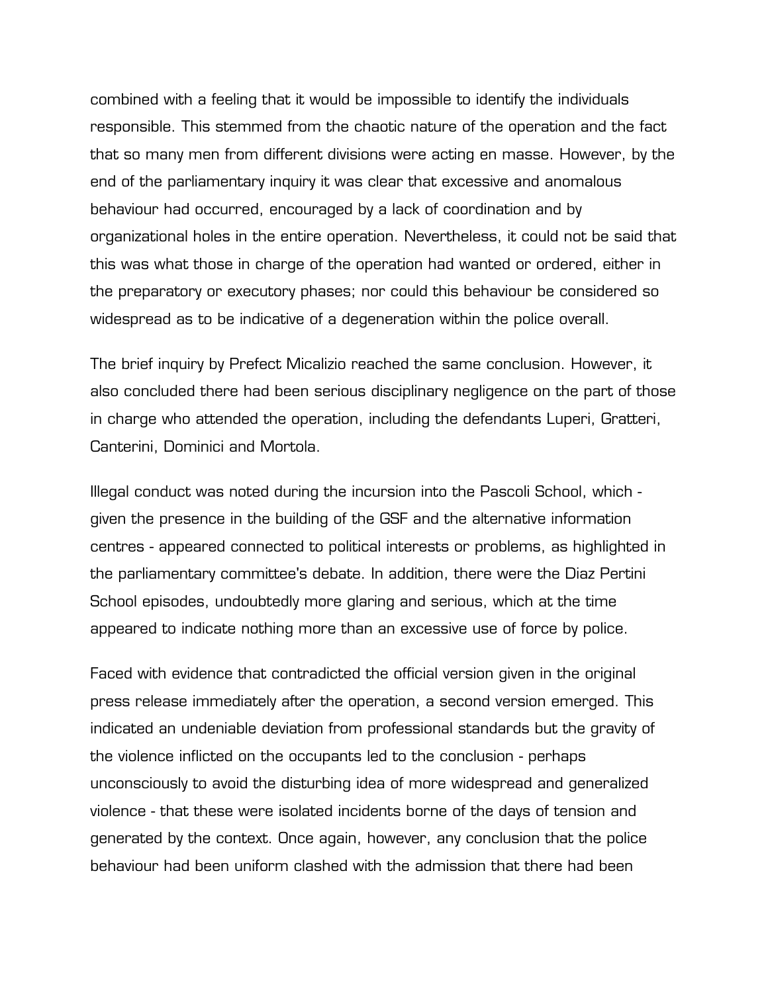combined with a feeling that it would be impossible to identify the individuals responsible. This stemmed from the chaotic nature of the operation and the fact that so many men from different divisions were acting en masse. However, by the end of the parliamentary inquiry it was clear that excessive and anomalous behaviour had occurred, encouraged by a lack of coordination and by organizational holes in the entire operation. Nevertheless, it could not be said that this was what those in charge of the operation had wanted or ordered, either in the preparatory or executory phases; nor could this behaviour be considered so widespread as to be indicative of a degeneration within the police overall.

The brief inquiry by Prefect Micalizio reached the same conclusion. However, it also concluded there had been serious disciplinary negligence on the part of those in charge who attended the operation, including the defendants Luperi, Gratteri, Canterini, Dominici and Mortola.

Illegal conduct was noted during the incursion into the Pascoli School, which given the presence in the building of the GSF and the alternative information centres - appeared connected to political interests or problems, as highlighted in the parliamentary committee's debate. In addition, there were the Diaz Pertini School episodes, undoubtedly more glaring and serious, which at the time appeared to indicate nothing more than an excessive use of force by police.

Faced with evidence that contradicted the official version given in the original press release immediately after the operation, a second version emerged. This indicated an undeniable deviation from professional standards but the gravity of the violence inflicted on the occupants led to the conclusion - perhaps unconsciously to avoid the disturbing idea of more widespread and generalized violence - that these were isolated incidents borne of the days of tension and generated by the context. Once again, however, any conclusion that the police behaviour had been uniform clashed with the admission that there had been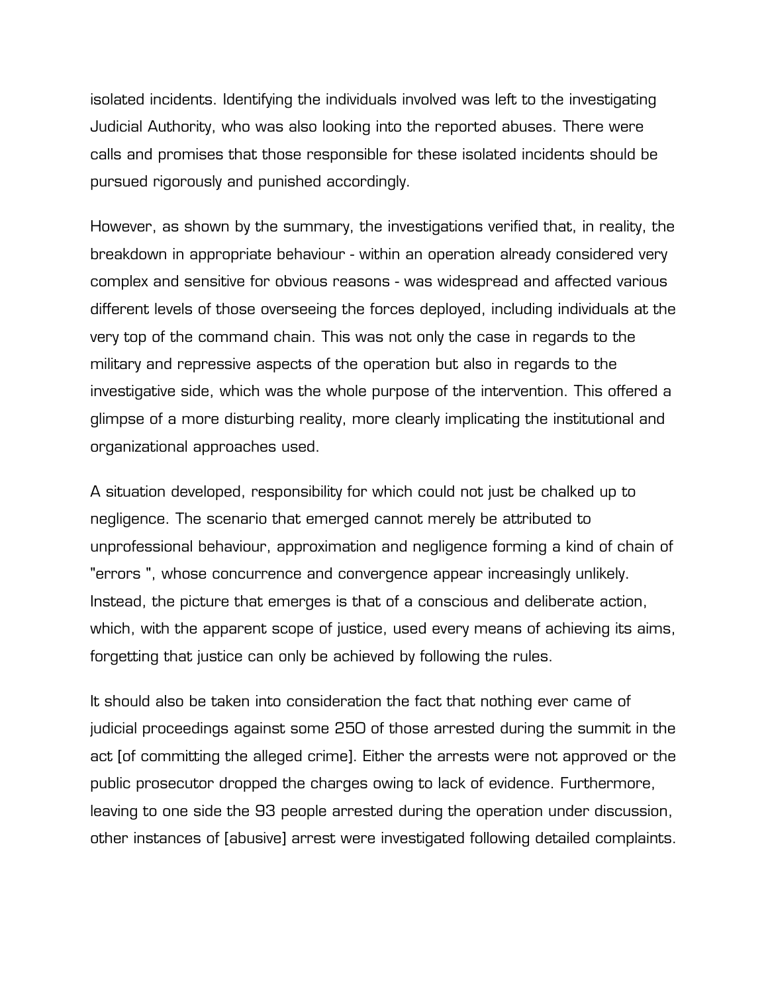isolated incidents. Identifying the individuals involved was left to the investigating Judicial Authority, who was also looking into the reported abuses. There were calls and promises that those responsible for these isolated incidents should be pursued rigorously and punished accordingly.

However, as shown by the summary, the investigations verified that, in reality, the breakdown in appropriate behaviour - within an operation already considered very complex and sensitive for obvious reasons - was widespread and affected various different levels of those overseeing the forces deployed, including individuals at the very top of the command chain. This was not only the case in regards to the military and repressive aspects of the operation but also in regards to the investigative side, which was the whole purpose of the intervention. This offered a glimpse of a more disturbing reality, more clearly implicating the institutional and organizational approaches used.

A situation developed, responsibility for which could not just be chalked up to negligence. The scenario that emerged cannot merely be attributed to unprofessional behaviour, approximation and negligence forming a kind of chain of "errors ", whose concurrence and convergence appear increasingly unlikely. Instead, the picture that emerges is that of a conscious and deliberate action, which, with the apparent scope of justice, used every means of achieving its aims, forgetting that justice can only be achieved by following the rules.

It should also be taken into consideration the fact that nothing ever came of judicial proceedings against some 250 of those arrested during the summit in the act [of committing the alleged crime]. Either the arrests were not approved or the public prosecutor dropped the charges owing to lack of evidence. Furthermore, leaving to one side the 93 people arrested during the operation under discussion, other instances of [abusive] arrest were investigated following detailed complaints.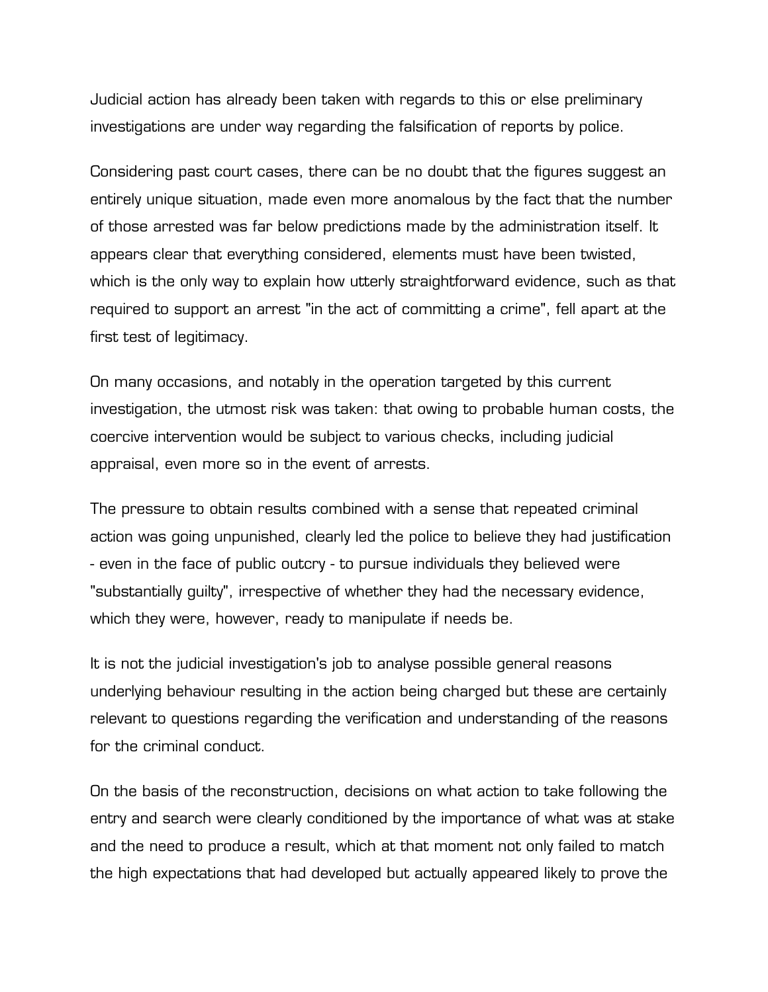Judicial action has already been taken with regards to this or else preliminary investigations are under way regarding the falsification of reports by police.

Considering past court cases, there can be no doubt that the figures suggest an entirely unique situation, made even more anomalous by the fact that the number of those arrested was far below predictions made by the administration itself. It appears clear that everything considered, elements must have been twisted, which is the only way to explain how utterly straightforward evidence, such as that required to support an arrest "in the act of committing a crime", fell apart at the first test of legitimacy.

On many occasions, and notably in the operation targeted by this current investigation, the utmost risk was taken: that owing to probable human costs, the coercive intervention would be subject to various checks, including judicial appraisal, even more so in the event of arrests.

The pressure to obtain results combined with a sense that repeated criminal action was going unpunished, clearly led the police to believe they had justification - even in the face of public outcry - to pursue individuals they believed were "substantially guilty", irrespective of whether they had the necessary evidence, which they were, however, ready to manipulate if needs be.

It is not the judicial investigation's job to analyse possible general reasons underlying behaviour resulting in the action being charged but these are certainly relevant to questions regarding the verification and understanding of the reasons for the criminal conduct.

On the basis of the reconstruction, decisions on what action to take following the entry and search were clearly conditioned by the importance of what was at stake and the need to produce a result, which at that moment not only failed to match the high expectations that had developed but actually appeared likely to prove the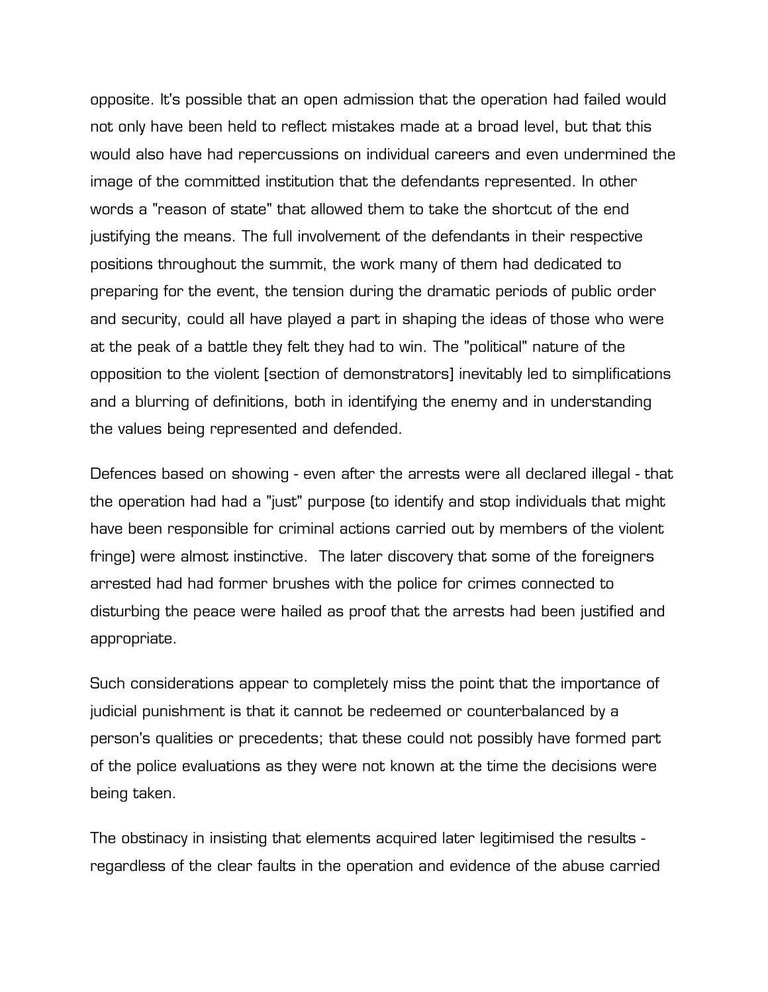opposite. It's possible that an open admission that the operation had failed would not only have been held to reflect mistakes made at a broad level, but that this would also have had repercussions on individual careers and even undermined the image of the committed institution that the defendants represented. In other words a "reason of state" that allowed them to take the shortcut of the end justifying the means. The full involvement of the defendants in their respective positions throughout the summit, the work many of them had dedicated to preparing for the event, the tension during the dramatic periods of public order and security, could all have played a part in shaping the ideas of those who were at the peak of a battle they felt they had to win. The "political" nature of the opposition to the violent [section of demonstrators] inevitably led to simplifications and a blurring of definitions, both in identifying the enemy and in understanding the values being represented and defended.

Defences based on showing - even after the arrests were all declared illegal - that the operation had had a "just" purpose (to identify and stop individuals that might have been responsible for criminal actions carried out by members of the violent fringe) were almost instinctive. The later discovery that some of the foreigners arrested had had former brushes with the police for crimes connected to disturbing the peace were hailed as proof that the arrests had been justified and appropriate.

Such considerations appear to completely miss the point that the importance of judicial punishment is that it cannot be redeemed or counterbalanced by a person's qualities or precedents; that these could not possibly have formed part of the police evaluations as they were not known at the time the decisions were being taken.

The obstinacy in insisting that elements acquired later legitimised the results regardless of the clear faults in the operation and evidence of the abuse carried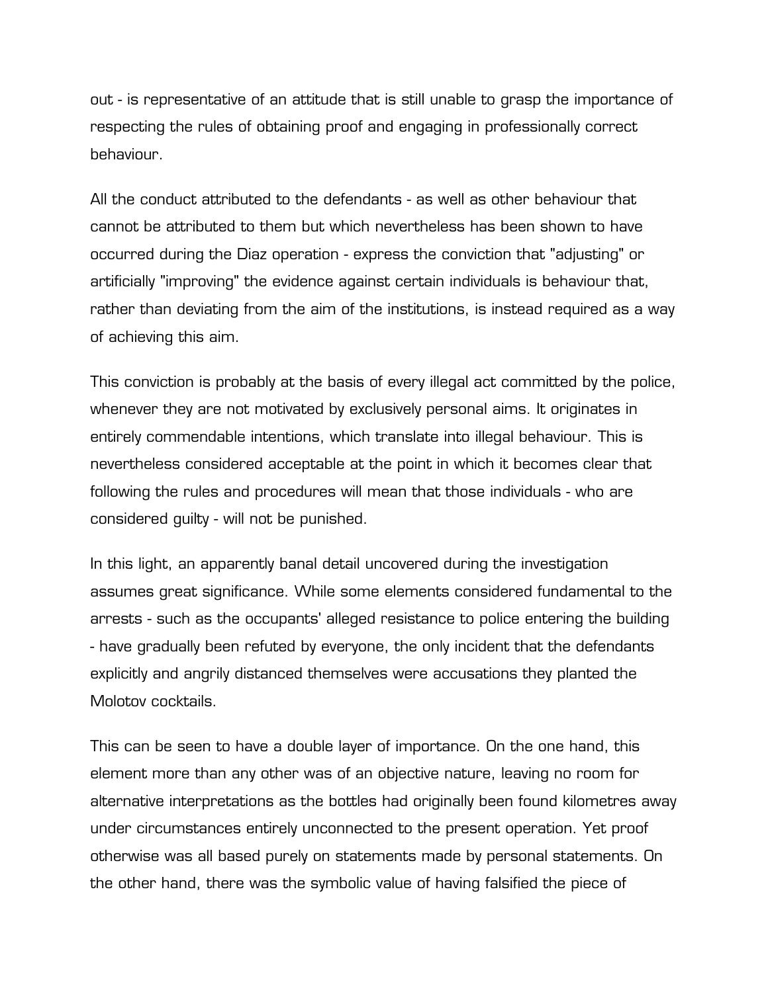out - is representative of an attitude that is still unable to grasp the importance of respecting the rules of obtaining proof and engaging in professionally correct behaviour.

All the conduct attributed to the defendants - as well as other behaviour that cannot be attributed to them but which nevertheless has been shown to have occurred during the Diaz operation - express the conviction that "adjusting" or artificially "improving" the evidence against certain individuals is behaviour that, rather than deviating from the aim of the institutions, is instead required as a way of achieving this aim.

This conviction is probably at the basis of every illegal act committed by the police, whenever they are not motivated by exclusively personal aims. It originates in entirely commendable intentions, which translate into illegal behaviour. This is nevertheless considered acceptable at the point in which it becomes clear that following the rules and procedures will mean that those individuals - who are considered guilty - will not be punished.

In this light, an apparently banal detail uncovered during the investigation assumes great significance. While some elements considered fundamental to the arrests - such as the occupants' alleged resistance to police entering the building - have gradually been refuted by everyone, the only incident that the defendants explicitly and angrily distanced themselves were accusations they planted the Molotov cocktails.

This can be seen to have a double layer of importance. On the one hand, this element more than any other was of an objective nature, leaving no room for alternative interpretations as the bottles had originally been found kilometres away under circumstances entirely unconnected to the present operation. Yet proof otherwise was all based purely on statements made by personal statements. On the other hand, there was the symbolic value of having falsified the piece of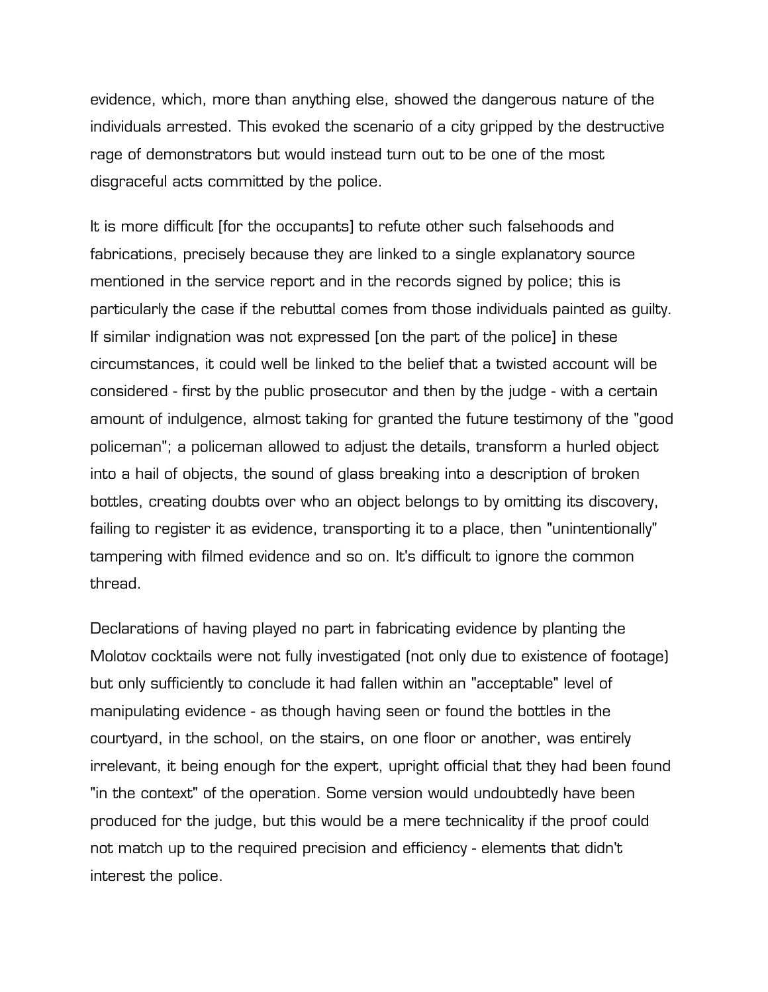evidence, which, more than anything else, showed the dangerous nature of the individuals arrested. This evoked the scenario of a city gripped by the destructive rage of demonstrators but would instead turn out to be one of the most disgraceful acts committed by the police.

It is more difficult [for the occupants] to refute other such falsehoods and fabrications, precisely because they are linked to a single explanatory source mentioned in the service report and in the records signed by police; this is particularly the case if the rebuttal comes from those individuals painted as guilty. If similar indignation was not expressed [on the part of the police] in these circumstances, it could well be linked to the belief that a twisted account will be considered - first by the public prosecutor and then by the judge - with a certain amount of indulgence, almost taking for granted the future testimony of the "good policeman"; a policeman allowed to adjust the details, transform a hurled object into a hail of objects, the sound of glass breaking into a description of broken bottles, creating doubts over who an object belongs to by omitting its discovery, failing to register it as evidence, transporting it to a place, then "unintentionally" tampering with filmed evidence and so on. It's difficult to ignore the common thread.

Declarations of having played no part in fabricating evidence by planting the Molotov cocktails were not fully investigated (not only due to existence of footage) but only sufficiently to conclude it had fallen within an "acceptable" level of manipulating evidence - as though having seen or found the bottles in the courtyard, in the school, on the stairs, on one floor or another, was entirely irrelevant, it being enough for the expert, upright official that they had been found "in the context" of the operation. Some version would undoubtedly have been produced for the judge, but this would be a mere technicality if the proof could not match up to the required precision and efficiency - elements that didn't interest the police.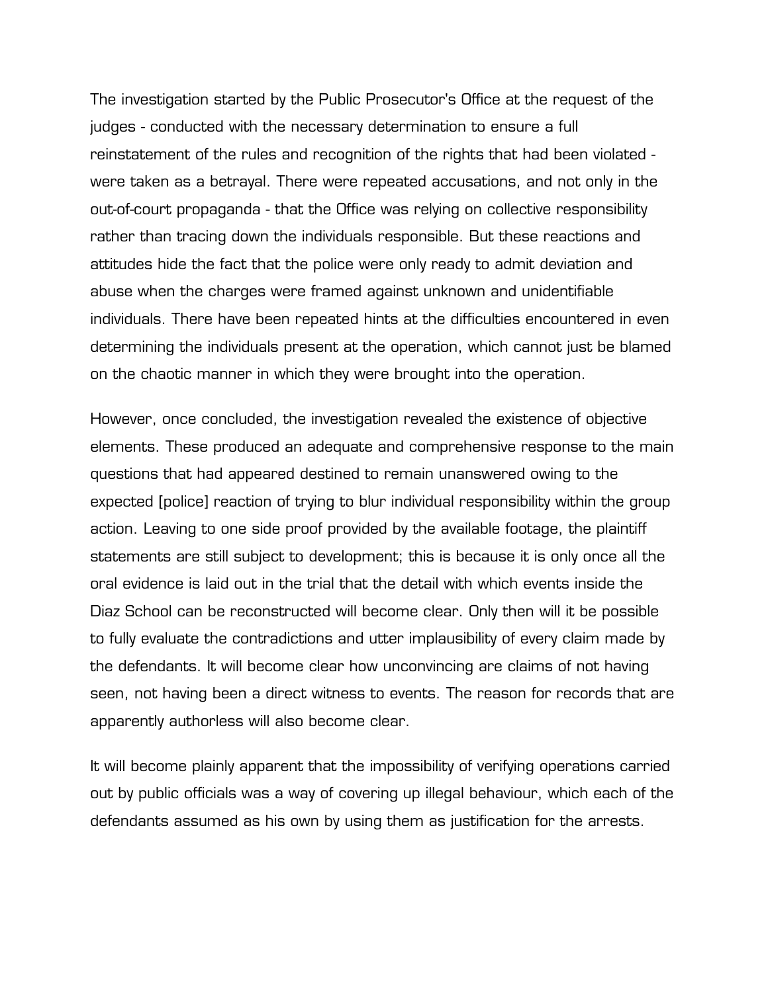The investigation started by the Public Prosecutor's Office at the request of the judges - conducted with the necessary determination to ensure a full reinstatement of the rules and recognition of the rights that had been violated were taken as a betrayal. There were repeated accusations, and not only in the out-of-court propaganda - that the Office was relying on collective responsibility rather than tracing down the individuals responsible. But these reactions and attitudes hide the fact that the police were only ready to admit deviation and abuse when the charges were framed against unknown and unidentifiable individuals. There have been repeated hints at the difficulties encountered in even determining the individuals present at the operation, which cannot just be blamed on the chaotic manner in which they were brought into the operation.

However, once concluded, the investigation revealed the existence of objective elements. These produced an adequate and comprehensive response to the main questions that had appeared destined to remain unanswered owing to the expected [police] reaction of trying to blur individual responsibility within the group action. Leaving to one side proof provided by the available footage, the plaintiff statements are still subject to development; this is because it is only once all the oral evidence is laid out in the trial that the detail with which events inside the Diaz School can be reconstructed will become clear. Only then will it be possible to fully evaluate the contradictions and utter implausibility of every claim made by the defendants. It will become clear how unconvincing are claims of not having seen, not having been a direct witness to events. The reason for records that are apparently authorless will also become clear.

It will become plainly apparent that the impossibility of verifying operations carried out by public officials was a way of covering up illegal behaviour, which each of the defendants assumed as his own by using them as justification for the arrests.